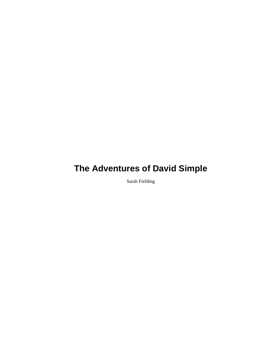Sarah Fielding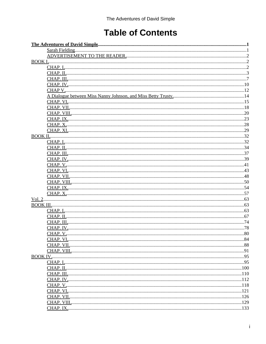# **Table of Contents**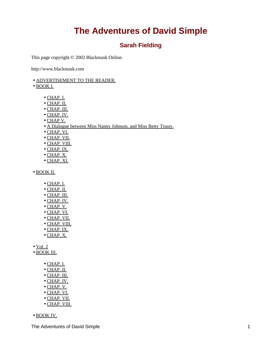### **Sarah Fielding**

<span id="page-2-1"></span><span id="page-2-0"></span>This page copyright © 2002 Blackmask Online.

http://www.blackmask.com

- [ADVERTISEMENT TO THE READER.](#page-3-0)
- [BOOK I.](#page-3-1)
	- [CHAP. I.](#page-3-2)
	- [CHAP. II.](#page-4-0)
	- [CHAP. III.](#page-8-0)
	- [CHAP. IV.](#page-11-0)
	- $\bullet$  [CHAP V.](#page-13-0)
	- [A Dialogue between Miss Nanny Johnson, and Miss Betty Trusty.](#page-15-0)
	- [CHAP. VI.](#page-16-0)
	- [CHAP. VII.](#page-19-0)
	- [CHAP. VIII.](#page-21-0)
	- [CHAP. IX.](#page-24-0)
	- [CHAP. X.](#page-29-0)
	- [CHAP. XI.](#page-30-0)

• [BOOK II.](#page-33-0)

- [CHAP. I.](#page-33-1)
- [CHAP. II.](#page-35-0)
- [CHAP. III.](#page-38-0)
- [CHAP. IV.](#page-40-0)
- $\bullet$  [CHAP. V.](#page-42-0)
- [CHAP. VI.](#page-44-0)
- [CHAP. VII.](#page-49-0)
- [CHAP. VIII.](#page-51-0)
- [CHAP. IX.](#page-55-0)  $\bullet$  [CHAP. X.](#page-58-0)

 $\bullet$  [Vol. 2](#page-64-0)

• [BOOK III.](#page-64-1)

- [CHAP. I.](#page-64-2)
- [CHAP. II.](#page-68-0)
- [CHAP. III.](#page-75-0)
- [CHAP. IV.](#page-79-0)
- [CHAP. V.](#page-81-0)
- [CHAP. VI.](#page-85-0) • [CHAP. VII.](#page-89-0)
- [CHAP. VIII.](#page-92-0)
- 

• [BOOK IV.](#page-96-0)

The Adventures of David Simple 1 and 1 and 200 km in the Adventures of David Simple 1 and 1 and 1 and 1 and 1 and 1 and 1 and 1 and 1 and 1 and 1 and 1 and 1 and 1 and 1 and 1 and 1 and 1 and 1 and 1 and 1 and 1 and 1 and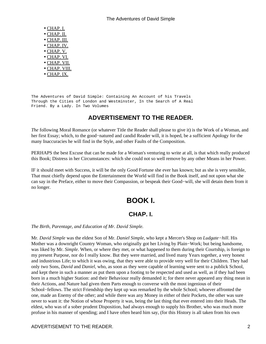- [CHAP. I.](#page-96-1)
- [CHAP. II.](#page-101-0)
- [CHAP. III.](#page-111-0)
- [CHAP. IV.](#page-113-0)
- [CHAP. V.](#page-119-0)
- [CHAP. VI.](#page-122-0)
- [CHAP. VII.](#page-127-0)
- [CHAP. VIII.](#page-130-0)
- [CHAP. IX.](#page-134-0)

The Adventures of David Simple: Containing An Account of his Travels Through the Cities of London and Westminster, In the Search of A Real Friend. By a Lady. In Two Volumes

### **ADVERTISEMENT TO THE READER.**

<span id="page-3-0"></span>*The* following Moral Romance (or whatever Title the Reader shall please to give it) is the Work of a Woman, and her first Essay; which, to the good−natured and candid Reader will, it is hoped, be a sufficient Apology for the many Inaccuracies he will find in the Style, and other Faults of the Composition.

PERHAPS the best Excuse that can be made for a Woman's venturing to write at all, is that which really produced this Book; Distress in her Circumstances: which she could not so well remove by any other Means in her Power.

IF it should meet with Success, it will be the only Good Fortune she ever has known; but as she is very sensible, That must chiefly depend upon the Entertainment the World will find in the Book itself, and not upon what she can say in the Preface, either to move their Compassion, or bespeak their Good−will, she will detain them from it no longer.

## **BOOK I.**

### **CHAP. I.**

<span id="page-3-2"></span><span id="page-3-1"></span>*The Birth, Parentage, and Education of Mr. David Simple.*

Mr. *David Simple* was the eldest Son of Mr. *Daniel Simple,* who kept a Mercer's Shop on *Ludgate−hill*. His Mother was a downright Country Woman, who originally got her Living by Plain−Work; but being handsome, was liked by Mr. *Simple*. When, or where they met, or what happened to them during their Courtship, is foreign to my present Purpose, nor do I really know. But they were married, and lived many Years together, a very honest and industrious Life; to which it was owing, that they were able to provide very well for their Children. They had only two Sons, *David* and *Daniel,* who, as soon as they were capable of learning were sent to a publick School, and kept there in such a manner as put them upon a footing to be respected and used as well, as if they had been born in a much higher Station: and their Behaviour really demanded it; for there never appeared any thing mean in their Actions, and Nature had given them Parts enough to converse with the most ingenious of their School−fellows. The strict Friendship they kept up was remarked by the whole School; whoever affronted the one, made an Enemy of the other; and while there was any Money in either of their Pockets, the other was sure never to want it: the Notion of whose Property it was, being the last thing that ever entered into their Heads. The eldest, who was of a sober prudent Disposition, had always enough to supply his Brother, who was much more profuse in his manner of spending; and I have often heard him say, (for this History is all taken from his own

ADVERTISEMENT TO THE READER. 2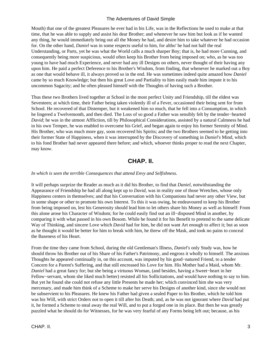Mouth) that one of the greatest Pleasures he ever had in his Life, was in the Reflections he used to make at that time, that he was able to supply and assist his dear Brother; and whenever he saw him but look as if he wanted any thing, he would immediately bring out all the Money he had, and desire him to take whatever he had occasion for. On the other hand, *Daniel* was in some respects useful to him, for altho' he had not half the real Understanding, or Parts, yet he was what the World calls a much sharper Boy; that is, he had more Cunning, and consequently being more suspicious, would often keep his Brother from being imposed on; who, as he was too young to have had much Experience, and never had any ill Designs on others, never thought of their having any upon him. He paid a perfect Deference to his Brother's Wisdom, from finding, that whenever he marked out a Boy as one that would behave ill, it always proved so in the end. He was sometimes indeed quite amazed how *Daniel* came by so much Knowledge; but then his great Love and Partiality to him easily made him impute it to his uncommon Sagacity; and he often pleased himself with the Thoughts of having such a Brother.

Thus these two Brothers lived together at School in the most perfect Unity and Friendship, till the eldest was Seventeen; at which time, their Father being taken violently ill of a Fever, occasioned their being sent for from School. He recovered of that Distemper, but it weakened him so much, that he fell into a Consumption, in which he lingered a Twelvemonth, and then died. The Loss of so good a Father was sensibly felt by the tender−hearted *David*; he was in the utmost Affliction, till by Philosophical Considerations, assisted by a natural Calmness he had in his own Temper, he was enabled to overcome his Grief, and began again to enjoy his former Serenity of Mind. His Brother, who was much more gay, soon recovered his Spirits; and the two Brothers seemed to be getting into their former State of Happiness, when it was interrupted by the Discovery of something in *Daniel's* Mind, which to his fond Brother had never appeared there before; and which, whoever thinks proper to read the next Chapter, may know.

### **CHAP. II.**

#### <span id="page-4-0"></span>*In which is seen the terrible Consequences that attend Envy and Selfishness.*

It will perhaps surprize the Reader as much as it did his Brother, to find that *Daniel,* notwithstanding the Appearance of Friendship he had all along kept up to *David,* was in reality one of those Wretches, whose only Happiness centers in themselves; and that his Conversation with his Companions had never any other View, but in some shape or other to promote his own Interest. To this it was owing, he endeavoured to keep his Brother from being imposed on, lest his Generosity should lead him to let others share his Money as well as himself: From this alone arose his Character of Wisdom; for he could easily find out an ill−disposed Mind in another, by comparing it with what passed in his own Bosom. While he found it for his Benefit to pretend to the same delicate Way of Thinking, and sincere Love which *David* had for him, he did not want Art enough to affect it; but as soon as he thought it would be better for him to break with him, he threw off the Mask, and took no pains to conceal the Baseness of his Heart.

From the time they came from School, during the old Gentleman's Illness, *Daniel's* only Study was, how he should throw his Brother out of his Share of his Father's Patrimony, and engross it wholly to himself. The anxious Thoughts he appeared continually in, on this account, was imputed by his good−natured Friend, to a tender Concern for a Parent's Suffering, and that still encreased his Love for him. His Mother had a Maid, whom Mr. *Daniel* had a great fancy for; but she being a virtuous Woman, (and besides, having a Sweet–heart in her Fellow−servant, whom she liked much better) resisted all his Sollicitations, and would have nothing to say to him. But yet he found she could not refuse any little Presents he made her; which convinced him she was very mercenary, and made him think of a Scheme to make her serve his Designs of another kind, since she would not be subservient to his Pleasures. He knew his Father had given a sealed Paper to his Brother, which he told him was his Will, with strict Orders not to open it till after his Death; and, as he was not ignorant where *David* had put it, he formed a Scheme to steal away the real Will, and to put a forged one in its place. But then he was greatly puzzled what he should do for Witnesses, for he was very fearful of any Forms being left out; because, as his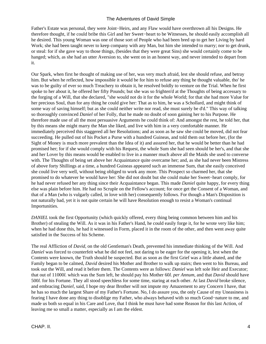Father's Estate was personal, they were Joint−Heirs, and any Flaw would have overthrown all his Designs. He therefore thought, if he could bribe this Girl and her Sweet−heart to be Witnesses, he should easily accomplish all he desired. This young Woman was one of those sort of People who had been bred up to get her Living by hard Work; she had been taught never to keep company with any Man, but him she intended to marry; nor to get drunk, or steal: for if she gave way to those things, (besides that they were great Sins) she would certainly come to be hanged; which, as she had an utter Aversion to, she went on in an honest way, and never intended to depart from it.

Our Spark, when first he thought of making use of her, was very much afraid, lest she should refuse, and betray him. But when he reflected, how impossible it would be for him to refuse any thing he thought valuable, tho' he was to be guilty of ever so much Treachery to obtain it, he resolved boldly to venture on the Trial. When he first spoke to her about it, he offered her fifty Pounds; but she was so frighten'd at the Thoughts of being accessary to the forging of a Will, that she declared, "she would not do it for the whole World; for that she had more Value for her precious Soul, than for any thing he could give her: That as to him, he was a Schollard, and might think of some way of saving himself; but as she could neither write nor read, she must surely be d'd." This way of talking so thoroughly convinced *Daniel* of her Folly, that he made no doubt of soon gaining her to his Purpose. He therefore made use of all the most persuasive Arguments he could think of: And amongst the rest, he told her, that by this means she might marry the Man she liked, and live with him in a very comfortable manner. He immediately perceived this staggered all her Resolutions; and as soon as he saw she could be moved, did not fear succeeding. He pulled out of his Pocket a Purse with a hundred Guineas, and told them out before her, (for the Sight of Money is much more prevalent than the Idea of it) and assured her, that he would be better than he had promised her; for if she would comply with his Request, the whole Sum she had seen should be her's, and that she and her Lover by this means would be enabled to live in a manner much above all the Maids she used to converse with. The Thoughts of being set above her Acquaintance quite overcame her; and, as she had never been Mistress of above forty Shillings at a time, a hundred Guineas appeared such an immense Sum, that she easily conceived she could live very well, without being obliged to work any more. This Prospect so charmed her, that she promised to do whatever he would have her: She did not doubt but she could make her Sweet−heart comply, for he had never refused her any thing since their Acquaintance began. This made *Daniel* quite happy, for every thing else was plain before him. He had no Scruple on the Fellow's account; for once get the Consent of a Woman, and that of a Man (who is vulgarly called, in love with her) consequently follows. For though a Man's Disposition is not naturally bad, yet it is not quite certain he will have Resolution enough to resist a Woman's continual Importunities.

*DANIEL* took the first Opportunity (which quickly offered, every thing being common between him and his Brother) of stealing the Will. As it was in his Father's Hand, he could easily forge it, for he wrote very like him; when he had done this, he had it witnessed in Form, placed it in the room of the other, and then went away quite satisfied in the Success of his Scheme.

The real Affliction of *David,* on the old Gentleman's Death, prevented his immediate thinking of the Will. And *Daniel* was forced to counterfeit what he did not feel, not daring to be eager for the opening it, lest when the Contents were known, the Truth should be suspected. But as soon as the first Grief was a little abated, and the Family began to be calmed, *David* desired his Mother and Brother to walk up stairs; then went to his Bureau, and took out the Will, and read it before them. The Contents were as follows: *Daniel* was left sole Heir and Executor; that out of 11000*l.* which was the Sum left, he should pay his Mother 60*l. per Annum,* and that *David* should have 500*l.* for his Fortune. They all stood speechless for some time, staring at each other. At last *David* broke silence, and embracing *Daniel,* said, I hope my dear Brother will not impute my Amazement to any Concern I have, that he has so much the largest Share of my Father's Fortune. No, I do assure you, the only Cause of my Uneasiness is fearing I have done any thing to disoblige my Father, who always behaved with so much Good−nature to me, and made us both so equal in his Care and Love, that I think he must have had some Reason for this last Action, of leaving me so small a matter, especially as I am the eldest.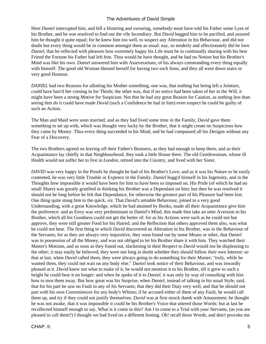Here *Daniel* interrupted him, and fell a blustring and swearing, somebody must have told his Father some Lyes of his Brother, and he was resolved to find out the vile Incendiary. But *David* begged him to be pacified, and assured him he thought it quite equal; for he knew him too well, to suspect any Alteration in his Behaviour, and did not doubt but every thing would be in common amongst them as usual: nay, so tenderly and affectionately did he love *Daniel,* that he reflected with pleasure how extremely happy his Life must be in continually sharing with his best Friend the Fortune his Father had left him. Thus would he have thought, and he had no Notion but his Brother's Mind was like his own. *Daniel* answered him with Asseverations, of his always commanding every thing equally with himself. The good old Woman blessed herself for having two such Sons, and they all went down stairs in very good Humour.

*DANIEL* had two Reasons for allotting his Mother something; one was, that nothing but being left a Jointure, could have barr'd her coming in for Thirds; the other was, that if no notice had been taken of her in the Will, it might have been a strong Motive for Suspicion: Not that he had any great Reason for Caution, as nothing less than seeing him do it could have made *David* (such a Confidence he had in him) even suspect he could be guilty of such an Action

The Man and Maid were soon married; and as they had lived some time in the Family, *David* gave them something to set up with, which was thought very lucky by the Brother, that it might create no Suspicions how they came by Money. Thus every thing succeeded to his Mind, and he had compassed all his Designs without any Fear of a Discovery.

The two Brothers agreed on leaving off their Father's Business, as they had enough to keep them; and as their Acquaintance lay chiefly in that Neighbourhood, they took a little House there. The old Gentlewoman, whose ill Health would not suffer her to live in *London,* retired into the Country, and lived with her Sister.

*DAVID* was very happy in the Proofs he thought he had of his Brother's Love; and as it was his Nature to be easily contented, he was very little Trouble or Expence in the Family. *Daniel* hugg'd himself in his Ingenuity, and in the Thoughts how impossible it would have been for him to have been so imposed on. His Pride (of which he had no small Share) was greatly gratified in thinking his Brother was a Dependant on him; but then he was resolved it should not be long before he felt that Dependance, for otherwise the greatest part of his Pleasure had been lost. One thing quite stung him to the quick, *viz.* That *David's* amiable Behaviour, joined to a very good Understanding, with a great Knowledge, which he had attained by Books, made all their Acquaintance give him the preference: and as Envy was very predominant in *Daniel's* Mind, this made him take an utter Aversion to his Brother, which all his Goodness could not get the better of: for as his Actions were such as he could not but approve, they were still greater Food for his Hatred; and the Reflection that others approved them also, was what he could not bear. The first thing in which *David* discovered an Alteration in his Brother, was in the Behaviour of the Servants; for as they are always very inquisitive, they soon found out by some Means or other, that *Daniel* was in possession of all the Money, and was not obliged to let his Brother share it with him. They watched their Master's Motions, and as soon as they found out, slackening in their Respect to *David* would not be displeasing to the other; it may easily be believed, they were not long in doubt whether they should follow their own Interest: so that at last, when *David* called them, they were always going to do something for their Master; "truly, while he wanted them, they could not wait on any body else." *Daniel* took notice of their Behaviour, and was inwardly pleased at it. *David* knew not what to make of it, he would not mention it to his Brother, till it grew to such a height he could bear it no longer: and when he spoke of it to *Daniel,* it was only by way of consulting with him how to turn them away. But how great was his Surprize, when *Daniel,* instead of talking in his usual Style, said, that for his part he saw no Fault in any of *his* Servants; that they did their Duty very well, and that he should not part with his own Conveniences for any body's Whims; if he accused either of them of any Fault, he would call them up, and try if they could not justify themselves. *David* was at first struck dumb with Amazement; he thought he was not awake, that it was impossible it could be his Brother's Voice that uttered those Words: but at last he recollected himself enough to say, What is it come to this? Am I to come to a Trial with *your* Servants, (as you are pleased to call them?) I thought we had lived on a different footing. Oh! recall those Words, and don't provoke me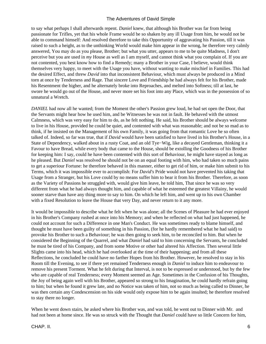to say what perhaps I shall afterwards repent. *Daniel* knew, that although his Brother was far from being passionate for Trifles, yet that his whole Frame would be so shaken by any ill Usage from him, he would not be able to command himself: And resolved therefore to take this Opportunity of aggravating his Passion, till it was raised to such a height, as to the unthinking World would make him appear in the wrong, he therefore very calmly answered, You may do as you please, Brother; but what you utter, appears to me to be quite Madness, I don't perceive but you are used in *my* House as well as I am myself, and cannot think what you complain of. If you are not contented, you best know how to find a Remedy; many a Brother in your Case, I believe, would think themselves very happy, to meet with the Usage you have, without wanting to make mischief in Families. This had the desired Effect, and threw *David* into that inconsistent Behaviour, which must always be produced in a Mind torn at once by Tenderness and Rage. That sincere Love and Friendship he had always felt for his Brother, made his Resentment the higher, and he alternately broke into Reproaches, and melted into Softness; till at last, he swore he would go out of the House, and never more set his foot into any Place, which was in the possession of so unnatural a Wretch.

*DANIEL* had now all he wanted; from the Moment the other's Passion grew loud, he had set open the Door, that the Servants might hear how he used him, and be Witnesses he was not in fault. He behaved with the utmost Calmness, which was very easy for him to do, as he felt nothing. He said, his Brother should be always welcome to live in his House, provided he could be quiet, and contented with what was reasonable; and not be so mad as to think, if he insisted on the Management of his own Family, it was going from that romantic Love he so often talked of. Indeed, so far was true, that if *David* would have been satisfied to have lived in his Brother's House, in a State of Dependency, walked about in a rusty Coat, and an old Tye−Wig, like a decayed Gentleman, thinking it a Favour to have Bread, while every body that came to the House, should be extolling the Goodness of his Brother for keeping him: I say, could he have been contented with this sort of Behaviour, he might have stayed as long as he pleased. But *Daniel* was resolved he should not be on an equal footing with him, who had taken so much pains to get a superiour Fortune: he therefore behaved in this manner, either to get rid of him, or make him submit to his Terms, which it was impossible ever to accomplish: For *David's* Pride would not have prevented his taking that Usage from a Stranger, but his Love could by no means suffer him to bear it from his Brother. Therefore, as soon as the Variety of Passions he struggled with, would give him leave, he told him, That since he was so very different from what he had always thought him, and capable of what he esteemed the greatest Villainy, he would sooner starve than have any thing more to say to him. On which he left him, and went up to his own Chamber with a fixed Resolution to leave the House that very Day, and never return to it any more.

It would be impossible to describe what he felt when he was alone; all the Scenes of Pleasure he had ever enjoyed in his Brother's Company rushed at once into his Memory; and when he reflected on what had just happened, he could not account for such a Difference in one Man's Conduct. He was sometimes ready to blame himself, and thought he must have been guilty of something in his Passion, (for he hardly remembered what he had said) to provoke his Brother to such a Behaviour; he was then going to seek him, to be reconciled to him. But when he considered the Beginning of the Quarrel, and what *Daniel* had said to him concerning the Servants, he concluded he must be tired of his Company, and from some Motive or other had altered his Affection. Then several little Slights came into his head, which he had overlooked at the time of their happening; and from all these Reflections, he concluded he could have no farther Hopes from his Brother. However, he resolved to stay in his Room till the Evening, to see if there yet remained Tenderness enough in *Daniel* to induce him to endeavour to remove his present Torment. What he felt during that Interval, is not to be expressed or understood, but by the few who are capable of real Tenderness; every Moment seemed an Age. Sometimes in the Confusion of his Thoughts, the Joy of being again well with his Brother, appeared so strong to his Imagination, he could hardly refrain going to him; but when he found it grew late, and no Notice was taken of him, not so much as being called to Dinner, he was then certain any Condescension on his side would only expose him to be again insulted; he therefore resolved to stay there no longer.

When he went down stairs, he asked where his Brother was, and was told, he went out to Dinner with Mr. and had not been at home since. He was so struck with the Thought that *Daniel* could have so little Concern for him,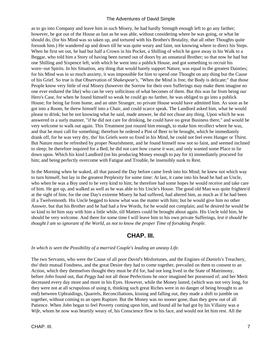as to go into Company and leave him in such Misery, he had hardly Strength enough left to go any farther; however, he got out of the House as fast as he was able, without considering where he was going, or what he should do, (for his Mind was so taken up, and tortured with his Brother's Brutality, that all other Thoughts quite forsook him.) He wandered up and down till he was quite weary and faint, not knowing where to direct his Steps. When he first set out, he had but half a Crown in his Pocket, a Shilling of which he gave away in his Walk to a Beggar, who told him a Story of having been turned out of doors by an unnatural Brother; so that now he had but one Shilling and Sixpence left, with which he went into a publick House, and got something to recruit his worn−out Spirits. In his Situation, any thing that would barely support Nature, was equal to the greatest Dainties; for his Mind was in so much anxiety, it was impossible for him to spend one Thought on any thing but the Cause of his Grief. So true is that Observation of *Shakespear's,* "When the Mind is free, the Body is delicate;" that those People know very little of real Misery (however the Sorrow for their own Sufferings may make them imagine no one ever endured the like) who can be very sollicitous of what becomes of them. But this was far from being our Hero's Case, for when he found himself so weak he could go no farther, he was obliged to go into a publick House; for being far from home, and an utter Stranger, no private House would have admitted him. As soon as he got into a Room, he threw himself into a Chair, and could scarce speak. The Landlord asked him, what he would please to drink; but he not knowing what he said, made answer, he did not chuse any thing. Upon which he was answered in a surly manner, "if he did not care for drinking, he could have no great Business there," and would be very welcome to walk out again. This Treatment just rouzed him enough, to make him recollect where he was, and that he must call for something; therefore he ordered a Pint of Beer to be brought, which he immediately drank off, for he was very dry, tho' his Griefs were so fixed in his Mind, he could not feel even Hunger or Thirst. But Nature must be refreshed by proper Nourishment, and he found himself now not so faint, and seemed inclined to sleep; he therefore inquired for a Bed, he did not care how coarse it was; and only wanted some Place to lie down upon. Which his kind Landlord (on his producing Money enough to pay for it) immediately procured for him; and being perfectly overcome with Fatigue and Trouble, he insensibly sunk to Rest.

In the Morning when he waked, all that passed the Day before came fresh into his Mind; he knew not which way to turn himself, but lay in the greatest Perplexity for some time: At last, it came into his head he had an Uncle, who when he was a Boy used to be very kind to him; he therefore had some hopes he would receive and take care of him. He got up, and walked as well as he was able to his Uncle's House. The good old Man was quite frighten'd at the sight of him; for the one Day's extreme Misery he had suffered, had altered him, as much as if he had been ill a Twelvemonth. His Uncle begged to know what was the matter with him; but he would give him no other Answer, but that his Brother and he had had a few Words, for he would not complain; and he desired he would be so kind to let him stay with him a little while, till Matters could be brought about again. His Uncle told him, he should be very welcome. And there for some time I will leave him to his own private Sufferings, *lest it should be thought I am so ignorant of the World, as not to know the proper Time of forsaking People*.

### **CHAP. III.**

#### <span id="page-8-0"></span>*In which is seen the Possibility of a married Couple's leading an uneasy Life.*

The two Servants, who were the Cause of all poor *David's* Misfortunes, and the Engines of *Daniels's* Treachery, tho' their mutual Fondness, and the great Desire they had to come together, prevailed on them to consent to an Action, which they themselves thought they must be d'd for, had not long lived in the State of Matrimony, before *John* found out, that *Peggy* had not all those Perfections he once imagined her possessed of; and her Merit decreased every day more and more in his Eyes. However, while the Money lasted, (which was not very long, for they were not at all scrupulous of using it, thinking such great Riches were in no danger of being brought to an end) between Upbraidings, Quarrels, Reconciliations, kissing and falling out, they made a shift to jumble on together, without coming to an open Rupture. But the Money was no sooner gone, than they grew out of all Patience. When *John* began to feel Poverty coming upon him, and found all he had got by his Villainy was *a Wife,* whom he now was heartily weary of, his Conscience flew in his face, and would not let him rest. All the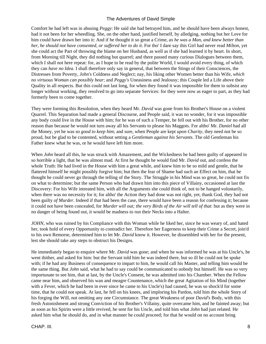Comfort he had left was in abusing *Peggy*: He said she had betrayed him, and he should have been always honest, had it not been for her wheedling. She, on the other hand, justified herself, by alledging, nothing but her Love for him could have drawn her into it: And if he thought it so great a Crime, *as he was a Man, and knew better than her, he should not have consented, or suffered her to do it*. For tho' I dare say this Girl had never read *Milton,* yet she could act the Part of throwing the blame on her Husband, as well as if she had learned it by heart. In short, from Morning till Night, they did nothing but quarrel; and there passed many curious Dialogues between them, which I shall not here repeat: for, as I hope to be read by the polite World, I would avoid every thing, of which they can *have no Idea*. I shall therefore only say in general, that between the Stings of their Consciences, the Distresses from Poverty, *John's* Coldness and Neglect; nay, his liking other Women better than his Wife, *which no virtuous Woman can possibly bear*; and *Peggy's* Uneasiness and Jealousy; this Couple led a Life above their Quality in all respects. But this could not last long, for when they found it was impossible for them to subsist any longer without working, they resolved to go into separate Services: for they were now as eager to part, as they had formerly been to come together.

They were forming this Resolution, when they heard Mr. *David* was gone from his Brother's House on a violent Quarrel. This Separation had made a general Discourse, and People said, it was no wonder, for it was impossible any body could live in the House with him; for he was of such a Temper, he fell out with his Brother, for no other reason than because he would not turn away all his Servants to please his Maggots. For altho' Mr. *Daniel* had all the Money, yet he was so *good to keep him*; and sure, when People are kept *upon Charity,* they need not be so proud, but be glad to be contented, without setting a *Gentleman against his Servants*. The old Gentleman his Father knew what he was, or he would have left him more.

When *John* heard all this, he was struck with Amazement, and the Wickedness he had been guilty of appeared in so horrible a light, that he was almost mad. At first he thought he would find Mr. *David* out, and confess the whole Truth: He had lived in the House with him a great while, and knew him to be so mild and gentle, that he flattered himself he might possibly forgive him; but then the fear of Shame had such an Effect on him, that he thought he could never go through the telling of the Story. The Struggle in his Mind was so great, he could not fix on what to determine; but the same Person who had drawn him into this piece of Villainy, occasioned at last the Discovery: For his Wife intreated him, with all the Arguments she could think of, not to be hanged voluntarily, when there was no necessity for it; for altho' the Action they had done was not right, yet, thank God, they had not been guilty *of Murder*. Indeed if that had been the case, there would have been a reason for confessing it; because it could not have been concealed, for *Murder will out; the very Birds of the Air will tell of that*: but as they were in no danger of being found out, it would be madness to run their Necks into a Halter.

*JOHN,* who was ruined by his Compliance with this Woman while he liked her, since he was weary of, and hated her, took hold of every Opportunity to contradict her. Therefore her Eagerness to keep their Crime a Secret, join'd to his own Remorse, determined him to let Mr. *David* know it. However, he dissembled with her for the present, lest she should take any steps to obstruct his Designs.

He immediately began to enquire where Mr. *David* was gone; and when he was informed he was at his Uncle's, he went thither, and asked for him: but the Servant told him he was indeed there, but so ill he could not be spoke with; if he had any Business of consequence to impart to him, he would call his Master, and telling him would be the same thing. But *John* said, what he had to say could be communicated to nobody but himself. He was so very importunate to see him, that at last, by the Uncle's Consent, he was admitted into his Chamber. When the Fellow came near him, and observed his wan and meagre Countenance, which the great Agitation of his Mind (together with a Fever, which he had been in ever since he came to his Uncle's) had caused, he was so shock'd for some time, that he could not speak. At last, he fell on his knees, and imploring his Pardon, told him the whole Story of his forging the Will, not omitting any one Circumstance. The great Weakness of poor *David's* Body, with this fresh Astonishment and strong Conviction of his Brother's Villainy, quite overcame him, and he fainted away; but as soon as his Spirits were a little revived, he sent for his Uncle, and told him what *John* had just related. He asked him what he should do, and in what manner he could proceed; for that he would on no account bring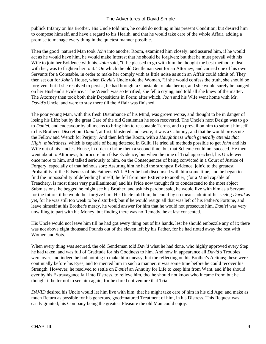publick Infamy on his Brother. His Uncle told him, he could do nothing in his present Condition; but desired him to compose himself, and have a regard to his Health, and that he would take care of the whole Affair, adding a promise to manage every thing in the quietest manner possible.

Then the good−natured Man took *John* into another Room, examined him closely; and assured him, if he would act as he would have him, he would make Interest that he should be forgiven; but that he must prevail with his Wife to join her Evidence with his. *John* said, "if he pleased to go with him, he thought the best method to deal with her, was to frighten her to it." On which the old Gentleman sent for an Attorney, and carried one of his own Servants for a Constable, in order to make her comply with as little noise as such an Affair could admit of. They then set out for *John's* House, when *David's* Uncle told the Woman, "if she would confess the truth, she should be forgiven; but if she resolved to persist, he had brought a Constable to take her up, and she would surely be hanged on her Husband's Evidence." The Wench was so terrified, she fell a crying, and told all she knew of the matter. The Attorney then took both their Depositions in Form; after which, *John* and his Wife went home with Mr. *David's* Uncle, and were to stay there till the Affair was finished.

The poor young Man, with this fresh Disturbance of his Mind, was grown worse, and thought to be in danger of losing his Life; but by the great Care of the old Gentleman he soon recovered. The Uncle's next Design was to go to *Daniel,* and endeavour by all means to bring him to reasonable Terms, and to prevail on him to submit himself to his Brother's Discretion. *Daniel,* at first, blustered and swore, it was a Calumny, and that he would prosecute the Fellow and Wench for Perjury: And then left the Room, with a *Haughtiness which generally attends that High−mindedness,* which is capable of being detected in Guilt. He tried all methods possible to get *John* and his Wife out of his Uncle's House, in order to bribe them a second time; but that Scheme could not succeed. He then went about to Attorneys, to procure him false Evidence; but when the time of Trial approached, his Uncle went once more to him, and talked seriously to him, on the Consequences of being convicted in a Court of Justice of Forgery, especially of that heinous sort: Assuring him he had the strongest Evidence, join'd to the greatest Probability of the Falseness of his Father's Will. After he had discoursed with him some time, and he began to find the Impossibility of defending himself, he fell from one Extreme to another, (for a Mind capable of Treachery, is most times very pusillanimous) and his Pride now thought fit to condescend to the most abject Submissions; he begged he might see his Brother, and ask his pardon; said, he would live with him as a Servant for the future, if he would but forgive him. His Uncle told him, he could by no means admit of his seeing *David* as yet, for he was still too weak to be disturbed; but if he would resign all that was left of his Father's Fortune, and leave himself at his Brother's mercy, he would answer for him that he would not prosecute him. *Daniel* was very unwilling to part with his Money, but finding there was no Remedy, he at last consented.

His Uncle would not leave him till he had got every thing out of his hands, lest he should embezzle any of it; there was not above eight thousand Pounds out of the eleven left by his Father, for he had rioted away the rest with Women and Sots.

When every thing was secured, the old Gentleman told *David* what he had done, who highly approved every Step he had taken, and was full of Gratitude for his Goodness to him. And now in appearance all *David's* Troubles were over, and indeed he had nothing to make him uneasy, but the reflecting on his Brother's Actions; these were continually before his Eyes, and tormented him in such a manner, it was some time before he could recover his Strength. However, he resolved to settle on *Daniel* an Annuity for Life to keep him from Want, and if he should ever by his Extravagance fall into Distress, to relieve him, tho' he should not know who it came from; but he thought it better not to see him again, for he dared not venture that Trial.

*DAVID* desired his Uncle would let him live with him, that he might take care of him in his old Age; and make as much Return as possible for his generous, good−natured Treatment of him, in his Distress. This Request was easily granted; his Company being the greatest Pleasure the old Man could enjoy.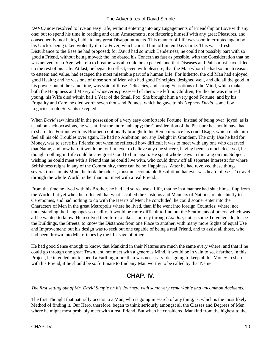*DAVID* now resolved to live an easy Life, without entering into any Engagements of Friendship or Love with any one; but to spend his time in reading and calm Amusements, not flattering himself with any great Pleasures, and consequently, not being liable to any great Disappointments. This manner of Life was soon interrupted again by his Uncle's being taken violently ill of a Fever, which carried him off in ten Day's time. This was a fresh Disturbance to the Ease he had proposed; for *David* had so much Tenderness, he could not possibly part with so good a Friend, without being moved: tho' he abated his Concern as fast as possible, with the Consideration that he was arrived to an Age, wherein to breathe was all could be expected, and that Diseases and Pains must have filled up the rest of his Life. At last, he began to reflect, even with pleasure, that the Man whom he had so much reason to esteem and value, had escaped the most miserable part of a human Life: For hitherto, the old Man had enjoyed good Health; and he was one of those sort of Men who had good Principles, designed well, and did all the good in his power: but at the same time, was void of those Delicacies, and strong Sensations of the Mind, which make both the Happiness and Misery of whoever is possessed of them. He left no Children; for tho' he was married young, his Wife died within half a Year of the Small Pox. She brought him a very good Fortune; and by his Frugality and Care, he died worth seven thousand Pounds, which he gave to his Nephew *David,* some few Legacies to old Servants excepted.

When *David* saw himself in the possession of a very easy comfortable Fortune, instead of being over−joyed, as is usual on such occasions, he was at first the more unhappy; the Consideration of the Pleasure he should have had to share this Fortune with his Brother, continually brought to his Remembrance his cruel Usage, which made him feel all his old Troubles over again. He had no Ambition, nor any Delight in Grandeur. The only Use he had for Money, was to serve his Friends; but when he reflected how difficult it was to meet with any one who deserved that Name, and how hard it would be for him ever to believe any one sincere, having been so much deceived, he thought nothing in Life could be any great Good to him again. He spent whole Days in thinking on this Subject, wishing he could meet with a Friend that he could live with, who could throw off all separate Interests; for where Selfishness reigns in any of the Community, there can be no Happiness. After he had revolved these things several times in his Mind, he took the oddest, most unaccountable Resolution that ever was heard of, *viz.* To travel through the whole World, rather than not meet with a real Friend.

From the time he lived with his Brother, he had led so recluse a Life, that he in a manner had shut himself up from the World; but yet when he reflected that what is called the Customs and Manners of Nations, relate chiefly to Ceremonies, and had nothing to do with the Hearts of Men; he concluded, he could sooner enter into the Characters of Men in the great Metropolis where he lived, than if he went into foreign Countries; where, not understanding the Languages so readily, it would be more difficult to find out the Sentiments of others, which was all he wanted to know. He resolved therefore to take a Journey through *London*; not as some Travellers do, to see the Buildings, the Streets, to know the Distances from one Place to another, with many more Sights of equal Use and Improvement; but his design was to seek out one capable of being a real Friend, and to assist all those, who had been thrown into Misfortunes by the ill Usage of others.

He had good Sense enough to know, that Mankind in their Natures are much the same every where; and that if he could go through one great Town, and not meet with a generous Mind, it would be in vain to seek farther. In this Project, he intended not to spend a Farthing more than was necessary; designing to keep all his Money to share with his Friend, if he should be so fortunate to find any Man worthy to be called by that Name.

### **CHAP. IV.**

#### <span id="page-11-0"></span>*The first setting out of Mr. David Simple on his Journey; with some very remarkable and uncommon Accidents.*

The first Thought that naturally occurs to a Man, who is going in search of any thing, is, which is the most likely Method of finding it. Our Hero, therefore, began to think seriously amongst all the Classes and Degrees of Men, where he might most probably meet with a real Friend. But when he considered Mankind from the highest to the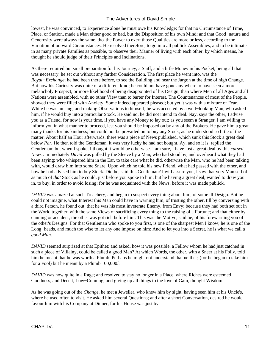lowest, he was convinced, to Experience alone he must owe his Knowledge; for that no Circumstance of Time, Place, or Station, made a Man either good or bad, but the Disposition of his own Mind; and that Good−nature and Generosity were always the same, tho' the Power to exert those Qualities are more or less, according to the Variation of outward Circumstances. He resolved therefore, to go into all publick Assemblies, and to be intimate in as many private Families as possible, to observe their Manner of living with each other; by which means, he thought he should judge of their Principles and Inclinations.

As there required but small preparation for his Journey, a Staff, and a little Money in his Pocket, being all that was necessary, he set out without any farther Consideration. The first place he went into, was the *Royal−Exchange*; he had been there before, to see the Building and hear the Jargon at the time of high Change. But now his Curiosity was quite of a different kind; he could not have gone any where to have seen a more melancholy Prospect, or more likelihood of being disappointed of his Design, than where Men of all Ages and all Nations were assembled, with no other View than to barter for Interest. The Countenances of most of the People, showed they were filled with Anxiety: Some indeed appeared pleased; but yet it was with a mixture of Fear. While he was musing, and making Observations to himself, he was accosted by a well−looking Man, who asked him, if he would buy into a particular Stock. He said no, he did not intend to deal. Nay, says the other, I advise you as a Friend, for now is your time, if you have any Money to lay out; as you seem a Stranger, I am willing to inform you in what manner to proceed, lest you should be imposed on by any of the Brokers. He gave him a great many thanks for his kindness; but could not be prevailed on to buy any Stock, as he understood so little of the matter. About half an Hour afterwards, there was a piece of News published, which sunk this Stock a great deal below *Par.* He then told the Gentleman, it was very lucky he had not bought. Ay, and so it is, replied the Gentleman; but when I spoke, I thought it would be otherwise. I am sure, I have lost a great deal by this *cursed News* . Immediately *David* was pulled by the Sleeve by a Man, who had stood by, and overheard what they had been saying; who whispered him in the Ear, to take care what he did, otherwise the Man, who he had been talking with, would draw him into some Snare. Upon which he told his new Friend, what had passed with the other, and how he had advised him to buy Stock. Did he, said this Gentleman? I will assure you, I saw that very Man sell off as much of *that* Stock as he could, just before you spoke to him; but he having a great deal, wanted to draw you in, to buy, in order to avoid losing; for he was acquainted with the News, before it was made publick.

*DAVID* was amazed at such Treachery, and began to suspect every thing about him, of some ill Design. But he could not imagine, what Interest this Man could have in warning him, of trusting the other, till by conversing with a third Person, he found out, that he was his most inveterate Enemy, from Envy; because they had both set out in the World together, with the same Views of sacrificing every thing to the raising of a Fortune; and that either by cunning or accident, the other was got rich before him. This was the Motive, said he, of his forewarning you of the other's Designs: For that Gentleman who spoke to you first, is one of the sharpest Men I know; he is one of the Long−heads, and much too wise to let any one impose on him: And to let you into a Secret, he is what we call *a good Man*.

*DAVID* seemed surprized at that Epithet; and asked, how it was possible, a Fellow whom he had just catched in such a piece of Villainy, could be called a good Man? At which Words, the other, with a Sneer at his Folly, told him he meant that he was worth a Plumb. Perhaps he might not understand that neither; (for he began to take him for a Fool) but he meant by a Plumb 100,000*l.*

*DAVID* was now quite in a Rage; and resolved to stay no longer in a Place, where Riches were esteemed Goodness, and Deceit, Low−Cunning; and giving up all things to the love of Gain, thought Wisdom.

As he was going out of the *Change,* he met a Jeweller, who knew him by sight, having seen him at his Uncle's, where he used often to visit. He asked him several Questions; and after a short Conversation, desired he would favour him with his Company at Dinner, for his House was just by.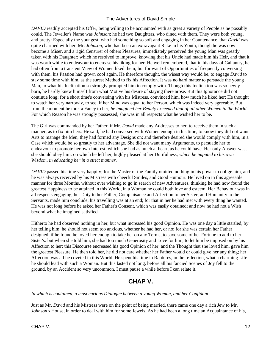*DAVID* readily accepted his Offer, being willing to be acquainted with as great a variety of People as he possibly could. The Jeweller's Name was *Johnson*; he had two Daughters, who dined with them. They were both young, and pretty: Especially the youngest, who had something so soft and engaging in her Countenance, that *David* was quite charmed with her. Mr. *Johnson,* who had been an extravagant Rake in his Youth, though he was now become a Miser, and a rigid Censurer of others Pleasures, immediately perceived the young Man was greatly taken with his Daughter; which he resolved to improve, knowing that his Uncle had made him his Heir, and that it was worth while to endeavour to encrease his liking for her. He well remembered, that in his days of Gallantry, he had often from a transient View of Women liked them; but for want of Opportunities of frequently conversing with them, his Passion had grown cool again. He therefore thought, the wisest way would be, to engage *David* to stay some time with him, as the surest Method to fix his Affection. It was no hard matter to persuade the young Man, to what his Inclination so strongly prompted him to comply with. Though this Inclination was so newly born, he hardly knew himself from what Motive his desire of staying there arose. But this Ignorance did not continue long; for a short time's conversing with his Mistress, convinced him, how much he liked her: He thought to watch her very narrowly, to see, if her Mind was equal to her Person, which was indeed very agreeable. But from the moment he took a Fancy to her, *he imagined her Beauty exceeded that of all other Women in the World*. For which Reason he was strongly possessed, she was in all respects what he wished her to be.

The Girl was commanded by her Father, if Mr. *David* made any Addresses to her, to receive them in such a manner, as to fix him hers. He said, he had conversed with Women enough in his time, to know they did not want Arts to manage the Men, they had formed any Designs on; and therefore desired she would comply with him, in a Case which would be so greatly to her advantage. She did not want many Arguments, to persuade her to endeavour to promote her own Interest, which she had as much at heart, as he could have. Her only Answer was, she should obey him: on which he left her, highly pleased at her Dutifulness; *which he imputed to his own Wisdom, in educating her in a strict manner*.

*DAVID* passed his time very happily; for the Master of the Family omitted nothing in his power to oblige him, and he was always received by his Mistress with cheerful Smiles, and Good Humour. He lived on in this agreeable manner for three Months, without ever wishing to go in search of new Adventures, thinking he had now found the greatest Happiness to be attained in this World, in a Woman he could both love and esteem. Her Behaviour was in all respects engaging; her Duty to her Father, Complaisance and Affection to her Sister, and Humanity to the Servants, made him conclude, his travelling was at an end; for that in her he had met with every thing he wanted. He was not long before he asked her Father's Consent, which was easily obtained; and now he had not a Wish beyond what he imagined satisfied.

Hitherto he had observed nothing in her, but what increased his good Opinion. He was one day a little startled, by her telling him, he should not seem too anxious, whether he had her, or no; for she was certain her Father designed, if he found he loved her enough to take her on any Terms, to save some of her Fortune to add to her Sister's: but when she told him, she had too much Generosity and Love for him, to let him be imposed on by his Affection to her; this Discourse encreased his good Opinion of her; and the Thought that she loved him, gave him the greatest Pleasure. He then told her, he did not care whether her Father would or could give her any thing; her Affection was all he coveted in this World. He spent his time in Raptures, in the reflection, what a charming Life he should lead with such a Woman. But this lasted not long, before all his fancied Scenes of Joy fell to the ground, by an Accident so very uncommon, I must pause a while before I can relate it.

### **CHAP V.**

<span id="page-13-0"></span>*In which is contained, a most curious Dialogue between a young Woman, and her Confidant.*

Just as Mr. *David* and his Mistress were on the point of being married, there came one day a rich Jew to Mr. *Johnson's* House, in order to deal with him for some Jewels. As he had been a long time an Acquaintance of his,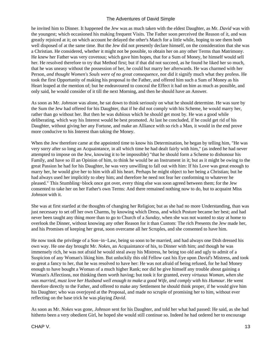he invited him to Dinner. It happened the Jew was as much taken with the eldest Daughter, as Mr. *David* was with the youngest; which occasioned his making frequent Visits. The Father soon perceived the Reason of it, and was greatly rejoiced at it; on which account he delayed the other's Match for a little while, hoping to see them both well disposed of at the same time. But the Jew did not presently declare himself, on the consideration that she was a Christian. He considered, whether it might not be possible, to obtain her on any other Terms than Matrimony. He knew her Father was very covetous; which gave him hopes, that for a Sum of Money, he himself would sell her. He resolved therefore to try that Method first; but if that did not succeed, as he found he liked her so much, that he was uneasy without the possession of her, he could but marry her afterwards. He was charmed with her Person, *and thought Women's Souls were of no great consequence,* nor did it signify much what they profess. He took the first Opportunity of making his proposal to the Father, and offered him such a Sum of Money as his Heart leaped at the mention of; but he endeavoured to conceal the Effect it had on him as much as possible, and only said, he would consider of it till the next Morning, and then he should have an Answer.

As soon as Mr. *Johnson* was alone, he sat down to think seriously on what he should determine. He was sure by the Sum the Jew had offered for his Daughter, that if he did not comply with his Scheme, he would marry her, rather than go without her. But then he was dubious which he should get most by. He was a good while deliberating, which way his Interest would be best promoted. At last he concluded, if he could get rid of his Daughter, without giving her any Fortune, and make an Alliance with so rich a Man, it would in the end prove more conducive to his Interest than taking the Money.

When the Jew therefore came at the appointed time to know his Determination, he began by telling him, "He was very sorry after so long an Acquaintance, in all which time he had dealt fairly with him," (as indeed he had never attempted to impose on the Jew, knowing it to be impossible) "that he should form a Scheme to dishonour his Family, and have so ill an Opinion of him, to think he would be an Instrument in it; but as it might be owing to the great Passion he had for his Daughter, he was very unwilling to fall out with him: If his Love was great enough to marry her, he would give her to him with all his heart. Perhaps he might object to her being a Christian; but he had always used her implicitly to obey him; and therefore he need not fear her conforming to whatever he pleased." This Stumbling−block once got over, every thing else was soon agreed between them; for the Jew consented to take her on her Father's own Terms: And there remained nothing now to do, but to acquaint Miss *Johnson* with it.

She was at first startled at the thoughts of changing her Religion; but as she had no more Understanding, than was just necessary to set off her own Charms, by knowing which Dress, and which Posture became her best; and had never been taught any thing more than to go to Church of a *Sunday,* when she was not wanted to stay at home to overlook the Dinner, without knowing any other Reason for it than Custom: The rich Presents the Jew made her, and his Promises of keeping her great, soon overcame all her Scruples, and she consented to have him.

He now took the privilege of a Son−in−Law, being so soon to be married, and had always one Dish dressed his own way. He one day brought Mr. *Nokes,* an Acquaintance of his, to Dinner with him; and though he was immensely rich, he was not afraid he would steal away his Mistress, he being too old and ugly to admit of a Suspicion of any Woman's liking him. But unluckily this old Fellow cast his Eye upon *David's* Mistress, and took so great a fancy to her, that he was resolved to have her: He was not afraid of being refused, for he had Money enough to have bought a Woman of a much higher Rank; nor did he give himself any trouble about gaining a Woman's Affections, not thinking them worth having; but took it for granted, every *virtuous Woman, when she was married, must love her Husband well enough to make a good Wife, and comply with his Humour*. He went therefore directly to the Father, and offered to make any Settlement he should think proper, if he would give him his Daughter; who was overjoyed at the Proposal, and made no scruple of promising her to him, without ever reflecting on the base trick he was playing *David*.

As soon as Mr. *Nokes* was gone, *Johnson* sent for his Daughter, and told her what had passed: He said, as she had hitherto been a very obedient Girl, he hoped she would still continue so. Indeed he had ordered her to encourage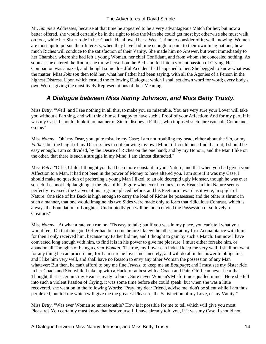Mr. *Simple's* Addresses, because at that time he appeared to be a very advantageous Match for her; but now a better offered, she would certainly be in the right to take the Man she could get most by; otherwise she must walk on foot, while her Sister rode in her Coach. He allowed her a Week's time to consider of it; well knowing, Women are most apt to pursue their Interests, when they have had time enough to paint to their own Imaginations, how much Riches will conduce to the satisfaction of their Vanity. She made him no Answer, but went immediately to her Chamber, where she had left a young Woman, her chief Confidant, and from whom she concealed nothing. As soon as she entered the Room, she threw herself on the Bed, and fell into a violent passion of Crying. Her Companion was amazed, and thought some dreadful Accident had happened to her. She begged to know what was the matter. Miss *Johnson* then told her, what her Father had been saying, with all the Agonies of a Person in the highest Distress. Upon which ensued the following Dialogue; which I shall set down word for word; every body's own Words giving the most lively Representations of their Meaning.

### **A Dialogue between Miss Nanny Johnson, and Miss Betty Trusty.**

<span id="page-15-0"></span>Miss *Betty*. "Well! and I see nothing in all this, to make you so miserable. You are very sure your Lover will take you without a Farthing, and will think himself happy to have such a Proof of your Affection: And for my part, if it was my Case, I should think it no manner of Sin to disobey a Father, who imposed such unreasonable Commands on me."

Miss *Nanny*. "Oh! my Dear, you quite mistake my Case; I am not troubling my head, either about the *Sin,* or my *Father*; but the height of my Distress lies in not knowing my own Mind: if I could once find that out, I should be easy enough. I am so divided, by the Desire of Riches on the one hand; and by my Honour, and the Man I like on the other, that there is such a struggle in my Mind, I am almost distracted."

Miss *Betty*. "O fie, Child, I thought you had been more constant in your Nature; and that when you had given your Affection to a Man, it had not been in the power of Money to have altered you. I am sure if it was my Case, I should make no question of preferring a young Man I liked, to an old decrepid ugly Monster, though he was ever so rich. I cannot help laughing at the Idea of his Figure whenever it comes in my Head: In him Nature seems perfectly reversed; the Calves of his Legs are placed before, and his Feet turn inward as it were, in spight of Nature: One side of his Back is high enough to carry the load of Riches he possesses; and the other is shrunk in such a manner, that one would imagine his two Sides were made only to form that ridiculous Contrast, which is always the Foundation of Laughter. Undoubtedly you will be much envied the Possession of so lovely a Creature."

Miss *Nanny*. "At what a rate you run on: 'Tis easy to talk; but if you was in my place, you can't tell what you would feel. Oh that this good Offer had but come before I knew the other; or at my first Acquaintance with him; for then I only received him, because my Father bid me, and I thought to gain by such a Match: But now I have conversed long enough with him, to find it is in his power to give me pleasure; I must either forsake him, or abandon all Thoughts of being a *great Woman*. 'Tis true, my Lover can indeed keep me very well, I shall not want for any thing he can procure me; for I am sure he loves me sincerely, and will do all in his power to oblige me; and I like him very well, and shall have no Reason to envy any other Woman the possession of any Man whatever: But then, he can't afford to buy me fine *Jewels,* to keep me an *Equipage*; and I must see my Sister ride in her Coach and Six, while I take up with a Hack, or at best with a Coach and Pair. Oh! I can never bear that Thought, that is certain; my Heart is ready to burst. Sure never Woman's Misfortune equalled mine." Here she fell into such a violent Passion of Crying, it was some time before she could speak; but when she was a little recovered, she went on in the following Words: "Pray, my dear Friend, advise me; don't be silent while I am thus perplexed, but tell me which will give me the greatest Pleasure, the Satisfaction of my Love, or my Vanity."

Miss *Betty*. "Was ever Woman so unreasonable? How is it possible for me to tell which will give you most Pleasure? You certainly must know that best yourself. I have already told you, if it was my Case, I should not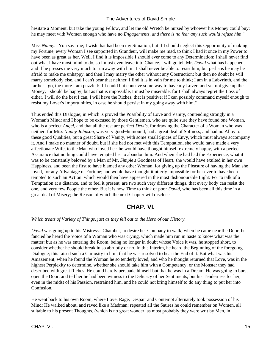hesitate a Moment, but take the young Fellow, and let the old Wretch be nursed by whoever his Money could buy; he may meet with Women enough who have no *Engagements, and there is no fear any such would refuse him*."

Miss *Nanny*. "You say true; I wish that had been my Situation, but if I should neglect this Opportunity of making my Fortune, every Woman I see supported in Grandeur, will make me mad, to think I had it once in my Power to have been as great as her. Well, I find it is impossible I should ever come to any Determination; I shall never find out what I have most mind to do, so I must even leave it to Chance. I will go tell Mr. *David* what has happened, and if he presses me very much to run away with him, I shall never be able to resist him; but perhaps he may be afraid to make me unhappy, and then I may marry the other without any Obstruction: but then no doubt he will marry somebody else, and I can't bear that neither. I find it is in vain for me to think; I am in a Labyrinth, and the farther I go, the more I am puzzled: if I could but contrive some way to have my Lover, and yet not give up the Money, I should be happy; but as that is impossible, I must be miserable, for I shall always regret the Loss of either. I will do the best I can, I will have the Riches, that is positive; if I can possibly command myself enough to resist my Lover's Importunities, in case he should persist in my going away with him."

Thus ended this Dialogue; in which is proved the Possibility of Love and Vanity, contending strongly in a Woman's Mind: and I hope to be excused by those Gentlemen, who are quite sure they have found one Woman, who is a perfect *Angel,* and that all the rest are perfect *Devils,* for drawing the Character of a Woman who was neither: for Miss *Nanny Johnson,* was very good−humour'd, had a great deal of Softness, and had no Alloy to these good Qualities, but a great Share of Vanity, with some small Spices of Envy, which must always accompany it. And I make no manner of doubt, but if she had not met with this Temptation, she would have made a very affectionate Wife, to the Man who loved her: he would have thought himself extremely happy, with a perfect Assurance that nothing could have tempted her to abandon him. And when she had had the Experience, what it was to be constantly beloved by a Man of Mr. *Simple's* Goodness of Heart, she would have exulted in her own Happiness, and been the first to have blamed any other Woman, for giving up the Pleasure of having the Man she loved, for any Advantage of Fortune; and would have thought it utterly impossible for her ever to have been tempted to such an Action; which would then have appeared in the most dishonourable Light: For to talk of a Temptation at a distance, and to feel it present, are two such very different things, that every body can resist the one, and very few People the other. But it is now Time to think of poor *David,* who has been all this time in a great deal of Misery; the Reason of which the next Chapter will disclose.

### **CHAP. VI.**

#### <span id="page-16-0"></span>*Which treats of Variety of Things, just as they fell out to the Hero of our History.*

*David* was going up to his Mistress's Chamber, to desire her Company to walk; when he came near the Door, he fancied he heard the Voice of a Woman who was crying, which made him run in haste to know what was the matter: but as he was entering the Room, being no longer in doubt whose Voice it was, he stopped short, to consider whether he should break in so abruptly or no. In this Interim, he heard the Beginning of the foregoing Dialogue; this raised such a Curiosity in him, that he was resolved to hear the End of it. But what was his Amazement, when he found the Woman he so tenderly loved, and who he thought returned that Love, was in the highest Perplexity to determine, whether she should take him with a Competency, or the Monster they had described with great Riches. He could hardly persuade himself but that he was in a Dream. He was going to burst open the Door, and tell her he had been witness to the Delicacy of her Sentiments; but his Tenderness for her, even in the midst of his Passion, restrained him, and he could not bring himself to do any thing to put her into Confusion.

He went back to his own Room, where Love, Rage, Despair and Contempt alternately took possession of his Mind: He walked about, and raved like a Madman; repeated all the Satires he could remember on Women, all suitable to his present Thoughts, (which is no great wonder, as most probably they were writ by Men, in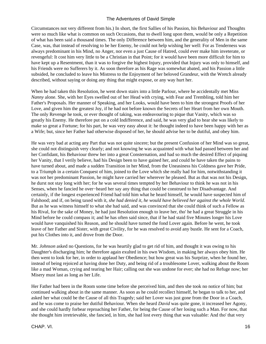Circumstances not very different from his.) In short, the first Sallies of his Passion, his Behaviour and Thoughts were so much like what is common on such Occasions, that to dwell long upon them, would be only a Repetition of what has been said a thousand times. The only Difference between him, and the generality of Men in the same Case, was, that instead of resolving to be her Enemy, he could not help wishing her well: For as Tenderness was always predominant in his Mind, no Anger, nor even a just Cause of Hatred, could ever make him inveterate, or revengeful: It cost him very little to be a Christian in that Point; for it would have been more difficult for him to have kept up a Resentment, than it was to forgive the highest Injury, provided that Injury was only to himself, and his Friends were no Sufferers by it. As soon therefore as his Rage was somewhat abated, and his Passion a little subsided, he concluded to leave his Mistress to the Enjoyment of her beloved Grandeur, with the Wretch already described, without saying or doing any thing that might expose, or any way hurt her.

When he had taken this Resolution, he went down stairs into a little Parlour, where he accidentally met Miss *Nanny* alone. She, with her Eyes swelled out of her Head with crying, with Fear and Trembling, told him her Father's Proposals. Her manner of Speaking, and her Looks, would have been to him the strongest Proofs of her Love, and given him the greatest Joy, if he had not before known the Secrets of her Heart from her own Mouth. The only Revenge he took, or ever thought of taking, was endeavouring to pique that Vanity, which was so greatly his Enemy. He therefore put on a cold Indifference, and said, he was very glad to hear she was likely to make so great a Fortune; for his part, he was very easy about it: he thought indeed to have been happy with her as a Wife; but, since her Father had otherwise disposed of her, he should advise her to be dutiful, and obey him.

He was very bad at acting any Part that was not quite sincere; but the present Confusion of her Mind was so great, she could not distinguish very clearly; and not knowing he was acquainted with what had passed between her and her Confidant, his Behaviour threw her into a great Consternation, and had so much the desired Effect of piquing her Vanity, that I verily believe, had his Design been to have gained her, and could he have taken the pains to have turned about, and made a sudden Transition in her Mind, from the Uneasiness his Coldness gave her Pride, to a Triumph in a certain Conquest of him, joined to the Love which she really had for him, notwithstanding it was not her predominant Passion, he might have carried her wherever he pleased. But as that was not his Design, he durst not stay long with her; for he was several times tempted by her Behaviour to think he was not in his Senses, when he fancied he over−heard her say any thing that could be construed to her Disadvantage. And certainly, if the longest experienced Friend had told him what he heard himself, he would have suspected him of Falshood; and if, on being taxed with it, *she had denied it, he would have believed her against the whole World*. But as he was witness himself to what she had said, and was convinced that she could think of such a Fellow as his Rival, for the sake of Money, he had just Resolution enough to leave her, tho' he had a great Struggle in his Mind before he could compass it; and he has often said since, that if he had staid five Minutes longer his Love would have vanquished his Reason, and he should have turned the fond Lover again. Before he went, he took leave of her Father and Sister, with great Civility, for he was resolved to avoid any bustle. He sent for a Coach, put his Clothes into it, and drove from the Door.

Mr. *Johnson* asked no Questions, for he was heartily glad to get rid of him, and thought it was owing to his Daughter's discharging him; he therefore again exulted in his own Wisdom, in making her always obey him. He then went to look for her, in order to applaud her Obedience; but how great was his Surprize, when he found her, instead of being rejoiced at having done her Duty, and being rid of a troublesome Lover, walking about the Room like a mad Woman, crying and tearing her Hair; calling out she was undone for ever; she had no Refuge now; her Misery must last as long as her Life.

Her Father had been in the Room some time before she perceived him, and then she took no notice of him; but continued walking about in the same manner. As soon as he could recollect himself, he began to talk to her, and asked her what could be the Cause of all this Tragedy; said her Lover was just gone from the Door in a Coach, and he was come to praise her dutiful Behaviour. When she heard *David* was quite gone, it increased her Agony, and she could hardly forbear reproaching her Father, for being the Cause of her losing such a Man. For now, that she thought him irretrievable, she fancied, in him, she had lost every thing that was valuable: And tho' that very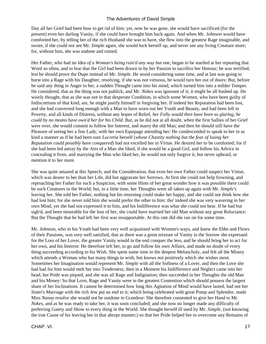Day all her Grief had been how to get rid of him; yet, now he was gone, she would have sacrificed (for the present) even her darling Vanity, if she could have brought him back again. And when Mr. *Johnson* would have comforted her, by telling her of the rich Husband she was to have, she flew into the greatest Rage imaginable, and swore, if she could not see Mr. *Simple* again, she would lock herself up, and never see any living Creature more; for, without him, she was undone and ruined.

Her Father, who had no Idea *of a Woman's being ruin'd any way but one,* began to be startled at her repeating that Word so often, and to fear that the Girl had been drawn in by her Passion to sacrifice her Honour; he was terrified, lest he should prove the Dupe instead of Mr. *Simple*. He stood considering some time, and at last was going to burst into a Rage with his Daughter, resolving, if she was not virtuous, he would turn her out of doors: But, before he said any thing in Anger to her, a sudden Thought came into his mind, which turned him into a milder Temper. He considered, that as the thing was not publick, and Mr. *Nokes* was ignorant of it; it might be all hushed up. He wisely thought, that as she was not in that desperate Condition, in which some Women, who have been guilty of Indiscretions of that kind, are, he might justify himself in forgiving her. If indeed her Reputation had been lost, and she had conversed long enough with a Man to have worn out her Youth and Beauty, and had been left in Poverty, and all kinds of Distress, without any hopes of Relief, *her Folly would then have been so glaring, he could by no means have own'd her for his Child*. But, as he did not at all doubt, when the first Sallies of her Grief were over, she would consent to follow her Interest, and marry the old Man; and then he should still have the Pleasure of seeing her a fine Lady, with her own Equipage attending her: He condescended to speak to her in as kind a manner as if he had been sure *Lucretia* herself (*whose Chastity nothing but the fear of losing her Reputation could possibly have conquered*) had not excelled her in Virtue. He desired her to be comforted; for if she had been led astray by the Arts of a Man she liked, if she would be a good Girl, and follow his Advice in concealing it from, and marrying the Man who liked her, he would not only forgive it, but never upbraid, or mention it to her more.

She was quite amazed at this Speech; and the Consideration, that even her own Father could suspect her Virtue, which was dearer to her than her Life, did but aggravate her Sorrows. At first she could not help frowning, and reproaching her Father for such a Suspicion, with some Hints of her great wonder how it was possible there could be such Creatures in the World; but, in a little time, her Thoughts were all taken up again with Mr. *Simple's* leaving her. She told her Father, nothing but his returning could make her happy, and she could not think how she had lost him; for she never told him she would prefer the other to him: tho' indeed she was very wavering in her own Mind, yet she had not expressed it to him, and his Indifference was what she could not bear. If he had but sigh'd, and been miserable for the loss of her, she could have married her old Man without any great Reluctance: But the Thought that he had left her first was insupportable. At this rate did she run on for some time.

Mr. *Johnson,* who in his Youth had been very well acquainted with Women's ways, and knew the Ebbs and Flows of their Passions, was very well satisfied, that as there was a great mixture of Vanity in the Sorrow she expressed for the Loss of her Lover, the greater Vanity would in the end conquer the less, and he should bring her to act for her own, and his Interest: He therefore left her, to go and follow his own Affairs, and made no doubt of every thing succeeding according to his Wish. She spent some time in the deepest Melancholy, and felt all the Misery which attends a Woman who has many things to wish, but knows not positively which she wishes most. Sometimes her Imagination would represent Mr. *Simple* with all the Softness of a Lover, and then the Love she had had for him would melt her into Tenderness; then in a Moment his Indifference and Neglect came into her head, her Pride was piqued, and she was all Rage and Indignation; then succeeded in her Thoughts the old Man and his Money: So that Love, Rage and Vanity were in the greatest Contention which should possess the largest share of her Inclinations. It cannot be determined how long this Agitation of Mind would have lasted, had not her Sister's Marriage with the rich Jew put an end to it; which being celebrated with great Pomp and Splendor, made Miss *Nanny* resolve she would not be outdone in Grandeur: She therefore consented to give her Hand to Mr. *Nokes,* and as he was ready to take her, it was soon concluded; and she now no longer made any difficulty of preferring Gaiety and Show to every thing in the World. She thought herself ill used by Mr. *Simple,* (not knowing the true Cause of his leaving her in that abrupt manner;) so that her Pride helped her to overcome any Remains of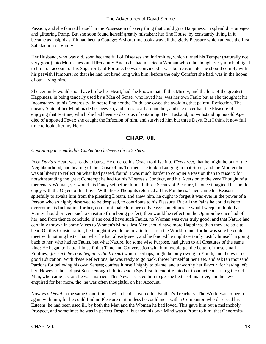Passion, and she fancied herself in the Possession of every thing that could give Happiness, in splendid Equipages and glittering Pomp. But she soon found herself greatly mistaken; her fine House, by constantly living in it, became as insipid as if it had been a Cottage: A short time took away all the giddy Pleasure which attends the first Satisfaction of Vanity.

Her Husband, who was old, soon became full of Diseases and Infirmities, which turned his Temper (naturally not very good) into Moroseness and Ill−nature: And as he had married a Woman whom he thought very much obliged to him, on account of his Superiority of Fortune, he was convinced it was but reasonable she should comply with his peevish Humours; so that she had not lived long with him, before the only Comfort she had, was in the hopes of out−living him.

She certainly would soon have broke her Heart, had she known that all this Misery, and the loss of the greatest Happiness, in being tenderly used by a Man of Sense, who loved her, was her own Fault; but as she thought it his Inconstancy, to his Generosity, in not telling her the Truth, she owed the avoiding that painful Reflection. The uneasy State of her Mind made her peevish, and cross to all around her; and she never had the Pleasure of enjoying that Fortune, which she had been so desirous of obtaining: Her Husband, notwithstanding his old Age, died of a spotted Fever; she caught the Infection of him, and survived him but three Days. But I think it now full time to look after my Hero.

### **CHAP. VII.**

#### <span id="page-19-0"></span>*Containing a remarkable Contention between three Sisters.*

Poor *David's* Heart was ready to burst. He ordered his Coach to drive into *Fleetstreet,* that he might be out of the Neighbourhood, and hearing of the Cause of his Torment; he took a Lodging in that Street; and the Moment he was at liberty to reflect on what had passed, found it was much harder to conquer a Passion than to raise it; for notwithstanding the great Contempt he had for his Mistress's Conduct, and his Aversion to the very Thought of a mercenary Woman, yet would his Fancy set before him, all those Scenes of Pleasure, he once imagined he should enjoy with the Object of his Love. With those Thoughts returned all his Fondness: Then came his Reason spitefully to awake him from the pleasing Dream, and shew him, he ought to forget it was ever in the power of a Person who so highly deserved to be despised, to contribute to his Pleasure. But all the Pains he could take to overcome his Inclination for her, could not make him perfectly easy: sometimes he would weep, to think that Vanity should prevent such a Creature from being perfect; then would he reflect on the Opinion he once had of her, and from thence conclude, if she could have such Faults, no Woman was ever truly good; and that Nature had certainly thrown in some Vices to Women's Minds, lest Men should have more Happiness than they are able to bear. On this Consideration, he thought it would be in vain to search the World round, for he was sure he could meet with nothing better than what he had already seen; and he fancied he might certainly justify himself in going back to her, who had no Faults, but what Nature, for some wise Purpose, had given to all Creatures of the same kind: He began to flatter himself, that Time and Conversation with him, would get the better of those small Frailties, (*for such he soon began to think them*) which, perhaps, might be only owing to Youth, and the want of a good Education. With these Reflections, he was ready to go back, throw himself at her Feet, and ask ten thousand Pardons for believing his own Senses; confess himself highly to blame, and unworthy her Favour, for having left her. However, he had just Sense enough left, to send a Spy first, to enquire into her Conduct concerning the old Man, who came just as she was married. This News assisted him to get the better of his Love; and he never enquired for her more, tho' he was often thoughtful on her Account.

Now was *David* in the same Condition as when he discovered his Brother's Treachery. The World was to begin again with him; for he could find no Pleasure in it, unless he could meet with a Companion who deserved his Esteem: he had been used ill, by both the Man and the Woman he had loved. This gave him but a melancholy Prospect, and sometimes he was in perfect Despair; but then his own Mind was a Proof to him, that Generosity,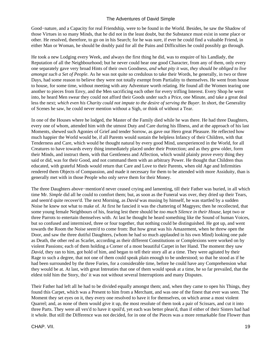Good−nature, and a Capacity for real Friendship, were to be found in the World. Besides, he saw the Shadow of those Virtues in so many Minds, that he did not in the least doubt, but the Substance must exist in some place or other. He resolved, therefore, to go on in his Search; for he was sure, if ever he could find a valuable Friend, in either Man or Woman, he should be doubly paid for all the Pains and Difficulties he could possibly go through.

He took a new Lodging every Week, and always the first thing he did, was to enquire of his Landlady, the Reputation of all the Neighbourhood; but he never could hear one good Character, from any of them, only every one separately gave very broad Hints of their own Goodness, *and what pity it was, they should be obliged to live amongst such a Set of People*. As he was not quite so credulous to take their Words, he generally, in two or three Days, had some reason to believe they were not totally exempt from Partiality to themselves. He went from house to house, for some time, without meeting with any Adventure worth relating. He found all the Women tearing one another to pieces from Envy, and the Men sacrificing each other for every trifling Interest. Every Shop he went into, he heard Men swear they could not afford their Goods under such a Price, one Minute, and take a great deal less the next; *which even his Charity could not impute to the desire of serving the Buyer*. In short, the Generality of Scenes he saw, he could never mention without a Sigh, or think of without a Tear.

In one of the Houses where he lodged, the Master of the Family died while he was there. He had three Daughters, every one of whom, attended him with the utmost Duty and Care during his Illness, and at the approach of his last Moments, shewed such Agonies of Grief and tender Sorrow, as gave our Hero great Pleasure. He reflected how much happier the World would be, if all Parents would sustain the helpless Infancy of their Children, with that Tenderness and Care, which would be thought natural by every good Mind, unexperienced in the World, for all Creatures to have towards every thing immediately placed under their Protection; and as they grew older, form their Minds, and instruct them, with that Gentleness and Affection, which would plainly prove every thing they said or did, was for their Good, and not command them with an arbitrary Power. He thought that Children thus educated, with grateful Minds would return that Care and Love to their Parents, when old Age and Infirmities rendered them Objects of Compassion, and made it necessary for them to be attended with more Assiduity, than is generally met with in those People who only serve them for their Money.

The three Daughters above−mention'd never ceased crying and lamenting, till their Father was buried, in all which time Mr. *Simple* did all he could to comfort them; but, as soon as the Funeral was over, they dried up their Tears, and seem'd quite recover'd. The next Morning, as *David* was musing by himself, he was startled by a sudden Noise he knew not what to make of. At first he fancied it was the chattering of Magpyes; then he recollected, that some young female Neighbours of his, fearing lest there should be *too much Silence in their House,* kept two or three Parrots to entertain themselves with. At last he thought he heard something like the Sound of human Voices, but so confused and intermixed, three or four together, that nothing could be distinguished. He got up, and went towards the Room the Noise seem'd to come from: But how great was his Amazement, when he threw open the Door, and saw the three dutiful Daughters, (whom he had so much applauded in his own Mind) looking one pale as Death, the other red as Scarlet, according as their different Constitutions or Complexions were worked on by violent Passions; each of them holding a Corner of a most beautiful Carpet in her Hand. The moment they saw *David,* they ran to him, got hold of him, and began to tell their story all at a time. They were agitated by their Rage to such a degree, that not one of them could speak plain enough to be understood; so that he stood as if he had been surrounded by the three Furies, for a considerable time, before he could have any Comprehension what they would be at. At last, with great Intreaties that one of them would speak at a time, he so far prevailed, that the eldest told him the Story, tho' it was not without several Interruptions and many Disputes.

Their Father had left all he had to be divided equally amongst them; and, when they came to open his Things, they found this Carpet, which was a Present to him from a Merchant, and was one of the finest that ever was seen. The Moment they set eyes on it, they every one resolved to have it for themselves, on which arose a most violent Quarrel; and, as none of them would give it up, the most resolute of them took a pair of Scissars, and cut it into three Parts. They were all vex'd to have it spoil'd, yet each was better pleas'd, than if either of their Sisters had had it whole. But still the Difference was not decided, for in one of the Pieces was a more remarkable fine Flower than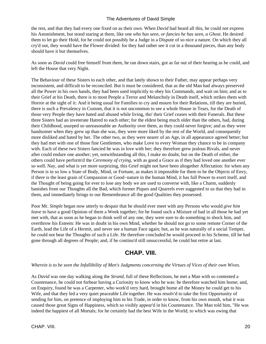the rest, and that they had every one fixed on as their own. When *David* had heard all this, he could not express his Astonishment, but stood staring at them, like one *who has seen, or fancies he has seen, a Ghost*. He desired them to let go their Hold, for he could not possibly be a Judge in a Dispute of so nice a nature. On which they all cry'd out, they would have the Flower divided: for they had rather see it cut in a thousand pieces, than any body should have it but themselves.

As soon as *David* could free himself from them, he ran down stairs, got as far out of their hearing as he could, and left the House that very Night.

The Behaviour of these Sisters to each other, and that lately shown to their Father, may appear perhaps very inconsistent, and difficult to be reconciled. But it must be considered, that as the old Man had always preserved all the Power in his own hands, they had been used implicitly to obey his Commands, and wait on him; and as to their Grief at his Death, there is to most People a Terror and Melancholy in Death itself, which strikes them with Horror at the sight of it: And it being usual for Families to cry and mourn for their Relations, till they are buried, there is such a Prevalency in Custom, that it is not uncommon to see a whole House in Tears, for the Death of those very People they have hated and abused while living, tho' their Grief ceases with their Funerals. But these three Sisters had an inveterate Hatred to each other; for the eldest being much older than the others, had, during their Childhood, usurped so unreasonable an Authority over them, as they could never forgive; and as they were handsomer when they grew up than she was, they were more liked by the rest of the World, and consequently more disliked and hated by her. The other two, as they were nearer of an Age, in all appearance agreed better; but they had met with one of those fine Gentlemen, who make Love to every Woman they chance to be in company with. Each of these two Sisters fancied he was in love with her; they therefore grew jealous Rivals, and never after could endure one another; yet, notwithstanding all this, I make no doubt, but on the Death of either, the others could have perform'd the *Ceremony of crying,* with as good a Grace as if they had loved one another ever so well. Nay, and what is yet more surprizing, this Grief might not have been altogether Affectation: for when any Person is in so low a State of Body, Mind, or Fortune, as makes it impossible for them to be the Objects of Envy, if there is the least grain of Compassion or Good−nature in the human Mind, it has full Power to exert itself, and the Thought of being going for ever to lose any body we are used to converse with, like a Charm, suddenly banishes from our Thoughts all the Bad, which former Piques and Quarrels ever suggested to us that they had in them, and immediately brings to our Remembrance all the good Qualities they possessed.

Poor Mr. *Simple* began now utterly to despair that he should ever meet with any Persons who would *give him leave* to have a good Opinion of them a Week together; for he found such a Mixture of bad in all those he had yet met with, that as soon as he began to think well of any one, they were sure to do something to shock him, and overthrow his Esteem: He was in doubt in his own Mind, whether he should not go to some remote Corner of the Earth, lead the Life of a Hermit, and never see a human Face again; but, as he was naturally of a social Temper, he could not bear the Thoughts of such a Life. He therefore concluded he would proceed in his Scheme, till he had gone through all degrees of People; and, if he continu'd still unsuccessful, he could but retire at last.

### **CHAP. VIII.**

#### <span id="page-21-0"></span>*Wherein is to be seen the Infallibility of Men's Judgments concerning the Virtues of Vices of their own Wives.*

As *David* was one day walking along the *Strand,* full of these Reflections, he met a Man with so contented a Countenance, he could not forbear having a Curiosity to know who he was: he therefore watched him home; and, on Enquiry, found he was a Carpenter, who work'd very hard, brought home all the Money he could get to his Wife, and that they led a very quiet peaceable Life together. He was resolv'd to take the first Opportunity of sending for him, on pretence of imploying him in his Trade, in order to know, from his own mouth, what it was caused those great Signs of Happiness, which so visibly appear'd in his Countenance. The Man told him, "He was indeed the happiest of all Mortals; for he certainly had the best Wife in the World; to which was owing that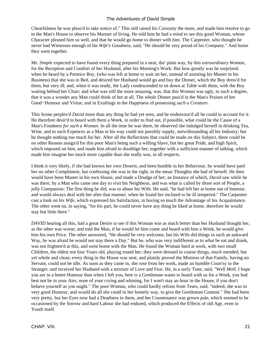Chearfulness he was pleas'd to take notice of." This still raised his Curiosity the more, and made him resolve to go to the Man's House to observe his Manner of living. He told him he had a mind to see this good Woman, whose Character pleased him so well, and that he would go home to dinner with him. The Carpenter, who thought he never had Witnesses enough of his *Wife's Goodness,* said, "He should be very proud of his Company." And home they went together.

Mr. *Simple* expected to have found every thing prepared in a neat, tho' plain way, by this *extraordinary Woman,* for the Reception and Comfort of her Husband, after his Morning's Work: But how greatly was he surprized, when he heard by a Prentice Boy, (who was left at home to wait on her, instead of assisting his Master in his Business) that she was in Bed, and desired her Husband would go and buy the Dinner, which the Boy dress'd for them, but very ill; and, when it was ready, the Lady condescended to sit down at Table with them, with the Boy waiting behind her Chair; and what was still the more amazing, was, that this Woman was ugly, to such a degree, that it was a wonder any Man could think of her at all. The whole Dinner pass'd in the Man's Praises of her Good−Humour and Virtue, and in Exultings in the Happiness of possessing *such a Creature*.

This Scene perplex'd *David* more than any thing he had yet seen, and he endeavour'd all he could to account for it. He therefore desir'd to board with them a Week, in order to find out, if possible, what could be the Cause of a Man's Fondness *for such a Woman*. In all the time he was there, he observed she indulged herself in drinking Tea, Wine, and in such Expences as a Man in his way could not possibly supply, notwithstanding all his Industry; but he thought nothing too much for her. After all the Reflections that could be made on this Subject, there could be no other Reason assign'd for this poor Man's being such a willing Slave, but her great Pride, and high Spirit, which imposed on him, and made him afraid to disoblige her; together with a sufficient manner of talking, which made him imagine her much more capable than she really was, in all respects.

I think it very likely, if she had known her own Deserts, and been humble in her Behaviour, he would have paid her no other Compliment, but confessing she was in the right, in the mean Thoughts she had of herself. He then would have been Master in his own House, and made a Drudge of her; an Instance of which, *David* saw while he was there, by a Man who came one day to visit his Neighbour, and was what is called by those sort of People, a jolly Companion: The first thing he did, was to abuse his Wife. He said, "he had left her at home out of humour, and would always deal with her after that manner, when he found her inclined to be ill tempered." The Carpenter cast a look on *his Wife,* which expressed his Satisfaction, in having so much the Advantage of his Acquaintance. The other went on, in saying, "for his part, he could never have any thing he liked at home, therefore he would stay but little there."

*DAVID* hearing all this, had a great Desire to see if this Woman was as much better than her Husband thought her, as the other was worse; and told the Man, if he would let him come and board with him a Week, he would give him his own Price. The other answered, "He should be very welcome, but his Wife did things in such an aukward Way, he was afraid he would not stay there a Day." But he, who was very indifferent as to what he eat and drank, was not frighten'd at this, and went home with the Man. He found the Woman hard at work, with two small Children, the eldest not four Years old, playing round her; they were dressed in coarse things, much mended, but yet whole and clean; every thing in the House was neat, and plainly proved the Mistress of that Family, having no Servant, could not be idle. As soon as they came in, she rose from her work, made an humble Court'sy to the Stranger, and received her Husband with a mixture of Love and Fear. He, in a surly Tone, said, "Well *Moll,* I hope you are in a better Humour than when I left you, here is a Gentleman wants to board with us for a Week, you had best not be in your Airs; none of your crying and whining, for I won't stay an hour in the House, if you don't behave yourself as you ought." The poor Woman, who could hardly refrain from Tears, said, "indeed, she was in very good Humour, and would do all she could in her homely way, to give the Gentleman Content." She had been very pretty, but her Eyes now had a Deadness in them, and her Countenance was grown pale, which seemed to be occasioned by the Sorrow and hard Labour she had endured, which produced the Effects of old Age, even in Youth itself.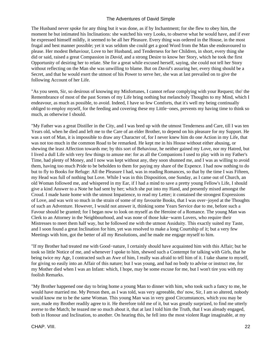The Husband never spoke for any thing but it was done, as if by Inchantment; for she flew to obey him, the moment he but intimated his Inclinations: she watched his very Looks, to observe what he would have, and if ever he expressed himself mildly, it seemed to be all her Pleasure. Every thing was ordered in the House, in the most frugal and best manner possible; yet it was seldom she could get a good Word from the Man she endeavoured to please. Her modest Behaviour, Love to her Husband, and Tenderness for her Children, in short, every thing she did or said, raised a great Compassion in *David,* and a strong Desire to know her Story, which he took the first Opportunity of desiring her to relate. She for a great while excused herself, saying, she could not tell her Story without reflecting on the Man she was unwilling to blame. But on *David's* assuring her, every thing should be a Secret, and that he would exert the utmost of his Power to serve her, she was at last prevailed on to give the following Account of her Life.

"As you seem, Sir, so desirous of knowing my Misfortunes, I cannot refuse complying with your Request; tho' the Remembrance of most of the past Scenes of my Life bring nothing but melancholy Thoughts to my Mind, which I endeavour, as much as possible, to avoid. Indeed, I have so few Comforts, that it's well my being continually obliged to employ myself, for the feeding and covering these my Little−ones, prevents my having time to think so much, as otherwise I should.

"My Father was a great Distiller in the City, and I was bred up with the utmost Tenderness and Care, till I was ten Years old, when he died and left me to the Care of an elder Brother, to depend on his pleasure for my Support. He was a sort of Man, it is impossible to draw any Character of, for I never knew him do one Action in my Life, that was not too much in the common Road to be remarked. He kept me in his House without either abusing, or shewing the least Affection towards me; by this sort of Behaviour, he neither gained my Love, nor my Hatred, but I lived a dull Life with very few things to amuse me: for as all the Companions I used to play with in my Father's Time, had plenty of Money, and I now was kept without any, they soon shunned me, and I was as willing to avoid them, having too much Pride to be beholden to them for paying my share of the Expence. I had now nothing to do but to fly to Books for Refuge: All the Pleasure I had, was in reading Romances, so that by the time I was Fifteen, my Head was full of nothing but Love. While I was in this Disposition, one Sunday, as I came out of Church, an old Woman followed me, and whispered in my Ear, if I had a mind to save a pretty young Fellow's Life, I should give a kind Answer to a Note he had sent by her; which she put into my Hand, and presently mixed amongst the Croud. I made haste home with the utmost Impatience, to read my Letter; it contained the strongest Expressions of Love, and was writ so much in the strain of some of my favourite Books, that I was over−joyed at the Thoughts of such an Adventure. However, I would not answer it, thinking some Years Service due to me, before such a Favour should be granted; for I began now to look on myself as the Heroine of a Romance. The young Man was Clerk to an Attorney in the Neighbourhood, and was none of those luke−warm Lovers, who require their Mistresses to meet them half way, but he followed me with the utmost Assiduity. This exactly suited my Taste, and I soon found a great Inclination for him, yet was resolved to make a long Courtship of it; but a very few Meetings with him, got the better of all my Resolutions, and he made me engage myself to him.

"If my Brother had treated me with Good−nature, I certainly should have acquainted him with this Affair; but he took so little Notice of me, and whenever I spoke to him, shewed such a Contempt for talking with Girls, that he being twice my Age, I contracted such an Awe of him, I really was afraid to tell him of it. I take shame to myself, for giving so easily into an Affair of this nature; but I was young, and had no body to advise or instruct me, for my Mother died when I was an Infant: which, I hope, may be some excuse for me, but I won't tire you with my foolish Remarks.

"My Brother happened one day to bring home a young Man to dinner with him, who took such a fancy to me, he would have married me. My Person then, as I was told, was very agreeable, tho' now, Sir, I am so altered, nobody would know me to be the same Woman. This young Man was in very good Circumstances, which you may be sure, made my Brother readily agree to it. He therefore told me of it, but was greatly surprized, to find me utterly averse to the Match; he teazed me so much about it, that at last I told him the Truth, that I was already engaged, both in Honour and Inclination, to another. On hearing this, he fell into the most violent Rage imaginable, at my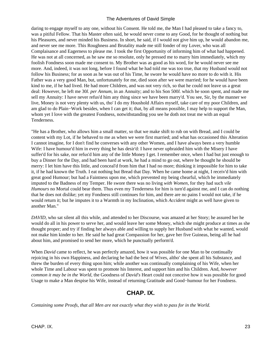daring to engage myself to any one, without his Consent. He told me, the Man I had pleased to take a fancy to, was a pitiful Fellow. That his Master often said, he would never come to any Good, for he thought of nothing but his Pleasures, and never minded his Business. In short, he said, if I would not give him up, he would abandon me, and never see me more. This Roughness and Brutality made me still fonder of my Lover, who was all Complaisance and Eagerness to please me. I took the first Opportunity of informing him of what had happened. He was not at all concerned, as he saw me so resolute, only he pressed me to marry him immediately, which my foolish Fondness soon made me consent to. My Brother was as good as his word, for he would never see me more. And, indeed, it was not long, before I found what he had told me was too true, that my Husband would not follow his Business; for as soon as he was out of his Time, he swore he would have no more to do with it. His Father was a very good Man, but, unfortunately for me, died soon after we were married; for he would have been kind to me, if he had lived. He had more Children, and was not very rich, so that he could not leave us a great deal: However, he left me 30*l. per Annum,* in an Annuity; and to his Son 500*l.* which he soon spent, and made me sell my Annuity: I have never refus'd him any thing since we have been marry'd. You see, Sir, by the manner we live, Money is not very plenty with us, tho' I do my Houshold Affairs myself, take care of my poor Children, and am glad to do Plain−Work besides, when I can get it; that, by all means possible, I may help to support the Man, whom yet I love with the greatest Fondness, notwithstanding you see he doth not treat me with an equal Tenderness.

"He has a Brother, who allows him a small matter, so that we make shift to rub on with Bread, and I could be content with my Lot, if he behaved to me as when we were first married; and what has occasioned this Alteration I cannot imagine, for I don't find he converses with any other Women, and I have always been a very humble Wife: I have humour'd him in every thing he has desir'd: I have never upbraided him with the Misery I have suffer'd for his sake, nor refus'd him any of the little Money I get. I remember once, when I had but just enough to buy a Dinner for the Day, and had been hard at work, he had a mind to go out, where he thought he should be merry: I let him have this little, and conceal'd from him that I had no more; thinking it impossible for him to take it, if he had known the Truth. I eat nothing but Bread that Day. When he came home at night, I receiv'd him with great good Humour; but had a Faintness upon me, which prevented my being chearful, which he immediately imputed to the Badness of my Temper. He swore there was no living *with Women,* for they had such *vile Humours* no Mortal could bear them. Thus even my Tenderness for him is turn'd against me, and I can do nothing that he does not dislike; yet my Fondness still continues for him, and there are no pains I would not take, if he would return it; but he imputes it to a Warmth in my Inclination, which *Accident* might as well have given to another Man."

*DAVID*, who sat silent all this while, and attended to her Discourse, was amazed at her Story; he assured her he would do all in his power to serve her, and would leave her some Money, which she might produce at times as she thought proper; and try if finding her always able and willing to supply her Husband with what he wanted, would not make him kinder to her. He said he had great Compassion for her, gave her five Guineas, being all he had about him, and promised to send her more, which he punctually perform'd.

When *David* came to reflect, he was perfectly amazed, how it was possible for one Man to be continually rejoicing in his own Happiness, and declaring he had the best of Wives, altho' she spent all his Substance, and threw the burden of every thing upon him; while another was continually complaining of his Wife, when her whole Time and Labour was spent to promote his Interest, and support him and his Children. And, *however common it may be in the World,* the Goodness of *David's* Heart could not conceive how it was possible for good Usage to make a Man despise his Wife, instead of returning Gratitude and Good−humour for her Fondness.

### **CHAP. IX.**

<span id="page-24-0"></span>*Containing some Proofs, that all Men are not exactly what they wish to pass for in the World.*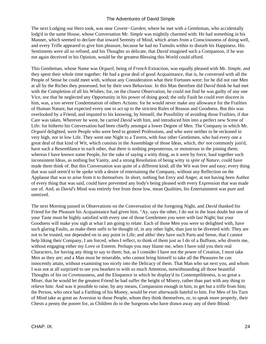The next Lodging our Hero took, was near *Covent−Garden*; where he met with a Gentleman, who accidentally lodg'd in the same House, whose Conversation Mr. *Simple* was mightily charmed with: He had something in his Manner, which seemed to declare that inward Serenity of Mind, which arises from a Consciousness of doing well, and every Trifle appeared to give him pleasure, because he had no Tumults within to disturb his Happiness. His Sentiments were all so refined, and his Thoughts so delicate, that *David* imagined such a Companion, if he was not again deceived in his Opinion, would be the greatest Blessing this World could afford.

This Gentleman, whose Name was *Orgueil,* being of *French* Extraction, was equally pleased with Mr. *Simple,* and they spent their whole time together: He had a great deal of good Acquaintance, that is, he conversed with all the People of Sense he could meet with, without any Consideration what their Fortunes were; for he did not rate Men at all by the Riches they possessed, but by their own Behaviour. In this Man therefore did *David* think he had met with the Completion of all his Wishes; for, on the closest Observation, he could not find he was guilty of any one Vice, nor that he neglected any Opportunity in his power of doing good; the only Fault he could ever discern in him, was, a too severe Condemnation of others Actions: for he would never make any allowance for the Frailties of Human Nature, but expected every one to act up to the strictest Rules of Reason and Goodness. But this was overlooked by a Friend, and imputed to his knowing, by himself, the Possibility of avoiding those Frailties, if due Care was taken. Wherever he went, he carried *David* with him, and introduced him into a perfect new Scene of Life: for hitherto his Conversation had been chiefly amongst a lower Degree of Men. The Company in which Mr. *Orgueil* delighted, were People who were bred to genteel Professions, and who were neither to be reckoned in very high, nor in low Life. They went one Night to a Tavern, with four other Gentlemen, who had every one a great deal of that kind of Wit, which consists in the Assemblage of those Ideas, which, tho' not commonly join'd, have such a Resemblance to each other, that there is nothing preposterous, or monstrous in the joining them; whereas I have known some People, for the sake of saying a witty thing, as it were by force, haul together such inconsistent Ideas, as nothing but Vanity, and a strong Resolution of being witty in *spite of Nature,* could have made them think of. But this Conversation was quite of a different kind; all the Wit was free and easy; every thing that was said seem'd to be spoke with a desire of entertaining the Company, without any Reflection on the Applause that was to arise from it to themselves. In short, nothing but Envy and Anger, at not having been Author of every thing that was said, could have prevented any body's being pleased with every Expression that was made use of. And, as *David's* Mind was entirely free from those low, mean Qualities, his Entertainment was pure and unmixed.

The next Morning passed in Observations on the Conversation of the foregoing Night, and *David* thanked his Friend for the Pleasure his Acquaintance had given him. "Ay, says the other, I do not in the least doubt but one of your Taste must be highly satisfied with every one of those Gentlemen you were with last Night; but your Goodness will make you sigh at what I am going to relate. Each of those Men you were so delighted with, have such glaring Faults, as make them unfit to be thought of, in any other light, than just to be diverted with: They are not to be trusted, nor depended on in any point in Life; and altho' they have such Parts and Sense, that I cannot help liking their Company, I am forced, when I reflect, to think of them just as I do of a Buffoon, who diverts me, without engaging either my Love or Esteem. Perhaps you may blame me, when I have told you their real Characters, for having any thing to say to them; but, as I consider I have not the power of Creation, I must take Men as they are; and a Man must be miserable, who cannot bring himself to take all the Pleasures he can innocently attain, without examining too nicely into the Delicacy of them. That Man who sat next you, and whom I was not at all surprized to see you hearken to with so much Attention, notwithstanding all those beautiful Thoughts of his on Covetousness, and the Eloquence in which he display'd its Contemptibleness, is so great a Miser, that he would let the greatest Friend he had suffer the height of Misery, rather than part with any thing to relieve him: And was it possible to raise, by any means, Compassion enough in him, to get but a trifle from him; the Person, who once had a Farthing of his Money, would be ever afterwards hateful to him. For Men of his Turn of Mind take as great an Aversion to those People, whom they think themselves, or, to speak more properly, their Chests a penny the poorer for, as Children do to the Surgeons who have drawn away any of their Blood.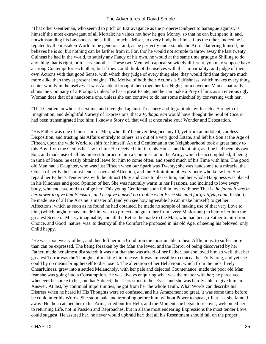"That other Gentleman, who seem'd to pitch on Extravagance as the properest Subject to harangue against, is himself the most extravagant of all Mortals; he values not how he gets Money, so that he can but spend it; and, notwithstanding his Lavishness, he is full as much a Miser, to every body but himself, as the other. Indeed he is reputed by the mistaken World to be generous; and, as he perfectly understands the Art of flattering himself, he believes he is so: but nothing can be farther from it. For, tho' he would not scruple to throw away the last twenty Guineas he had in the world, to satisfy any Fancy of his own, he would at the same time grudge a Shilling to do any thing that is right, or to serve another. These two Men, who appear so widely different, you may suppose have a strong Contempt for each other; but if they could think of themselves with that Impartiality, and judge of their own Actions with that good Sense, with which they judge of every thing else, they would find that they are much more alike than they at present imagine. The Motive of both their Actions is Selfishness, which makes every thing center wholly in themselves. It was Accident brought them together last Night; for a covetous Man as naturally shuns the Company of a Prodigal, unless he has a great Estate, and he can make a Prey of him, as an envious ugly Woman does that of a handsome one, unless she can contrive to do her some mischief by conversing with her.

"That Gentleman who sat next me, and inveighed against Treachery and Ingratitude, with such a Strength of Imagination, and delightful Variety of Expressions, that a *Pythagorean* would have thought the Soul of *Cicero* had been transmigrated into him; I know a Story of, that will at once raise your Wonder and Detestation.

"His Father was one of those sort of Men, who, tho' he never designed any Ill, yet from an indolent, careless Disposition, and trusting his Affairs entirely to others, ran out of a very good Estate, and left his Son at the Age of Fifteen, upon the wide World to shift for himself. An old Gentleman in the Neighbourhood took a great fancy to this Boy, from the Genius he saw in him: He received him into his House, and kept him, as if he had been his own Son, and made use of all his Interest to procure him a Commission in the Army, which he accomplished; it being in time of Peace, he easily obtained leave for him to come often, and spend much of his Time with him. The good old Man had a Daughter, who was just Fifteen when our Spark was Twenty; she was handsome to a miracle, the Object of her Father's most tender Love and Affection, and the Admiration of every body who knew her. She repaid her Father's Tenderness with the utmost Duty and Care to please him, and her whole Happiness was placed in his Kindness and good Opinion of her. She was naturally warm in her Passions, and inclined to love every body, who endeavoured to oblige her. This young Gentleman soon fell in love with her: That is, *he found it was in her power to give him Pleasure, and he gave himself no trouble what Price she paid for gratifying him*. In short, he made use of all the Arts he is master of, (and you see how agreeable he can make himself) to get her Affections; which as soon as he found he had obtained, he made no scruple of making use of that very Love to him, (which ought to have made him wish to protect and guard her from every Misfortune) to betray her into the greatest Scene of Misery imaginable; and all the Return he made to the Man, who had been a Father to him from Choice, and Good−nature, was, to destroy all the Comfort he proposed in his old Age, of seeing his beloved, only Child happy.

"He was soon weary of her, and then left her in a Condition the most unable to bear Afflictions, to suffer more than can be expressed. The being forsaken by the Man she loved, and the Horror of being discovered by her Father, made her almost distracted; it was not that she was afraid of her Father, but she loved him so well, that her greatest Terror was the Thoughts of making him uneasy. It was impossible to conceal her Folly long, and yet she could by no means bring herself to disclose it. The alteration of her Behaviour, which from the most lively Chearfulness, grew into a settled Melancholy, with her pale and dejected Countenance, made the poor old Man fear she was going into a Consumption. He was always enquiring what was the matter with her; he perceived whenever he spoke to her, on that Subject, the Tears stood in her Eyes, and she was hardly able to give him an Answer. At last, by continual Importunities, he got from her the whole Truth. What Words can describe his Distress when he heard it! His Thoughts were so confused, and his Amazement so great, it was some time before he could utter his Words. She stood pale and trembling before him, without Power to speak, till at last she fainted away. He then catched her in his Arms, cried out for Help, and the Moment she began to recover, welcomed her to returning Life, not in Passion and Reproaches, but in all the most endearing Expressions the most tender Love could suggest. He assured her, he never would upbraid her; that all his Resentment should fall on the proper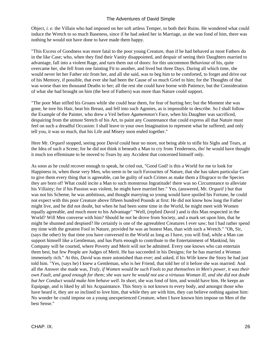Object, *i. e.* the Villain who had imposed on her soft artless Temper, to both their Ruins. He wondered what could induce the Wretch to so much Baseness, since if he had asked her in Marriage, as she was fond of him, there was nothing he would not have done to have made them happy.

"This Excess of Goodness was more fatal to the poor young Creature, than if he had behaved as most Fathers do in the like Case; who, when they find their Vanity disappointed, and despair of seeing their Daughters married to advantage, fall into a violent Rage, and turn them out of doors: for this uncommon Behaviour of his, quite overcame her, she fell from one fainting Fit to another, and lived but three Days. During all which time, she would never let her Father stir from her, and all she said, was to beg him to be comforted, to forget and drive out of his Memory, if possible, that ever she had been the Cause of so much Grief to him; for the Thoughts of that was worse than ten thousand Deaths to her; all the rest she could have borne with Patience, but the Consideration of what she had brought on him (the best of Fathers) was more than Nature could support.

"The poor Man stifled his Groans while she could hear them, for fear of hurting her; but the Moment she was gone, he tore his Hair, beat his Breast, and fell into such Agonies, as is impossible to describe. So I shall follow the Example of the Painter, who drew a Veil before *Agamemnon's* Face, when his Daughter was sacrificed, despairing from the utmost Stretch of his Art, to paint any Countenance that could express all that Nature must feel on such a dreadful Occasion: I shall leave to your own Imagination to represent what he suffered; and only tell you, it was so much, that his Life and Misery soon ended together."

Here Mr. *Orgueil* stopped, seeing poor *David* could hear no more, not being able to stifle his Sighs and Tears, at the Idea of such a Scene; for he did not think it beneath a Man to cry from Tenderness, tho' he would have thought it much too effeminate to be moved to Tears by any Accident that concerned himself only.

As soon as he could recover enough to speak, he cried out, "Good God! is this a World for me to look for Happiness in, when those very Men, who seem to be such Favourites of Nature, that she has taken particular Care to give them every thing that is agreeable, can be guilty of such Crimes as make them a Disgrace to the Species they are born of! What could incite a Man to such monstrous Ingratitude! there was no Circumstance to alleviate his Villainy; for if his Passion was violent, he might have married her." Yes, (answered, Mr. *Orgueil* ) but that was not his Scheme, he was ambitious, and thought marrying so young would have spoiled his Fortune, he could not expect with this poor Creature above fifteen hundred Pounds at first: He did not know how long the Father might live, and he did not doubt, but when he had been some time in the World, he might meet with Women equally agreeable, and much more to his Advantage" "Well, (replied *David* ) and is this Man respected in the World? Will Men converse with him? Should he not be drove from Society, and a mark set upon him, that he might be shunned and despised? He certainly is one of the agreeablest Creatures I ever saw; but I had rather spend my time with the greatest Fool in Nature, provided he was an honest Man, than with such a Wretch." "Oh, Sir, (says the other) by that time you have conversed in the World as long as I have, you will find, while a Man can support himself like a Gentleman, and has Parts enough to contribute to the Entertainment of Mankind, his Company will be courted, where Poverty and Merit will not be admitted. Every one knows who can entertain them best, but few People are Judges of Merit. He has succeeded in his Designs; for he has married a Woman immensely rich." At this, *David* was more astonished than ever; and asked, if his Wife knew the Story he had just told him. "Yes, (says he) I knew a Gentleman, who is her Friend, that told her of it before she was married: And all the Answer she made was, *Truly, if Women would be such Fools to put themselves in Men's power, it was their own Fault, and good enough for them; she was sure he would not use a virtuous Woman ill, and she did not doubt but her Conduct would make him behave well*. In short, she was fond of him, and would have him. He keeps an Equipage, and is liked by all his Acquaintance. This Story is not known to every body, and amongst those who have heard it, they are so inclined to love him, that while they are with him, they can believe nothing against him: No wonder he could impose on a young unexperienced Creature, when I have known him impose on Men of the best Sense."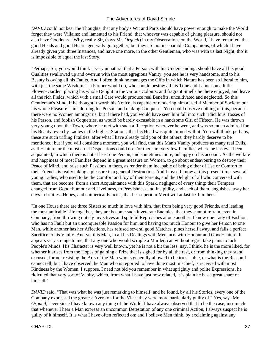*DAVID* could not bear the Thoughts, that any body's Wit and Parts should have power enough to make the World forget they were Villains; and lamented to his Friend, that whoever was capable of giving pleasure, should not also have Goodness. "Why, really Sir, (says Mr. *Orgueil*) in my Observations on the World, I have remarked, that good Heads and good Hearts generally go together; but they are not inseparable Companions, of which I have already given you three Instances, and have one more, in the other Gentleman, who was with us last Night, tho' it is impossible to equal the last Story.

"Perhaps, Sir, you would think it very unnatural that a Person, with his Understanding, should have all his good Qualities swallowed up and overrun with the most egregious Vanity; you see he is very handsome, and to his Beauty is owing all his Faults. And I often think he manages the Gifts in which Nature has been so liberal to him, with just the same Wisdom as a Farmer would do, who should bestow all his Time and Labour on a little Flower−Garden, placing his whole Delight in the various Colours, and fragrant Smells he there enjoyed, and leave all the rich Fields, which with a small Care would produce real Benefits, uncultivated and neglected. So this Gentleman's Mind, if he thought it worth his Notice, is capable of rendering him a useful Member of Society; but his whole Pleasure is in adorning his Person, and making Conquests. You could observe nothing of this, because there were no Women amongst us; but if there had, you would have seen him fall into such ridiculous Tosses of his Person, and foolish Coquetries, as would be barely excusable in a handsome Girl of Fifteen. He was thrown very young upon the Town, where he met with such a Reception wherever he went, and was so much admired for his Beauty, even by Ladies in the highest Stations, that his Head was quite turned with it. You will think, perhaps, these are such trifling Frailties, after what I have already told you of the others, they hardly deserve to be mentioned; but if you will consider a moment, you will find, that this Man's Vanity produces as many real Evils, as Ill−nature, or the most cruel Dispositions could do. For there are very few Families, where he has ever been acquainted, in which there is not at least one Person, and sometimes more, unhappy on his account. As the welfare and happiness of most Families depend in a great measure on Women, to go about endeavouring to destroy their Peace of Mind, and raise such Passions in them, as render them incapable of being either of Use or Comfort to their Friends, is really taking a pleasure in a general Destruction. And I myself know at this present time, several young Ladies, who used to be the Comfort and Joy of their Parents, and the Delight of all who conversed with them, that are become, from a short Acquaintance with this Spark, negligent of every thing; their Tempers changed from Good−humour and Liveliness, to Peevishness and Insipidity, and each of them languishes away her days in fruitless Hopes, and chimerical Fancies, that her superiour Merit will at last fix him hers.

"In one House there are three Sisters so much in love with him, that from being very good Friends, and leading the most amicable Life together, they are become such inveterate Enemies, that they cannot refrain, even in Company, from throwing out sly Invectives and spiteful Reproaches at one another. I know one Lady of Fashion, who has no Fault but an unconquerable Passion for him, and having too much Honour to give her Person to one Man, while another has her Affections, has refused several good Matches, pines herself away, and falls a perfect Sacrifice to his Vanity. And yet this Man, in all his Dealings with Men, acts with Honour and Good−nature. It appears very strange to me, that any one who would scruple a Murder, can without regret take pains to rack People's Minds. His Character is very well known, yet he is not a bit the less, nay, I think, he is the more liked, for whether it arises from the Hopes of gaining a Prize that is sighed for by all the rest, or from thinking they stand excused, for not resisting the Arts of the Man who is generally allowed to be irresistable, or what is the Reason I cannot tell; but I have observed the Man who is reported to have done most mischief, is received with most Kindness by the Women. I suppose, I need not bid you remember in what sprightly and polite Expressions, he ridiculed that very sort of Vanity, which, from what I have just now related, it is plain he has a great share of himself."

*DAVID* said, "That was what he was just remarking to himself; and he found, by all his Stories, every one of the Company expressed the greatest Aversion for the Vices they were more particularly guilty of." Yes, says Mr. *Orgueil*, "ever since I have known any thing of the World, I have always observed that to be the case; insomuch that whenever I hear a Man express an uncommon Detestation of any one criminal Action, I always suspect he is guilty of it himself. It is what I have often reflected on; and I believe Men think, by exclaiming against any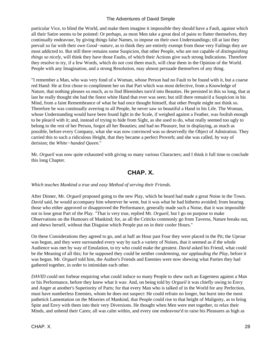particular Vice, to blind the World, and make them imagine it impossible they should have a Fault, against which all their Satire seems to be pointed: Or perhaps, as most Men take a great deal of pains to flatter themselves, they continually endeavour, by giving things false Names, to impose on their own Understandings; till at last they prevail so far with their *own Good−nature,* as to think they are entirely exempt from those very Failings they are most addicted to. But still there remains some Suspicion, that other People, who are not capable of *distinguishing things so nicely,* will think they have those Faults, of which their Actions give such strong Indications. Therefore they resolve to try, if a few Words, which do not cost them much, will clear them in the Opinion of the World. People with any Imagination, and a strong Resolution, may almost persuade themselves of any thing.

"I remember a Man, who was very fond of a Woman, whose Person had no Fault to be found with it, but a coarse red Hand: He at first chose to compliment her on that Part which was most defective, from a Knowledge of Nature, that nothing pleases so much, as to find Blemishes turn'd into Beauties. He persisted in this so long, that at last he really thought she had the finest white Hand that ever was seen; but still there remain'd a Suspicion in his Mind, from a faint Remembrance of what he had once thought himself, that other People might not think so. Therefore he was continually averring to all People, he never saw so beautiful a Hand in his Life. The Woman, whose Understanding would have been found light in the Scale, if weighed against a Feather, was foolish enough to be pleas'd with it; and, instead of trying to hide from Sight, as she used to do, what really seemed too ugly to belong to the rest of her Person, forgot all her Beauties; and had no Pleasure, but in displaying, as much as possible, before every Company, what she was now convinced was so deservedly the Object of Admiration. They carried this to such a ridiculous Height, that they became a perfect Proverb; and she was called, by way of derision; the *White−handed Queen*."

Mr. *Orgueil* was now quite exhausted with giving so many various Characters; and I think it full time to conclude this long Chapter.

### **CHAP. X.**

#### <span id="page-29-0"></span>*Which teaches Mankind a true and easy Method of serving their Friends.*

After Dinner, Mr. *Orgueil* proposed going to the new Play, which he heard had made a great Noise in the Town. *David* said, he would accompany him wherever he went, but it was what he had hitherto avoided; from hearing those who either approved or disapproved the Performance, generally made such a Noise, that it was impossible not to lose great Part of the Play. "That is very true, replied Mr. *Orgueil,* but I go on purpose to make Observations on the Humours of Mankind; for, as all the Criticks commonly go from Taverns, Nature breaks out, and shews herself, without that Disguise which People put on in their cooler Hours."

On these Considerations they agreed to go, and at half an Hour past Four they were placed in the Pit; the Uproar was begun, and they were surrounded every way by such a variety of Noises, that it seemed as if the whole Audience was met by way of Emulation, to try who could make the greatest. *David* asked his Friend, what could be the Meaning of all this; for he supposed they could be neither *condemning, nor applauding the Play,* before it was begun. Mr. *Orgueil* told him, the Author's Friends and Enemies were now shewing what Parties they had gathered together, in order to intimidate each other.

*DAVID* could not forbear enquiring what could induce so many People to shew such an Eagerness against a Man or his Performance, before they knew what it was: And, on being told by *Orgueil* it was chiefly owing to Envy and Anger at another's Superiority of Parts; for that every Man who is talked of in the World for any Perfection, must have numberless Enemies, whom he does not suspect: He could refrain no longer, but burst into the most pathetick Lamentation on the Miseries of Mankind, that People could rise to that height of Malignity, as to bring Spite and Envy with them into their very Diversions. He thought when Men were met together, to relax their Minds, and unbend their Cares; all was calm within, and every one endeavour'd to raise his Pleasures as high as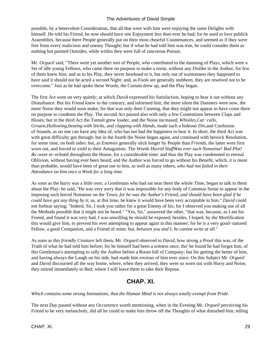possible, by a benevolent Consideration, that all that were with him were enjoying the same Delights with himself. He told his Friend, he now should have one Enjoyment less than ever he had; for he used to love publick Assemblies, because there People generally put on their most chearful Countenances, and seemed as if they were free from every malicious and uneasy Thought; but if what he had told him was true, he could consider them as nothing but painted Outsides, while within they were full of rancorous Poison.

Mr. *Orgueil* said, "There were yet another sort of People, who contributed to the damning of Plays, which were a Set of idle young Fellows, who came there on purpose to make a noise, without any Dislike to the Author, for few of them knew him; and as to his Play, they never hearkned to it, but only out of wantonness they happened to have said it should not be acted a second Night; and, as Fools are generally stubborn, they are resolved not to be overcome." Just as he had spoke these Words, the Curtain drew up, and the Play began.

The first Act went on very quietly; at which *David* expressed his Satisfaction, hoping to hear it out without any Disturbance. But his Friend knew to the contrary, and informed him, the more silent the Damners were now, the more Noise they would soon make; for that was only their Cunning, that they might not appear to have come there on purpose to condemn the Play. The second Act passed also with only a few Contentions between Claps and Hisses; but in the third Act the Tumult grew louder, and the Noise increased; *Whistles,Cat−calls, Groans,Hollowing,beating with Sticks, and clapping with Hands,* made such a hideous *Din,*and Confusion of Sounds, as no one can have any Idea of, who has not had the happiness to hear it. In short, the third Act was with great difficulty got through; but in the fourth the Noise began again, and continued with heroick Resolution, for some time, on both sides: but, as *Enemies* generally stick longer by People than *Friends,* the latter were first worn out, and forced to yield to their Antagonists. The Words *Horrid StuffWas ever such Nonsense*! *Bad Plot! &c.*were re−echoed throughout the House, for a considerable time: and thus the Play was condemned to eternal Oblivion, without having ever been heard; and the Author was forced to go without his Benefit, which, it is more than probable, would have been of great use to him, as well as many others, *who had not failed in their Attendance on him once a Week for a long time*.

As soon as the hurry was a little over, a Gentleman who had sat near them the whole Time, began to talk to them about the Play: he said, "He was very sorry that it was impossible for any body of Common Sense to appear in the imposing such horrid Nonsense on the Town; *for he was the Author's Friend, and should have been glad if he could have got any thing by it*; as, at this time, he knew it would have been very acceptable to him." *David* could not forbear saying; "Indeed, Sir, I took you rather for a great Enemy of his; for I observed you making use of all the Methods possible that it might not be heard." "Yes, Sir," answered the other, "that was, because, as I am his Friend, and found it was very bad, I was unwilling he should be exposed; besides, I hoped, by the Mortification this would give him, to prevent his ever attempting to appear again in this manner; for he is a very good−natured Fellow, a good Companion, and a Friend of mine; *but, between you and I, he cannot write at all*."

As soon as this *friendly Creature* left them, Mr. *Orgueil* observed to *David,* how strong a Proof this was, of the Truth of what he had told him before; for he himself had been a witness once, tho' he found he had forgot him, of this Gentleman's attempting to rally the Author before a Room full of Company; but his getting the better of him, and having always the Laugh on his side, had made him *envious* of him ever since. On this Subject Mr. *Orgueil* and *David* discoursed all the way home, where, when they arrived, they were so worn out with Hurry and Noise, they retired immediately to Bed; where I will leave them to take their Repose.

### **CHAP. XI.**

#### <span id="page-30-0"></span>*Which contains some strong Intimations, that the Human Mind is not always totally exempt from Pride.*

The next Day passed without any Occurrence worth mentioning, when in the Evening Mr. *Orgueil* perceiving his Friend to be very melancholy, did all he could to make him throw off the Thoughts of what disturbed him; telling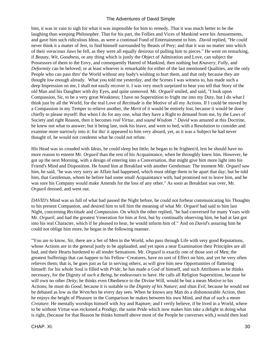him, it was in vain to sigh for what it was impossible for him to remedy. That it was much better to be the laughing than weeping Philosopher. That for his part, the Follies and Vices of Mankind were his Amusements, and gave him such ridiculous Ideas, as were a continual Fund of Entertainment to him.  *David* replied, "He could never think it a matter of Jest, to find himself surrounded by Beasts of Prey; and that it was no matter into which of their *voracious Jaws* he fell, as they were all equally desirous of pulling him to pieces." He went on remarking, if *Beauty, Wit, Goodness,* or any thing which is justly the Object of Admiration and Love, can subject the Possessors of them to the Envy, and consequently Hatred of Mankind, then nothing but *Knavery, Folly,* and *Deformity* can be beloved; or at least whoever is remarkable for either of the last mentioned Qualities, are the only People who can pass thro' the World without any body's wishing to hurt them, and that only because they are thought *low* enough already. What you told me yesterday, and the Scenes I was witness to, has made such a deep Impression on me, I shall not easily recover it. I was very much surprized to hear you tell that Story of the old Man and his Daughter with dry Eyes, and quite unmoved. Mr. *Orgueil* smiled, and said, "I look upon Compassion, Sir, to be a very great Weakness; I have no Superstition to fright me into my Duty, but I do what I think just by all the World, for the real Love of *Rectitude* is the Motive of all my Actions. If I could be moved by a Compassion in my Temper to relieve another, the *Merit* of it would be entirely lost, because it would be done chiefly to please myself: But when I do for any one, what they have a Right to demand from me, by the Laws of Society and right Reason, then it becomes *real Virtue,* and *sound Wisdom* ." *David* was amazed at this Doctrine, he knew not what to answer; but it being late, took his leave, and went to bed, with a Resolution to consider and examine more narrowly into it: for tho' it appeared to him very absurd, yet, as it was a Subject he had never thought of, he would not condemn what he could not refute.

His Head was so crouded with *Ideas,* he could sleep but little; he began to be frighten'd, lest he should have no more reason to esteem Mr. *Orgueil* than the rest of his Acquaintance, when he throughly knew him. However, he got up the next Morning, with a design of entering into a Conversation, that might give him more light into his Friend's Mind and Disposition. He found him at Breakfast with another Gentleman: The moment Mr. *Orgueil* saw him, he said, "he was very sorry an Affair had happened, which must oblige them to be apart that day; but he told him, that Gentleman, whom he before had some small Acquaintance with, had promised not to leave him, and he was sure his Company would make Amends for the loss of any other." As soon as Breakfast was over, Mr. *Orgueil* dressed, and went out.

*DAVID's* Mind was so full of what had passed the Night before, he could not forbear communicating his Thoughts to his present Companion, and desired him to tell him the meaning of what Mr. *Orgueil* had said to him last Night, concerning *Rectitude* and *Compassion*. On which the other replied, "he had conversed for many Years with Mr. *Orgueil,* and had the greatest Veneration for him at first, but by continually observing him, he had at last got into his real Character, which if he pleased to hear, he would inform him of." And on *David's* assuring him he could not oblige him more, he began in the following manner.

"You are to know, Sir, there are a Set of Men in the World, who pass through Life with very good Reputations, whose Actions are in the general justly to be applauded, and yet upon a near Examination their Principles are all bad, and their Hearts hardened to all tender Sensations. Mr. *Orgueil* is exactly one of those sort of Men; the greatest Sufferings that can happen to his Fellow−Creatures, have no sort of Effect on him, and yet he very often relieves them; that is, he goes just as far in serving others, as will give him new Opportunities of flattering himself: for his whole Soul is filled with *Pride,* he has made *a God* of himself, and such Attributes as he thinks necessary, for the Dignity of *such a Being,* he endeavours to have. He calls all Religion Superstition, because he will own no other *Deity*; he thinks even Obedience to the Divine Will, would be but a mean Motive to his Actions; he must do *Good,* because it is suitable to the *Dignity of his Nature*; and shun *Evil,* because he would not be debased as low as the *Wretches* he every day sees. When he knows any Man do a dishonourable Action, then he enjoys the height of Pleasure in the Comparison he makes between his own Mind, and that of such a *mean Creature*. He mentally worships himself with Joy and Rapture; and I verily believe, if he lived in a World, where to be without Virtue was reckoned a Prodigy, the same Pride which now makes him take a delight in doing what is right, (because for that Reason he thinks himself above most of the People he converses with,) would then lead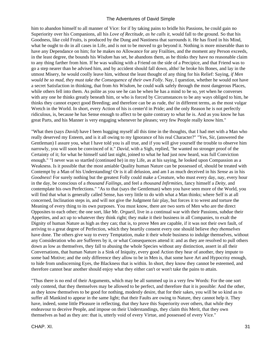him to abandon himself to all manner of Vice: for if by taking pains to bridle his Passions, he could gain no Superiority over his Companions, all his *Love of Rectitude, as he calls it,* would fall to the ground. So that his Goodness, like cold Fruits, is produced by the Dung and Nastiness that surrounds it. He has fixed in his Mind, what he ought to do in all cases in Life, and is not to be moved to go beyond it. Nothing is more miserable than to have any Dependance on him; for he makes no Allowance for any Frailties, and the moment any Person exceeds, in the least degree, the bounds his *Wisdom* has set, he abandons them, as he thinks they have no reasonable claim to any thing farther from him. If he was walking with a Friend on the side of a Precipice, and that Friend was to go a step nearer than he advised him, and by accident should fall down, altho' he broke his Bones, and lay in the utmost Misery, he would coolly leave him, without the least thought of any thing for his Relief: Saying, *if Men would be so mad, they must take the Consequence of their own Folly*. Nay, I question, whether he would not have a secret Satisfaction in thinking, that from *his Wisdom,* he could walk safely through the most dangerous Places, while others fell into them. As polite as you see he can be when he has a mind to be so, yet when he converses with any one he thinks greatly beneath him, or who is forced by Circumstances to be any ways obliged to him, he thinks they cannot expect good Breeding; and therefore can be as rude, tho' in different terms, as the most vulgar Wretch in the World. In short, every Action of his is center'd in Pride; and the only Reason he is not perfectly ridiculous, is, because he has Sense enough to affect to be quite contrary to what he is. And as you know he has great Parts, and his Manner is very engaging whenever he pleases; very few People really know him."

"What then (says *David*) have I been hugging myself all this time in the thoughts, that I had met with a Man who really deserved my Esteem, and is it all owing to my Ignorance of his real Character?" "Yes, Sir, (answered the Gentleman) I assure you, what I have told you is all true, and if you will give yourself the trouble to observe him narrowly, you will soon be convinced of it." *David,* with a Sigh, replied, "he wanted no stronger proof of the Certainty of it; for what he himself said last night, joined to what he had just now heard, was full Conviction enough." "I never was so startled (continued he) in my Life, as at his saying, he looked upon Compassion as a Weakness. Is it possible that the most amiable Quality human Nature can be possessed of, should be treated with Contempt by a Man of his Understanding! Or is it all delusion, and am I as much deceived in his *Sense* as in his *Goodness*! For surely nothing but the greatest Folly could make a Creature, who must every day, nay, every hour in the day, be conscious of a *thousand Failings,* and feel a *thousand Infirmities,* fancy himself a *Deity,* and contemplate his own Perfections." "As to that (says the Gentleman) when you have seen more of the World, you will find that what is generally called Sense, has very little to do with what a Man thinks; where Self is at all concerned, Inclination steps in, and will not give the Judgment fair play, but forces it to wrest and torture the Meaning of every thing to its own purposes. You must know, there are two sorts of Men who are the direct Opposites to each other; the one sort, like Mr. *Orgueil,* live in a continual war with their Passions, subdue their Appetites, and act up to whatever they think right; they make it their business in all Companies, to exalt the Dignity of human Nature as high as they can; that is, to prove Men are capable, if it was not their own fault, of arriving to a great degree of Perfection, which they heartily consent every one should believe *they themselves* have done. The others give way to every Temptation, make it their whole business to indulge themselves, without any Consideration who are Sufferers by it, or what Consequences attend it: and as they are resolved to pull others down as low as themselves, they fall to abusing the whole Species without any distinction, assert in all their Conversations, that human Nature is a Sink of Iniquity, every good Action they hear of another, they impute to some bad Motive; and the only difference they allow to be in Men is, that some have Art and Hypocrisy enough, to hide from undiscerning Eyes, the Blackness that is within. In short, they know they cannot be esteemed, and therefore cannot bear another should enjoy what they either can't or won't take the pains to attain.

"Thus there is no end of their Arguments, which may be all summed up in a very few Words: For the one sort only contend, that they themselves may be allowed to be perfect, and therefore that it is possible: And the other, as they know themselves to be good for nothing, modestly desire, that for their sakes, you will be so kind as to suffer all Mankind to appear in the same light; that their Faults are owing to Nature, they cannot help it. They have, indeed, some little Pleasure in reflecting, that they have this Superiority over others, that while they endeavour to deceive People, and impose on their Understandings, they claim this Merit, that they own themselves as bad as they are: that is, utterly void of every Virtue, and possessed of every Vice."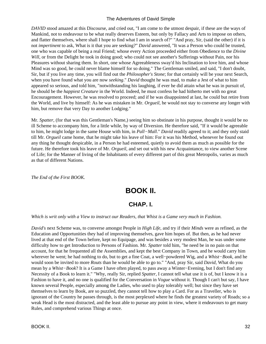*DAVID* stood amazed at this Discourse, and cried out, "I am come to the utmost despair, if these are the ways of Mankind, not to endeavour to be what really deserves Esteem, but only by Fallacy and Arts to impose on others, and flatter themselves, where shall I hope to find what I am in search of?" "And pray, Sir, (said the other) if it is not *impertinent* to ask, What is it that you are seeking?" *David* answered, "It was a Person who could be trusted, one who was capable of being a real Friend; whose every Action proceeded either from Obedience to the *Divine Will*, or from the Delight he took in doing good; who could not see another's Sufferings without Pain, nor his Pleasures without sharing them. In short, one whose Agreeableness sway'd his Inclination to love him, and whose Mind was so good, he could never blame himself for so doing." The Gentleman smiled, and said, "I don't doubt, Sir, but if you live any time, you will find out the *Philosopher's Stone*; for that certainly will be your next Search, when you have found what you are now *seeking*." *David* thought he was mad, to make a Jest of what to him appeared so serious, and told him, "notwithstanding his laughing, if ever he did attain what he was in pursuit of, he should be the *happiest Creature* in the World. Indeed, he must confess he had hitherto met with no great Encouragement. However, he was resolved to proceed; and if he was disappointed at last, he could but retire from the World, and live by himself: As he was mistaken in Mr. *Orgueil,* he would not stay to converse any longer with him, but remove that very Day to another Lodging."

Mr. *Spatter,* (for that was this Gentleman's Name,) seeing him so obstinate in his purpose, thought it would be no ill Scheme to accompany him, for a little while, by way of Diversion. He therefore said, "If it would be agreeable to him, he might lodge in the same House with him, in *Pall−Mall*." *David* readily agreed to it; and they only staid till Mr. *Orgueil* came home, that he might take his leave of him: For it was his Method, whenever he found out any thing he thought despicable, in a Person he had esteemed, quietly to avoid them as much as possible for the future. He therefore took his leave of Mr. *Orgueil,* and set out with his new Acquaintance, to view another Scene of Life; for the Manner of living of the Inhabitants of every different part of this great Metropolis, varies as much as that of different Nations.

<span id="page-33-0"></span>*The End of the First BOOK.*

## **BOOK II.**

### **CHAP. I.**

<span id="page-33-1"></span>*Which is writ only with a View to instruct our Readers, that Whist is a Game very much in Fashion.*

*David's* next Scheme was, to converse amongst People in *High Life,* and try if their *Minds* were as refined, as the Education and Opportunities they had of improving themselves, gave him hopes of. But then, as he had never lived at that end of the Town before, kept no Equipage, and was besides a very modest Man, he was under some difficulty how to get Introduction to Persons of Fashion. Mr. *Spatter* told him, "he need be in no pain on that account, for that he frequented all the Assemblies, and kept the best Company in Town, and he would carry him wherever he went; he had nothing to do, but to get a fine Coat, a well−powdered Wig, and a *Whist−Book,* and he would soon be invited to more *Routs* than he would be able to go to." "And, pray Sir, said *David,* What do you mean by a *Whist−Book*? It is a Game I have often played, to pass away a Winter−Evening, but I don't find any Necessity of a Book to learn it." "Why, really Sir, replied *Spatter,* I cannot tell what use it is of, but I know it is a Fashion to have it, and no one is qualified for the Conversation in *Vogue* without it. Though I can't but say, I have known several People, especially among the Ladies, who used to play tolerably well; but since they have set themselves to learn by Book, are so puzzled, they cannot tell how to play a Card. For as a Traveller, who is ignorant of the Country he passes through, is the most perplexed where he finds the greatest variety of Roads; so a weak Head is the most distracted, and the least able to pursue any point in view, where it endeavours to get many Rules, and comprehend various Things at once.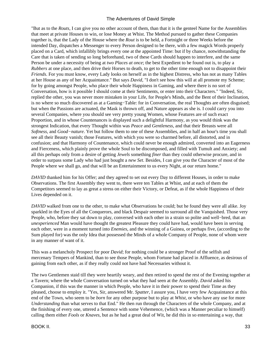"But as to the *Routs,* I can give you no other account of them, than that it is the genteel Name for the Assemblies that meet at private Houses to win, or lose Money at Whist. The Method pursued to gather these Companies together is, that the Lady of the House where the *Rout* is to be held, a Fortnight or three Weeks before the intended Day, dispatches a Messenger to every Person designed to be there, with a few magick Words properly placed on a Card, which infallibly brings every one at the appointed Time: but if by chance, notwithstanding the Care that is taken of sending so long beforehand, two of these Cards should happen to interfere, and the same Person be under a necessity of being at *two Places at once*; the best Expedient to be found out is, to play a *Rubbers* at one place, and then drive their Horses to death, to get to the other time enough not to disappoint their *Friends*. For you must know, every Lady looks on herself as in the highest Distress, who has not as many Tables at her House as any of her Acquaintance." But says *David,* "I don't see how this will at all promote my Scheme; for by going amongst People, who place their whole Happiness in Gaming, and where there is no sort of Conversation, how is it possible I should come at their Sentiments, or enter into their Characters." "Indeed, Sir, replied the other, you was never more mistaken in your Life, for People's Minds, and the Bent of their Inclination, is no where so much discovered as at a Gaming−Table: for in Conversation, the real Thoughts are often disguised; but when the Passions are actuated, the Mask is thrown off, and Nature appears as she is. I could carry you into several Companies, where you should see very pretty young Women, whose Features are of such exact Proportion, and in whose Countenances is displayed such a delightful Harmony, as you would think was the strongest Indication, that every Thought within was *Peace* and *Gentleness,* and that their Breasts were all *Softness,* and *Good−nature*. Yet but follow them to one of these Assemblies, and in half an hour's time you shall see all their Beauty vanish; those Features, with which you were so charmed before, all distorted, and in confusion; and that Harmony of Countenance, which could never be enough admired, converted into an Eagerness and Fierceness, which plainly prove the whole Soul to be discomposed, and filled with Tumult and Anxiety; and all this perhaps only from a desire of getting *Jewels* something *finer* than they could otherwise procure, and in order to surpass some Lady who had just bought a *new Set*. Besides, I can give you the Character of most of the People where we shall go, and that will be an Entertainment to us every Night, at our return home."

*DAVID* thanked him for his Offer; and they agreed to set out every Day to different Houses, in order to make Observations. The first Assembly they went to, there were ten Tables at Whist, and at each of them the Competitors seemed to lay as great a stress on either their Victory, or Defeat, as if the whole Happiness of their Lives depended on it.

*DAVID* walked from one to the other, to make what Observations he could; but he found they were all alike. Joy sparkled in the Eyes of all the Conquerors, and black Despair seemed to surround all the Vanquished. Those very People, who, before they sat down to play, conversed with each other in a strain so polite and well−bred, that an *unexperienced* Man would have thought the greatest Pleasure they could have had, would have been in serving each other, were in a moment turned into *Enemies,* and the winning of a Guinea, or perhaps five, (according to the Sum played for) was the only Idea that possessed the Minds of a whole Company of People, none of whom were in any manner of want of it.

This was a melancholy Prospect for poor *David*; for nothing could be a stronger Proof of the selfish and mercenary Tempers of Mankind, than to see those People, whom Fortune had placed in Affluence, as desirous of gaining from each other, as if they really could not have had Necessaries without it.

The two Gentlemen staid till they were heartily weary, and then retired to spend the rest of the Evening together at a Tavern; where the whole Conversation turned on what they had seen at the Assembly. *David* asked his Companion, if this was the manner in which People, who have it in their power to spend their Time as they pleased, choose to employ it. "Yes, Sir, answered Mr. *Spatter,* I assure you, I have very few Acquaintance at this end of the Town, who seem to be *born* for any other purpose but to play at *Whist,* or who have any use for more *Understanding* than what serves to that End." He then run through the Characters of the whole Company, and at the finishing of every one, uttered a Sentence with some Vehemence, (which was a Manner peculiar to himself) calling them either *Fools* or *Knaves,* but as he had a great deal of Wit, he did this in so entertaining a way, that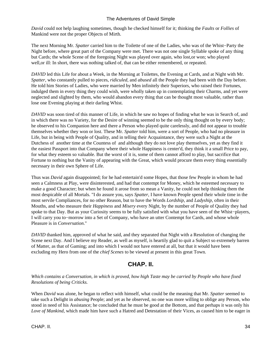*David* could not help laughing sometimes, though he checked himself for it; thinking the *Faults* or *Follies* of Mankind were not the proper Objects of Mirth.

The next Morning Mr. *Spatter* carried him to the Toilette of one of the Ladies, who was of the Whist−Party the Night before, where great part of the Company were met. There was not one single Syllable spoke of any thing but Cards; the whole Scene of the foregoing Night was played over again, who lost, or won; who played well, or ill: In short, there was nothing talked of, that can be either remembered, or repeated.

*DAVID* led this Life for about a Week, in the Morning at Toilettes, the Evening at Cards, and at Night with Mr. *Spatter,* who constantly pulled to pieces, *ridiculed,* and *abused* all the People they had been with the Day before. He told him Stories of Ladies, who were married by Men infinitely their Superiors, who raised their Fortunes, indulged them in every thing they could wish, were wholly taken up in contemplating their Charms, and yet were neglected and slighted by them, who would abandon every thing that can be thought most valuable, rather than lose one Evening playing at their darling Whist.

*DAVID* was soon tired of this manner of Life, in which he saw no hopes of finding what he was in Search of, and in which there was no Variety, for the Desire of winning seemed to be the only thing thought on by every body; he observed to his Companion here and there a Person who played quite carelessly, and did not appear to trouble themselves whether they won or lost. These Mr. *Spatter* told him, were a sort of People, who had no pleasure in Life, but in being with People of Quality, and in telling their Acquaintance, they were such a Night at the Dutchess of another time at the Countess of and although they do not love play themselves, yet as they find it the easiest Passport into that Company where their whole Happiness is center'd, they think it a small Price to pay, for what they esteem so valuable. But the worst of it is, some of them cannot afford to play, but sacrifice that Fortune to nothing but the Vanity of appearing with the Great, which would procure them every thing essentially necessary in their own Sphere of Life.

Thus was *David* again disappointed; for he had entertain'd some Hopes, that those few People in whom he had seen a Calmness at Play, were disinterested, and had that contempt for Money, which he esteemed necessary to make a good Character; but when he found it arose from so mean a Vanity, he could not help thinking them the most despicable of all Mortals. "I do assure you, says *Spatter,* I have known People spend their whole time in the most servile Compliances, for no other Reason, but to have the Words *Lordship,* and *Ladyship,* often in their Mouths, and who measure their *Happiness* and *Misery* every Night, by the number of People of Quality they had spoke to that Day. But as your Curiosity seems to be fully satisfied with what you have seen of the Whist−players, I will carry you to−morrow into a Set of Company, who have an utter Contempt for Cards, and whose whole Pleasure is in *Conversation*."

*DAVID* thanked him, approved of what he said, and they separated that Night with a Resolution of changing the Scene next Day. And I believe my Reader, as well as myself, is heartily glad to quit a Subject so extremely barren of Matter, as that of Gaming; and into which I would not have entered at all, but that it would have been excluding my Hero from one of the *chief Scenes* to be viewed at present in this great Town.

### **CHAP. II.**

#### <span id="page-35-0"></span>*Which contains a Conversation, in which is proved, how high Taste may be carried by People who have fixed Resolutions of being Criticks.*

When *David* was alone, he began to reflect with himself, what could be the meaning that Mr. *Spatter* seemed to take such a Delight in *abusing* People; and yet as he observed, no one was more willing to oblige any Person, who stood in need of his Assistance; he concluded that he must be good at the Bottom, and that perhaps it was only his *Love of Mankind,* which made him have such a Hatred and Detestation of their Vices, as caused him to be eager in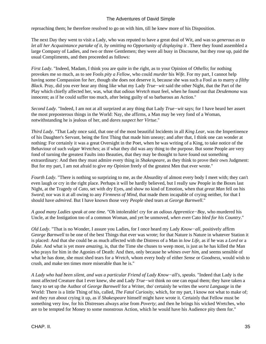reproaching them; he therefore resolved to go on with him, till he knew more of his Disposition.

The next Day they went to visit a Lady, who was reputed to have a great deal of Wit, and was so *generous as to* let all her Acquaintance partake of it, by omitting no Opportunity of displaying it. There they found assembled a large Company of Ladies, and two or three Gentlemen; they were all busy in Discourse, but they rose up, paid the usual Compliments, and then proceeded as follows:

*First Lady*. "Indeed, Madam, I think you are quite in the right, as to your Opinion of *Othello*; for nothing provokes me so much, as to see Fools *pity a Fellow,* who could *murder* his *Wife*. For my part, I cannot help having some Compassion for *her,* though she does not deserve it, because she was such a Fool as to marry *a filthy Black*. Pray, did you ever hear any thing like what my Lady *True−wit* said the other Night, that the Part of the Play which chiefly affected her, was, what that *odious Wretch* must feel, when he found out that *Desdemona* was innocent; as if he could suffer too much, after being guilty of so barbarous an Action."

*Second Lady*. "Indeed, I am not at all surprized at any thing that Lady *True−wit* says; for I have heard her assert the most preposterous things in the World: Nay, she affirms, a Man may be very fond of a Woman, notwithstanding he is jealous of her, and *dares suspect her Virtue*."

*Third Lady*. "That Lady once said, that one of the most beautiful Incidents in all *King Lear,* was the Impertinence of his Daughter's Servant, being the first Thing that made him uneasy; and after that, I think one can wonder at nothing: For certainly it was a great Oversight in the Poet, when he was writing of a King, to take notice of the Behaviour of such *vulgar Wretches*; as if what they did was any thing to the purpose. But some People are very fond of turning the greatest Faults into Beauties, that they may be thought to have found out something extraordinary: And then they must admire every thing in *Shakespeare,* as they think to prove their own Judgment: But for my part, I am not afraid to give *my Opinion* freely of the greatest Men that ever wrote."

*Fourth Lady*. "There is nothing so surprizing to me, as the Absurdity of almost every body I meet with; they can't even laugh or cry in the right place. Perhaps it will be hardly believed, but I really saw People in the Boxes last Night, at the Tragedy of *Cato,* set with dry Eyes, and show no kind of Emotion, when that *great Man* fell on his *Sword*; nor was it at all owing to any *Firmness of Mind,* that made them incapable of crying neither, for that I should have *admired*. But I have known those very *People* shed tears at *George Barnwell*."

*A good many Ladies speak at one time.* "Oh intolerable! cry for an *odious Apprentice−Boy,* who murdered his Uncle, at the Instigation too of a common Woman, and yet be unmoved, *when even* Cato *bled for his Country*."

*Old Lady*. "That is no Wonder, I assure you Ladies, for I once heard my Lady *Know−all,* positively affirm *George Barnwell* to be one of the best Things that ever was wrote; for that Nature is Nature in whatever Station it is placed: And that she could be as much affected with the Distress of a Man in *low Life,* as if he was a *Lord* or a *Duke*. And what is yet more *amazing,* is, that the Time she chuses to weep most, is just as he has killed the Man who prays for him in the Agonies of Death: And then, only because he *whines over him,* and seems sensible of what he has done, she must shed tears for a *Wretch,* whom every body of either *Sense* or *Goodness,* would wish to crush, and make ten times more miserable than he is."

*A Lady who had been silent, and was a particular Friend of Lady Know−all's, speaks.* "Indeed that Lady is the most affected Creature that I ever knew, she and Lady *True−wit* think no one can equal them; they have taken a fancy to set up the Author of *George Barnwell* for a Writer, tho' certainly he writes the *worst Language* in the World: There is a little Thing of his, called, *The Fatal Curiosity,* which, for my part, I know not what to make of; and they run about crying it up, as if *Shakespeare* himself might have wrote it. Certainly that Fellow must be something very *low,* for his Distresses always arise from *Poverty*; and then he brings his wicked Wretches, who are to be tempted for Money to some monstrous Action, which he would have his Audience pity them for."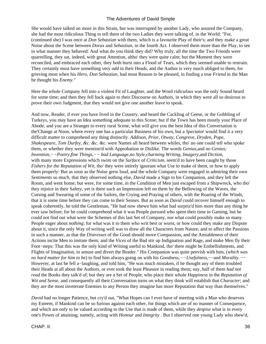She would have talked on more in this Strain, but was interrupted by another Lady, who assured the Company, she had the most ridiculous Thing to tell them of the two Ladies they were talking of, in the World: "For, (continued she) I was once at *Don Sebastian* with them, which is a favourite Play of their's; and they make a great Noise about the Scene between *Dorax* and *Sebastian,* in the fourth Act. I observed them more than the Play, to see in what manner they behaved: And what do you think they did? Why truly, all the time the Two Friends were quarrelling, they sat, indeed, with great Attention, altho' they were quite calm; but the Moment they were reconciled, and embraced each other, they both burst into a Flood of Tears, which they seemed unable to restrain. They certainly must have something very *odd* in their Heads, and the Author is very much obliged to them, for grieving most when his *Hero, Don Sebastian,* had most Reason to be pleased, in finding a true *Friend* in the Man he thought his *Enemy*."

Here the whole Company fell into a violent Fit of Laughter, and the Word *ridiculous* was the only Sound heard for some time; and then they fell back again to their Discourse on Authors, in which they were all so desirous to prove their own Judgment, that they would not give one another leave to speak.

And now, Reader, if ever you have lived in the Country, and heard the Cackling of Geese, or the Gobbling of Turkeys, you may have an Idea something adequate to this Scene; but if the Town has been mostly your Place of Abode, and you are a Stranger to every rural Scene, what will give you the best Idea of this Conversation is the'Change at Noon, where every one has a particular Business of his own, but a *Spectator* would find it a very difficult matter to comprehend any thing distinctly. *Addison, Prior, Otway, Congreve, Dryden, Pope, Shakespeare, Tom Durfey, &c. &c. &c.* were Names all heard between whiles, tho' no one could tell who spoke them, or whether they were mention'd with Approbation or Dislike. The words *Genius,*and *no Genius; Invention,−−Poetry,fine Things,−− bad Language,no Style,charming Writing, Imagery,*and *Diction,* with many more Expressions which swim on the *Surface* of *Criticism,* seem'd to have been caught by those *Fishers for the Reputation of Wit,* tho' they were intirely ignorant what Use to make of them, or how to apply them properly: But as soon as the Noise grew loud, and the whole Company were engaged in admiring their own *Sentiments* so much, that they observed nothing else, *David* made a Sign to his Companion, and they left the Room, and went home; but were, for some time, in the Condition of Men just escaped from a Shipwreck, who tho' they rejoice in their Safety, yet is there such an Impression left on them by the Bellowing of the Waves, the Cursing and Swearing of some of the Sailors, the Crying and Praying of others, with the Roaring of the Winds, that it is some time before they can come to their Senses. But as soon as *David* could recover himself enough to speak coherently, he told the Gentleman, "He had now shewn him what had surpriz'd him more than any thing he ever saw before; for he could comprehend what it was People pursued who spent their time in Gaming, but he could not find out what were the Schemes of this last Set of Company, nor what could possibly make so many People eager about *nothing*; for what was it to them who writ best or worst, or how could they make any Dispute about it, since the only Way of writing well was to draw all the Characters from Nature, and to affect the Passions in such a manner, as that the *Distresses* of the Good should move Compassion, and the Amiableness of their Actions incite Men to imitate them; and the *Vices* of the Bad stir up Indignation and Rage, and make Men fly their Foot−steps: That this was the only kind of Writing useful to Mankind, tho' there might be Embellishments, and Flights of Imagination, to amuse and divert the Reader." His Companion was quite peevish with him, (*which was no hard matter for him to be*) to find him always going on with his *Goodness,−−Usefulness,*−−and *Morality*. −− However, at last he fell a−laughing, and told him, "He was much mistaken, if he thought any of them troubled their Heads at all about the Authors, or ever took the least Pleasure in reading them; nay, half of them *had not read* the Books they talk'd of; but they are a Set of People, who place their whole *Happiness* in the *Reputation of Wit and Sense,* and consequently all their Conversation turns on what they think will establish that *Character*; and they are the most inveterate Enemies to any Person they imagine has more Reputation that way than themselves."

*David* had no longer Patience, but cry'd out, "What Hopes can I ever have of meeting with a Man who deserves my Esteem, if Mankind can be so furious against each other, for things which are of no manner of Consequence, and which are only to be valued according to the Use that is made of them, while they *despise* what is in every one's Power of attaining; namely, acting with *Honour* and *Integrity* . But I observed one young Lady who shew'd,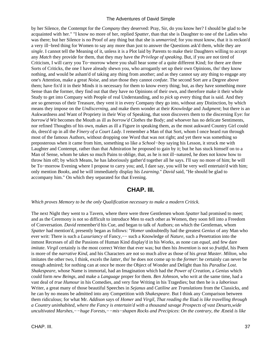by her Silence, the Contempt for the *Company* they deserved: Pray, Sir, do you know her? I should be glad to be acquainted with her." "I know no more of her, replied *Spatter,* than that she is Daughter to one of the Ladies who was there; but her Silence is no Proof of any thing but that she is *unmarried*; for you must know, that it is reckon'd a very ill−bred thing for Women to say any more than just to answer the Questions ask'd them, while they are *single*. I cannot tell the Meaning of it, unless it is a Plot laid by Parents to make their Daughters willing to accept any *Match* they provide for them, that they may have the *Privilege of speaking*. But, if you are not tired of Criticism, I will carry you To−morrow where you shall hear some of a quite different Kind; for there are three Sorts of Criticks, the one I have already shewn you, who arrogantly set up their own Opinions, tho' they know nothing, and would be asham'd of taking any thing from another; and as they cannot say any thing to engage any one's Attention, make a great *Noise,* and *stun* those they cannot *confute*. The second Sort are a Degree above them; have fix'd it in their Minds it is necessary for them to know every thing; but, as they have something more Sense than the former, they find out that they have no Opinions of their own, and therefore make it their whole Study to get into Company with People of real Understanding, and to *pick* up every thing that is said. And they are so generous of their Treasure, they vent it in every Company they go into, without any Distinction, by which means they impose on the *Undiscerning,* and make them wonder at their *Knowledge* and *Judgment*; but there is an Aukwardness and Want of Propriety in their Way of Speaking, that soon discovers them to the discerning Eye: for *borrow'd Wit* becomes the Mouth as ill as *borrow'd Clothes* the Body; and whoever has no delicate Sentiments, nor refined Thoughts of his own, makes as ill a Figure in speaking them, as the most aukward Country Girl could do, dress'd up in all the *Finery of a Court Lady*. I remember a Man of that Sort, whom I once heard run through most of the famous Authors, without dropping one Word that was not right; and yet there was something so preposterous when it came from him, something so like a *School−boy* saying his Lesson, it struck me with Laughter and Contempt, rather than that Admiration he proposed to gain by it; but he has stuck himself on to a Man of Sense, whom he takes so much Pains to oblige, that, as he is not ill−natured, he does not know how to throw him off; by which Means, he has laboriously gather'd together all he says. I'll say no more of him; he will be To−morrow Evening where I propose to carry you; and, I dare say, you will be very well entertain'd with him; only mention *Books,* and he will immediately display his *Learning*." *David* said, "He should be glad to accompany him." On which they separated for that Evening.

# **CHAP. III.**

#### *Which proves Memory to be the only Qualification necessary to make a modern Critick.*

The next Night they went to a Tavern, where there were three Gentlemen whom *Spatter* had promised to meet; and as the Ceremony is not so difficult to introduce Men to each other as Women, they soon fell into a Freedom of Conversation. *David* remember'd his Cue, and began to talk of Authors; on which the Gentleman, whom *Spatter* had mention'd, presently began as follows: "*Homer* undoubtedly had the greatest *Genius* of any Man who ever writ: There is such a *Luxuriancy* of Fancy, –− such a Knowledge of *Nature*, such a Penetration into the inmost Recesses of all the Passions of Human Kind display'd in his Works, as none can *equal,* and few dare *imitate*. *Virgil* certainly is the most correct Writer that ever was; but then his *Invention* is not so *fruitful,* his Poem is more of the *narrative Kind,* and his Characters are not so much alive as those of his *great Master*. *Milton,* who imitates the other two, I think, excels the *latter,* tho' he does not come up to the *former*: he certainly can never be enough admired; for nothing can at once be more the Object of Wonder and Delight than his *Paradise Lost*. *Shakespeare,* whose Name is immortal, had an Imagination which had the *Power of Creation,* a *Genius* which could form *new Beings,* and make a *Language* proper for them. *Ben Johnson,* who writ at the same time, had a vast deal of *true Humour* in his Comedies, and very fine Writing in his Tragedies; but then he is a *laborious* Writer, a great many of those beautiful Speeches in *Sejanus* and *Catiline* are *Translations* from the Classicks, and he can by no means be admitted into any Competition with *Shakespeare*. But I think any Comparison between them ridiculous; for what Mr. *Addison* says of *Homer* and *Virgil, That reading the* Iliad *is like travelling through a Country uninhabited, where the Fancy is entertain'd with a thousand savage Prospects of vast Desarts,wide uncultivated Marshes,−−huge Forests,−−mis−shapen Rocks and Precipices*: *On the contrary, the* Æneid *is like*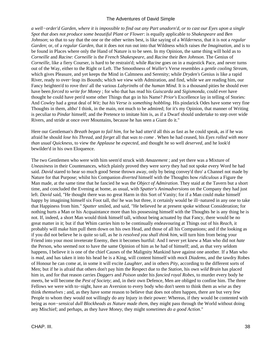*a well−order'd Garden, where it is impossible to find out any Part unadorn'd, or to cast our Eyes upon a single Spot that does not produce some beautiful Plant or Flower*: is equally applicable to *Shakespeare* and *Ben Johnson*; so that to say that the one or the other writes best, is like saying of a *Wilderness,* that it is not a *regular Garden*; or, of a *regular Garden,* that it does not run out into that Wildness which raises *the Imagination,* and is to be found in Places where only the Hand of Nature is to be seen. In my Opinion, the same thing will hold as to *Corneille* and *Racine*: *Corneille* is the *French Shakespeare,* and *Racine* their *Ben Johnson*. The Genius of *Corneille,* like a fiery Courser, is hard to be restrain'd; while *Racine* goes on in a majestick Pace, and never turns out of the Way, either to the Right or Left. The Smoothness of *Waller's* Verse resembles a *gentle cooling Stream,* which gives Pleasure, and yet keeps the Mind in Calmness and Serenity; while *Dryden's* Genius is like a rapid River, ready to over−leap its Bounds; which we view with Admiration, and find, while we are reading him, our Fancy heighten'd to rove thro' all the various *Labyrinths* of the *human Mind*. It is a thousand pities he should ever have been *forced to write for Money* ; for who that has read his *Guiscarda* and *Sigismonda,* could ever have thought he could have pen'd some other Things that go in his Name? *Prior's* Excellence lay in telling of Stories: And *Cowley* had a great deal of *Wit; but his Verse is something hobbling*. His pindarick Odes have some very fine Thoughts in them, altho' I think, in the main, not much to be admired; for it's my Opinion, that manner of Writing is peculiar to *Pindar* himself; and the Pretence to imitate him is, as if a Dwarf should undertake to step over wide Rivers, and stride at once over Mountains, because he has seen a Giant do it."

Here our Gentleman's *Breath began to fail him,* for he had utter'd all this as fast as he could speak, as if he was afraid he should *lose his Thread,* and *forget* all that *was to come* . When he had ceased, his *Eyes rolled with more than usual Quickness,* to view the *Applause* he *expected,* and thought he so well *deserved,* and he look'd bewilder'd in his own Eloquence.

The two Gentlemen who were with him seem'd struck with *Amazement* ; and yet there was a Mixture of *Uneasiness* in their Countenances, which plainly proved they were *sorry* they had not spoke every Word he had said. *David* stared to hear so much good Sense thrown away, only by being convey'd thro' a Channel not made by Nature for that Purpose; whilst his Companion *diverted* himself with the Thoughts how *ridiculous* a Figure the Man made, at the same time that he fancied he was the *Object of Admiration*. They staid at the Tavern but a short time, and concluded the Evening at home, as usual, with *Spatter's Animadversions* on the Company they had just left. *David* said, "He thought there was no great Harm in this Sort of Vanity; for if a Man could make himself happy by imagining himself six Foot tall, tho' he was but three, it certainly would be ill−natured in any one to take that Happiness from him." *Spatter* smiled, and said, "He believed he at present spoke without Consideration; for nothing hurts a Man or his Acquaintance more than his possessing himself with the Thoughts he is any thing he is not. If, indeed, a short Man would think himself tall, without being actuated by that Fancy, there would be no great matter in it; but if that Whim carries him to be continually endeavouring at Things out of his *Reach,* it probably will make him pull them down on his own Head, and those of all his Companions; and if the looking as if you did not believe he is quite so tall, as he *is resolved you shall think him,* will turn him from being your Friend into your most inveterate Enemy, then it becomes hurtful: And I never yet knew a Man who did not *hate* the Person, who seemed not to have the same Opinion of him as he had of himself; and, as that very seldom happens, I believe it is one of the chief Causes of the Malignity Mankind have against one another. If a Man who is *mad,* and has taken it into his head he is a King, will content himself with *mock Diadems,* and the tawdry Robes of Honour he can come at, in some it will excite *Laughter,* and in others *Pity,* according to the different sorts of Men; but if he is afraid that others don't pay him the Respect due to the *Station,* his own *wild Brain* has placed him in, and for that reason carries *Daggers* and *Poison* under his *fancied royal Robes,* to murder every body he meets, he will become the *Pest of Society*; and, in their own Defence, Men are obliged to confine him. The three Fellows we were with to−night, have an Aversion to every body who don't seem to think them as *wise* as they think *themselves* ; and, as they have some reason to believe that does not often happen, there are but very few People to whom they would not willingly do any Injury in their power: Whereas, if they would be contented with being as *non−sensical dull Blockheads as Nature made them,* they might pass through the World without doing any Mischief; and perhaps, as they have *Money,* they might *sometimes do a good Action*."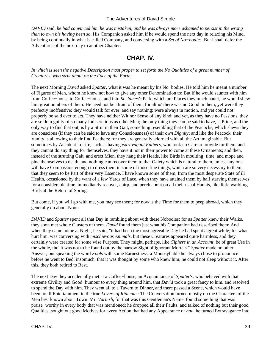*DAVID* said, *he had convinced him he was mistaken, and he was always more ashamed to persist in the wrong than to own his having been so*. His Companion asked him if he would spend the next day in relaxing his Mind, by being continually in what is called Company, and conversing with a *Set of No−bodies*. But I shall defer the Adventures of the next day to another Chapter.

# **CHAP. IV.**

#### *In which is seen the negative Description most proper to set forth the No Qualities of a great number of Creatures, who strut about on the Face of the Earth.*

The next Morning *David* asked *Spatter,* what it was he meant by his No−bodies. He told him he meant a number of Figures of Men, whom he knew not how to give any other Denomination to: But if he would saunter with him from Coffee−house to Coffee−house, and into *St. James's* Park, which are Places they much haunt, he would shew him great numbers of them: He need not be afraid of them, for altho' there was no Good in them, yet were they perfectly inoffensive; they would talk for ever, and say nothing; were always in motion, and yet could not properly be said ever to act. They have neither Wit nor Sense of any kind; and yet, as they have no Passions, they are seldom guilty of so many Indiscretions as other Men; the only thing they can be said to have, is Pride, and the only way to find that out, is by a Strut in their Gait, something resembling that of the Peacocks, which shews they are conscious (if they can be said to have any Consciousness) of their *own Dignity*; and like the Peacock, their Vanity is all owing to their find Feathers: for they are generally adorned with all the Art imaginable. But sometimes by Accident in Life, such as having *extravagant Fathers,* who took no Care to provide for them, and they cannot do any thing for themselves, they have it not in their power to come at these Ornaments; and then, instead of the strutting Gait, and erect Mien, they hang their Heads, like Birds in moulting−time, and mope and pine themselves to death, and nothing can recover them to that Gaiety which is natural to them, unless any one will have Compassion enough to dress them in some of those fine things, which are so very necessary to them, that they seem to be Part of their very Essence. I have known some of them, from the most desperate State of ill Health, occasioned by the want of a few Yards of Lace, when they have attained them by half starving themselves for a considerable time, immediately recover, chirp, and perch about on all their usual Haunts, like little warbling Birds at the Return of Spring.

But come, if you will go with me, you may see them; for now is the Time for them to peep abroad, which they generally do about Noon.

*DAVID* and *Spatter* spent all that Day in rambling about with these Nobodies; for as *Spatter* knew their Walks, they soon met whole Clusters of them. *David* found them just what his Companion had described them: And when they came home at Night, he said, "it had been the most agreeable Day he had spent a great while; for what hurt him, was conversing with *mischievous Animals,* but these Creatures appeared quite harmless, and they certainly were created for some wise Purpose. They might, perhaps, like *Ciphers in an Account,* be of great Use in the whole, tho' it was not to be found out by the narrow Sight of ignorant Mortals." *Spatter* made no other Answer, but speaking the word *Fools* with some Earnestness, a Monosyllable he always chose to pronounce before he went to Bed; insomuch, that it was thought by some who knew him, he could not sleep without it. After this, they both retired to Rest.

The next Day they accidentally met at a Coffee−house, an Acquaintance of *Spatter's,* who behaved with that extreme Civility and Good−humour to every thing around him, that *David* took a great fancy to him, and resolved to spend the Day with him. They went all to a Tavern to Dinner, and there passed a Scene, which would have been no ill Entertainment to the true *Lovers of Ridicule* : The Conversation turned mostly on the Characters of the Men best known about Town. Mr. *Varnish,* for that was this Gentleman's Name, found something that was praise−worthy in every body that was mentioned; he dropped all their Faults, and talked of nothing but their good Qualities, sought out good Motives for every Action that had any Appearance of *bad,* he turned Extravagance into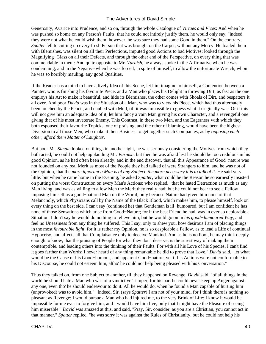Generosity, Avarice into Prudence, and so on, through the whole Catalogue of *Virtues and Vices*: And when he was pushed so home on any Person's Faults, that he could not intirely justify them, he would only say, "indeed, they were not what he could wish them; however, he was sure they had some Good in them." On the contrary, *Spatter* fell to cutting up every fresh Person that was brought on the Carpet, without any Mercy. He loaded them with Blemishes, was silent on all their Perfections, imputed good Actions to bad Motives; looked through the Magnifying−Glass on all their Defects, and through the other end of the Perspective, on every thing that was commendable in them: And quite opposite to Mr. *Varnish,* he always spoke in the Affirmative when he was condemning, and in the Negative when he was forced, in spite of himself, to allow the unfortunate Wretch, whom he was so horribly mauling, any good Qualities.

If the Reader has a mind to have a lively Idea of this Scene, let him imagine to himself, a Contention between a Painter, who is finishing his favourite Piece, and a Man who places his Delight in throwing Dirt; as fast as the one employs his Art to make it beautiful, and hide its Blemishes, the other comes with Shoals of Dirt, and bespatters it all over. And poor *David* was in the Situation of a Man, who was to view his Piece, which had thus alternately been touched by the Pencil, and daubed with Mud, till it was impossible to guess what it originally was. Or if this will not give him an adequate Idea of it, let him fancy a vain Man giving his own Character, and a revengeful one giving that of his most inveterate Enemy. This Contrast, in these two Men, and the Eagerness with which they both espoused their favourite Topicks, one of praising, and the other of blaming, would have been the highest Diversion to all those Men, who make it their Business to get together such Companies, as by *opposing each other, afford them Matter of Laughter*.

But poor Mr. *Simple* looked on things in another light, he was seriously considering the Motives from which they both acted; he could not help applauding Mr. *Varnish,* but then he was afraid lest he should be too credulous in his good Opinion, as he had often been already, and in the end discover, that all this Appearance of Good−nature was not founded on any real Merit as most of the People they had talked of were Strangers to him, and he was not of the Opinion, that the *more ignorant a Man is of any Subject, the more necessary it is to talk of it*. He said very little: but when he came home in the Evening, he asked *Spatter,* what could be the Reason he so earnestly insisted on putting the worst Construction on every Man's Actions; who replied, "that he hated Detraction as much as any Man living, and was as willing to allow Men the Merit they really had; but he could not bear to see a Fellow imposing himself as a good−natured Man on the World, only because Nature had given him none of that Melancholy, which Physicians call by the Name of the Black Blood, which makes him, to please himself, look on every thing on the best side. I can't say (continued he) that Gentleman is ill−humoured, but I am confident he has none of those Sensations which arise from Good−Nature; for if the best Friend he had, was in ever so deplorable a Situation, I don't say he would do nothing to relieve him, but he would go on in *his good−humoured Way,* and feel no Uneasiness from any thing he suffered. This I say, only to shew you, how desirous I am of placing things in the most *favourable light*: for it is rather my Opinion, he is so despicable a Fellow, as to lead a Life of continual Hypocrisy, and affects all that Complaisance only to deceive Mankind. And as he is no Fool, he may think deeply enough to know, that the praising of People for what they don't deserve, is the surest way of making them contemptible, and leading others into the thinking of their Faults. For with all his Love of his Species, I can't find it goes farther than Words: I never heard of any thing remarkable he did to prove that Love." *David* said, "let what would be the Cause of his Good−humour, and apparent Good−nature, yet if his Actions were not conformable to his Discourse, he could not esteem him, altho' he could not help being pleased with his Conversation."

Thus they talked on, from one Subject to another, till they happened on Revenge. *David* said, "of all things in the world he should hate a Man who was of a vindictive Temper; for his part he could never keep up Anger against any one, even tho' he should endeavour to do it. All he would do, when he found a Man capable of hurting him (unprovoked) was to avoid him." "Indeed, Sir, (says *Spatter*) I am not of your mind, for I think there is nothing so pleasant as Revenge; I would pursue a Man who had injured me, to the very Brink of Life: I know it would be impossible for me ever to forgive him, and I would have him live, only that I might have the Pleasure of seeing him miserable." *David* was amazed at this, and said, "Pray, Sir, consider, as you are a Christian, you cannot act in that manner." *Spatter* replied, "he was sorry it was against the Rules of Christianity, but he could not help his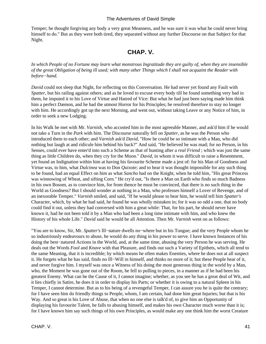Temper; he thought forgiving any body a very great Meanness, and he was sure it was what he could never bring himself to do." But as they were both tired, they separated without any further Discourse on that Subject for that Night.

# **CHAP. V.**

*In which People of no Fortune may learn what monstrous Ingratitude they are guilty of, when they are insensible of the great Obligation of being ill used; with many other Things which I shall not acquaint the Reader with before−hand.*

*David* could not sleep that Night, for reflecting on this Conversation. He had never yet found any Fault with *Spatter,* but his railing against others; and as he loved to excuse every body till he found something very bad in them, he imputed it to his Love of Virtue and Hatred of Vice: But what he had just been saying made him think him a perfect Dæmon, and he had the utmost Horror for his Principles; he resolved therefore to stay no longer with him. He accordingly got up the next Morning, and went out, without taking Leave or any Notice of him, in order to seek a new Lodging.

In his Walk he met with Mr. *Varnish,* who accosted him in the most agreeable Manner, and ask'd him if he would not take a Turn in the *Park* with him. The Discourse naturally fell on *Spatter,* as he was the Person who introduced them to each other; and *Varnish* ask'd *David,* "How he could be so intimate with a Man, who did nothing but laugh at and ridicule him behind his back?" And said, "He believed he was mad; for no Person, in his Senses, could ever have enter'd into such a Scheme as that of hunting after a *real Friend* ; which was just the same thing as little Children do, when they cry for the Moon." *David,* in whom it was difficult to raise a Resentment, yet found an Indignation within him at having his favourite Scheme made a jest of: for his Man of Goodness and Virtue was, to him, what *Dulcinea* was to Don *Quixote*; and to hear it was thought impossible for any such thing to be found, had an equal Effect on him as what *Sancho* had on the Knight, when he told him, "His great Princess was winnowing of Wheat, and sifting Corn." He cry'd out, "Is there a Man on Earth who finds so much Badness in his own Bosom, as to convince him, for from thence he must be convinced, that there is no such thing in the World as Goodness? But I should wonder at nothing in a Man, who professes himself a Lover of Revenge, and of an inexorable Temper." *Varnish* smiled, and said, "If he would please to hear him, he would tell him *Spatter's* Character, which, by what he had said, he found he was wholly mistaken in; for it was so odd a one, that no body could find it out, unless they had conversed with him a great while: That, for his part, he should never have known it, had he not been told it by a Man who had been a long time intimate with him, and who knew the History of his whole Life." *David* said he would be all Attention. Then Mr. *Varnish* went on as follows:

"You are to know, Sir, Mr. *Spatter's* Ill−nature dwells no−where but in his Tongue; and the very People whom he so industriously endeavours to abuse, he would do any thing in his power to serve. I have known Instances of his doing the best−natured Actions in the World, and, at the same time, abusing the very Person he was serving. He deals out the Words *Fool* and *Knave* with that Pleasure, and finds out such a Variety of Epithets, which all tend to the same Meaning, that it is incredible; by which means he often makes Enemies, where he does not at all suspect it. He forgets what he has said, finds no Ill−Will in himself, and thinks no more of it; but these People hear of it, and never forgive him. I myself was once a Witness of his doing the most generous thing in the world by a Man, who, the Moment he was gone out of the Room, he fell to pulling to pieces, in a manner as if he had been his greatest Enemy. What can be the Cause of it, I cannot imagine; whether, as you see he has a great deal of Wit, and it lies chiefly in Satire, he does it in order to display his Parts; or whether it is owing to a natural Spleen in his Temper, I cannot determine. But as to his being of a revengeful Temper, I can assure you he is quite the contrary; for I have seen him do friendly things to People, whom, I am certain, had done him great Injuries; but that is his Way. And so great is his Love of Abuse, that when no one else is talk'd of, to give him an Opportunity of displaying his favourite Talent, he falls to abusing himself, and makes his own Character much worse than it is; for I have known him say such things of his own Principles, as would make any one think him the worst Creature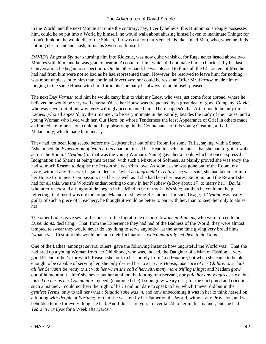in the World, and the next Minute act quite the contrary; nay, I verily believe, this Humour so strongly possesses him, could he be put into a World by himself, he would walk about abusing himself even to inanimate Things: for I don't think but he would die of the Spleen, if it was not for that Vent. He is like a mad Man, who, when he finds nothing else to cut and slash, turns his Sword on himself."

*DAVID's* Anger at *Spatter's* turning him into Ridicule, was now quite vanish'd, for Rage never lasted above two Minutes with him; and he was glad to hear an Account of him, which did not make him so black as, by his last Conversation, he began to suspect him. On the other hand, he was pleased to think all the Characters of Men he had had from him were not so bad as he had represented them. However, he resolved to leave him; for nothing was more unpleasant to him than continual Invectives; nor could he resist an Offer Mr. *Varnish* made him of lodging in the same House with him, for in his Company he always found himself pleased.

The next Day *Varnish* told him he would carry him to visit my Lady, who was just come from abroad, where he believed he would be very well entertain'd, as her House was frequented by a great deal of good Company. *David,* who was never out of his way, very willingly accompanied him. There happen'd that Afternoon to be only three Ladies, (who all appear'd, by their manner, to be very intimate in the Family) besides the Lady of the House, and a young Woman who lived with her. Our Hero, on whose Tenderness the least Appearance of Grief in others made an immediate Impression, could not help observing, in the Countenance of this young Creature, a fix'd Melancholy, which made him uneasy.

They had not been long seated before my Lady sent her out of the Room for some Trifle, saying, with a Sneer, "She hoped the *Expectation of being a Lady* had not turn'd her Head in such a manner, that she had forgot to walk across the Room." *Cynthia* (for that was the young Woman's Name) gave her a Look, which at once express'd Indignation and Shame at being thus treated; with such a Mixture of Softness, as plainly proved she was sorry she had so much Reason to despise the Person she wish'd to love. As soon as she was gone out of the Room, my Lady, without any Reserve, began to declare, "what an *ungrateful Creature* she was; said, she had taken her into her House from meer Compassion, used her as well as if she had been her nearest *Relation*; and the Reward she had for all this, was the Wretch's endeavouring to draw in her Nephew (a Boy about 17) to marry her." *David,* who utterly detested all Ingratitude, began in his Mind to be of my Lady's side; but then he could not help reflecting, that Insult was not the proper Manner of shewing Resentment for such Usage; if *Cynthia* was really guilty of such a piece of Treachery, he thought it would be better to part with her, than to keep her only to abuse her.

The other Ladies gave several Instances of the Ingratitude of those low *mean Animals,* who were forced to be *Dependants,* declaring, "That, from the Experience they had had of the Badness of the World, they were almost tempted to swear they would never do any thing to serve anybody;" at the same time giving very broad hints, "what a vast Restraint this would be upon their Inclinations, *which naturally led them to do Good*."

One of the Ladies, amongst several others, gave the following Instance how ungrateful the World was: "That she had bred up a young Woman from her Childhood, who was, indeed, the Daughter of a Man of Fashion, a very good Friend of her's, for which Reason she took to her, purely from Good−nature; but when she came to be old enough to be capable of serving her, she only desired her to keep her House, take care of her Children, overlook *all her Servants,*be *ready to sit with her when she call'd her,*with *many more trifling things*; and Madam grew out of humour at it, altho' she never put her at all on the footing of a Servant, *nor paid her any Wages as such,* but *look'd on her as her Companion*. Indeed, (continued she) I soon grew weary of it; for the Girl pined and cried in such a manner, I could not bear the Sight of her. I did not dare to speak to her, which I never did but in the *gentlest Terms,* only to tell her what a *Situation she was in,* and how unbecoming it was in her to think herself on a footing *with People of Fortune*; for that she was left by her Father on the World, without any Provision, and was beholden to me for every thing she had. And I do assure you, I never talk'd to her in this manner, but she had *Tears in her Eyes* for a Week afterwards."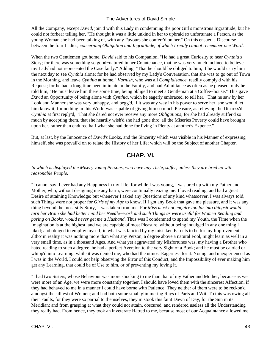All the Company, except *David,* join'd with this Lady in condemning the poor Girl's monstrous Ingratitude; but he could not forbear telling her, "He thought it was a little unkind in her to upbraid so unfortunate a Person, as the young Woman she had been talking of, with any Favours she conferr'd on her." On this ensued a Discourse between the four Ladies, *concerning Obligation and Ingratitude, of which I really cannot remember one Word*.

When the two Gentlemen got home, *David* said to his Companion, "He had a great Curiosity to hear *Cynthia's* Story; for there was something so good−natured in her Countenance, that he was very much inclined to believe my Ladyhad not represented the Case fairly." Adding, "That he should be obliged to him, if he would carry him the next day to see *Cynthia* alone; for he had observed by my Lady's Conversation, that she was to go out of Town in the Morning, and leave *Cynthia* at home." *Varnish,* who was all *Complaisance,* readily comply'd with his Request; for he had a long time been intimate in the Family, and had Admittance as often as he pleased; only he told him, "He must leave him there some time, being obliged to meet a Gentleman at a Coffee−house." This gave *David* an Opportunity of being alone with *Cynthia,* which he eagerly embraced, to tell her, "That he saw by her Look and Manner she was very unhappy, and begg'd, if it was any way in his power to serve her, she would let him know it; for nothing in this World was capable of giving him so much Pleasure, as relieving the Distress'd." *Cynthia* at first reply'd, "That she dared not ever receive any more *Obligations*; for she had already suffer'd so much by accepting them, that she heartily wish'd she had gone thro' all the Miseries Poverty could have brought upon her, rather than endured half what she had done for living in Plenty at another's Expence."

But, at last, by the Innocence of *David's* Looks, and the Sincerity which was visible in his Manner of expressing himself, she was prevail'd on to relate the History of her Life; which will be the Subject of another Chapter.

# **CHAP. VI.**

### *In which is displayed the Misery young Persons, who have any Taste, suffer, unless they are bred up with reasonable People.*

"I cannot say, I ever had any Happiness in my Life; for while I was young, I was bred up with my Father and Mother, who, without designing me any harm, were continually teazing me. I loved reading, and had a great Desire of attaining Knowledge; but whenever I asked any Questions of any kind whatsoever, I was always told, such Things were not proper for *Girls of my Age* to know. If I got any Book that gave me pleasure, and it was any thing beyond the most silly Story, it was taken from me. For *Miss must not enquire too far into things it would turn her Brain she had better mind her Needle−work and such Things as were useful for Women Reading and poring on Books, would never get me a Husband*. Thus was I condemned to spend my Youth, the Time when the Imagination is at the highest, and we are capable of most Pleasure, without being indulged in any one thing I liked; and obliged to employ myself, in what was fancied by my mistaken Parents to be for my Improvement, altho' in reality it was nothing more than what any Person, a degree above a natural Fool, might learn as well in a very small time, as in a thousand Ages. And what yet aggravated my Misfortunes was, my having a Brother who hated reading to such a degree, he had a perfect Aversion to the very Sight of a Book; and he must be cajoled or whipp'd into Learning, while it was denied me, who had the utmost Eagerness for it. Young, and unexperienced as I was in the World, I could not help observing the Error of this Conduct, and the Impossibility of ever making him get any Learning, that could be of Use to him, or of preventing my loving it.

"I had two Sisters, whose Behaviour was more shocking to me than that of my Father and Mother; because as we were more of an Age, we were more constantly together. I should have loved them with the sincerest Affection, if they had behaved to me in a manner I could have borne with Patience: They neither of them were to be reckon'd amongst the silliest of Women; and had both some small glimmering Rays of Parts and Wit. To this was owing all their Faults, for they were so partial to themselves, they mistook this faint Dawn of Day, for the Sun in its Meridian; and from grasping at what they could not attain, obscured, and rendered useless all the Understanding they really had. From hence, they took an inveterate Hatred to me, because most of our Acquaintance allowed me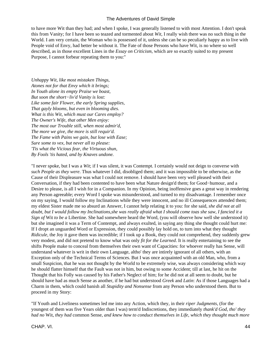to have more Wit than they had; and when I spoke, I was generally listened to with most Attention. I don't speak this from Vanity; for I have been so teazed and tormented about *Wit,* I really wish there was no such thing in the World. I am very certain, the Woman who is possessed of it, unless she can be so peculiarly happy as to live with People void of Envy, had better be without it. The Fate of those Persons who have Wit, is no where so well described, as in those excellent Lines in the *Essay on Criticism,* which are so exactly suited to my present Purpose, I cannot forbear repeating them to you:"

*Unhappy Wit, like most mistaken Things, Atones not for that Envy which it brings; In Youth alone its empty Praise we boast, But soon the short−liv'd Vanity is lost: Like some fair Flower, the early Spring supplies, That gayly blooms, but even in blooming dies. What is this Wit, which must our Cares employ? The Owner's Wife, that other Men enjoy: The most our Trouble still, when most admir'd, The more we give, the more is still requir'd. The Fame with Pains we gain, but lose with Ease; Sure some to vex, but never all to please: 'Tis what the Vicious fear, the Virtuous shun, By Fools 'tis hated, and by Knaves undone.*

"I never spoke, but I was a *Wit*; if I was silent, it was Contempt. I certainly would not deign to converse with *such People as they were*. Thus whatever I did, disobliged them; and it was impossible to be otherwise, as the Cause of their Displeasure was what I could not remove. I should have been very well pleased with their Conversation, if they had been contented to have been what Nature design'd them; for Good−humour, and a Desire to please, is all I wish for in a Companion. In my Opinion, being inoffensive goes a great way in rendering any Person agreeable; every Word I spoke was misunderstood, and turned to my disadvantage. I remember once on my saying, I would follow my Inclinations while they were innocent, and no ill Consequences attended them; my eldest Sister made me so absurd an Answer, I cannot help relating it to you: for she said, *she did not at all doubt, but I would follow my Inclinations, she was really afraid what I should come to as she saw, I fancied it a Sign of* Wit *to be a* Libertine. She had somewhere heard the Word, (you will observe how well she understood it) but she imagined it was a Term of Contempt, and always exulted, in saying any thing she thought could hurt me: If I dropt an unguarded Word or Expression, they could possibly lay hold on, to turn into what they thought *Ridicule,* the Joy it gave them was incredible; if I took up a Book, they could not comprehend, they suddenly grew very modest, and did not pretend to know what was only *fit for the Learned*. It is really entertaining to see the shifts People make to conceal from themselves their own want of Capacities: for whoever really has Sense, will understand whatever is writ in their own Language, altho' they are intirely ignorant of all others, with an Exception only of the Technical Terms of Sciences. But I was once acquainted with an old Man, who, from a small Suspicion, that he was not thought by the World to be extremely wise, was always considering which way he should flatter himself that the Fault was not in him, but owing to some Accident; till at last, he hit on the Thought that his Folly was caused by his Father's Neglect of him; for he did not at all seem to doubt, but he should have had as much Sense as another, if he had but understood *Greek* and *Latin*: As if those Languages had a Charm in them, which could banish all *Stupidity and Nonsense* from any Person who understood them. But to proceed in my Story:

"If Youth and Liveliness sometimes led me into any Action, which they, in their *riper Judgments,* (for the youngest of them was five Years older than I was) term'd Indiscretions, they immediately *thank'd God, tho' they had no* Wit, *they had* common Sense, *and knew how to conduct themselves in Life, which they thought much more*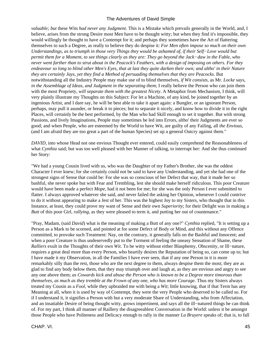*valuable; but* these Wits *had never any Judgment*. This is a Mistake which prevails generally in the World, and, I believe, arises from the strong Desire most Men have to be thought witty; but when they find it's impossible, they would willingly be thought to have a Contempt for it; and perhaps they sometimes have the Art of flattering themselves to such a Degree, as really to believe they do despise it: *For Men often impose so much on their own Understandings, as to triumph in those very Things they would be ashamed of, if their Self−Love would but permit them for a Moment, to see things clearly as they are: They go beyond the Jack−daw in the Fable, who never went farther than to strut about in the Peacock's Feathers, with a design of imposing on others. For they endeavour so long to blind other Men's Eyes, that at last they quite darken their own; and altho' in their Nature they are certainly Jays, yet they find a Method of persuading themselves that they are Peacocks.* But notwithstanding all the Industry People may make use of to blind themselves, *if Wit consists,* as Mr. *Locke* says, *in the Assemblage of Ideas, and Judgment in the separating them*; I really believe the Person who can join them with the most Propriety, *will separate them with the greatest Nicety*. A Metaphor from Mechanism, I think, will very plainly illustrate my Thoughts on this Subject: For let a Machine, of any kind, be joined together by an ingenious Artist, and I dare say, he will be best able to take it apart again: a Bungler, or an ignorant Person, perhaps, may pull it asunder, or break it to pieces; but to separate it nicely, and know how to divide it in the right Places, will certainly be the best performed, by the Man who had Skill enough to set it together. But with strong Passions, and lively Imaginations, People may sometimes be led into Errors, altho' their Judgments are ever so good; and when People, who are esteemed by the World to have Wit, are guilty of any Failing, all *the Envious,* (and I am afraid they are too great a part of the human Species) set up a general Outcry against them."

*DAVID,* into whose Head not one envious Thought ever entered, could easily comprehend the Reasonableness of what *Cynthia* said; but was too well pleased with her Manner of talking, to interrupt her: And she thus continued her Story:

"We had a young Cousin lived with us, who was the Daughter of my Father's Brother, she was the oddest Character I ever knew; for she certainly could not be said to have any Understanding, and yet she had one of the strongest signs of Sense that could be: For she was so conscious of her Defect that way, that it made her so bashful, she never spoke but with Fear and Trembling, lest she should make herself ridiculous. This poor Creature would have been made a perfect *Mope,* had it not been for me; for she was the only Person I ever submitted to flatter. I always approved whatever she said, and never failed the asking her Opinion, whenever I could contrive to do it without appearing to make a Jest of her. This was the highest Joy to my Sisters, who thought that in this Instance, at least, they could prove my want of Sense and their own *Superiority*; for their Delight was in making a *Butt* of this poor Girl, *rallying,* as they were pleased to term it, and putting her out of countenance."

"Pray, Madam, (said *David*) what is the meaning of making a Butt of any one?" *Cynthia* replied, "It is setting up a Person as a Mark to be scorned, and pointed at for some Defect of Body or Mind, and this without any Offence committed, to provoke such Treatment: Nay, on the contrary, it generally falls on the Bashful and Innocent; and when a poor Creature is thus undeservedly put to the Torment of feeling the uneasy Sensation of Shame, these *Ralliers* exult in the Thoughts of their own *Wit*. To be witty without either Blasphemy, Obscenity, or Ill−nature, requires a great deal more than every Person, who heartily desires the Reputation of being so, can come up to; but I have made it my Observation, in all the Families I have ever seen, that if any one Person in it is more remarkably silly than the rest, those who are the next degree to them, always despise them the most; they are as glad to find any body below them, that they may triumph over and laugh at, as they are envious and angry to see any one above them; *as Cowards kick and abuse the Person who is known to be a Degree more timorous than themselves, as much as they tremble at the Frown of any one, who has more Courage*. Thus my Sisters always treated my Cousin as a *Fool,* while they upbraided me with being a *Wit*; little knowing, that if that Term has any Meaning at all, when it is used by way of Contempt, they were the very People who deserved to be called so. For if I understand it, it signifies a Person with but a very moderate Share of Understanding, who from Affectation, and an insatiable Desire of being thought witty, grows impertinent, and says all the ill−natured things he can think of. For my part, I think all manner of Raillery the disagreeablest Conversation in the World: unless it be amongst those People who have Politeness and Delicacy enough to rally in the manner *La Bruyere* speaks of; that is, to fall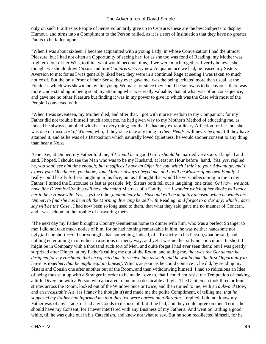only on such Frailties as People of Sense voluntarily give up to Censure: these are the best Subjects to display Humour, and turns into a Compliment to the Person rallied, as it is a sort of Insinuation that they have no greater Faults to be fallen upon.

"When I was about sixteen, I became acquainted with a young Lady, in whose Conversation I had the utmost Pleasure, but I had not often an Opportunity of seeing her; for as she too was fond of Reading, my Mother was frighten'd out of her Wits, to think what would become of us, if we were much together. I verily believe, she thought we should draw *Circles* and turn *Conjurers*. Every new Acquaintance we had, increased my Sisters Aversion to me; for as I was generally liked best, they were in a continual Rage at seeing I was taken so much notice of. But the only Proof of their Sense they ever gave me, was the being irritated more than usual, at the Fondness which was shewn me by this young Woman: for since they could be so low as to be envious, there was more Understanding in being so at my attaining what was really valuable, than at what was of no consequence, and gave me no other Pleasure but finding it was in my power to give it; which was the Case with most of the People I conversed with.

"When I was seventeen, my Mother died, and after that, I got with more Freedom to my Companion; for my Father did not trouble himself much about me, he had given way to my Mother's Method of educating me, as indeed he always complied with her in every thing; not that he had any extraordinary Affection for her, but she was one of those *sort of Women,* who, if they once take any thing in *their Heads,* will never *be quiet* till they have attained it, and as he was of a Disposition which naturally loved Quietness, he would sooner consent to any thing, than hear a Noise.

"One Day, at Dinner, my Father told me, *if I would be a* good Girl *I should be* married *very soon*. I laugh'd and said, I hoped, I should see the Man who was to be my Husband, at least an Hour before−hand.  *Yes, yes,* replied he, *you shall see him time enough; but it suffices I have an Offer for you, which I think to your Advantage, and I expect your Obedience; you know, your Mother always obeyed me, and I will be Master of my own Family*. I really could hardly forbear laughing in his face; but as I thought that would be very unbecoming in me to my Father, I turned the Discourse as fast as possible. My Sisters both fell out a laughing; one cried, *Oh! now, we shall have fine Diversion*Cynthia *will be a charming* Mistress of a Family. *−− I wonder which of her Books will teach her to be a Housewife. Yes,* says the other,*undoubtedly her Husband will be mightily pleased, when he wants his Dinner, to find she has been all the Morning diverting herself with* Reading, *and forgot to order any; which I dare say will be the Case* . I had now been so long used to them, that what they said gave me no manner of Concern, and I was seldom at the trouble of answering them.

"The next day my Father brought a Country Gentleman home to dinner with him, who was a perfect Stranger to me; I did not take much notice of him, for he had nothing remarkable in him, he was neither handsome nor ugly, tall nor short,−−old nor young; he had something, indeed, of a Rusticity in his Person, what he said, had nothing entertaining in it, either in a serious or merry way, and yet it was neither silly nor ridiculous. In short, I might be in Company with a thousand such sort of Men, and quite forget I had ever seen them: but I was greatly surprized after Dinner, at my Father's calling me out of the Room, and telling me, *that was the Gentleman he designed for my Husband, that he expected me to receive him as such, and he would take the first Opportunity to leave us together, that he might explain himself*. Which, as soon as he could contrive it, he did, by sending my Sisters and Cousin one after another out of the Room, and then withdrawing himself. I had so ridiculous an Idea of being thus shut up with a Stranger in order to be made Love to, that I could not resist the Temptation of making a little Diversion with a Person who appeared to me in so despicable a Light. The Gentleman took three or four strides across the Room, looked out of the Window once or twice, and then turned to me, with an *aukward* Bow, and an *irresistable* Air, (as I fancy he thought it) and made me the polite Compliment, of telling me, *that he supposed my Father had informed me that they two were agreed on a Bargain*. I replied, I did not know my Father was of any Trade, or had any Goods to dispose of; but if he had, and they could agree on their Terms, he should have my Consent, for I never interfered with any Business of my Father's: And went on rattling a good while, till he was quite out in his Catechism, and knew not what to say. But he soon recollected himself, for he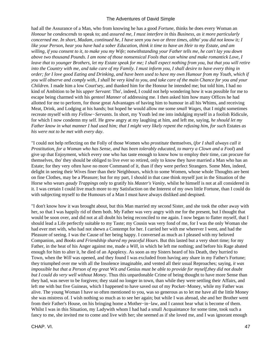had all the Assurance of a Man, who from knowing he has a good *Fortune,* thinks he does every Woman an *Honour* he *condescends* to speak to; and *assured me, I must interfere in* this *Business, as it more particularly concerned me*. *In short, Madam, continued he, I have seen you two or three times, altho' you did not know it; I like your Person, hear you have had a sober Education, think it time to have an Heir to my Estate, and am willing, if you consent to it, to make you my Wife; notwithstanding your Father tells me, he can't lay you down above two thousand Pounds. I am none of those nonsensical Fools that can whine and make romantick Love, I leave that to younger Brothers, let my Estate speak for me; I shall expect nothing from you, but that you will retire into the Country with me, and take care of my Family. I must inform you, I shall desire to have every thing in order; for I love good Eating and Drinking, and have been used to have my own Humour from my Youth, which if you will observe and comply with, I shall be very kind to you, and take care of the main Chance for you and your Children.* I made him a low Court'sey, and thanked him for the Honour he intended me; but told him, I had no kind of Ambition to be his *upper Servant*: Tho', indeed, I could not help wondering how it was possible for me to escape being charmed with his *genteel Manner* of addressing me. I then asked him how many Offices he had allotted for me to perform, for those great Advantages of having him to humour in all his Whims, and receiving Meat, Drink, and Lodging at his hands; but hoped he would allow me some *small Wages,* that I might sometimes recreate myself with my *Fellow−Servants*. In short, my Youth led me into indulging myself in a foolish Ridicule, for which I now condemn my self. He grew angry at my laughing at him, and left me, saying, *he should let my Father know in what manner I had used him; that I might very likely repent the refusing him, for such* Estates *as his were not to be met with every day*.

"I could not help reflecting on the Folly of those Women who *prostitute* themselves, (*for I shall always call it Prostitution, for a Woman who has Sense, and has been tolerably educated, to marry a Clown and a Fool*) and give up that Enjoyment, which every one who has taste enough to know how to employ their time, can procure for themselves, tho' they should be obliged to live ever so retired, only to know they have married a Man who has an Estate; for they very often have no more Command of it, than if they were perfect Strangers. Some Men, indeed, delight in seeing their Wives finer than their Neighbours, which to some Women, whose whole Thoughts are bent on fine Clothes, may be a Pleasure; but for my part, I should in that case think myself just in the Situation of the Horse who wears *gaudy Trappings* only to gratify his *Master's Vanity,* whilst he himself is not at all considered in it. I was certain I could live much more to my Satisfaction on the Interest of my own little Fortune, than I could do with subjecting myself to the Humours of a Man I must have always disliked and despised.

"I don't know how it was brought about, but this Man married my second Sister, and she took the other away with her, so that I was happily rid of them both. My Father was very angry with me for the present, but I thought that would be soon over, and did not at all doubt his being reconciled to me again. I now began to flatter myself, that I should lead a Life perfectly suitable to my Taste; my Cousin was very fond of me, for I was the only Woman she had ever met with, who had not shewn a Contempt for her. I carried her with me wherever I went, and had the Pleasure of seeing. I was the Cause of her being happy. I conversed as much as I pleased with my beloved Companion, and *Books and Friendship shared my peaceful Hours*. But this lasted but a very short time; for my Father, in the heat of his Anger against me, made a *Will,* in which he left me nothing; and before his Rage abated enough for him to alter it, he died of an Apoplexy. As soon as my Sisters heard of his Death, they hurried to Town, when the *Will* was opened, and they found I was excluded from having any share in my Father's Fortune; they triumphed over me with all the Insolence imaginable, and vented all their usual Reproaches; saying, *it was impossible but that a Person of my great* Wit and Genius must be able to provide for myself, they did not doubt *but I could do very well without Money*. Thus this unpardonable Crime of being thought to have more Sense than they had, was never to be forgiven; they staid no longer in town, than while they were settling their Affairs, and left me with but five Guineas, which I happened to have saved out of my Pocket−Money, while my Father was alive. The young Woman I have so often mentioned to you, was so generous as to let me have all the little Money she was mistress of. I wish nothing so much as to see her again; but while I was abroad, she and her Brother went from their Father's House, on his bringing home a Mother−in−law, and I cannot hear what is become of them. Whilst I was in this Situation, my Lady with whom I had had a small Acquaintance for some time, took such a fancy to me, she invited me to come and live with her; she seemed as if she loved me, and I was ignorant enough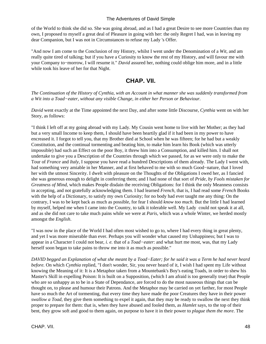of the World to think she did so. She was going abroad, and as I had a great Desire to see more Countries than my own, I proposed to myself a great deal of Pleasure in going with her: the only Regret I had, was in leaving my dear Companion, but I was not in Circumstances to refuse my Lady 's Offer.

"And now I am come to the Conclusion of my History, whilst I went under the Denomination of a *Wit,* and am really quite tired of talking; but if you have a Curiosity to know the rest of my History, and will favour me with your Company to−morrow, I will resume it." *David* assured her, nothing could oblige him more, and in a little while took his leave of her for that Night.

# **CHAP. VII.**

*The Continuation of the History of Cynthia, with an Account in what manner she was suddenly transformed from a Wit into a Toad−eater, without any visible Change, in either her Person or Behaviour.*

*David* went exactly at the Time appointed the next Day, and after some little Discourse, *Cynthia* went on with her Story, as follows:

"I think I left off at my going abroad with my Lady. My Cousin went home to live with her Mother; as they had but a very small Income to keep them, I should have been heartily glad if it had been in my power to have encreased it. I forgot to tell you, that my Brother died at School when he was fifteen; for he had but a weakly Constitution, and the continual tormenting and beating him, to make him learn his Book (which was utterly impossible) had such an Effect on the poor Boy, it threw him into a Consumption, and killed him. I shall not undertake to give you a Description of the Countries through which we passed, for as we were only to make the Tour of *France* and *Italy,* I suppose you have read a hundred Descriptions of them already. The Lady I went with, had something very amiable in her Manner, and at first behaved to me with so much Good−nature, that I loved her with the utmost Sincerity. I dwelt with pleasure on the Thoughts of the Obligations I owed her, as I fancied she was generous enough to delight in conferring them; and I had none of that sort of *Pride, by Fools mistaken for Greatness of Mind,* which makes People disdain the receiving Obligations: for I think the only Meanness consists in accepting, and not gratefully acknowledging them. I had learned *French,* that is, I had read some *French* Books with the help of a Dictionary, to satisfy my own Curiosity; for no body had ever taught me any thing: On the contrary, I was to be kept back as much as possible, for fear I should *know too much*. But the little I had learned by myself, helped me when I came into the Country, to talk it tolerable well. My Lady could not speak it at all, and as she did not care to take much pains while we were at *Paris,* which was a whole Winter, we herded mostly amongst the *English*.

"I was now in the place of the World I had often most wished to go to, where I had every thing in great plenty, and yet I was more miserable than ever. Perhaps you will wonder what caused my Unhappiness; but I was to appear in a Character I could not bear, *i. e.* that of a *Toad−eater*: and what hurt me most, was, that my Lady herself soon began to take pains to throw me into it as much as possible."

*DAVID begged an Explanation of what she meant by a Toad−Eater; for he said it was a Term he had never heard before.* On which *Cynthia* replied, "I don't wonder, Sir, you never heard of it, I wish I had spent my Life without knowing the Meaning of it: It is a Metaphor taken from a Mountebank's Boy's eating Toads, in order to shew his Master's Skill in expelling Poison: It is built on a Supposition, (which I am afraid is too generally true) that People who are so unhappy as to be in a State of Dependance, are forced to do the most nauseous things that can be thought on, to please and humour their Patrons. And the Metaphor may be carried on yet farther, for most People have so much the Art of tormenting, that every time they have made the poor Creatures they have in their power *swallow a Toad,* they give them something to expel it again, that they may be ready to swallow the next they think proper to prepare for them: that is, when they have abused and fooled them, as *Hamlet* says, to the top of their bent, they grow soft and good to them again, on purpose to have it in their power to *plague them the more*. The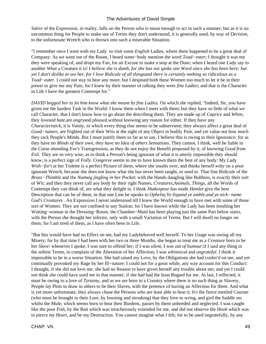*Satire* of the Expression, in reality, falls on the Person who is mean enough to act in such a manner; but as it is no uncommon thing for People to make use of Terms they don't understand, it is generally used, by way of *Derision,* to the unfortunate Wretch who is thrown into such a miserable Situation.

"I remember once I went with my Lady to visit some *English* Ladies, where there happened to be a great deal of Company: As we went out of the Room, I heard some−body mention the word *Toad−eater*; I thought it was me they were speaking of, and dropt my Fan, for an Excuse to make a stop at the Door; when I heard one Lady say to another *What* a Creature it is! *I believe she is dumb, for she has not spoke one Word since she has been here; but yet I don't dislike to see her, for I love Ridicule of all things and there is certainly nothing so ridiculous as a Toad−eater.* I could not stay to hear any more, but I despised both these Women too much to let it be in their power to give me any Pain, for I knew by their manner of talking they were *fine Ladies*; and that is the Character in Life I have the greatest Contempt for."

*DAVID begged her to let him know what she meant by fine Ladies.* On which she replied, "Indeed, Sir, you have given me the hardest Task in the World: I know them when I meet with them; but they have so little of what we call Character, that I don't know how to go about the describing them. They are made up of *Caprice* and *Whim,* they *love*and *hate,*are *angry*and *pleased,*without knowing any reason for either. If they have any *Characteristick,* it is *Vanity,* to which every thing else seems to be subservient; they always affect a great deal of *Good−nature,* are frighted out of their Wits at the sight of any Object in bodily Pain, and yet value not how much they rack People's Minds. But I must justify them so far as to say, I believe this is owing to their Ignorance; for as they have no *Minds of their own, they have no Idea of others Sensations*. They cannot, I think, well be liable to the Curse attending *Eve's* Transgression, as they do not enjoy the Benefit proposed by it, of knowing *Good from Evil*. They are so very *wise,* as to think a Person's being ignorant of what it is utterly impossible they should know, is a perfect sign of *Folly*. *Congreve* seems to me to have known them the best of any body: My Lady *Wish−for't* at her Toilette is a perfect Picture of them, where she insults over, and thinks herself *witty* on a poor ignorant Wench, because she does not know what she has never been taught, or used to. That fine Ridicule of the *Brass−Thimble* and the *Nutmeg jingling in her Pocket*; with the Hands dangling like Bobbins, is exactly their sort of Wit; and then they never call any body by their right Names, *Creatures,Animals, Things,* all the Words of Contempt they can think of, are what they delight in. I think *Shakespear* has made *Hamlet* give the best Description that can be of them, in that one Line he speaks to *Ophelia; Ye lisp and ye amble, and ye nick–name God's Creatures* . An Expression I never understood till I knew the World enough to have met with some of those sort of Women. They are not confined to any Station; for I have known while the Lady has been insulting her Waiting−woman in the Dressing−Room, the Chamber−Maid has been playing just the same Part below stairs, with the Person she thought her inferior, only with a small Variation of Terms. But I will dwell no longer on them; for I am tired of them, as I have often been in Life.

"But this would have had no Effect on me, had my Ladybehaved well herself. To her Usage was owing all my Misery; for by that time I had been with her two or three Months, she began to treat me as a *Creature* born to be her *Slave*: whenever I spoke, I was sure to offend her; if I was *silent,* I was *out of humour*;if I said any thing in the softest Terms, to complain of the Alteration of her Affection, I was *whimsical* and *ungrateful*. I think it impossible to be in a worse Situation. She had raised my Love, by the Obligations she had confer'd on me, and yet continually provoked my Rage by her Ill−nature: I could not for a great while, any way account for this Conduct: I thought, if she did not love me, she had no Reason to have given herself any trouble about me; and yet I could not think she could have used me in that manner, if she had had the least Regard for me. At last, I reflected, it must be owing to a love of *Tyranny,* and as we are born in a Country where there is no such thing as Slavery, People lay Plots to draw in others to be their Slaves, with the pretence of having an Affection for them: And what is yet more unfortunate, they always chuse the Persons who are least able to bear it. It's the fierce mettled Courser (who must be brought to their Lure, by fawning and stroaking) that they love to wring, and gird the Saddle on; whilst the Mule, which seems born to bear their Burdens, passes by them unheeded and neglected. I was caught like the poor Fish, by the Bait which was treacherously extended for me, and did not observe the *Hook* which was to pierce *my Heart,* and be my Destruction. You cannot imagine what I felt; for to be used ungratefully, by any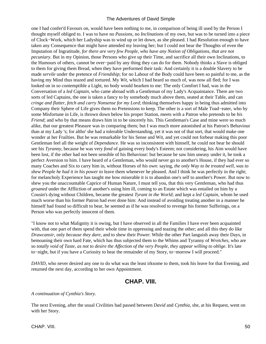one I had confer'd Favours on, would have been nothing to me, in comparison of being ill used by the Person I thought myself obliged to. I was to have no *Passions,* no *Inclinations* of my own, but was to be turned into a piece of Clock−Work, which her Ladyship was to wind up or let down, as she pleased. I had Resolution enough to have taken any Consequence that might have attended my leaving her; but I could not bear the Thoughts of even the Imputation of Ingratitude, *for there are very few People, who have any Notion of Obligations, that are not pecuniary*. But in my Opinion, those Persons who give up their Time, and sacrifice all their own Inclinations, to the Humours of others, cannot be over−paid by any thing they can do for them. Nobody thinks a Slave is obliged to them for giving them Bread, when they have performed their task: And certainly it is a double Slavery to be made *servile* under the pretence of *Friendship*; for no Labour of the Body could have been so painful to me, as the having my Mind thus teazed and tortured. My *Wit,* which I had heard so much of, was now all fled; for I was looked on in so contemptible a Light, no body would hearken to me: The only Comfort I had, was in the Conversation of a *led Captain,* who came abroad with a Gentleman of my Lady's Acquaintance. There are two sorts of led Captains, the one is taken a fancy to by somebody much above them, seated at their Table, and can *cringe and flatter, fetch and carry Nonsense for my Lord*; thinking themselves happy in being thus admitted into Company their Sphere of Life gives them no Pretensions to keep. The other is a sort of Male Toad−eater, who by some Misfortune in Life, is thrown down below his proper Station, meets with a Patron who pretends to be *his Friend*; and who by that means draws him in to be sincerely his. This Gentleman's Case and mine were so much alike, that our greatest Pleasure was in comparing them; but I was much more astonished at his Patron's Behaviour than at my Lady 's; for altho' she had a tolerable Understanding, yet it was not of that sort, that would make one wonder at her Frailties. But he was remarkable for his Sense and Wit, and yet could not forbear making this poor Gentleman feel all the weight of *Dependance*. He was so inconsistent with himself, he could not bear he should see his *Tyranny,* because he was very *fond* of gaining every body's Esteem; not considering, his Aim would have been lost, if the other had not been sensible of his Behaviour: but because he saw him uneasy under it, he took a perfect Aversion to him. I have heard of a Gentleman, who would never go to another's House, if they had ever so many Coaches and Six to carry him in, without Horses of *his own*: saying, *the only Way to be treated well, was to shew People he had it in his power to* leave them whenever he pleased. And I think he was perfectly in the right; for melancholy Experience has taught me how miserable it is to abandon one's self to another's Power. But now to shew you the unaccountable Caprice of Human Nature, I must tell you, that this very Gentleman, who had thus *groaned* under the Affliction of another's using him ill, coming to an Estate which was entailed on him by a Cousin's dying without Children, became the greatest *Tyrant in the World*; and kept a *led Captain,* whom he used much worse than his former Patron had ever done him: And instead of avoiding treating another in a manner he himself had found so difficult to bear, he seemed as if he was resolved to revenge his former Sufferings, on a Person who was perfectly innocent of them.

"I know not to what Malignity it is owing, but I have observed in all the Families I have ever been acquainted with, that one part of them spend their whole time in oppressing and teazing the other; and all this they do like *Drawcansir,* only *because they dare,* and to shew their Power: While the other Part languish away their Days, in bemoaning their own hard Fate, which has thus subjected them to the Whims and Tyranny of *Wretches,* who are so *totally void of Taste, as not to desire the Affection of the very People, they appear willing to oblige*. It's late to−night, but if you have a Curiosity to hear the remainder of my Story, to−morrow I will proceed."

*DAVID*, who never desired any one to do what was the least irksome to them, took his leave for that Evening, and returned the next day, according to her own Appointment.

# **CHAP. VIII.**

*A continuation of Cynthia's Story.*

The next Evening, after the usual Civilities had passed between *David* and *Cynthia,* she, at his Request, went on with her Story.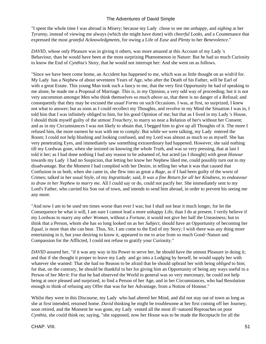"I spent the whole time I was abroad in Misery; because my Lady chose to see me *unhappy,* and *sighing* at her *Tyranny,* instead of viewing me always (which she might have done) with *cheerful Looks,* and a Countenance that expressed the most *grateful Acknowledgments,* for owing a Life of *Ease* and *Plenty* to her *Benevolence*."

*DAVID,* whose only Pleasure was in giving it others, was more amazed at this Account of my Lady 's Behaviour, than he would have been at the most surprizing Phænomenon in Nature: But he had so much Curiosity to know the End of *Cynthia's* Story, that he would not interrupt her: And she went on as follows.

"Since we have been come home, an Accident has happened to me, which was as little thought on as wish'd for. My Lady has a Nephew of about seventeen Years of Age, who after the Death of his Father, will be Earl of with a great Estate. This young Man took such a fancy to me, that the very first Opportunity he had of speaking to me alone, he made me a Proposal of Marriage. This is, in my Opinion, a very odd way of proceeding; but it is not very uncommon amongst Men who think themselves so much *above us,* that there is no danger of a Refusal; and consequently that they may be excused the *usual Forms* on such Occasions. I was, at first, so surprized, I knew not what to answer; but as soon as I could recollect my Thoughts, and revolve in my Mind the Situation I was in, I told him that I was infinitely obliged to him, for his good Opinion of me; but that as I lived in my Lady 's House, I should think myself guilty of the utmost *Treachery,* to marry so near a Relation of her's without her Consent; and as in my Circumstances I was not likely to obtain that, I begged him to give up all Thoughts of it. The more I refused him, the more earnest he was with me to comply: But while we were talking, my Lady entered the Room; I could not help blushing and looking confused, and my Lord was almost as much so as myself. She has very penetrating Eyes, and immediately saw something extraordinary had happened. However, she said nothing till my Lordwas gone, when she insisted on knowing the whole Truth, and was so very pressing, that at last I told it her; as I had done nothing I had any reason to be ashamed of, but acted (as I thought) with great *Honour* towards my Lady I had no Suspicion, that letting her know her Nephew liked me, could possibly turn out to my disadvantage. But the Moment I had complied with her Desire, in telling her what it was that caused that Confusion in us both, when she came in, she flew into as great a *Rage,* as if I had been guilty of the worst of Crimes; talked in her usual Style, of my *Ingratitude*; said, *It was a fine Return for all her Kindness, to endeavour to draw in her Nephew to marry me*. All I could say or do, could not pacify her. She immediately sent to my Lord's Father, who carried his Son out of town, and intends to send him abroad, in order to prevent his seeing me any more.

"And now I am to be used ten times worse than ever I was; but I shall not bear it much longer, for let the Consequence be what it will, I am sure I cannot lead a more unhappy Life, than I do at present. I verily believe if my Lordwas to marry *any other Woman,* without a *Fortune,* it would not give her half the Uneasiness; but to think that a Person, whom she has so long looked on as her *Subject,* should have an Opportunity of becoming her *Equal*, is more than she can bear. Thus, Sir, I am come to the End of my Story; I wish there was any thing more entertaining in it, but your desiring to know it, appeared to me to arise from so much Good−Nature and Compassion for the Afflicted, I could not refuse to gratify your Curiosity."

*DAVID* assured her, "if it was any way in his Power to serve her, he should have the utmost Pleasure in doing it; and that if she thought it proper to leave my Lady and go into a Lodging by herself, he would supply her with whatever she wanted: That she had no Reason to be afraid that he should upbraid her with being *obliged* to him; for that, on the contrary, he should be thankful to her for giving him an Opportunity of being any ways useful to a Person of her *Merit*: For that he had observed the World in general was so very mercenary, he could not help being at once pleased and surprized, to find a Person of her Age, and in her Circumstances, who had Resolution enough to think of refusing any Offer that was for her Advantage, from a Notion of Honour."

Whilst they were in this Discourse, my Lady who had altered her Mind, and did not stay out of town as long as she at first intended, returned home. *David* thinking he might be troublesome at her first coming off her Journey, soon retired, and the Moment he was gone, my Lady vented all the most ill−natured Reproaches on poor *Cynthia,* she could think on; saying, "she supposed, now her House was to be made the Receptacle for all the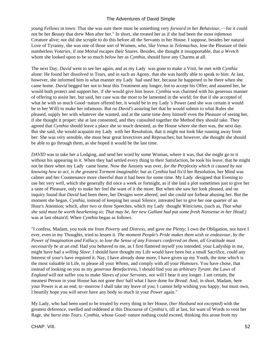*young Fellows* in town: That she was sure there must be something very *forward in her Behaviour,*−−for it could not be her *Beauty* that drew Men after her." In short, she treated her as if she had been the most *infamous* Creature alive; nor did she scruple to do this before all the Servants in her House. I suppose, besides her natural Love of Tyranny, she was one of those sort of Women, who, like *Venus* in *Telemachus,* lose the Pleasure of their numberless *Votaries,* if one Mortal escapes their Snares. Besides, she thought it insupportable, that *a Wretch* whom she looked upon to be so much *below* her as *Cynthia,* should have any Charms at all.

The next Day, *David* went to see her again, and as my Lady was gone to make a Visit, he met with *Cynthia* alone: He found her dissolved in Tears, and in such an Agony, that she was hardly able to speak to him: At last, however, she informed him in what manner my Lady had used her, because he happened to be there when she came home. *David* begged her not to bear this Treatment any longer, but to accept his Offer; and assured her, he would both protect and support her, if she would give him leave. *Cynthia* was charmed with his generous manner of offering to assist her, but said, her case was the most to be lamented in the world; for that if she accepted of what he with so much Good−nature offered her, it would be in my Lady 's Power (and she was certain it would be in her Will) to make her infamous. But on *David's* assuring her that he would submit to what Rules she pleased, supply her with whatever she wanted, and at the same time deny himself even the Pleasure of seeing her, if she thought it proper; she at last consented, and they consulted together the Method they should take. They agreed that *Cynthia* should leave a place she so much detested, as the House where she then was, the next day. But she said, she would acquaint my Lady with her Resolution, that it might not look like running away from her: She was very sensible, she must bear great Invectives and Reproaches; but however, she thought she should be able to go through them, as she hoped it would be the last time.

*DAVID* was to take her a Lodging, and send her word by some Woman, where it was, that she might go to it without his appearing in it. When they had settled every thing to their Satisfaction, he took his leave, that he might not be there when my Lady came home. Now the Anxiety was over, *for the Perplexity which is caused by not knowing how to act, is the greatest Torment imaginable*; but as *Cynthia* had fix'd her Resolution, her Mind was calmer and her Countenance more cheerful than it had been for some time. My Lady designed that Evening to use her very well, which she generally did once a week or fortnight, as if she laid a plot sometimes just to give her a taste of Pleasure, only to make her feel the want of it the more. But when she saw her look pleased, and on inquiry found that *David* had been there, her Designs were altered, and she could not forbear abusing her. But the moment she began, *Cynthia,* instead of keeping her usual Silence, intreated her to give her one quarter of an Hour's Attention; which, after two or three Speeches, which my Lady thought *Witticisms,* (such as, *That what she said must be worth hearkening to; That may be, her new Gallant had put some fresh Nonsense in her Head*;) was at last obtain'd: When *Cynthia* began as follows.

"I confess, Madam, you took me from *Poverty* and *Distress,* and gave me *Plenty*; I own the Obligation, nor have I ever, even in my Thoughts, tried to lessen it. *The moment People's Pride makes them wish or endeavour, by the Power of Imagination and Fallacy, to lose the Sense of any Favours conferred on them, all Gratitude must necessarily be at an end.* Had you behaved to me, as I first flattered myself you intended, your Ladyship in me, might have had a *willing Slave*: I should have thought my Life would have been but a small Sacrifice, could any Interest of your's have required it. Nay, I have already done more, I have given up my Youth, the time which is the most valuable in Life, to please all your *Whims,* and comply with all your *Humours*. You have chose, that instead of looking on you as my *generous Benefactress,* I should find you an *arbitrary Tyrant*: the Laws of *England* will not suffer you to make *Slaves of your Servants,* nor will I bear it any longer. I am certain, the meanest Person in your House has not gone thro' half what I have done for *Bread*: And, in short, Madam, here your Power is at an end, to−morrow I shall take my leave of you; I cannot help wishing you happy, but must own, I heartily hope you will never have any body so much in your *Power* again."

My Lady, who had been used to be treated by every thing in her House, (*her Husband not excepted*) with the greatest deference, swelled and reddened at this Discourse of *Cynthia's,* till at last, for want of Words to vent her Rage, she *burst into Tears*. *Cynthia,* whose Good−nature nothing could exceed, thinking this arose from my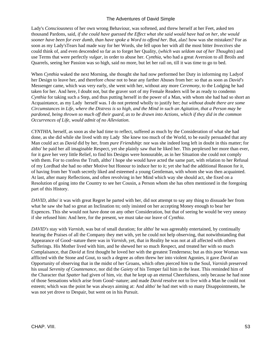Lady's *Consciousness* of her own wrong Behaviour, was softened, and threw herself at her Feet, asked ten thousand Pardons, said, *if she could have guessed the Effect what she said would have had on her, she would sooner have been for ever dumb, than have spoke a Word to offend her*. But, alas! how was she mistaken? For as soon as my Lady's Tears had made way for her Words, she fell upon her with all the most bitter *Invectives* she could think of, and even descended so far as to forget her Quality, (*which was seldom out of her Thoughts*) and use Terms that were perfectly *vulgar,* in order to abuse her. *Cynthia,* who had a great Aversion to all Broils and Quarrels, seeing her Passion was so high, said no more, but let her rail on, till it was time to go to bed.

When *Cynthia* waked the next Morning, she thought she had now performed her Duty in informing my Ladyof her Design to leave her, and therefore *chose* not to bear any farther Abuses from her: so that as soon as *David's* Messenger came, which was very early, she went with her, without any more *Ceremony,* to the Lodging he had taken for her. And here, I doubt not, but the graver sort of my Female Readers will be as ready to condemn *Cynthia* for taking such a Step, and thus putting herself in the power of a Man, with whom she had had so short an Acquaintance, as my Lady herself was. I do not pretend wholly to justify her; *but without doubt there are some Circumstances in Life, where the Distress is so high, and the Mind in such an Agitation, that a Person may be pardoned, being thrown so much off their guard, as to be drawn into Actions, which if they did in the common Occurrences of Life, would admit of no Alleviation*.

*CYNTHIA,* herself, as soon as she had time to reflect, suffered as much by the Consideration of what she had done, as she did while she lived with my Lady She knew too much of the World, to be easily persuaded that any Man could act as *David* did by her, from *pure Friendship*: nor was she indeed long left in doubt in this matter; for altho' he paid her all imaginable Respect, yet she plainly saw that he liked her. This perplexed her more than ever, for it gave her very little Relief, to find his Designs were honourable, as in her Situation she could not comply with them. For to confess the Truth, altho' I hope she would have acted the same part, with relation to her Refusal of my Lordhad she had no other Motive but Honour to induce her to it; yet she had the additional Reason for it, of having from her Youth secretly liked and esteemed a young Gentleman, with whom she was then acquainted. At last, after many Reflections, and often revolving in her Mind which way she should act, she fixed on a Resolution of going into the Country to see her Cousin, a Person whom she has often mentioned in the foregoing part of this History.

*DAVID,* altho' it was with great Regret he parted with her, did not attempt to say any thing to dissuade her from what he saw she had so great an Inclination to; only insisted on her accepting Money enough to bear her Expences. This she would not have done on any other Consideration, but that of seeing he would be very uneasy if she refused him: And here, for the present, we must take our leave of *Cynthia*.

*DAVID's* stay with *Varnish,* was but of small duration; for altho' he was agreeably entertained, by continually hearing the Praises of all the Company they met with, yet he could not help observing, that notwithstanding that Appearance of Good−nature there was in *Varnish,* yet, that in Reality he was not at all affected with others Sufferings. His Mother lived with him, and he shewed her so much Respect, and treated her with so much Complaisance, that *David* at first thought he loved her with the greatest Tenderness; but as this poor Woman was afflicted with the Stone and Gout, to such a degree as often threw her into violent Agonies, it gave *David* an Opportunity of observing that in the midst of her Groans, which often pierced *him* to the Soul, *Varnish* preserved his usual *Serenity of Countenance,* nor did the *Gaiety* of his Temper fail him in the least. This reminded him of the Character that *Spatter* had given of him, *viz.* that he kept up an eternal Cheerfulness, only because he had none of those Sensations which arise from Good−nature; and made *David* resolve not to live with a Man he could not esteem; which was the point he was always aiming at: And altho' he had met with so many Disappointments, he was not yet drove to Despair, but went on in his Pursuit.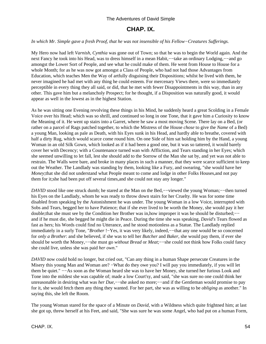# **CHAP. IX.**

#### *In which Mr. Simple gave a fresh Proof, that he was not insensible of his Fellow−Creatures Sufferings.*

My Hero now had left *Varnish, Cynthia* was gone out of Town; so that he was to begin the World again. And the next Fancy he took into his Head, was to dress himself in a mean Habit,—−take an ordinary Lodging,—–and go amongst the Lower Sort of People, and see what he could make of them. He went from House to House for a whole Month; for as he was now got amongst a Class of People, who had not had those Advantages from Education, which teaches Men the Way of artfully disguising their Dispositions; whilst he lived with them, he never imagined he had met with any thing he could esteem. For mercenary Views there, were so immediately perceptible in every thing they all said, or did, that he met with fewer Disappointments in this way, than in any other. This gave him but a melancholy Prospect; for he thought, if a Disposition was naturally good, it would appear as well in the lowest as in the highest Station.

As he was sitting one Evening revolving these things in his Mind, he suddenly heard a great Scolding in a Female Voice over his Head; which was so shrill, and continued so long in one Tone, that it gave him a Curiosity to know the Meaning of it. He went up stairs into a Garret, where he saw a most moving Scene. There lay on a Bed, (or rather on a parcel of Rags patched together, to which the Mistress of the House *chose* to give the *Name* of a Bed) a young Man, looking as pale as Death, with his Eyes sunk in his Head, and hardly able to breathe, covered with half a dirty Rug, which would scarce come round him. On one Side of him sat holding him by the Hand, a young Woman in an old Silk Gown, which looked as if it had been a good one, but it was so tattered, it would barely cover her with Decency; with a Countenance turned wan with Affliction, and Tears standing in her Eyes; which she seemed unwilling to let fall, lest she should add to the Sorrow of the Man she sat by, and yet was not able to restrain. The Walls were bare, and broke in many places in such a manner, that they were scarce sufficient to keep out the Weather. The Landlady was standing by them, looking like a Fury, and swearing, "she would have her *Money*; that she did not understand what People meant to come and lodge in other Folks Houses, and not pay them for it; she had been put off several times, and she could not stay any longer."

*DAVID* stood like one struck dumb; he stared at the Man on the Bed,–−viewed the young Woman;––then turned his Eyes on the Landlady, whom he was ready to throw down stairs for her Cruelty. He was for some time disabled from speaking by the Astonishment he was under. The young Woman in a low Voice, interrupted with Sobs and Tears, begged her to have Patience; that if she ever lived to be worth the Money, she would pay it her double; that she must see by the Condition her Brother was in, how improper it was he should be disturbed;—− and if he must die, she begged he might die in Peace. During the time she was speaking, *David's* Tears flowed as fast as hers; his Words could find no Utterance, and he stood motionless as a Statue. The Landlady replied immediately in a surly Tone, "*Brother* !−Yes, it was very likely, indeed,−−that any one would be so concerned for *only a Brother*: and she believed, if she was to tell her *Butcher* and *Baker,* she would pay them, if ever she should be worth the Money,−−she must go *without Bread* or *Meat*;−−she could not think how Folks could fancy she could live, unless she was paid *her own*."

*DAVID* now could hold no longer, but cried out, "Can any thing in a human Shape persecute Creatures in the Misery this young Man and Woman are? –What do they owe you? I will pay you immediately, if you will let them be quiet." −−As soon as the Woman heard she was to have her Money, she turned her furious Look and Tone into the mildest she was capable of; made a low Court'sy, and said, "she was sure no one could think her unreasonable in desiring what was *her Due,*−−she asked no more;−−and if the Gentleman would promise to pay for it, she would fetch them any thing they wanted. For her part, she was as willing to be *obliging* as another." In saying this, she left the Room.

The young Woman stared for the space of a Minute on *David,* with a Wildness which quite frightned him; at last she got up, threw herself at his Feet, and said, "She was sure he was some Angel, who had put on a human Form,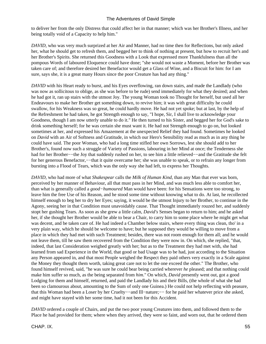to deliver her from the only Distress that could affect her in that manner; which was her Brother's Illness, and her being totally void of a Capacity to help him."

*DAVID,* who was very much surprized at her Air and Manner, had no time then for Reflections, but only asked her, what he should get to refresh them, and begged her to think of nothing at present, but how to recruit her's and her Brother's Spirits. She returned this Goodness with a Look that expressed more Thankfulness than all the pompous Words of laboured Eloquence could have done; "she would not waste a Moment, before her Brother was taken care of; and therefore desired her Benefactor would get a Glass of Wine, and a Biscuit for him: for I am sure, says she, it is a great many Hours since the poor Creature has had any thing."

*DAVID* with his Heart ready to burst, and his Eyes overflowing, ran down stairs, and made the Landlady (who was now as sollicitous to oblige, as she was before to be rude) send immediately for what they desired; and when he had got it, ran up stairs with the utmost Joy. The young Woman took no Thought for herself, but used all her Endeavours to make her Brother get something down, to revive him; it was with great difficulty he could swallow, for his Weakness was so great, he could hardly move. He had not yet spoke; but at last, by the help of the Refreshment he had taken, he got Strength enough to say, "I hope, Sir, I shall live to acknowledge your Goodness, though I am now utterly unable to do it." He then turned to his Sister, and begged her for God's sake to drink something herself; for he was certain she must want it. He had not Strength enough to go on, but looked sometimes at her, and expressed his Amazement at the unexpected Relief they had found. Sometimes he looked on *David* with an Air of Softness and Gratitude, in which our Hero's Sensibility read as much as in any thing he could have said. The poor Woman, who had a long time stifled her own Sorrows, lest she should add to her Brother's, found now such a struggle of Variety of Passions, labouring in her Mind at once; the Tenderness she had for her Brother−−the Joy that suddenly rushed on her, to see him a little relieved−−and the Gratitude she felt for her generous Benefactor,−−that it quite overcame her; she was unable to speak, or to refrain any longer from bursting into a Flood of Tears, which was the only way she had left, to express her Thoughts.

*DAVID,* who had more of what *Shakespear* calls the *Milk of Human Kind,* than any Man that ever was born, perceived by her manner of Behaviour, all that must pass in her Mind, and was much less able to comfort her, than what is generally called a *good−humoured* Man would have been: for his Sensations were too strong, to leave him the free Use of his Reason, and he stood some time without knowing what to do. At last, he recollected himself enough to beg her to dry her Eyes; saying, it would be the utmost Injury to her Brother, to continue in the Agony, seeing her in that Condition must unavoidably cause. That Thought immediately rouzed her, and suddenly stopt her gushing Tears. As soon as she grew a little calm, *David's* Senses began to return to him; and he asked her, if she thought her Brother would be able to bear a Chair, to carry him to some place where he might get what was decent, and be taken care of. He had indeed a Chamber below stairs, where every thing was clean, tho' in a very plain way, which he should be welcome to have; but he supposed they would be willing to move from a place in which they had met with such Treatment; besides, there was not room enough for them all; and he would not leave them, till he saw them recovered from the Condition they were now in. On which, she replied, "that, indeed, that last Consideration weighed greatly with her; but as to the Treatment they had met with, she had learned from sad Experience in the World, that good or bad Usage was to be had, just according to the Situation any Person appeared in, and that most People weighed the Respect they paid others very exactly in a Scale against the Money they thought them worth, taking great care not to let the one exceed the other." The Brother, who found himself revived, said, "he was sure he could bear being carried wherever *he* pleased; and that nothing could make him suffer so much, as the being separated from *him*." On which, *David* presently went out, got a good Lodging for them and himself, returned, and paid the Landlady his and their Bills, (the whole of what she had been so clamourous about, amounting to the Sum of only one Guinea.) He could not help reflecting with peasure, that this Woman had been a Loser by her Cruelty−−and Ill−nature;−− for he paid her whatever price she asked, and might have stayed with her some time, had it not been for this Accident.

*DAVID* ordered a couple of Chairs, and put the two poor young Creatures into them, and followed them to the Place he had provided for them; where when they arrived, they were so faint, and worn out, that he ordered them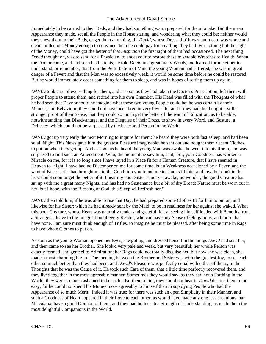immediately to be carried to their Beds, and they had something warm prepared for them to take. But the mean Appearance they made, set all the People in the House staring, and wondering what they could be; neither would they shew them to their Beds, or get them any thing, till *David,* whose Dress, tho' it was but mean, was whole and clean, pulled out Money enough to convince them he could pay for any thing they had: For nothing but the sight of the Money, could have got the better of that *Suspicion* the first sight of them had occasioned. The next thing *David* thought on, was to send for a Physician, to endeavour to restore these miserable Wretches to Health. When the Doctor came, and had seen his Patients, he told *David* in a great many Words, too learned for me either to understand, or remember, that from the Perturbation of Mind the young Woman had suffered, she was in great danger of a Fever; and that the Man was so excessively weak, it would be some time before he could be restored: But he would immediately order something for them to sleep, and was in hopes of setting them up again.

*DAVID* took care of every thing for them, and as soon as they had taken the Doctor's Prescription, left them with proper People to attend them, and retired into his own Chamber. His Head was filled with the Thoughts of what he had seen that Daynor could he imagine what these two young People could be; he was certain by their Manner, and Behaviour, they could not have been bred in very low Life; and if they had, he thought it still a stronger proof of their Sense, that they could so much get the better of the want of Education, as to be able, notwithstanding that Disadvantage, and the Disguise of their Dress, to show in every Word, and Gesture, a Delicacy, which could not be surpassed by the best−bred Person in the World.

*DAVID* got up very early the next Morning to inquire for them; he heard they were both fast asleep, and had been so all Night. This News gave him the greatest Pleasure imaginable; he sent out and bought them decent Clothes, to put on when they got up: And as soon as he heard the young Man was awake, he went into his Room, and was surprized to find such an Amendment: Who, the moment he saw him, said, "Sir, your Goodness has worked a Miracle on me, for it is so long since I have layed in a Place fit for a Human Creature, that I have seemed in Heaven to−night. I have had no Distemper on me for some time, but a Weakness occasioned by a Fever, and the want of Necessaries had brought me to the Condition you found me in: I am still faint and low, but don't in the least doubt soon to get the better of it. I hear my poor Sister is not yet awake; no wonder, the good Creature has sat up with me a great many Nights, and has had no Sustenance but a bit of dry Bread: Nature must be worn out in her, but I hope, with the Blessing of God, this Sleep will refresh her."

*DAVID* then told him, if he was able to rise that Day, he had prepared some Clothes fit for him to put on, and likewise for his Sister; which he had already sent by the Maid, to be in readiness for her against she waked. What this poor Creature, whose Heart was naturally tender and grateful, felt at seeing himself loaded with Benefits from a Stranger, I leave to the Imagination of every Reader, who can have any Sense of Obligations; and those that have none, I am sure must think enough of Trifles, to imagine he must be pleased, after being some time in Rags, to have whole Clothes to put on.

As soon as the young Woman opened her Eyes, she got up, and dressed herself in the things *David* had sent her, and then came to see her Brother. She look'd very pale and weak, but very beautiful; her whole Person was exactly formed, and genteel to Admiration; her Rags could not totally disguise her, but now she was clean, she made a most charming Figure. The meeting between the Brother and Sister was with the greatest Joy, to see each other so much better than they had been; and *David's* Pleasure was perfectly equal with either of theirs, in the Thoughts that he was the Cause of it. He took such Care of them, that a little time perfectly recovered them, and they lived together in the most agreeable manner: Sometimes they would say, as they had not a Farthing in the World, they were so much ashamed to be such a Burthen to him, they could not bear it. *David* desired them to be easy, for he could not spend his Money more agreeably to himself than in supplying People who had the Appearance of so much Merit. Indeed it was true; for there was such an open Simplicity in their Manner, and such a Goodness of Heart appeared in their Love to each other, as would have made any one less credulous than Mr. *Simple* have a good Opinion of them; and they had both such a Strength of Understanding, as made them the most delightful Companions in the World.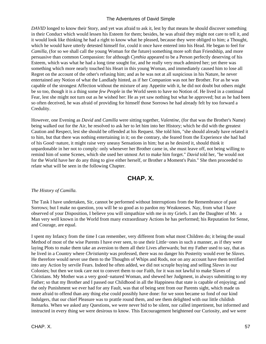*DAVID* longed to know their Story, and yet was afraid to ask it, lest by that means he should discover something in their Conduct which would lessen his Esteem for them; besides, he was afraid they might not care to tell it, and it would look like thinking he had a right to know what he pleased, because they were obliged to him; a Thought, which he would have utterly detested himself for, could it once have entered into his Head. He began to feel for *Camilla,* (for so we shall call the young Woman for the future) something more soft than Friendship, and more persuasive than common Compassion: for although *Cynthia* appeared to be a Person perfectly deserving of his Esteem, which was what he had a long time sought for, and he really very much admired her; yet there was something which more nearly touched his Heart in this young Woman, and immediately caused him to lose all Regret on the account of the other's refusing him; and as he was not at all suspicious in his Nature, he never entertained any Notion of what the Landlady hinted, as if her Companion was not her Brother. For as he was capable of the strongest Affection without the mixture of any Appetite with it, he did not doubt but others might be so too, though it is a thing some *few People* in the World seem to have no Notion of. He lived in a continual Fear, lest she might not turn out as he wished her: He as yet saw nothing but what he approved; but as he had been so often deceived, he was afraid of providing for himself those Sorrows he had already felt by too forward a Credulity.

However, one Evening as *David* and *Camilla* were sitting together, *Valentine,* (for that was the Brother's Name) being walked out for the Air, he resolved to ask her to let him into her History; which he did with the greatest Caution and Respect, lest she should be offended at his Request. She told him, "she should already have related it to him, but that there was nothing entertaining in it; on the contrary, she feared from the Experience she had had of his Good−nature, it might raise very uneasy Sensations in him; but as he desired it, should think it unpardonable in her not to comply: only whenever her Brother came in, she must leave off, not being willing to remind him of some Scenes, which she used her utmost Art to make him forget." *David* told her, "he would not for the World have her do any thing to give either herself, or Brother a Moment's Pain." She then proceeded to relate what will be seen in the following Chapter.

# **CHAP. X.**

### *The History of Camilla.*

The Task I have undertaken, Sir, cannot be performed without Interruptions from the Remembrance of past Sorrows; but I make no question, you will be so good as to pardon my Weaknesses. Nay, from what I have observed of your Disposition, I believe you will simpathize with me in my Griefs. I am the Daughter of Mr. a Man very well known in the World from many extraordinary Actions he has performed; his Reputation for Sense, and Courage, are equal.

I spent my Infancy from the time I can remember, very different from what most Children do; it being the usual Method of most of the wise Parents I have ever seen, to use their Little−ones in such a manner, as if they were laying Plots to make them take an aversion to them all their Lives afterwards; but my Father used to say, that as he lived in a Country where *Christianity* was professed, there was no danger his Posterity would ever be *Slaves*. He therefore would never use them to the Thoughts of Whips and Rods, nor on any account have them terrified into any Action by servile Fears. Indeed he often added, we did not scruple buying and selling *Slaves* in our Colonies; but then we took care not to convert them to our Faith, for it was not lawful to make Slaves of Christians. My Mother was a very good−natured Woman, and shewed her Judgment, in always submitting to my Father; so that my Brother and I passed our Childhood in all the Happiness that state is capable of enjoying; and the only Punishment we ever had for any Fault, was that of being sent from our Parents sight, which made us more afraid to offend than any thing else could possibly have done: for we soon became so fond of our kind Indulgers, that our chief Pleasure was to prattle round them, and see them delighted with our little childish Remarks. When we asked any Questions, we were never bid to be silent, nor called impertinent, but informed and instructed in every thing we were desirous to know. This Encouragement heightened our Curiosity, and we were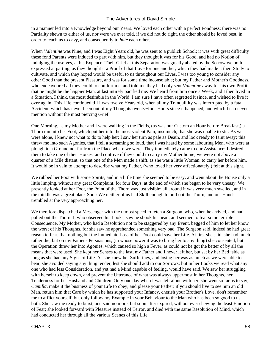in a manner led into a Knowledge beyond our Years. We loved each other with a perfect Fondness; there was no Partiality shewn to either of us, nor were we ever told, if we did not do right, the other should be loved best, in order to teach us to *envy,* and consequently to *hate* each other.

When *Valentine* was Nine, and I was Eight Years old, he was sent to a publick School; it was with great difficulty these fond Parents were induced to part with him, but they thought it was for his Good, and had no Notion of indulging themselves, at his Expence. Their Grief at this Separation was greatly abated by the Sorrow we both expressed at parting, as they thought it a Proof of that Love for one another, which they had made it their Study to cultivate, and which they hoped would be useful to us throughout our Lives. I was too young to consider any other Good than the present Pleasure, and was for some time inconsolable; but my Father and Mother's Goodness, who endeavoured all they could to comfort me, and told me they had only sent *Valentine* away for his own Profit, that he might be the happier Man, at last intirely pacified me: We heard from him once a Week, and I then lived in a Situation, I think, the most desirable in the World; I am sure I have often regretted it since, and wished to live it over again. This Life continued till I was twelve Years old, when all my Tranquillity was interrupted by a fatal Accident, which has never been out of my Thoughts twenty−four Hours since it happened, and which I can never mention without the most piercing Grief.

One Morning, as my Mother and I were walking in the Fields, (as was our Custom an Hour before Breakfast,) a Thorn ran into her Foot, which put her into the most violent Pain; insomuch, that she was unable to stir. As we were alone, I knew not what to do to help her: I saw her turn as pale as Death, and look ready to faint away; this threw me into such Agonies, that I fell a screaming so loud, that I was heard by some labouring Men, who were at plough in a Ground not far from the Place where we were. They immediately came to our Assistance: I desired them to take one of their Horses, and contrive if they could to carry my Mother home; we were not above a quarter of a Mile distant, so that one of the Men made a shift, as she was a little Woman, to carry her before him. It would be in vain to attempt to describe what my Father, (who loved her very affectionately,) felt at this sight.

We rubbed her Foot with some Spirits, and in a little time she seemed to be easy, and went about the House only a little limping, without any great Complaint, for four Days; at the end of which she began to be very uneasy. We presently looked at her Foot, the Point of the Thorn was just visible; all around it was very much swelled, and in the middle was a great black Spot: We neither of us had Skill enough to pull out the Thorn, and our Hands trembled at the very approaching her.

We therefore dispatched a Messenger with the utmost speed to fetch a Surgeon, who, when he arrived, and had pulled out the Thorn; I, who observed his Looks, saw he shook his head, and seemed to fear some terrible Consequence. My Mother, who had a Resolution not to be staggered by any Event, begged of him to let her know the worst of his Thoughts, for she saw he apprehended something very bad. The Surgeon said, indeed he had great reason to fear, that nothing but the immediate Loss of her Foot could save her Life. At first she said, she had much rather die; but on my Father's Persuasions, (in whose power it was to bring her to any thing) she consented, but the Operation threw her into Agonies, which caused so high a Fever, as could not be got the better of by all the means that were used. She kept her Senses to the last, my Father and I never left her, but sat by her Bed−side as long as she had any Signs of Life. As she knew her Sufferings, and losing her was as much as we were able to bear, she avoided saying any thing tender, lest she should add to our Sorrows; but in her Looks we read what any one who had less Consideration, and yet had a Mind capable of feeling, would have said. We saw her struggling with herself to keep down, and prevent the Utterance of what was always uppermost in her Thoughts, her Tenderness for her Husband and Children. Only one day when I was left alone with her, she went so far as to say, *Camilla,* make it the business of your Life to obey, and please your Father: if you should live to see him an old Man, return him that Care by which he has supported your Infancy, cherish your Brother's Love, don't remember me to afflict yourself, but only follow my Example in your Behaviour to the Man who has been so good to us both. She saw me ready to burst, and said no more, but soon after expired, without ever shewing the least Emotion of Fear; she looked forward with Pleasure instead of Terror, and died with the same Resolution of Mind, which had conducted her through all the various Scenes of this Life.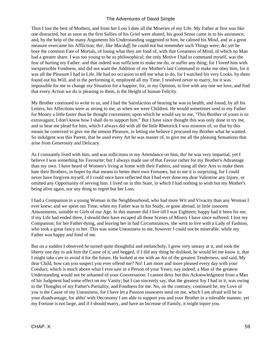Thus I lost the best of Mothers, and from her Loss I date all the Miseries of my Life. My Father at first was like one distracted, but as soon as the first Sallies of his Grief were abated, his good Sense came in to his assistance; and, by the help of the many Arguments his Understanding suggested to him, he calmed his Mind, and in a great measure overcame his Affliction; tho', like *Macduff,* he could not but remember such Things were, *&c.*yet he bore the common Fate of Mortals, of losing what they are fond of, with that Greatness of Mind, of which no Man had a greater share. I was too young to be so philosophical; the only Motive I had to command myself, was the fear of hurting my Father: and that indeed was sufficient to make me do, or suffer any thing; for I loved him with inexpressible Fondness, and did not want the Addition of my Mother's last Command to make me obey him, for it was all the Pleasure I had in Life. He had no occasion to tell me what to do, for I watched his very Looks, by them found out his Will, and in the performing it, employed all my Time. I resolved never to marry, for it was impossible for me to change my Situation for a happier; for, in my Opinion, to live with any one we love, and find that every Action we do is pleasing to them, is the Height of human Felicity.

My Brother continued to write to us, and I had the Satisfaction of hearing he was in health; and found, by all his Letters, his Affections were as strong to me, as when we were Children. He would sometimes send to my Father for Money a little faster than he thought convenient; upon which he would say to me, "This Brother of yours is so extravagant, I don't know how I shall do to support him." But I have since thought this was only done to try me, and to hear me plead for him, which I always did with all the little Rhetorick I was mistress of; so that by this means he contrived to give me the utmost Pleasure, in letting me believe I procured my Brother what he wanted. So indulgent was this Parent, that he used every Art he was master of, to give me all the pleasing Sensations that arise from Generosity and Delicacy.

As I constantly lived with him, and was sollicitous in my Attendance on him, tho' he was very impartial, yet I believe I was something his Favourite; but I always made use of that Favour rather for my Brother's Advantage than my own. I have heard of Women's living at home with their Fathers, and using all their Arts to make them hate their Brothers, in hopes by that means to better their own Fortunes; but to me it is surprizing, for I could never have forgiven myself, if I could once have reflected that I had ever done my dear *Valentine* any Injury, or omitted any Opportunity of serving him. I lived on in this State, in which I had nothing to wish but my Mother's being alive again, nor any thing to regret but her Loss.

I had a Companion in a young Woman in the Neighbourhood, who had more Wit and Vivacity than any Woman I ever knew; and we spent our Time, when my Father was in his Study, or gone abroad, in little innocent Amusements, suitable to Girls of our Age. In this manner did I live till I was Eighteen; happy had it been for me, if my Life had ended there, I should then have escaped all those Scenes of Misery I have since suffered. I lost my Companion; for her Father dying, and leaving her in bad Circumstances, she went to live with a Lady of Fashion, who took a great fancy to her. This was some Uneasiness to me, however I could not be miserable, while my Father was happy and fond of me.

But on a sudden I observed he turned quite thoughtful and melancholy, I grew very uneasy at it, and took the liberty one day to ask him the Cause of it, and begged, if I did any thing he disliked, he would let me know it, that I might take care to avoid it for the future. He looked at me with an Air of the greatest Tenderness, and said, My dear Child, how can you suspect you ever offend me? No! I am more and more pleased every day with your Conduct, which is much above what I ever saw in a Person of your Years; nay indeed, a Man of the greatest Understanding would not be ashamed of your Conversation. I cannot deny but this Acknowledgment from a Man of his Judgment had some effect on my Vanity; but I can sincerely say, that the greatest Joy I had in it, was owing to the Thoughts of my Father's Partiality, and Fondness for me. No, on the contrary, continued he, my Love of you is the Cause of my Uneasiness, for I have let a Passion unawares steal on me, which I am afraid will be to your disadvantage; for altho' with Oeconomy I am able to support you and your Brother in a tolerable manner, yet my Fortune is not large, and if I should marry, and have an Increase of Family, it might injure you.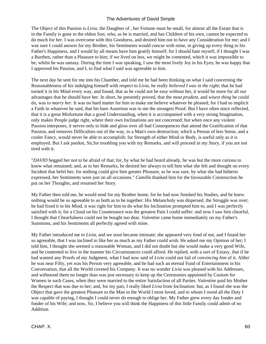The Object of this Passion is *Livia,* the Daughter of , her Fortune must be small, for almost all the Estate that is in the Family is gone to the eldest Son; who, as he is married, and has Children of his own, cannot be expected to do much for her. I was overcome with this Goodness, and desired him not to have any Consideration for me; and I was sure I could answer for my Brother, his Sentiments would concur with mine, in giving up every thing to his Father's Happiness, and I would by all means have him gratify himself; for I should hate myself, if I thought I was a Burthen, rather than a Pleasure to him; if we lived on less, we might be contented, which it was impossible to be, whilst he was uneasy. During the time I was speaking, I saw the most lively Joy in his Eyes; he was happy that I approved his Passion, and I, to find what I said was agreeable to him.

The next day he sent for me into his Chamber, and told me he had been thinking on what I said concerning the Reasonableness of his indulging himself with respect to *Livia,* he really *believed I was in the right*; that he had turned it in his Mind every way, and found, that as he could not be easy without her, it would be more for all our advantages that he should have her. In short, he presently proved, that the *most prudent,* and *wisest thing* he could do, was to *marry her*. It was no hard matter for him to make me believe whatever he pleased; for I had so implicit a Faith in whatever he said, that his bare Assertion was to me the strongest Proof. But I have often since reflected, that it is a great Misfortune that a good Understanding, when it is accompanied with a very strong Imagination, only makes People judge right, where their own Inclinations are not concerned; but when once any violent Passion interposes, it serves only to hide and gloss over all bad Consequences that attend the Gratification of that Passion, and removes Difficulties out of the way, to a Man's own destruction; which a Person of less Sense, and a cooler Fancy, would never be able to accomplish: for Strength of either Mind or Body, is useful only as it is employed. But I ask pardon, Sir,for troubling you with my Remarks, and will proceed in my Story, if you are not tired with it.

"*DAVID* begged her not to be afraid of that; for, by what he had heard already, he was but the more curious to know what remained; and, as to her Remarks, he desired her always to tell him what she felt and thought on every Incident that befel her; for nothing could give him greater Pleasure, as he was sure, by what she had hitherto expressed, her Sentiments were just on all occasions." *Camilla* thanked him for the favourable Construction he put on her Thoughts, and resumed her Story.

My Father then told me, he would send for my Brother home, for he had now finished his Studies, and he knew nothing would be so agreeable to us both as to be together: His Melancholy was dispersed, the Struggle was over; he had fixed it in his Mind, it was right for him to do what his Inclination prompted him to, and I was perfectly satisfied with it; for a Cloud on his Countenance was the greatest Pain I could suffer: and now I saw him chearful, I thought that Chearfulness could not be bought too dear. *Valentine* came home immediately on my Father's Summons, and his Sentiments all perfectly agreed with mine.

My Father introduced me to *Livia,* and we soon became intimate; she appeared very fond of me, and I found her so agreeable, that I was inclined to like her as much as my Father could wish. He asked me my Opinion of her; I told him, I thought she seemed a reasonable Woman, and I did not doubt but she would make a very good Wife, and be contented to live in the manner his Circumstances could afford. He replied, with a sort of Extasy, that if he had wanted any Proofs of my Judgment, what I had now said of *Livia* could not fail of *convincing him* of it. Altho' he was near Fifty, yet was his Person very agreeable, and he had such an eternal Fund of Entertainment in his Conversation, that all the World coveted his Company. It was no wonder *Livia* was pleased with his Addresses, and withstood them no longer than was just necessary to keep up the Ceremonies appointed by Custom for Women in such Cases, when they were married to the entire Satisfaction of all Parties. *Valentine* paid his Mother the Respect that was due to her; and, for my part, I really liked *Livia* from Inclination: but, as I found she was the Object that gave the greatest Pleasure to the Man in the World I most loved, and to whom I owed all the Duty I was capable of paying, I thought I could never do enough to oblige her. My Father grew every day fonder and fonder of his Wife; and now, Sir, I believe you will think the Happiness of this little Family could admit of no Addition.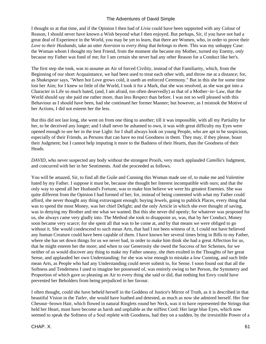I thought so at that time, and if the Opinion I then had of *Livia* could have been supported with any Colour of Reason, I should never have known a Wish beyond what I then enjoyed. But perhaps, Sir, if you have not had a great deal of Experience in the World, you may be yet to learn, that there are Women, who, in order to prove their *Love* to *their Husbands,* take an utter *Aversion* to *every thing* that *belongs to them*. This was my unhappy Case: the Woman whom I thought my best Friend, from the moment she became my Mother, turned my Enemy, *only* because my Father was fond of me; for I am certain she never had any other Reason for a Conduct like her's.

The first step she took, was to assume an Air of forced Civility, instead of that Familiarity, which, from the Beginning of our short Acquaintance, we had been used to treat each other with, and throw me at a distance; for, as *Shakespear* says, "When hot Love grows cold, it useth an enforced Ceremony." But in this she for some time lost her Aim; for I knew so little of the World, I took it for a Mark, that she was resolved, as she was got into a Character in Life so much hated, (and, I am afraid, too often deservedly) as that of a Mother−in−Law, that the World should say she paid me rather more, than less Respect than before. I was not so well pleased with this Behaviour as I should have been, had she continued her former Manner; but however, as I mistook the Motive of her Actions, I did not esteem her the less.

But this did not last long, she went on from one thing to another; till it was impossible, with all my Partiality for her, to be deceived any longer; and I shall never be ashamed to own, it was with great difficulty my Eyes were opened enough to see her in the true Light: for I shall always look on young People, who are apt to be suspicious, especially of their Friends, as Persons that can have no real Goodness in them. They may, if they please, boast their Judgment; but I cannot help imputing it more to the Badness of their Hearts, than the Goodness of their Heads.

*DAVID,* who never suspected any body without the strongest Proofs, very much applauded *Camilla's* Judgment, and concurred with her in her Sentiments. And she proceeded as follows.

You will be amazed, Sir, to find all the Guile and Cunning this Woman made use of, to make me and *Valentine* hated by my Father. I suppose it must be, because she thought her Interest incompatible with ours; and that the only way to spend all her Husband's Fortune, was to make him believe we were his greatest Enemies. She was quite different from the Opinion I had formed of her; for, instead of being contented with what my Father could afford, she never thought any thing extravagant enough; buying Jewels, going to publick Places, every thing that was to spend the most Money, was her chief Delight; and the only Article in which she ever thought of saving, was in denying my Brother and me what we wanted. But this she never did openly; for whatever was proposed for us, she always came very gladly into. The Method she took to disappoint us, was, that by her Conduct, Money soon became very scarce; for she spent all that was to be come at, and by that means we were obliged to go without it. She would condescend to such mean Arts, that had I not been witness of it, I could not have believed any human Creature could have been capable of them. I have known her several times bring in Bills to my Father, where she has set down things for us we never had, in order to make him think she had a great Affection for us, that he might esteem her the more; and when to our Generosity she owed the Success of her Schemes, for we neither of us would discover any thing to make my Father uneasy, she then exulted in the Thoughts of her great Sense, and applauded her own Understanding: for she was wise enough to mistake a low Cunning, and such little mean Arts, as People who had any Understanding could never submit to, for Sense. I soon found out that all the Softness and Tenderness I used to imagine her possessed of, was entirely owing to her Person, the Symmetry and Proportion of which gave so pleasing an Air to every thing she said or did, that nothing but Envy could have prevented her Beholders from being prejudiced in her favour.

I often thought, could she have beheld herself in the Goddess of Justice's Mirror of Truth, as it is described in that beautiful Vision in the *Tatler,* she would have loathed and detested, as much as now she admired herself. Her fine Chesnut−brown Hair, which flowed in natural Ringlets round her Neck, was it to have represented the Strings that held her Heart, must have become as harsh and unpliable as the stiffest Cord: Her large blue Eyes, which now seemed to speak the Softness of a Soul replete with Goodness, had they on a sudden, by the irresistible Power of a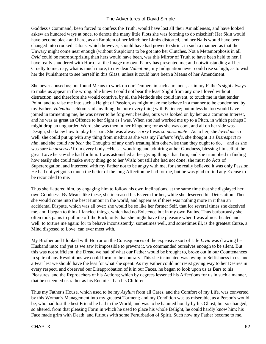Goddess's Command, been forced to confess the Truth, would have lost all their Amiableness, and have looked askew an hundred ways at once, to denote the many little Plots she was forming to do mischief: Her Skin would have become black and hard, as an Emblem of her Mind; her Limbs distorted, and her Nails would have been changed into crooked Talons, which however, should have had power to shrink in such a manner, as that the Unwary might come near enough (without Suspicion) to be got into her Clutches. Not a Metamorphosis in all *Ovid* could be more surprizing than hers would have been, was this Mirror of Truth to have been held to her. I have really shuddered with Horror at the Image my own Fancy has presented me; and notwithstanding all her Cruelty to me; nay, what is much more, to my dear *Valentine* ; my Indignation never could rise so high, as to wish her the Punishment to see herself in this Glass, unless it could have been a Means of her Amendment.

She never abused us; but found Means to work on our Tempers in such a manner, as in my Father's sight always to make us appear in the wrong. She knew I could not bear the least Slight from any one I loved without distraction, and therefore she would contrive, by all the Methods she could invent, to touch me in that tender Point, and to raise me into such a Height of Passion, as might make me behave in a manner to be condemned by my Father. *Valentine* seldom said any thing, he bore every thing with Patience; but unless he too would have joined in tormenting me, he was never to be forgiven; besides, ours was looked on by her as a common Interest, and he was as great an Offence to her Sight as I was. When she had worked me up to a Pitch, in which perhaps I might drop an unguarded Word, she was then in her Kingdom; for as she was cool, and all on her side was Design, she knew how to play her part. She was always *sorry* I was *so passionate* : As to her, she *loved me* so well, she could put up with any thing from me; but as she was my *Father's Wife*, she thought it a *Disrespect to him*, and she could *not bear* the Thoughts of any one's treating him otherwise than they ought to do,−−and as she was sure *he deserved* from every body. −He sat wondring and admiring at her Goodness, blessing himself at the great Love he saw she had for him. I was astonished at her giving things that Turn, and she triumphed in finding how easily she could make every thing go to her Wish; but still she had not done, she must do Acts of Supererogation, and interceed with my Father not to be angry with me, for she really believed it was only Passion. He had not yet got so much the better of the long Affection he had for me, but he was glad to find any Excuse to be reconciled to me.

Thus she flattered him, by engaging him to follow his own Inclinations, at the same time that she displayed her own Goodness. By Means like these, she increased his Esteem for her, while she deserved his Detestation: Then she would come into the best Humour in the world, and appear as if there was nothing more in it than an accidental Dispute, which was all over; she would be so like her former Self, that for several times she deceived me, and I began to think I fancied things, which had no Existence but in my own Brains. Thus barbarously she often took pains to pull me off the Rack, only that she might have the pleasure when I was almost healed and well, to torture me again: for to behave inconsistently, sometimes well, and sometimes ill, is the greatest Curse, a Mind disposed to Love, can ever meet with.

My Brother and I looked with Horror on the Consequences of the expensive sort of Life *Livia* was drawing her Husband into; and yet as we saw it impossible to prevent it, we commanded ourselves enough to be silent. But this was not sufficient; the Dread we had of what our Father would be brought to, broke out in our Countenances in spite of any Resolutions we could form to the contrary. This she insinuated was owing to Selfishness in us, and a Fear lest we should have the less for what she spent. As my Father could not resist giving way to her Desires in every respect, and observed our Disapprobation of it in our Faces, he began to look upon us as Bars to his Pleasures, and the Reproachers of his Actions; which by degrees lessened his Affections for us in such a manner, that he esteemed us rather as his Enemies than his Children.

Thus my Father's House, which used to be my *Asylum* from all Cares, and the Comfort of my Life, was converted by this Woman's Management into my greatest Torment; and my Condition was as miserable, as a Person's would be, who had lost the best Friend he had in the World, and was to be haunted hourly by his Ghost; but so changed, so altered, from that pleasing Form in which he used to place his whole Delight, he could hardly know him; his Face made grim with Death, and furious with some Perturbation of Spirit. Such now my Father become to me,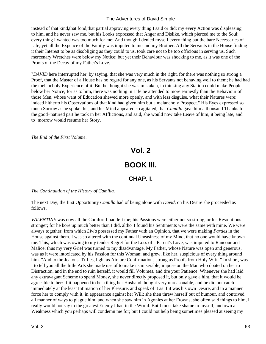instead of that kind, that fond, that partial approving every thing I said or did; my every Action was displeasing to him, and he never saw me, but his Looks expressed that Anger and Dislike, which pierced me to the Soul; every thing I wanted was too much for me: And though I denied myself every thing but the bare Necessaries of Life, yet all the Expence of the Family was imputed to me and my Brother. All the Servants in the House finding it their Interest to be as disobliging as they could to us, took care not to be too officious in serving us. Such mercenary Wretches were below my Notice; but yet their Behaviour was shocking to me, as it was one of the Proofs of the Decay of my Father's Love.

"*DAVID* here interrupted her, by saying, that she was very much in the right, for there was nothing so strong a Proof, that the Master of a House has no regard for any one, as his Servants not behaving well to them; he had had the melancholy Experience of it: But he thought she was mistaken, in thinking any Station could make People below her Notice; for as to him, there was nothing in Life he attended to more earnestly than the Behaviour of those Men, whose want of Education shewed more openly, and with less disguise, what their Natures were: indeed hitherto his Observations of that kind had given him but a melancholy Prospect." His Eyes expressed so much Sorrow as he spoke this, and his Mind appeared so agitated, that *Camilla* gave him a thousand Thanks for the good−natured part he took in her Afflictions, and said, she would now take Leave of him, it being late, and to−morrow would resume her Story.

*The End of the First Volume.*

# **Vol. 2**

# **BOOK III.**

# **CHAP. I.**

*The Continuation of the History of Camilla.*

The next Day, the first Opportunity *Camilla* had of being alone with *David,* on his Desire she proceeded as follows.

*VALENTINE* was now all the Comfort I had left me; his Passions were either not so strong, or his Resolutions stronger; for he bore up much better than I did, altho' I found his Sentiments were the same with mine. We were always together, from which *Livia* possessed my Father with an Opinion, that we were making *Parties* in the House against them. I was so altered with the continual Uneasiness of my Mind, that no one would have known me. This, which was owing to my tender Regret for the Loss of a Parent's Love, was imputed to Rancour and Malice; thus my very Grief was turned to my disadvantage. My Father, whose Nature was open and generous, was as it were intoxicated by his Passion for this Woman; and grew, like her, suspicious of every thing around him. "And to the Jealous, Trifles, light as Air, are Confirmations strong as Proofs from Holy Writ. " In short, was I to tell you all the little Arts she made use of to make us miserable, impose on the Man who doated on her to Distraction, and in the end to ruin herself, it would fill Volumes, and tire your Patience. Whenever she had laid any extravagant Scheme to spend Money, she never directly proposed it, but only gave a hint, that it would be agreeable to her: If it happened to be a thing her Husband thought very unreasonable, and he did not catch immediately at the least Intimation of her Pleasure, and speak of it as if it was his own Desire, and in a manner force her to comply with it, in appearance against her Will; she then threw herself out of humour, and contrived all manner of ways to plague him; and when she saw him in Agonies at her Frowns, she often said things to him, I really would not say to the greatest Enemy I had in the World. But I must take shame to myself, and own a Weakness which you perhaps will condemn me for; but I could not help being sometimes pleased at seeing my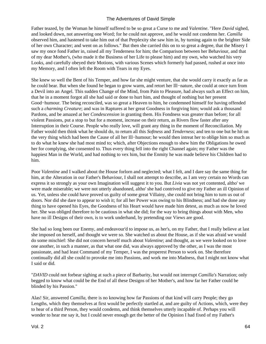Father teazed, by the Woman he himself suffered to be so great a Curse to me and *Valentine*. "Here *David* sighed, and looked down, not answering one Word; for he could not approve, and he would not condemn her. *Camilla* observed him, and hastened to take him out of that Perplexity she saw him in, by turning again to the brighter Side of her own Character; and went on as follows." But then she carried this on to so great a degree, that the Misery I saw my once fond Father in, raised all my Tenderness for him; the Comparison between her Behaviour, and that of my dear Mother's, (who made it the Business of her Life to please him) and my own, who watched his very Looks, and carefully obeyed their Motions, with various Scenes which formerly had passed, rushed at once into my Memory, and I often left the Room with Tears in my Eyes.

She knew so well the Bent of his Temper, and how far she might venture, that she would carry it exactly as far as he could bear. But when she found he began to grow warm, and retort her Ill−nature, she could at once turn from a Devil into an Angel. This sudden Change of the Mind, from Pain to Pleasure, had always such an Effect on him, that he in a moment forgot all she had said or done to hurt him, and thought of nothing but her present Good−humour. The being reconciled, was so great a Heaven to him, he condemned himself for having offended such a *charming Creature*; and was in Raptures at her great Goodness in forgiving him; would ask a thousand Pardons, and be amazed at her *Condescension* in granting them. His Fondness was greater than before; for all violent Passions, put a stop to but for a moment, increase on their return, as Rivers flow faster after any Interruption in their Course. People who really love, will grant any thing in the moment of Reconciliation. My Father would then think what he should do, to return all this *Softness* and *Tenderness*; and ten to one but he hit on the very thing which had been the Cause of all her Ill−humour; he would then intreat her to oblige him so much as to do what he knew she had most mind to; which, after Objections enough to shew him the Obligations he owed her for complying, she consented to. Thus every thing fell into the right Channel again; my Father was the happiest Man in the World, and had nothing to vex him, but the Enmity he was made believe his Children had to him.

Poor *Valentine* and I walked about the House forlorn and neglected; what I felt, and I dare say the same thing for him, at the Alteration in our Father's Behaviour, I shall not attempt to describe, as I am very certain no Words can express it so strongly as your own Imagination will suggest it to you. But *Livia* was not yet contented, altho' we were made miserable; we were not utterly abandoned, altho' she had contrived to give my Father an ill Opinion of us. Yet, unless she could have proved us guilty of some great Villainy, she could not bring him to turn us out of doors. Nor did she dare to appear to wish it; for all her Power was owing to his Blindness; and had she done any thing to have opened his Eyes, the Goodness of his Heart would have made him detest, as much as now he loved her. She was obliged therefore to be cautious in what she did; for the way to bring things about with Men, who have no ill Designs of their own, is to work underhand, by pretending our Views are good.

She had so long been our Enemy, and endeavour'd to impose us, as her's, on my Father, that I really believe at last she imposed on herself, and thought we were so. She watched us about the House, as if she was afraid we would do some mischief: She did not concern herself much about *Valentine*; and thought, as we were looked on to love one another, in such a manner, as that what one did, was always approved by the other, as I was the most passionate, and had least Command of my Temper, I was the properest Person to work on. She therefore continually did all she could to provoke me into Passions, and work me into Madness, that I might not know what I said or did.

"*DAVID* could not forbear sighing at such a piece of Barbarity, but would not interrupt *Camilla's* Narration; only begged to know what could be the End of all these Designs of her Mother's, and how far her Father could be blinded by his Passion."

Alas! Sir, answered *Camilla,* there is no knowing how far Passions of that kind will carry People; they go Lengths, which they themselves at first would be perfectly startled at, and are guilty of Actions, which, were they to hear of a third Person, they would condemn, and think themselves utterly incapable of. Perhaps you will wonder to hear me say it, but I could never enough get the better of the Opinion I had fixed of my Father's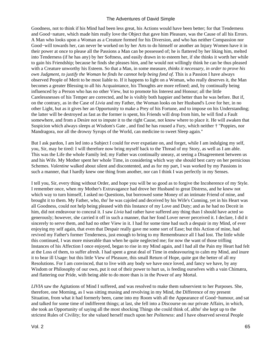Goodness, not to think if his Mind had been less great, his Actions would have been better; for that Tenderness and Good−nature, which made him really love the Object that gave him Pleasure, was the Cause of all his Errors. A Man who looks upon a Woman as a Creature formed for his Diversion, and who has neither Compassion nor Good−will towards her, can never be worked on by her Arts to do himself or another an Injury Women have it in their power at once to please all the Passions a Man can be possessed of; he is flattered by her liking him, melted into Tenderness (if he has any) by her Softness, and easily drawn in to esteem her, if she thinks it worth her while to gain his Friendship; because he finds she pleases him, and he would not willingly think he can be thus pleased with a Creature unworthy his Esteem. So that a Man, in some measure, *thinks it necessary, in order to prove his own Judgment, to justify the Woman he finds he cannot help being fond of*. This is a Passion I have always observed People of Merit to be most liable to. If it happens to light on a Woman, who really deserves it, the Man becomes a greater Blessing to all his Acquaintance, his Thoughts are more refined; and, by continually being influenced by a Person who has no other View, but to promote his Interest and Honour; all the little Carelessnesses of his Temper are corrected, and he is visibly both happier and better than he was before. But if, on the contrary, as in the Case of *Livia* and my Father, the Woman looks on her Husband's Love for her, in no other Light, but as it gives her an Opportunity to make a Prey of his Fortune, and to impose on his Understanding; the latter will be destroyed as fast as the former is spent, his Friends will drop from him, he will find a Fault somewhere, and from a Desire not to impute it to the right Cause, not know where to place it. He will awaken that Suspicion which always sleeps at Wisdom's Gate , and find he has roused a Fury, which neither † "Poppies, nor Mandragora, nor all the drowsy Syrups of the World, can medicine to sweet Sleep again."

But I ask pardon, I am led into a Subject I could for ever expatiate on, and forget, while I am indulging my self, you, Sir, may be tired: I will therefore now bring myself back to the Thread of my Story, as well as I am able. This was the Life the whole Family led; my Father was continually uneasy, at seeing a Disagreement between us and his Wife. My Mother spent her whole Time, in considering which way she should best carry on her pernicious Schemes. *Valentine* walked about silent and discontented, and as for my part, I was worked by my Passions in such a manner, that I hardly knew one thing from another, nor can I think I was perfectly in my Senses.

I tell you, Sir, every thing without Order, and hope you will be so good as to forgive the Incoherence of my Style. I remember once, when my Mother's Extravagance had drove her Husband to great Distress, and he knew not which way to turn himself, I asked no Questions, but borrowed some Money of an intimate Friend of mine, and brought it to them. My Father, who, tho' he was cajoled and deceived by his Wife's Cunning, yet in his Heart was all Goodness, could not help being pleased with this Instance of my Love and Duty; and as he had no Deceit in him, did not endeavour to conceal it. I saw *Livia* had rather have suffered any thing than I should have acted so generously; however, she carried it off in such a manner, that her fond Lover never perceived it. I declare, I did it sincerely to serve them, and had no other View in it. I had for some time had such a despair in my Mind, of ever enjoying my self again, that even that Despair really gave me some sort of Ease; but this Action of mine, had revived my Father's former Tenderness, just enough to bring to my Remembrance all I had lost. The little while this continued, I was more miserable than when he quite neglected me; for now the want of those trifling Instances of his Affection I once enjoyed, began to rise in my Mind again, and I had all the Pain my Heart had felt at the Loss of them, to suffer afresh. I had spent a great deal of Time in endeavouring to calm my Mind, and inure it to bear ill Usage: but this little View of Pleasure, this small Return of Hope, quite got the better of all my Resolutions. For I am convinced, that to live with any body we have once loved, and fancy we have, by any Wisdom or Philosophy of our own, put it out of their power to hurt us, is feeding ourselves with a vain Chimæra, and flattering our Pride, with being able to do more than is in the Power of any Mortal.

*LIVIA* saw the Agitations of Mind I suffered, and was resolved to make them subservient to her Purposes. She, therefore, one Morning, as I was sitting musing and revolving in my Mind, the Difference of my present Situation, from what it had formerly been, came into my Room with all the Appearance of Good−humour, and sat and talked for some time of indifferent things; at last, she fell into a Discourse on our private Affairs, in which, she took an Opportunity of saying all the most shocking Things she could think of, altho' she kept up to the strictest Rules of Civility; for she valued herself much upon her *Politeness*: and I have observed several People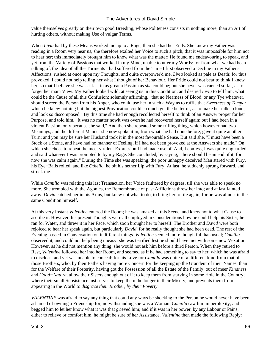value themselves greatly on their own good Breeding, whose Politeness consists in nothing more, than an Art of hurting others, without making Use of vulgar Terms.

When *Livia* had by these Means worked me up to a Rage, then she had her Ends. She knew my Father was reading in a Room very near us, she therefore exalted her Voice to such a pitch, that it was impossible for him not to hear her; this immediately brought him to know what was the matter: He found me endeavouring to speak, and yet from the Variety of Passions that worked in my Mind, unable to utter my Words: for from what we had been talking of, the Idea of all the Torments I had suffered from the Time I first observed a Decline in my Father's Affections, rushed at once upon my Thoughts, and quite overpower'd me. *Livia* looked as pale as Death; for thus provoked, I could not help telling her what I thought of her Behaviour. Her Pride could not bear to think I knew her, so that I believe she was at last in as great a Passion as *she* could be; but she never was carried so far, as to forget her main View. My Father looked wild, at seeing us in this Condition, and desired *Livia* to tell him, what could be the Cause of all this Confusion; solemnly affirming, "that no Nearness of Blood, or any Tye whatever, should screen the Person from his Anger, who could use her in such a Way as to ruffle that *Sweetness of Temper,* which he knew nothing but the highest Provocation could so much get the better of, as to make her talk so loud, and look so discomposed." By this time she had enough recollected herself to think of an Answer proper for her Purpose, and told him, "It was no matter nowit was overshe had recovered herself again; but I had been in a violent Passion, only because she said," And then she repeated some trifling thing, which however had two Meanings, and the different Manner she now spoke it in, from what she had done before, gave it quite another Turn; and you may be sure her Husband took it in the most favourable Sense. But said she, "I must have been a Stock or a Stone, and have had no manner of Feeling, if I had not been provoked at the Answers she made." On which she chose to repeat the most virulent Expression I had made use of. And, I confess, I was quite unguarded, and said whatever I was prompted to by my Rage. She concluded, by saying, "there should be an end of it; for now she was calm again." During the Time she was speaking, the poor unhappy deceived Man stared with Fury, his Eye−Balls rolled, and like *Othello,* he bit his nether Lip with Fury. At last, he suddenly sprung forward, and struck me.

While *Camilla* was relating this last Transaction, her Voice faultered by degrees, till she was able to speak no more. She trembled with the Agonies, the Remembrance of past Afflictions threw her into; and at last fainted away. *David* catched her in his Arms, but knew not what to do, to bring her to life again; for he was almost in the same Condition himself.

At this very Instant *Valentine* entered the Room; he was amazed at this Scene, and knew not to what Cause to ascribe it. However, his present Thoughts were all employed in Considerations how he could help his Sister; he ran for Water, and threw it in her Face, which soon brought her to herself. The Brother and *David* were both rejoiced to hear her speak again, but particularly *David,* for he really thought she had been dead. The rest of the Evening passed in Conversation on indifferent things. *Valentine* seemed more thoughtful than usual; *Camilla* observed it, and could not help being uneasy: she was terrified lest he should have met with some new Vexation. However, as he did not mention any thing, she would not ask him before a third Person. When they retired to Rest, *Valentine* followed her into her Room, and seemed as if he had something to say to her, which he was afraid to disclose, and yet was unable to conceal; for his Love for *Camilla* was quite of a different kind from that of those Brothers, who, by their Fathers having more Concern for the keeping up the Grandeur of their Names, than for the Welfare of their Posterity, having got the Possession of all the Estate of the Family, out of meer *Kindness* and *Good−Nature,* allow their Sisters enough out of it to keep them from starving in some Hole in the Country; where their small Subsistence just serves to keep them the longer in their Misery, and prevents them from appearing in the World to *disgrace their Brother, by their Poverty*.

*VALENTINE* was afraid to say any thing that could any ways be shocking to the Person he would never have been ashamed of owning a Friendship for, notwithstanding she was a Woman. *Camilla* saw him in perplexity, and begged him to let her know what it was that grieved him; and if it was in her power, by any Labour or Pains, either to relieve or comfort him, he might be sure of her Assistance. *Valentine* then made the following Reply: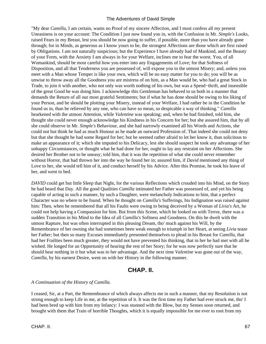"My dear *Camilla,* I am certain, wants no Proof of my sincere Affection, and I must confess all my present Uneasiness is on your account: The Condition I just now found you in, with the Confusion in Mr. *Simple's* Looks, raised Fears in my Breast, lest you should be now going to suffer, if possible, more than you have already gone through; for in Minds, as generous as I know yours to be, the strongest Affections are those which are first raised by Obligations. I am not naturally suspicious; but the Experience I have already had of Mankind, and the Beauty of your Form, with the Anxiety I am always in for your Welfare, inclines me to fear the worst. You, of all Womankind, should be most careful how you enter into any Engagements of Love; for that Softness of Disposition, and all that Tenderness you are possessed of, will expose you to the utmost Misery; and, unless you meet with a Man whose Temper is like your own, which will be no easy matter for you to do; you will be as unwise to throw away all the Goodness you are mistress of on him, as a Man would be, who had a great Stock in Trade, to join it with another, who not only was worth nothing of his own, but was a Spend−thrift, and insensible of the great Good he was doing him. I acknowledge this Gentleman has behaved to us both in a manner that demands the Return of all our most grateful Sentiments; but if what he has done should be owing to his liking of your Person, and he should be plotting your Misery, instead of your Welfare, I had rather be in the Condition he found us in, than be relieved by any one, who can have so mean, so despicable a way of thinking." *Camilla* hearkened with the utmost Attention, while *Valentine* was speaking; and, when he had finished, told him, she thought she could never enough acknowledge his Kindness in his Concern for her; but she assured him, that by all she could observe in Mr. *Simple's* Behaviour, and she had narrowly examined all his Words and Actions, she could not but think he had as much Honour as he made an outward Profession of. That indeed she could not deny but that she thought he had some Regard for her; but he seemed rather afraid to let her know it, than solicitous to make an appearance of it; which she imputed to his Delicacy, lest she should suspect he took any advantage of her unhappy Circumstances, or thought what he had done for her, ought to lay any restraint on her Affections. She desired her Brother not to be uneasy; told him, that it was the repetition of what she could never remember without Horror, that had thrown her into the way he found her in; assured him, if *David* mentioned any thing of Love to her, she would tell him of it, and conduct herself by his Advice. After this Promise, he took his leave of her, and went to bed.

*DAVID* could get but little Sleep that Night, for the various Reflections which crouded into his Mind, on the Story he had heard that Day. All the good Qualities *Camilla* intimated her Father was possessed of, and yet his being capable of acting in such a manner, by such a Daughter, were melancholy Indications to him, that a perfect Character was no where to be found. When he thought on *Camilla's* Sufferings, his Indignation was raised against him: Then, when he remembered that all his Faults were owing to being deceived by a Woman of *Livia's* Art, he could not help having a Compassion for him. But from this Scene, which he looked on with Terror, there was a sudden Transition in his Mind to the Idea of all *Camilla's* Softness and Goodness. On this he dwelt with the utmost Rapture, but was often interrupted in this pleasing Dream, tho' much against his Will, by the Remembrance of her owning she had sometimes been weak enough to triumph in her Heart, at seeing *Livia* teaze her Father; but then so many Excuses immediately presented themselves to plead in his Breast for *Camilla,* that had her Frailties been much greater, they would not have prevented his thinking, that in her he had met with all he wished. He longed for an Opportunity of hearing the rest of her Story; for he was now perfectly sure that he should hear nothing in it but what was to her advantage. And the next time *Valentine* was gone out of the way, *Camilla,* by his earnest Desire, went on with her History in the following manner.

# **CHAP. II.**

#### *A Continuation of the History of Camilla.*

I ceased, Sir, at a Part, the Remembrance of which always affects me in such a manner, that my Resolution is not strong enough to keep Life in me, at the repetition of it. It was the first time my Father had ever struck me, tho' I had been bred up with him from my Infancy: I was stunned with the Blow, but my Senses soon returned, and brought with them that Train of horrible Thoughts, which it is equally impossible for me ever to root from my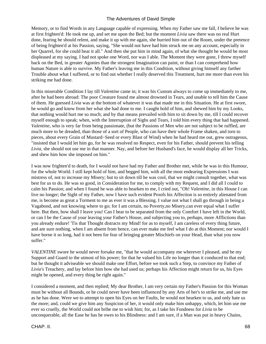Memory, or to find Words in any Language capable of expressing. When my Father saw me fall, I believe he was at first frighten'd: He took me up, and set me upon the Bed; but the moment *Livia* saw there was no real Hurt done, fearing he should relent, and make it up with me again, she hurried him out of the Room, under the pretence of being frighten'd at his Passion, saying, "She would not have had him struck me on any account, especially in her Quarrel, for she could bear it all." And then she put him in mind again, of what she thought he would be most displeased at my saying. I had not spoke one Word, nor was I able. The Moment they were gone, I threw myself back on the Bed, in greater Agonies than the strongest Imagination can paint, or than I can comprehend how human Nature is able to survive. My Father's leaving me in this Condition, without giving himself any farther Trouble about what I suffered, or to find out whether I really deserved this Treatment, hurt me more than even his striking me had done.

In this miserable Condition I lay till *Valentine* came in; it was his Custom always to come up immediately to me, after he had been abroad: The poor Creature found me almost drowned in Tears, and unable to tell him the Cause of them. He guessed *Livia* was at the bottom of whatever it was that made me in this Situation. He at first swore, he would go and know from her what she had done to me. I caught hold of him, and shewed him by my Looks, that nothing would hurt me so much; and by that means prevailed with him to sit down by me, till I could recover myself enough to speak; when, with the Interruption of Sighs and Tears, I told him every thing that had happened. *Valentine,* who is very far from being passionate, (but the Passions of Men who are not subject to be ruffled, are much more to be dreaded, than those of a sort of People, who can have their whole Frame shaken, and torn to pieces, about every Grain of Mustard−Seed or every Blast of Wind) when he had heard me out, grew outrageous, "insisted that I would let him go, for he was resolved no Respect, even for his Father, should prevent his telling *Livia,* she should not use me in that manner. Nay, and before her Husband's face, he would display all her Tricks, and shew him how she imposed on him."

I was now frighten'd to death, for I would not have had my Father and Brother met, while he was in this Humour, for the whole World. I still kept hold of him, and begged him, with all the most endearing Expressions I was mistress of, not to increase my Misery; but to sit down till he was cool, that we might consult together, what was best for us to do. He was so good, in Consideration for me, to comply with my Request, and I did all I could to calm his Passion; and when I found he was able to hearken to me, I cried out, "Oh! *Valentine,* in this House I can live no longer; the Sight of my Father, now I have such evident Proofs his Affection is so entirely alienated from me, is become as great a Torment to me as ever it was a Blessing. I value not what I shall go through in being a Vagabond, and not knowing where to go; for I am certain, no Poverty, no Misery, can ever equal what I suffer here. But then, how shall I leave you! Can I bear to be separated from the only Comfort I have left in the World, or can I be the Cause of your leaving your Father's House, and subjecting you to, perhaps, more Afflictions than you already endure! 'Tis that Thought distracts my Mind! for as to myself, I am careless of every thing future, and am sure nothing, when I am absent from hence, can ever make me feel what I do at this Moment; nor would I have borne it so long, had it not been for fear of bringing greater Mischiefs on your Head, than what you now suffer."

*VALENTINE* swore he would never forsake me, "that he would accompany me wherever I pleased, and be my Support and Guard to the utmost of his power; for that he valued his Life no longer than it conduced to that end; but he thought it adviseable we should make one Effort, before we took such a Step, to convince my Father of *Livia's* Treachery, and lay before him how she had used us; perhaps his Affection might return for us, his Eyes might be opened, and every thing be right again."

I considered a moment, and then replied; My dear Brother, I am very certain my Father's Passion for this Woman must be without all Bounds, or he could never have been influenced by any Arts of her's to strike me, and use me as he has done. Were we to attempt to open his Eyes on her Faults, he would not hearken to us, and only hate us the more; and, could we give him any Suspicion of her, it would only make him unhappy, which, let him use me ever so cruelly, the World could not bribe me to wish him; for, as I take his Fondness for *Livia* to be unconquerable, all the Ease he has he owes to his Blindness: and I am sure, if a Man was put in heavy Chains,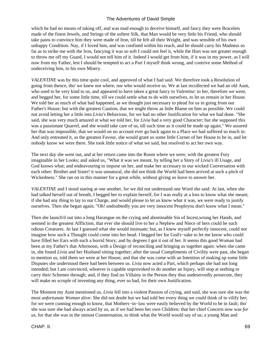which he had no means of taking off, and was mad enough to deceive himself, and fancy they were Bracelets made of the finest Jewels, and Strings of the softest Silk, that Man would be very little his Friend, who should take pains to convince him they were made of Iron, till he felt all their Weight, and was sensible of his own unhappy Condition. Nay, if I loved him, and was confined within his reach, and he should carry his Madness so far as to strike me with the Iron, fancying it was so soft I could not feel it, while the Hurt was not greater enough to throw me off my Guard, I would not tell him of it. Indeed I would get from him, if it was in my power, as I will now from my Father, lest I should be tempted to act a Part I myself think wrong, and contrive some Method of undeceiving him, to his own Misery.

*VALENTINE* was by this time quite cool, and approved of what I had said. We therefore took a Resolution of going from thence, tho' we knew not where, nor who would receive us. We at last recollected we had an old Aunt, who used to be very kind to us, and appeared to have taken a great fancy to *Valentine*: to her, therefore we went, and begged her, for some little time, till we could settle what to do with ourselves, to let us remain in her House. We told her as much of what had happened, as we thought just necessary to plead for us in going from our Father's House; but with the greatest Caution, that we might throw as little Blame on him as possible. We could not avoid letting her a little into *Livia's* Behaviour, for we had no other Justification for what we had done. "She said, she was very much amazed at what we told her, for *Livia* had a very good Character; but she supposed this was a passionate Quarrel, and she would take care of us, till such time as it could be made up again." We assured her that was impossible, that we would on no account ever go back again to a Place we had suffered so much in: And only entreated it, as the greatest Favour, she would grant us some little Corner of her House to be in, and let nobody know we were there. She took little notice of what we said, but resolved to act her own way.

The next day she went out, and at her return came into the Room where we were, with the greatest Fury imaginable in her Looks; and asked us, "What it was we meant, by telling her a Story of *Livia's* ill Usage, and God knows what; and endeavouring to impose on her, and make her accessary to our wicked Conversation with each other: Brother and Sister! it was unnatural, she did not think the World had been arrived at such a pitch of Wickedness." She ran on in this manner for a great while, without giving us leave to answer her.

*VALENTINE* and I stood staring at one another, for we did not understand one Word she said: At last, when she had talked herself out of breath, I begged her to explain herself, for I was really at a loss to know what she meant; if she had any thing to lay to our Charge, and would please to let us know what it was, we were ready to justify ourselves. Then she began again; "Oh! undoubtedly you are very innocent Peopleyou don't know what I mean."

Then she launch'd out into a long Harangue on the crying and abominable Sin of Incest, wrung her Hands, and seemed in the greatest Affliction, that ever she should live to her a Nephew and Niece of hers could be such odious Creatures. At last I guessed what she would insinuate; but, as I knew myself perfectly innocent, could not imagine how such a Thought could come into her head. I begged her for God's−sake to let me know who could have filled her Ears with such a horrid Story; and by degrees I got it out of her. It seems this good Woman had been at my Father's that Afternoon, with a Design of reconciling and bringing us together again: when she came in, she found *Livia* and her Husband sitting together; after the usual Compliments of Civility were past, she began to mention us, told them we were at her House; and that she was come with an Intention of making up some little Disputes she understood there had been between us. *Livia* now acted a Part, which perhaps she had not long intended; but I am convinced, whoever is capable unprovoked to do another an Injury, will stop at nothing to carry their Schemes through; and, if they find no Villainy in the Person they thus undeservedly prosecute, they will make no scruple of inventing any thing, ever so bad, for their own Justification.

The Moment my Aunt mentioned us, *Livia* fell into a violent Passion of crying, and said, she was sure she was the most *unfortunate Woman* alive: She did not doubt but we had told her every thing we could think of to vilify her; for we were cunning enough to know, that Mothers−in−law were easily believed by the World to be in fault; tho' she was sure she had always acted by us, as if we had been her own Children: that her chief Concern now was *for us,* for that she was in the utmost Consternation, to think what the World would say of us; a young Man and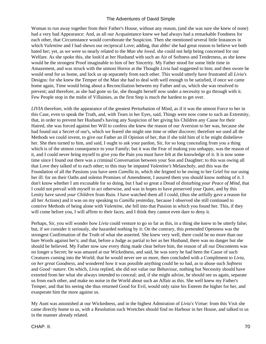Woman to run away together from their Father's House, without any reason, (and she was sure she knew of none) had a very bad Appearance: And, as all our Acquaintance knew we had always had a remarkable Fondness for each other, that Circumstance would corroborate the Suspicion. Then she mentioned several little Instances in which *Valentine* and I had shewn our reciprocal Love; adding, that altho' she had great reason to believe we both hated her; yet, as we were so nearly related to the *Man she loved,* she could not help being concerned for our Welfare. As she spoke this, she look'd at her Husband with such an Air of Softness and Tenderness, as she knew would be the strongest Proof imaginable to him of her Sincerity. My Father stood for some little time in Amazement, and was struck with the utmost Horror at the Thought *Livia* had suggested to him; and then swore he would send for us home, and lock us up separately from each other. This would utterly have frustrated all *Livia's* Designs: for she knew the Temper of the Man she had to deal with well enough to be satisfied, if once we came home again, Time would bring about a Reconciliation between my Father and us, which she was resolved to prevent; and therefore, as she had gone so far, she thought herself now under a necessity to go through with it. Few People stop in the midst of Villainies, as the first Step is much the hardest to get over.

*LIVIA* therefore, with the appearance of the greatest Perturbation of Mind, as if it was the utmost Force to her in this Case, even to speak the Truth, and, with Tears in her Eyes, said, Things were now come to such an Extremity, that, in order to prevent her Husband's having any Suspicion of her giving his Children any Cause for their Hatred, she was forced against her Will to confess she knew the reason of our Aversion to her was, because she had found out a Secret of our's, which we feared she might one time or other discover; therefore we used all the Methods we could invent, to give our Father an ill Opinion of her, that if she told him of it he might disbelieve her. She then turned to him, and said, I ought to ask your pardon, Sir, for so long concealing from you a thing which is of the utmost consequence to your Family; but it was the Fear of making you unhappy, was the reason of it, and I could never bring myself to give you the Pain you must have felt at the knowledge of it. It is now some time since I found out there was a criminal Conversation between your Son and Daughter; to this was owing all that Love they talked of to each other; to this may be imputed *Valentine's* Melancholy, and this was the Foundation of all the Passions you have seen *Camilla* in, which she feigned to be owing to her Grief for our using her ill: for on their Oaths and solemn Promises of Amendment, I assured them you should know nothing of it. I don't know whether I am excusable for so doing, but I had so great a Dread of disturbing *your Peace of Mind,* that I could not prevail with myself to act otherwise, and was in hopes to have preserved your Quiet, and by this Lenity have saved *your Children* from Ruin. I have watched them all I could, (thus she artfully gave a reason for all her Actions) and it was on my speaking to *Camilla* yesterday, because I observed she still continued to contrive Methods of being alone with *Valentine,* she fell into that Passion in which you found her. This, if they will come before you, I will affirm to their faces, and I think they cannot even dare to deny it.

Perhaps, Sir, you will wonder how *Livia* could venture to go so far as this, in a thing she knew to be utterly false; but, if we consider it seriously, she hazarded nothing by it: On the contrary, this pretended Openness was the strongest Confirmation of the Truth of what she asserted. She knew very well, there could be no more than our bare Words against her's; and that, before a Judge as partial to her as her Husband, there was no danger but she should be believed. My Father now saw every thing made clear before him, the reason of all our Discontents was no longer a Secret; he was amazed at our Wickedness, and said, he was sorry he had been the Cause of such Creatures coming into the World; that he would never see us more, then concluded with a Compliment to *Livia,* on *her great Goodness,* and wondered how it was possible anything could be so bad, as to abuse such *Softness* and *Good−nature*. On which, *Livia* replied, she did not value our Behaviour, nothing but Necessity should have extorted from her what she always intended to conceal; and, if she might advise, he should see us again, separate us from each other, and make no noise in the World about such an Affair as this. She well knew my Father's Temper, and that his seeing she thus returned Good for Evil, would only raise his Esteem the higher for her, and exasperate him the more against us.

My Aunt was astonished at our Wickedness, and in the highest Admiration of *Livia's* Virtue: from this Visit she came directly home to us, with a Resolution such Wretches should find no Harbour in her House, and talked to us in the manner already related.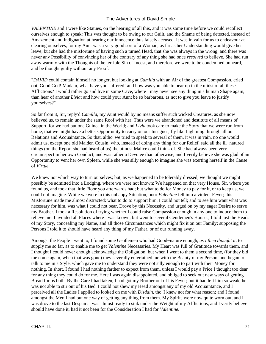*VALENTINE* and I were like Statues, on the hearing of all this, and it was some time before we could recollect ourselves enough to speak: This was thought to be owing to our Guilt, and the Shame of being detected, instead of Amazement and Indignation at hearing our Innocence thus falsely accused. It was in vain for us to endeavour at clearing ourselves, for my Aunt was a very good sort of a Woman, as far as her Understanding would give her leave; but she had the misfortune of having such a turned Head, that she was always in the wrong, and there was never any Possibility of convincing her of the contrary of any thing she had once *resolved* to believe. She had run away warmly with the Thoughts of the terrible Sin of Incest, and therefore we were to be condemned unheard, and be thought guilty without any Proof.

"*DAVID* could contain himself no longer, but looking at *Camilla* with an Air of the greatest Compassion, cried out, Good God! Madam, what have you suffered! and how was you able to bear up in the midst of all these Afflictions? I would rather go and live in some Cave, where I may never see any thing in a human Shape again, than hear of another *Livia*; and how could your Aunt be so barbarous, as not to give you leave to justify yourselves?"

So far from it, Sir, reply'd *Camilla,* my Aunt would by no means suffer such wicked Creatures, as she now believed us, to remain under the same Roof with her. Thus were we abandoned and destitute of all means of Support, for we had but one Guinea in the World; and *Livia* took care to make the Story that we were run from home, that we might have a better Opportunity to carry on our Intrigues, fly like Lightning through all our Relations and Acquaintance. So that, altho' we tried to speak to several of them, it was in vain, no one would admit us, except one old Maiden Cousin, who, instead of doing any thing for our Relief, said all the ill−natured things (on the Report she had heard of us) the utmost Malice could think of. She had always been very circumspect in her own Conduct, and was rather a Devotee than otherwise; and I verily believe she was glad of an Opportunity to vent her own Spleen, while she was silly enough to imagine she was exerting herself in the Cause of *Virtue*.

We knew not which way to turn ourselves; but, as we happened to be tolerably dressed, we thought we might possibly be admitted into a Lodging, where we were not known: We happened on that very House, Sir, where you found us, and took that little Floor you afterwards had; but what to do for Money to pay for it, or to keep us, we could not imagine. While we were in this unhappy Situation, poor *Valentine* fell into a violent Fever; this Misfortune made me almost distracted: what to do to support him, I could not tell; and to see him want what was necessary for him, was what I could not bear. Drove by this Necessity, and urged on by my eager Desire to serve my Brother, I took a Resolution of trying whether I could raise Compassion enough in any one to induce them to relieve me: I avoided all Places where I was known, but went to several Gentlemen's Houses; I told just the Heads of my Story, concealing my Name, and all those Circumstances which might fix it on our Family; supposing the Persons I told it to should have heard any thing of my Father, or of our running away.

Amongst the People I went to, I found some Gentlemen who had Good−nature enough, *as I then thought it,* to supply me so far, as to enable me to get *Valentine* Necessaries. My Heart was full of Gratitude towards them, and I thought I could never enough acknowledge the Obligation; but when I went to them a second time, (for they bid me come again, when that was gone) they severally entertained me with the Beauty of my Person, and began to talk to me in a Style, which gave me to understand they were not silly enough to part with their Money for nothing. In short, I found I had nothing farther to expect from them, unless I would pay a Price I thought too dear for any thing they could do for me. Here I was again disappointed, and obliged to seek out new ways of getting Bread for us both. By the Care I had taken, I had got my Brother out of his Fever; but it had left him so weak, he was not able to stir out of his Bed. I could not shew my Head amongst any of my old Acquaintance, and I perceived all the Ladies I applied to looked on me with *Disdain,* tho' I knew not for what reason; and I found amongst the Men I had but one way of getting any thing from them. My Spirits were now quite worn out, and I was drove to the last Despair: I was almost ready to sink under the Weight of my Afflictions, and I verily believe should have done it, had it not been for the Consideration I had for *Valentine*.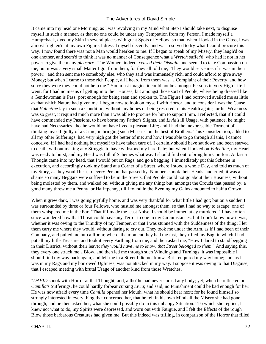It came into my head one Morning, as I was revolving in my Mind what Step I should take next, to disguise myself in such a manner, as that no one could be under any Temptation from my Person. I made myself a Hump−back, dyed my Skin in several places with great Spots of Yellow; so that, when I look'd in the Glass, I was almost frighten'd at my own Figure. I dress'd myself decently, and was resolved to try what I could procure this way. I now found there was not a Man would hearken to me: If I began to speak of my Misery, they laugh'd on one another, and seem'd to think it was no manner of Consequence what a *Wretch* suffer'd, who had it not in her power to give them any *pleasure* . The Women, indeed, *ceased their Disdain,* and seem'd to take Compassion on me; but it was a very small Matter I got from them, for they all told me, "They would serve me, if it was in their power:" and then sent me to somebody else, who they said was immensely rich, and could afford to give away Money; but when I came to these rich People, all I heard from them was "a Complaint of their Poverty, and how sorry they were they could not help me." You must imagine it could not be amongst Persons in very High Life I went; for I had no means of getting into their Houses; but amongst those sort of People, where being dressed like a Gentlewoman is Pass−port enough for being seen and spoken to. The Figure I had borrowed availed me as little as that which Nature had given me. I began now to look on myself with Horror, and to consider I was the Cause that *Valentine* lay in such a Condition, without any hopes of being restored to his Health again; for his Weakness was so great, it required much more than I was able to procure for him to support him. I reflected, that if I could have commanded my Passions, to have borne my Father's Slights, and *Livia's* ill Usage, with patience, he might have had Necessaries, tho' he would not have lived a pleasant Life; and I had the inexpressible Torment of thinking myself guilty of a Crime, in bringing such Miseries on the best of Brothers. This Consideration, added to all my other Sufferings, had very nigh got the better of me; and how I was able to go through all this, I cannot conceive. If I had had nothing but myself to have taken care of, I certainly should have sat down and been starved to death, without making any Struggle to have withstood my hard Fate; but when I looked on *Valentine,* my Heart was ready to burst, and my Head was full of Schemes what way I should find out to bring him Comfort. At last a Thought came into my head, that I would put on Rags, and go a begging. I immediately put this Scheme in execution, and accordingly took my Stand at a Corner of a Street, where I stood a whole Day, and told as much of my Story, as they would hear, to every Person that passed by. Numbers shook their Heads, and cried, it was a shame so many Beggars were suffered to be in the Streets, that People could not go about their Business, without being molested by them, and walked on, without giving me any thing; but, amongst the Crouds that passed by, a good many threw me a Penny, or Half−penny, till I found in the Evening my Gains amounted to half a Crown.

When it grew dark, I was going joyfully home, and was very thankful for what little I had got; but on a sudden I was surrounded by three or four Fellows, who hustled me amongst them, so that I had no way to escape: one of them whispered me in the Ear, "That if I made the least Noise, I should be immediatley murdered." I have often since wondered how that Threat could have any Terror to one in my Circumstances: but I don't know how it was, whether it was owing to the Timidity of my Temper, or that I was stunned with the Suddenness of the thing; I let them carry me where they would, without daring to cry out. They took me under the Arm, as if I had been of their Company, and pulled me into a Room; where, the moment they had me fast, they rifled my Bag, in which I had put all my little Treasure, and took it every Farthing from me, and then asked me, "How I dared to stand begging in their District, without their leave; *they would have me to know, that Street belonged to them*." And saying this, they every one struck me a Blow, and then led me through such Windings and Turnings, it was impossible I should find my way back again, and left me in a Street I did not know. But I enquired my way home; and, as I was in my Rags and my borrowed Ugliness, was not attacked in my way. I suppose it was owing to that Disguise, that I escaped meeting with brutal Usage of another kind from those Wretches.

"*DAVID* shook with Horror at that Thought; and, altho' he had never cursed any body; yet, when he reflected on *Camilla's* Sufferings, he could hardly forbear cursing *Livia*; and said, no Punishment could be bad enough for her: He was now afraid every time *Camilla* opened her Mouth, what he should hear next; for he found himself so strongly interested in every thing that concerned her, that he felt in his own Mind all the Misery she had gone through, and he then asked her, what she could possibly do in this unhappy Situation." To which she replied, I knew not what to do, my Spirits were depressed, and worn out with Fatigue, and I felt the Effects of the rough Blow those barbarous Creatures had given me. But this indeed was trifling, in comparison of the Horror that filled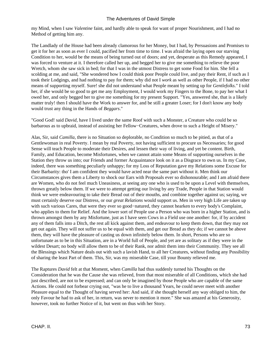my Mind, when I saw *Valentine* faint, and hardly able to speak for want of proper Nourishment, and I had no Method of getting him any.

The Landlady of the House had been already clamorous for her Money, but I had, by Persuasions and Promises to get it for her as soon as ever I could, pacified her from time to time. I was afraid the laying open our starving Condition to her, would be the means of being turned out of doors; and yet, desperate as this Remedy appeared, I was forced to venture at it. I therefore called her up, and begged her to give me something to relieve the poor Wretch, whom she saw sick in bed; for that I was in the utmost Distress to get some Food for him. She fell a scolding at me, and said, "She wondered how I could think poor People could live, and pay their Rent, if such as I took their Lodgings, and had nothing to pay for them; why did not I *work* as well as other People, if I had no other means of supporting myself. Sure! she did not understand what People meant by setting up for *Gentlefolks*." I told her, if she would be so good to get me any Employment, I would work my Fingers to the Bone, to pay her what I owed her, and only begged her to give me something for my present Support. "Yes, answered she, that is a likely matter truly! then I should have the Work to answer for, and be still a greater Loser; for I don't know any body would trust any thing in the Hands of *Beggars*."

"Good God! said *David,* have I lived under the same Roof with such a Monster, a Creature who could be so barbarous as to upbraid, instead of assisting her Fellow−Creatures, when drove to such a Height of Misery."

Alas, Sir, said *Camilla,* there is no Situation so deplorable, no Condition so much to be pitied, as that of a Gentlewoman in real Poverty. I mean by real Poverty, not having sufficient to procure us Necessaries; for good Sense will teach People to moderate their Desires, and lessen their way of living, and yet be content. Birth, Family, and Education, become Misfortunes, when we cannot attain some Means of supporting ourselves in the Station they throw us into; our Friends and former Acquaintance look on it as a Disgrace to own us. In my Case, indeed, there was something peculiarly unhappy; for my Loss of Reputation gave my Relations some Excuse for their Barbarity: tho' I am confident they would have acted near the same part without it. Men think our Circumstances gives them a Liberty to shock our Ears with Proposals ever so dishonourable; and I am afraid there are Women, who do not feel much Uneasiness, at seeing any one who is used to be upon a Level with themselves, thrown greatly below them. If we were to attempt getting our living by any Trade, People in that Station would think we were endeavouring to take their Bread out of their mouths, and combine together against us; saying, we must certainly deserve our Distress, or our *great Relations* would support us. Men in very high Life are taken up with such various Cares, that were they ever so good−natured, they cannot hearken to every body's Complaint, who applies to them for Relief. And the lower sort of People use a Person who was born in a higher Station, and is thrown amongst them by any Misfortune, just as I have seen Cows in a Field use one another: for, if by accident any of them falls into a Ditch, the rest all kick against them, and endeavour to keep them down, that they may not get out again. They will not suffer us to be equal with them, and get our Bread as they do; if we cannot be above them, they will have the pleasure of casting us down infinitely below them. In short, Persons who are so unfortunate as to be in this Situation, are in a World full of People, and yet are as solitary as if they were in the wildest Desart; no body will allow them to be of their Rank, nor admit them into their Community. They see all the Blessings which Nature deals out with such a lavish Hand, to all her Creatures, without finding any Possibility of sharing the least Part of them. This, Sir, was my miserable Case, till your Bounty relieved me.

The Raptures *David* felt at that Moment, when *Camilla* had thus suddenly turned his Thoughts on the Consideration that he was the Cause she was relieved, from that most miserable of all Conditions, which she had just described, are not to be expressed; and can only be imagined by those People who are capable of the same Actions. He could not forbear crying out, "was he to live a thousand Years, he could never meet with another Pleasure equal to the Thought of having served her: And said, if she thought herself any way obliged to him, the only Favour he had to ask of her, in return, was never to mention it more." She was amazed at his Generosity, however, took no further Notice of it, but went on thus with her Story.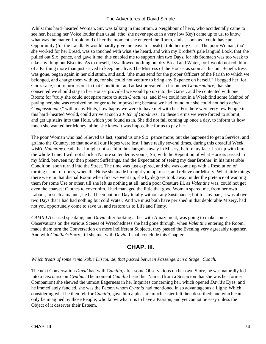Whilst this hard−hearted Woman, Sir, was talking in this Strain, a Neighbour of her's, who accidentally came to see her, hearing her Voice louder than usual, (tho' she never spoke in a very low Key) came up to us, to know what was the matter. I took hold of her the moment she entered the Room, and as soon as I could have an Opportunity (for the Landlady would hardly give me leave to speak) I told her my Case. The poor Woman, tho' she worked for her Bread, was so touched with what she heard, and with my Brother's pale languid Look, that she pulled out Six−pence, and gave it me; this enabled me to support him two Days, for his Stomach was too weak to take any thing but Biscuits. As to myself, I swallowed nothing but dry Bread and Water, for I would not rob him of a Farthing more than just served to keep me alive. The Mistress of the House, as soon as this our Benefactress was gone, began again in her old strain, and said, "she must send for the proper Officers of the Parish to which we belonged, and charge them with us, for she could not venture to bring any Expence on herself." I begged her, for God's sake, not to turn us out in that Condition: and at last prevailed so far on her *Good−nature,* that she consented we should stay in her House, provided we would go up into the Garret, and be contented with one Room; for "truly she could not spare more to such *Creatures,* and if we could not in a Week find some Method of paying her, she was resolved no longer to be imposed on; because we had found out she could not help *being Compassionate,*" with many Hints, how happy we were to have met with her: For there were very few People in this hard−hearted World, could arrive at such a *Pitch of Goodness*. To these Terms we were forced to submit, and get up stairs into that Hole, which you found us in. She did not fail coming up once a day, to inform us how much she wanted her Money, altho' she knew it was impossible for us to pay her.

The poor Woman who had relieved us last, spared us one Six–pence more; but she happened to get a Service, and go into the Country, so that now all our Hopes were lost. I have really several times, during this dreadful Week, wish'd *Valentine* dead, that I might not see him thus languish away in Misery, before my face. I sat up with him the whole Time. I will not shock a Nature so tender as your's, Sir, with the Repetition of what Horrors passed in my Mind, between my then present Sufferings, and the Expectation of seeing my dear Brother, in his miserable Condition, soon turn'd into the Street. The time was just expired, and she was come up with a Resolution of turning us out of doors, when the Noise she made brought you up to see, and relieve our Misery. What little things there were in that dismal Room when first we went up, she by degrees took away, under the pretence of wanting them for some Use or other, till she left us nothing at all; and a poor Creature ill, as *Valentine* was, could not get even the coarsest Clothes to cover him. I had managed the little that good Woman spared me, from her own Labour, in such a manner, he had been but one Day totally without any Sustenance; but for my part, it was above two Days that I had had nothing but cold Water: And we must both have perished in that deplorable Misery, had not you opportunely come to save us, and restore us to Life and Plenty.

*CAMILLA* ceased speaking, and *David* after looking at her with Amazement, was going to make some Observations on the various Scenes of Wretchedness she had gone through, when *Valentine* entering the Room, made them turn the Conversation on more indifferent Subjects, they passed the Evening very agreeably together. And with *Camilla's* Story, till she met with *David,* I shall conclude this Chapter.

# **CHAP. III.**

#### *Which treats of some remarkable Discourse, that passed between Passengers in a Stage−Coach.*

The next Conversation *David* had with *Camilla,* after some Observations on her own Story, he was naturally led into a Discourse on *Cynthia*. The moment *Camilla* heard her Name, (from a Suspicion that she was her former Companion) she shewed the utmost Eagerness in her Inquiries concerning her, which opened *David's* Eyes; and he immediately fancied, she was the Person whom *Cynthia* had mentioned in so advantageous a Light: Which, considering what he then felt for *Camilla,* gave him a pleasure much easier felt then described; and which can only be imagined by those People, who know what it is to have a Passion, and yet cannot be easy unless the Object of it deserves their Esteem.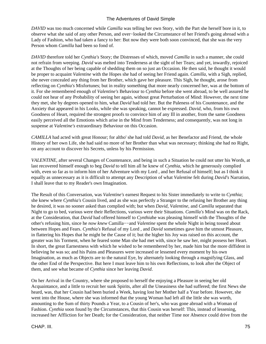*DAVID* was too much concerned while *Camilla* was telling her own Story, with the Part she herself bore in it, to observe what she said of any other Person, and over−looked the Circumstance of her Friend's going abroad with a Lady of Fashion, who had taken a fancy to her: But now they were both soon convinced, that she was the very Person whom *Camilla* had been so fond of.

*DAVID* therefore told her *Cynthia's* Story; the Distresses of which, moved *Camilla* in such a manner, she could not refrain from weeping. *David* was melted into Tenderness at the sight of her Tears; and yet, inwardly, rejoiced at the Thoughts of her being capable of shedding them on so just an Occasion. He then said, he thought it would be proper to acquaint *Valentine* with the Hopes she had of seeing her Friend again. *Camilla,* with a Sigh, replied, she never concealed any thing from her Brother, which gave her pleasure. This Sigh, he thought, arose from reflecting on *Cynthia's* Misfortunes; but in reality something that more nearly concerned her, was at the bottom of it. For she remembered enough of *Valentine's* Behaviour to *Cynthia* before she went abroad, to be well assured he could not hear of any Probability of seeing her again, without great Perturbation of Mind: However, the next time they met, she by degrees opened to him, what *David* had told her. But the Paleness of his Countenance, and the Anxiety that appeared in his Looks, while she was speaking, cannot be expressed. *David,* who, from his own Goodness of Heart, required the strongest proofs to convince him of any Ill in another, from the same Goodness easily perceived all the Emotions which arise in the Mind from Tenderness; and consequently, was not long in suspense at *Valentine's* extraordinary Behaviour on this Occasion.

*CAMILLA* had acted with great Honour; for altho' she had told *David,* as her Benefactor and Friend, the whole History of her own Life, she had said no more of her Brother than what was necessary; thinking she had no Right, on any account to discover his Secrets, unless by his Permission.

*VALENTINE,* after several Changes of Countenance, and being in such a Situation he could not utter his Words, at last recovered himself enough to beg *David* to tell him all he knew of *Cynthia,* which he generously complied with, even so far as to inform him of her Adventure with my Lord , and her Refusal of himself; but as I think it equally as unnecessary as it is difficult to attempt any Description of what *Valentine* felt during *David's* Narration, I shall leave that to my Reader's own Imagination.

The Result of this Conversation, was *Valentine's* earnest Request to his Sister immediately to write to *Cynthia*; she knew where *Cynthia's* Cousin lived, and as she was perfectly a Stranger to the refusing her Brother any thing he desired, it was no sooner asked than complied with; but when *David, Valentine,* and *Camilla* separated that Night to go to bed, various were their Reflections, various were their Situations. *Camilla's* Mind was on the Rack, at the Consideration, that *David* had offered himself to *Cynthia*he was pleasing himself with the Thoughts of the other's refusing him, since he *now knew* Camilla−−and *Valentine* spent the whole Night in being tossed about between Hopes and Fears. *Cynthia's* Refusal of my Lord , and *David* sometimes gave him the utmost Pleasure, in flattering his Hopes that he might be the Cause of it; but the higher his Joy was raised on this account, the greater was his Torment, when he feared some Man she had met with, since he saw her, might possess her Heart. In short, the great Earnestness with which he wished to be remembered by her, made him but the more diffident in believing he was so; and his Pains and Pleasures were increased or lessened every moment by his own Imagination, as much as Objects are to the natural Eye, by alternately looking through a magnifying Glass, and the other End of the Perspective. But here I must leave him to his own Reflections, to look after the Object of them, and see what became of *Cynthia* since her leaving *David*.

On her Arrival in the Country, where she proposed to herself the enjoying a Pleasure in seeing her old Acquaintance, and a little to recruit her sunk Spirits, after all the Uneasiness she had suffered; the first News she heard, was, that her Cousin had been buried a Week, having lost her Mother half a Year before. However, she went into the House, where she was informed that the young Woman had left all the little she was worth, amounting to the Sum of thirty Pounds a Year, to a Cousin of her's, who was gone abroad with a Woman of Fashion. *Cynthia* soon found by the Circumstances, that this Cousin was herself: This, instead of lessening, increased her Affliction for her Death; for the Consideration, that neither Time nor Absence could drive from the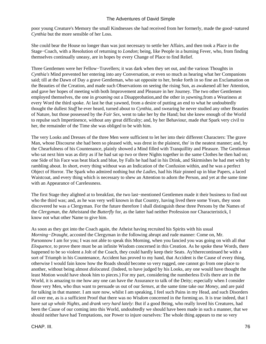poor young Creature's Memory the small Kindnesses she had received from her formerly, made the good−natured *Cynthia* but the more sensible of her Loss.

She could bear the House no longer than was just necessary to settle her Affairs, and then took a Place in the Stage−Coach, with a Resolution of returning to *London*; being, like People in a burning Fever, who, from finding themselves continually uneasy, are in hopes by every Change of Place to find Relief.

Three Gentlemen were her Fellow−Travellers; it was dark when they set out, and the various Thoughts in *Cynthia's* Mind prevented her entering into any Conversation, or even so much as hearing what her Companions said; till at the Dawn of Day a grave Gentleman, who sat opposite to her, broke forth in so fine an Exclamation on the Beauties of the Creation, and made such Observations on seeing the rising Sun, as awakened all her Attention, and gave her hopes of meeting with both Improvement and Pleasure in her Journey. The two other Gentlemen employed themselves, the one in *groaning* out a Disapprobation, and the other in *yawning*, from a Weariness at every Word the third spoke. At last he that yawned, from a desire of putting an end to what he undoubtedly thought the dullest *Stuff* he ever heard, turned about to *Cynthia,* and swearing he never studied any other Beauties of Nature, but those possessed by the *Fair Sex,* went to take her by the Hand; but she knew enough of the World to repulse such Impertinence, without any great difficulty; and, by her Behaviour, made *that* Spark very civil to her, the remainder of the Time she was obliged to be with him.

The very Looks and Dresses of the three Men were sufficient to let her into their different Characters: The grave Man, whose Discourse she had been so pleased with, was drest in the plainest, tho' in the neatest manner; and, by the Chearfulness of his Countenance, plainly showed a Mind filled with Tranquillity and Pleasure. The Gentleman who sat next him was as dirty as if he had sat up two or three Nights together in the same Clothes he then had on; one Side of his Face was beat black and blue, by Falls he had had in his Drink, and Skirmishes he had met with by rambling about. In short, every thing without was an Indication of the Confusion within, and he was a perfect Object of Horror. The Spark who admired nothing but *the Ladies,* had his Hair pinned up in blue Papers, a laced Waistcoat, and every thing which is necessary to shew an Attention to adorn the Person, and yet at the same time with an Appearance of Carelessness.

The first Stage they alighted at to breakfast, the two last−mentioned Gentlemen made it their business to find out who the third was; and, as he was very well known in that Country, having lived there some Years, they soon discovered he was a Clergyman. For the future therefore I shall distinguish these three Persons by the Names of the *Clergyman,* the *Atheist*and the *Butterfly* for, as the latter had neither Profession nor Characteristick, I know not what other Name to give him.

As soon as they got into the Coach again, the Atheist having recruited his Spirits with his usual *Morning−Draught,* accosted the Clergyman in the following abrupt and rude manner: Come on, Mr. Parson now I am for you; I was not able to speak this Morning, when you fancied you was going on with all *that Eloquence,* to prove there must be an infinite Wisdom concerned in this Creation. As he spoke these Words, there happened to be so violent a Jolt of the Coach, they could hardly keep their Seats. Ay! there continued he with a sort of Triumph in his Countenance, Accident has proved to my hand, that Accident is the Cause of every thing, otherwise I would fain know how the Roads should become so very rugged, one cannot go from one place to another, without being almost *dislocated*. (Indeed, to have judged by his Looks, any one would have thought the least Motion would have shook him to pieces.) For my part, considering the numberless Evils there are in the World, it is amazing to me how any one can have the Assurance to talk of the Deity; especially when I consider those very Men, who thus want to persuade us out of our *Senses,* at the same time take our *Money,* and are paid for talking in that manner. I am sure now, whilst I am speaking, I feel such Pains in my Head, and such Disorders all over me, as is a sufficient Proof that there was no *Wisdom* concerned in the forming *us*. It is true indeed, that I have *sat up whole Nights,* and *drank very hard lately*: But if a good Being, who really loved his Creatures, had been the Cause of our coming into this World, undoubtedly we should have been made in such a manner, that we should neither have had Temptations, nor Power to injure ourselves: The whole thing appears to me so very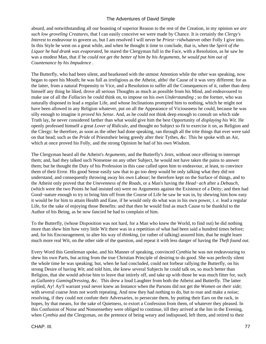absurd, and notwithstanding all our boasting of superior Reason to the rest of the Creation, in my opinion *we are such low groveling Creatures,* that I can easily conceive we were made by Chance. It is certainly the *Clergy's Interest* to endeavour to govern *us,* but I am resolved I will never be *Priest−rid*whatever other Folly I give into. In this Style he went on a great while, and when he thought it time to conclude, that is, when the *Spirit of the Liquor he had drank was evaporated,* he stared the Clergyman full in the Face, with a Resolution, as he saw he was a modest Man, that if he *could not get the better of him by his Arguments, he would put him out of Countenance by his Impudence* .

The Butterfly, who had been silent, and hearkened with the utmost Attention while the other was speaking, now began to open his Mouth; he was full as irreligious as the Atheist, altho' the Cause of it was very different: for as the latter, from a natural Propensity to Vice, and a Resolution to suffer all the Consequences of it, rather than deny himself any thing he liked, drove all serious Thoughts as much as possible from his Mind, and endeavoured to make use of all the *Fallacies* he could think on, to impose on his *own Understanding* ; so the former, who was naturally disposed to lead a regular Life, and whose Inclinations prompted him to nothing, which he might not have been allowed in any Religion whatever, put on all the Appearance of Viciousness he could, because he was silly enough to imagine it *proved his Sense*. And, as he could not think deep enough to consult on which side Truth lay, he never considered farther than what would give him the best Opportunity of *displaying his Wit*. He openly professed himself a great *Lover of Ridicule,* and thought no Subject so fit to exercise it on, as Religion and the Clergy: he therefore, as soon as the other had done speaking, ran through all the trite things that ever were said on that head; such as the *Pride* of Prieststheir being greedy after their Tythes, *&c.* This he spoke with an Air, which at once proved his Folly, and the strong Opinion he had of his own Wisdom.

The Clergyman heard all the Atheist's *Arguments,* and the Butterfly's *Jests,* without once offering to interrupt them; and, had they talked such Nonsense on any other Subject, he would not have taken the pains to answer them; but he thought the Duty of his Profession in this case called upon him to endeavour, at least, to convince them of their Error. His good Sense easily saw that to go too deep would be only talking what they did not understand, and consequently throwing away his own Labour; he therefore kept on the Surface of things, and to the Atheist only proved that the *Unevenness of the Roads,* or a Man's having the *Head−ach* after a *Debauch,* (which were the two Points he had insisted on) were no Arguments against the Existence of a Deity; and then had Good−nature enough to try to bring him off from the Course of Life he saw he was in, by shewing him how easy it would be for him to attain Health and Ease, if he would only do what was in his own power, *i. e.* lead a regular Life, for the sake of enjoying those Benefits: and that then he would find as much Cause to be thankful to the Author of his Being, as he now fancied he had to complain of him.

To the Butterfly, (whose Disposition was not hard, for a Man who knew the World, to find out) he did nothing more than shew him how very little Wit there was in a repetition of what had been said a hundred times before; and, for his Encouragement, to alter his way of *thinking,* (or rather of talking) assured him, that he might learn much more real Wit, on the other side of the question, and repeat it with less danger of having the *Theft found out*.

Every Word this Gentleman spoke, and his Manner of speaking, convinced *Cynthia* he was not endeavouring to shew his own Parts, but acting from the true Christian Principle of desiring to do good. She was perfectly silent the whole time he was speaking; but, when he had concluded, could not forbear rallying the Butterfly, on his strong Desire of having *Wit*; and told him, she knew several Subjects he could talk on, so much better than Religion, that she would advise him to leave that intirely off, and take up with those he was much fitter for, such as *Gallantry GamingDressing, &c.* This drew a loud Laughter from both the Atheist and Butterfly. The latter replied, Ay! Ay! I warrant you I never knew an Instance when the Parsons did not get the *Women on their side*; with several coarse Jests not worth repeating. And now they had nothing to do, but to roar and make a noise; resolving, if they could not confute their Adversaries, to persecute them, by putting their Ears on the rack, in hopes, by that means, for the sake of Quietness, to extort a Confession from them, of whatever they pleased. In this Confusion of Noise and Nonsensethey were obliged to continue, till they arrived at the Inn in the Evening, when *Cynthia* and the Clergyman, on the pretence of being weary and indisposed, left them, and retired to their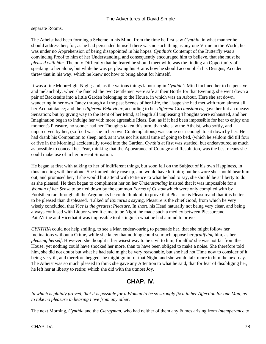separate Rooms.

The Atheist had been forming a Scheme in his Mind, from the time he first saw *Cynthia,* in what manner he should address her; for, as he had persuaded himself there was no such thing as any one Virtue in the World, he was under no Apprehension of being disappointed in his hopes. *Cynthia's* Contempt of the Butterfly was a convincing Proof to him of her Understanding, and consequently encouraged him to believe, that she must be *pleased with him*. The only Difficulty that he feared he should meet with, was the finding an Opportunity of speaking to her alone; but while he was perplexing his Brains how he should accomplish his Designs, Accident threw that in his way, which he knew not how to bring about for himself.

It was a fine Moon−light Night; and, as the various things labouring in *Cynthia's* Mind inclined her to be pensive and melancholy, when she fancied the two Gentlemen were safe at their Bottle for that Evening, she went down a pair of Backstairs into a little Garden belonging to the House, in which was an Arbour. Here she sat down, wandering in her own Fancy through all the past Scenes of her Life, the Usage she had met with from almost all her Acquaintance; and their *different Behaviour,* according to her *different Circumstances,* gave her but an uneasy Sensation: but by giving way to the Bent of her Mind, at length all unpleasing Thoughts were exhausted, and her Imagination began to indulge her with more agreeable Ideas. But, as if it had been impossible for her to enjoy one moment's Pleasure, no sooner had her Thoughts taken this turn, than she saw the Atheist, who softly, and unperceived by her, (so fix'd was she in her own Contemplations) was come near enough to sit down by her. He had drank his Companion to sleep; and, as it was not his usual time of going to bed, (which he seldom did till four or five in the Morning) accidentally roved into the Garden. *Cynthia* at first was startled, but endeavoured as much as possible to conceal her Fear, thinking that the Appearance of Courage and Resolution, was the best means she could make use of in her present Situation.

He began at first with talking to her of indifferent things, but soon fell on the Subject of his own Happiness, in thus meeting with her alone. She immediately rose up, and would have left him; but he swore she should hear him out, and promised her, if she would but attend with Patience to what he had to say, she should be at liberty to do as she pleased. He then began to compliment her on her *Understanding* insisted that it was impossible for a *Woman of her Sense* to be tied down by the common *Forms of Custom*which were only complied with by Fools then ran through all the Arguments he could think of, to prove that Pleasure is Pleasure and that it is better to be pleased than displeased. Talked of *Epicurus's* saying, Pleasure is the chief Good, from which he very wisely concluded, that *Vice is the greatest Pleasure*. In short, his Head naturally not being very clear, and being always confused with Liquor when it came to be Night, he made such a medley between Pleasure and Pain Virtue and Vice that it was impossible to distinguish what he had a mind to prove.

*CYNTHIA* could not help smiling, to see a Man endeavouring to persuade her, that she might follow her Inclinations without a Crime, while she knew that nothing could so much oppose her *gratifying* him, as her *pleasing herself*. However, she thought it her wisest way to be civil to him; for altho' she was not far from the House, yet nothing could have shocked her more, than to have been obliged to make a noise. She therefore told him, she did not doubt but what he had said might be very reasonable, but she had not Time now to consider of it, being very ill, and therefore begged she might go in for that Night, and she would talk more to him the next day. The Atheist was so much pleased to think she gave any Attention to what he said, that for fear of disobliging her, he left her at liberty to retire; which she did with the utmost Joy.

# **CHAP. IV.**

*In which is plainly proved, that it is possible for a Woman to be so strongly fix'd in her Affection for one Man, as to take no pleasure in hearing Love from any other.*

The next Morning, *Cynthia* and the *Clergyman,* who had neither of them any Fumes arising from *Intemperance* to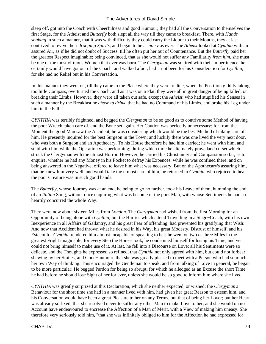sleep off, got into the Coach with Cheerfulness and good Humour; they had all the Conversation to themselves the first Stage, for the Atheist and *Butterfly* both slept all the way till they came to breakfast. There, with *Hands shaking* in such a manner, that it was with difficulty they could carry the Liquor to their Mouths, they at last contrived to revive their *drooping Spirits,* and began to be as *noisy* as ever. The *Atheist* looked at *Cynthia* with an assured Air, as if he did not doubt of Success, till he often put her out of Countenance. But the *Butterfly* paid her the greatest Respect imaginable; being convinced, that as she would not suffer any Familiarity *from him,* she must be one of the most virtuous Women that ever was born. The *Clergyman* was so tired with their Impertinence, he certainly would have got out of the Coach, and walked afoot, had it not been for his Consideration for *Cynthia*; for she had no Relief but in his Conversation.

In this manner they went on, till they came to the Place where they were to dine, when the Postilion giddily taking too little Compass, overturned the Coach; and as it was on a Flat, they were all in great danger of being killed, or breaking their Limbs. However, they were all taken out safe, except the *Atheist,* who had stupified his Senses in such a manner by the Breakfast he *chose to drink,* that he had no Command of his Limbs, and broke his Leg under him in the Fall.

*CYNTHIA* was terribly frightned, and begged the *Clergyman* to be so good as to contrive some Method of having the poor Wretch taken care of, and the Bone set again. Her Caution was perfectly unnecessary; for from the Moment the good Man saw the Accident, he was considering which would be the best Method of taking care of him. He presently inquired for the best Surgeon in the Town; and luckily there was one lived the very next door, who was both a Surgeon and an Apothecary. To his House therefore he had him carried; he went with him, and staid with him while the Operation was performing; during which time he alternately prayed and cursed which struck the Clergyman with the utmost Horror. However, he carried his Christianity and Compassion so far, as to enquire, whether he had any Money in his Pocket to defray his Expences, while he was confined there; and on being answered in the Negative, offered to leave him what was necessary. But on the Apothecary's assuring him, that he knew him very well, and would take the utmost care of him, he returned to *Cynthia,* who rejoiced to hear the poor Creature was in such good hands.

The *Butterfly,* whose Journey was at an end, he being to go no farther, took his Leave of them, humming the end of an *Italian* Song, without once enquiring what was become of the poor Man, with whose Sentiments he had so heartily concurred the whole Way.

They were now about sixteen Miles from *London*. The *Clergyman* had wished from the first Morning for an Opportunity of being alone with *Cynthia*; but the Hurries which attend Travelling in a Stage−Coach, with his own Inexperience in all Affairs of Gallantry, and his great Fear of offending, had prevented his gratifying that Wish: And now that Accident had thrown what he desired in his Way, his great Modesty, Distrust of himself, and his Esteem for *Cynthia*, rendered him almost incapable of speaking to her; he went on two or three Miles in the greatest Fright imaginable, for every Step the Horses took, he condemned himself for losing his Time, and yet could not bring himself to make use of it. At last, he fell into a Discourse on Love; all his Sentiments were so delicate, and the Thoughts he expressed so refined, that *Cynthia* not only agreed with him, but could not forbear shewing by her Smiles, and Good−humour, that she was greatly pleased to meet with a Person who had so much her own Way of thinking. This encouraged the Gentleman to speak, and from talking of Love in general, he began to be more particular: He begged Pardon for being so abrupt; for which he alledged as an Excuse the short Time he had before he should lose Sight of her for ever, unless she would be so good to inform him where she lived.

*CYNTHIA* was greatly surprized at this Declaration, which she neither expected, or wished; the *Clergyman's* Behaviour for the short time she had in a manner lived with him, had given her great Reason to esteem him, and his Conversation would have been a great Pleasure to her on any Terms, but that of being her Lover; but her Heart was already so fixed, that she resolved never to suffer any other Man to make Love to her; and she would on no Account have endeavoured to encrease the Affection of a Man of Merit, with a View of making him uneasy. She therefore very seriously told him, "that she was infinitely obliged to him for the Affection he had expressed for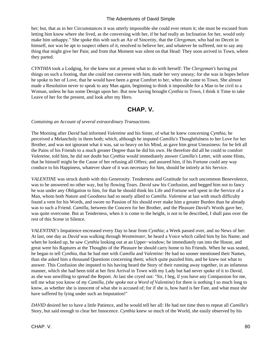her; but, that as in her Circumstances it was utterly impossible she could ever return it; she must be excused from letting him know where she lived, as the conversing with her, if he had really an Inclination for her, would only make him unhappy." She spoke this with such an Air of Sincerity, that the *Clergyman,* who had no Deceit in himself, nor was he apt to suspect others of it, resolved to believe her, and whatever he suffered, not to say any thing that might give her Pain; and from that Moment was silent on that Head: They soon arrived in Town, where they parted.

*CYNTHIA* took a Lodging, for she knew not at present what to do with herself: The *Clergyman's* having put things on such a footing, that she could not converse with him, made her very uneasy; for she was in hopes before he spoke to her of Love, that he would have been a great Comfort to her, when she came to Town. She almost made a Resolution never to speak to any Man again, beginning to think it impossible for a Man to be civil to a Woman, unless he has some Design upon her. But now having brought *Cynthia* to Town, I think it Time to take Leave of her for the present, and look after my Hero.

# **CHAP. V.**

#### *Containing an Account of several extraordinary Transactions.*

The Morning after *David* had informed *Valentine* and his Sister, of what he knew concerning *Cynthia,* he perceived a Melancholy in them both; which, although he imputed *Camilla's* Thoughtfulness to her Love for her Brother, and was not ignorant what it was, sat so heavy on his Mind, as gave him great Uneasiness: for he felt all the Pains of his Friends to a much greater Degree than he did his own. He therefore did all he could to comfort *Valentine,* told him, he did not doubt but *Cynthia* would immediately answer *Camilla's* Letter, with some Hints, that he himself might be the Cause of her refusing all Offers; and assured him, if his Fortune could any way conduce to his Happiness, whatever share of it was necessary for him, should be intirely at his Service.

*VALENTINE* was struck dumb with this Generosity. Tenderness and Gratitude for such uncommon Benevolence, was to be answered no other way, but by flowing Tears. *David* saw his Confusion, and begged him not to fancy he was under any Obligation to him, for that he should think his Life and Fortune well spent in the Service of a Man, whom both Nature and Goodness had so nearly allied to *Camilla*. *Valentine* at last with much difficulty found a vent for his Words, and swore no Passion of his should ever make him a greater Burden than he already was to such a Friend. *Camilla,* between the Concern for her Brother, and the Pleasure *David's* Words gave her, was quite overcome. But as Tenderness, when it is come to the height, is not to be described, I shall pass over the rest of this Scene in Silence.

*VALENTINE's* Impatience encreased every Day to hear from *Cynthia*; a Week passed over, and no News of her: At last, one day as *David* was walking through *Westminster,* he heard a Voice which called him by his Name; and when he looked up, he saw *Cynthia* looking out at an Upper−window; he immediately ran into the House, and great were his Raptures at the Thoughts of the Pleasure he should carry home to his Friends. When he was seated, he began to tell *Cynthia,* that he had met with *Camilla* and *Valentine*: He had no sooner mentioned their Names, than she asked him a thousand Questions concerning them; which quite puzzled him, and he knew not what to answer. This Confusion she imputed to his having heard the Story of their running away together, in an infamous manner, which she had been told at her first Arrival in Town with my Lady but had never spoke of it to *David,* as she was unwilling to spread the Report. At last she cryed out: "Sir, I beg, if you have any Compassion for me, tell me what you know of *my Camilla, (she spoke not a Word of Valentine*) for there is nothing I so much long to know, as whether she is innocent of what she is accused of; for if she is, how hard is her Fate, and what must she have suffered by lying under such an Imputation!"

*DAVID* desired her to have a little Patience, and he would tell her all: He had not time then to repeat all *Camilla's* Story, but said enough to clear her Innocence. *Cynthia* knew so much of the World, she easily observed by his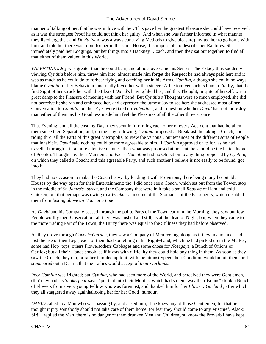manner of talking of her, that he was in love with her. This gave her the greatest Pleasure she could have received, as it was the strongest Proof he could not think her guilty. And when she was farther informed in what manner they lived together, and *David* (who was always contriving Methods to give pleasure) invited her to go home with him, and told her there was room for her in the same House; it is impossible to describe her Raptures: She immediately paid her Lodgings, put her things into a Hackney−Coach, and then they sat out together, to find all that either of them valued in this World.

*VALENTINE's* Joy was greater than he could bear, and almost overcame his Senses. The Extacy thus suddenly viewing *Cynthia* before him, threw him into, almost made him forget the Respect he had always paid her; and it was as much as he could do to forbear flying and catching her in his Arms. *Camilla,* although she could no ways blame *Cynthia* for her Behaviour, and really loved her with a sincere Affection; yet such is human Frailty, that the first Sight of her struck her with the Idea of *David's* having liked her; and this Thought, in spite of herself, was a great damp to the Pleasure of meeting with her Friend. But *Cynthia's* Thoughts were so much employed, she did not perceive it; she ran and embraced her, and expressed the utmost Joy to see her: she addressed most of her Conversation to *Camilla,* but her Eyes were fixed on *Valentine* ; and I question whether *David* had not more Joy than either of them, as his Goodness made him feel the Pleasures of all the other three at once.

That Evening, and all the ensuing Day, they spent in informing each other of every Accident that had befallen them since their Separation; and, on the Day following, *Cynthia* proposed at Breakfast the taking a Coach, and riding thro' all the Parts of this great Metropolis, to view the various Countenances of the different sorts of People that inhabit it. *David* said nothing could be more agreeable to him, if *Camilla* approved of it: for, as he had travelled through it in a more attentive manner, than what was proposed at present, he should be the better Judge of People's Thoughts by their Manners and Faces. *Valentine* had no Objection to any thing proposed by *Cynthia,* on which they called a Coach; and this agreeable Party, and such another I believe is not easily to be found, got into it.

They had no occasion to make the Coach heavy, by loading it with Provisions, there being many hospitable Houses by the way open for their Entertainment; tho' I did once see a Coach, which set out from the Tower, stop in the middle of *St. James's−street,* and the Company that were in it take a small *Repaste* of Ham and cold Chicken; but that perhaps was owing to a *Weakness* in some of the Stomachs of the Passengers, which disabled them from *fasting above an Hour at a time*.

As *David* and his Company passed through the polite Parts of the Town early in the Morning, they saw but few People worthy their Observation; all there was hushed and still, as at the dead of Night; but, when they came to the more trading Part of the Town, the Hurry there was equal to the Stillness they had before observed.

As they drove through *Covent−Garden,* they saw a Company of Men reeling along, as if they in a manner had lost the use of their Legs; each of them had something in his Right−hand, which he had picked up in the Market; some had Hop–tops, others Flowers others Cabbages and some chose for *Nosegays*, a Bunch of Onions or Garlick; but all their Hands shook, as if it was with difficulty they could hold any thing in them. As soon as they saw the Coach, they ran, or rather tumbled up to it, with the utmost Speed their Condition would admit them, and *stammered* out a Desire, that the Ladies would accept of *their Garlands*.

Poor *Camilla* was frighted; but *Cynthia,* who had seen more of the World, and perceived they were Gentlemen, (tho' they had, as *Shakespear* says, "put that into their Mouths, which had stolen away their Brains") took a Bunch of Flowers from a very young Fellow who was foremost, and thanked him for her *Flowery Garland* ; after which they all staggered away againhallooing her for her Good−humour.

*DAVID* called to a Man who was passing by, and asked him, if he knew any of those Gentlemen, for that he thought it pity somebody should not take care of them home, for fear they should come to any Mischief. Alack! Sir!−−replied the Man, there is no danger of them drunken Men and Childrenyou know the Proverb I have kept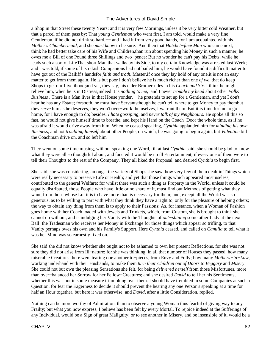a Shop in that Street these twenty Years; and it is very few Mornings, unless it be very bitter cold Weather, but that a parcel of them pass by: That *young Gentleman* who went first, I am told, would make a very fine Gentleman, if he did not drink so hard,—– and I had it from very good hands, for I am acquainted with his *Mother's Chambermaid,* and she *must know* to be sure. And then that *Hatchet−face Man* who came next,I think he had better take care of his Wife and Children, than run about spending his Money in such a manner, he owes me a Bill of one Pound three Shillings and two−pence: But no wonder he can't pay his Debts, while he leads such a sort of Life That short Man that walks by his Side, to my certain Knowledge was arrested last Week; and I was told, if some of his rakish Companions had not bailed him, he would have found it a difficult matter to have got out of the Bailiff's hands for *faith and troth*, Master, if once they lay hold of any one, it is not an easy matter to get from them again. He is but poor I don't believe he is much richer than one *of we,* that do keep Shops to get our Livelihood; and yet, they say, his elder Brother rides in his *Coach and Six*. I think he might relieve him, when he is in Distress; indeed it is *nothing to me*, and I never *trouble my head* about other *Folks Business* . There is a Man lives in that House yonder,—he pretends to set up for a Gentleman, and yet I don't hear he has any Estate; forsooth, he must have Servants though he can't tell where to get Money to pay them but they *serve* him as he deserves, they won't over−work themselves, I warrant them. But it is time for me to go home, for I have enough to do; besides, *I hate gossiping,* and *never talk of my Neighbours*. He spoke all this so fast, he would not give himself time to breathe, and kept his Hand on the Coach−Door the whole time, as if he was afraid it would drive away from him. When he ceased speaking, *Cynthia* applauded him for *minding his own Business,* and not *troubling himself* about other People; on which, he was going to begin again, but *Valentine* bid the Coachman drive on, and so left him

They went on some time musing, without speaking one Word, till at last *Cynthia* said, she should be glad to know what they were all so thoughtful about, and fancied it would be no ill Entertainment, if every one of them were to tell their Thoughts to the rest of the Company. They all liked the Proposal, and desired *Cynthia* to begin first.

She said, she was considering, amongst the variety of Shops she saw, how very few of them dealt in Things which were really necessary to preserve Life or Health; and yet that those things which appeared most useless, contributed to the general Welfare: for whilst there was such a thing as Property in the World, unless it could be equally distributed, those People who have little or no share of it, must find out Methods of getting what they want, from those whose Lot it is to have more than is necessary for them; and, except all the World was so generous, as to be willing to part with what they think they have a right to, only for the pleasure of helping others; the way to obtain any thing from them is to apply to their Passions: As, for instance, when a Woman of Fashion goes home with her Coach loaded with Jewels and Trinkets, which, from Custom, she is brought to think she cannot do without, and is indulging her Vanity with the Thoughts of *out−shining* some other Lady at the next Ball−the Tradesman who receives her Money in Exchange for those things which appear so trifling, to that Vanity perhaps owes his own and his Family's Support. Here *Cynthia* ceased, and called on *Camilla* to tell what it was her Mind was so earnestly fixed on.

She said she did not know whether she ought not to be ashamed to own her present Reflections, for she was not sure they did not arise from Ill−nature; for she was thinking, in all that number of Houses they passed, how many miserable Creatures there were tearing one another to−pieces, from Envy and Folly; how many *Mothers−in−Law,* working underhand with their Husbands, to make them *turn their Children out of Doors* to *Beggary* and *Misery*: She could not but own the pleasing Sensations she felt, for being *delivered herself* from those Misfortunes, more than over−balanced her Sorrow for her Fellow−Creatures; and she desired *David* to tell her his Sentiments, whether this was not in some measure triumphing over them. I should have trembled in some Companies at such a Question, for fear the Eagerness to decide it should prevent the hearing any one Person's speaking at a time for half an Hour together, but here it was otherwise; and *David,* after a little Consideration, replied,

Nothing can be more worthy of Admiration, than to observe a young Woman thus fearful of giving way to any Frailty; but what you now express, I believe has been felt by every Mortal. To rejoice indeed at the Sufferings of any Individual, would be a Sign of great Malignity; or to see another in Misery, and be insensible of it, would be a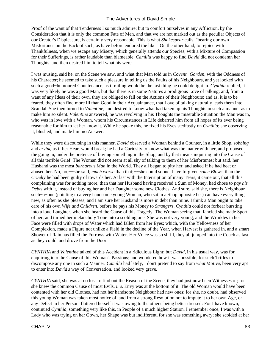Proof of the want of that Tenderness I so much admire: but to comfort ourselves in any Affliction, by the Consideration that it is only the common Fate of Men, and that we are not marked out as the peculiar Objects of our Creator's Displeasure, is certainly very reasonable. This is what *Shakespear* calls, "bearing our own Misfortunes on the Back of such, as have before endured the like." On the other hand, to rejoice with Thankfulness, when we escape any Misery, which generally attends our Species, with a Mixture of Compassion for their Sufferings, is rather laudable than blameable. *Camilla* was happy to find *David* did not condemn her Thoughts, and then desired him to tell what his were.

I was musing, said he, on the Scene we saw, and what that Man told us in *Covent−Garden,* with the Oddness of his Character; he seemed to take such a pleasure in telling us the Faults of his Neighbours, and yet looked with such a good−humoured Countenance, as if railing would be the last thing he could delight in. *Cynthia* replied, it was very likely he was a good Man, but that there is in some Natures a prodigious Love of talking; and, from a want of any Ideas of their own, they are obliged to fall on the Actions of their Neighbours; and as, it is to be feared, they often find more Ill than Good in their Acquaintance, that Love of talking naturally leads them into Scandal. She then turned to *Valentine,* and desired to know what had taken up his Thoughts in such a manner as to make him so silent. *Valentine* answered, he was revolving in his Thoughts the miserable Situation the Man was in, who was in love with a Woman, whom his Circumstances in Life debarred him from all hopes of its ever being reasonable for him to let her know it. While he spoke this, he fixed his Eyes stedfastly on *Cynthia*; she observing it, blushed, and made him no Answer.

While they were discoursing in this manner, *David* observed a Woman behind a Counter, in a little Shop, *sobbing* and *crying* as if her Heart would break; he had a Curiosity to know what was the matter with her, and proposed the going in, under the pretence of buying something in the Shop, and by that means inquiring into the Cause of all this terrible Grief. The Woman did not seem at all shy of talking to them of her Misfortunes; but said, her Husband was the most *barbarous Man* in the World. They all began to pity her, and asked if he had beat or abused her. No, no,−−she said, *much worse* than that;−−she could sooner have forgiven *some Blows,* than the *Cruelty* he had been guilty of towards her. At last with the Interruption of many Tears, it came out, that all this complaining was for nothing more, than that her Husband having received a Sum of Money, had chose to *pay his Debts* with it, instead of buying her and her Daughter some new Clothes. And sure, said she, there is Neighbour such–a–one (pointing to a very handsome young Woman, who sat in a Shop opposite her) can have every thing new, as often as she pleases; and I am sure her Husband is more in debt than mine. I think a Man ought to take care of his own *Wife and Children,* before he pays his Money to *Strangers*. *Cynthia* could not forbear bursting into a loud Laughter, when she heard the Cause of this Tragedy. The Woman seeing that, fancied she made Sport of her; and turned her melancholy Tone into a scolding one. She was not very young, and the Wrinkles in her Face were filled with drops of Water which had fallen from her Eyes; which, with the Yellowness of her Complexion, made a Figure not unlike a Field in the decline of the Year, when Harvest is gathered in, and a smart Shower of Rain has filled the Furrows with Water. Her Voice was so shrill, they all jumped into the Coach as fast as they could, and drove from the Door.

*CYNTHIA* and *Valentine* talked of this Accident in a ridiculous Light; but *David,* in his usual way, was for enquiring into the Cause of this Woman's Passions; and wondered how it was possible, for such Trifles to discompose any one in such a Manner. *Camilla* had lately, I don't pretend to say from *what Motive,* been very apt to enter into *David's* way of Conversation, and looked very grave.

*CYNTHIA* said, she was at no loss to find out the Reason of the Scene, they had just now been Witnesses of; for she knew the common Cause of most Evils, *i. e.* Envy was at the bottom of it. The old Woman would have been contented with her old Clothes, had not her handsome Neighbour had new ones; for she, no doubt, had observed this young Woman was taken most notice of, and from a strong Resolution not to impute it to her own Age, or any Defect in her Person, flattered herself it was owing to the other's being better dressed: For I have known, continued *Cynthia,* something very like this, in People of a much higher Station. I remember once, I was with a Lady who was trying on her Gown, her Shape was but indifferent, for she was something awry; she scolded at her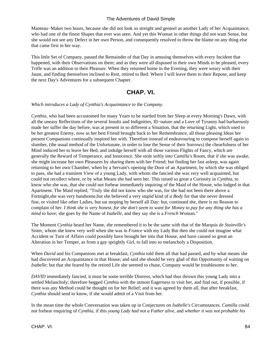Manteau−Maker two hours, because she did not look so streight and genteel as another Lady of her Acquaintance, who had one of the finest Shapes that ever was seen. And yet this Woman in other things did not want Sense, but she would not see any Defect in her own Person, and consequently resolved to throw the blame on any thing else that came first in her way.

This little Set of Company, passed the Remainder of that Day in amusing themselves with every Incident that happened, with their Observations on them; and as they were all disposed in their own Minds to be pleased, every Trifle was an addition to their Pleasure. When they returned home in the Evening, they were weary with their Jaunt, and finding themselves inclined to Rest, retired to Bed: Where I will leave them to their Repose, and keep the next Day's Adventures for a subsequent Chapter.

# **CHAP. VI.**

#### *Which introduces a Lady of Cynthia's Acquaintance to the Company.*

*Cynthia,* who had been accustomed for many Years to be startled from her Sleep at every Morning's Dawn, with all the uneasy Reflections of the several Insults and Indignities, Ill−nature and a Love of Tyranny had barbarously made her suffer the day before, was at present in so different a Situation, that the returning Light, which used to be her greatest Enemy, now as her best Friend brought back to her Remembrance, all those pleasing Ideas her present Companions continually inspired her with. Therefore instead of endeavouring to compose herself again to slumber, (the usual method of the Unfortunate, in order to lose the Sense of their Sorrows) the chearfulness of her Mind induced her to leave her Bed, and indulge herself with all those various Flights of Fancy, which are generally the Reward of Temperance, and Innocence. She stole softly into *Camilla's* Room, that if she was awake, she might increase her own Pleasures by sharing them with her Friend; but finding her fast asleep, was again returning to her own Chamber, when by a Servant's opening the Door of an Apartment, by which she was obliged to pass, she had a transient View of a young Lady, with whom she fancied she was very well acquainted, but could not recollect where, or by what Means she had seen her. This raised so great a Curiosity in *Cynthia,* to know who she was, that she could not forbear immediately inquiring of the Maid of the House, who lodged in that Apartment. The Maid replied, "Truly she did not know who she was, for she had not been there above a Fortnight, she was very handsome, but she believed a very *stupid* kind of a Body for that she never dressed fine, or visited like other Ladies, but sat moping by herself all Day: but, continued she, there is no Reason to complain of her. *I think she is very honest, for she don't seem to want for Money to pay for any thing she has a mind to have*; she goes by the Name of *Isabelle,* and they say she is a *French* Woman."

The Moment *Cynthia* heard her Name, she remembered it to be the same with that of the Marquis *de Stainville's* Sister, whom she knew very well when she was in *France* with my Lady But then she could not imagine what Accident or Turn of Affairs could possibly have brought her into that House, and have caused so great an Alteration in her Temper, as from a gay sprightly Girl, to fall into so melancholy a Disposition.

When *David* and his Companions met at breakfast, *Cynthia* told them all that had passed, and by what means she had discovered an Acquaintance in that House; and said she should be very glad of this Opportunity of waiting on *Isabelle*; but that she feared by the retired Life she seemed to chuse, Company would be troublesome to her.

*DAVID* immediately fancied, it must be some terrible Distress, which had thus thrown this young Lady into a settled Melancholy; therefore begged *Cynthia* with the utmost Eagerness to visit her, and find out, if possible, if there was any Method could be thought on for her Relief; and it was agreed by them all, that after breakfast, *Cynthia* should send to know, if she would admit of a Visit from her.

In the mean time the whole Conversation was taken up in Conjectures on *Isabelle's* Circumstances. *Camilla* could not forbear enquiring of *Cynthia,* if this *young Lady had not a Father alive,* and *whether it was not probable his*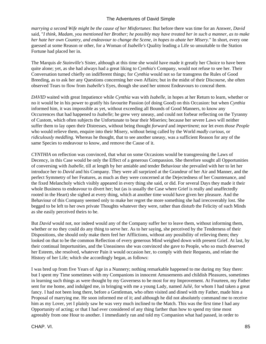*marrying a second Wife might be the cause of her Misfortunes*: But before there was time for an Answer, *David* said, "*I think, Madam, you mentioned her Brother; he possibly may have treated her in such a manner, as to make her hate her own Country, and endeavour to change the Scene, in hopes to abate her Misery*." In short, every one guessed at some Reason or other, for a Woman of *Isabelle's* Quality leading a Life so unsuitable to the Station Fortune had placed her in.

The Marquis *de Stainville's* Sister, although at this time she would have made it greatly her Choice to have been quite alone; yet, as she had always had a great liking to *Cynthia's* Company, would not refuse to see her. Their Conversation turned chiefly on indifferent things; for *Cynthia* would not so far transgress the Rules of Good Breeding, as to ask her any Questions concerning her own Affairs; but in the midst of their Discourse, she often observed Tears to flow from *Isabelle's* Eyes, though she used her utmost Endeavours to conceal them.

*DAVID* waited with great Impatience while *Cynthia* was with *Isabelle,* in hopes at her Return to learn, whether or no it would be in his power to gratify his favourite Passion (of doing Good) on this Occasion: but when *Cynthia* informed him, it was impossible as yet, without exceeding all Bounds of Good Manners, to know any Occurrences that had happened to *Isabelle*; he grew very uneasy, and could not forbear reflecting on the Tyranny of Custom, which often subjects the Unfortunate to bear their Miseries; because her severe Laws will neither suffer them to lay open their Distresses, without being thought *forward* and *impertinent*; nor let even *those People* who would relieve them, enquire into their Misery, without being called by the World *madly curious,* or *ridiculously meddling*. Whereas he thought, that to see another uneasy, was a sufficient Reason for any of the same Species to endeavour to know, and remove the Cause of it.

*CYNTHIA* on reflection was convinced, that what on some Occasions would be transgressing the Laws of Decency, in this Case would be only the Effect of a generous Compassion. She therefore sought all Opportunities of conversing with *Isabelle,* till at length by her amiable and tender Behaviour she prevailed with her to let her introduce her to *David* and his Company. They were all surprized at the Grandeur of her Air and Manner, and the perfect Symmetry of her Features, as much as they were concerned at the Dejectedness of her Countenance, and the fixed Melancholy which visibly appeared in every thing she said, or did. For several Days they made it their whole Business to endeavour to divert her; but (as is usually the Case where Grief is really and unaffectedly rooted in the Heart) she sighed at every thing, which at another time would have given her pleasure. And the Behaviour of this Company seemed only to make her regret the more something she had irrecoverably lost. She begged to be left to her own private Thoughts whatever they were, rather than disturb the Felicity of such Minds as she easily perceived theirs to be.

But *David* would not, nor indeed would any of the Company suffer her to leave them, without informing them, whether or no they could do any thing to serve her. As to her saying, she perceived by the Tenderness of their Dispositions, she should only make them feel her Afflictions, without any possibility of relieving them; they looked on that to be the common Reflection of every generous Mind weighed down with present Grief. At last, by their continual Importunities, and the Uneasiness she was convinced she gave to People, who so much deserved her Esteem, she resolved, whatever Pain it would occasion her, to comply with their Requests, and relate the History of her Life; which she accordingly began, as follows:

I was bred up from five Years of Age in a Nunnery; nothing remarkable happened to me during my Stay there: but I spent my Time sometimes with my Companions in innocent Amusements and childish Pleasures, sometimes in learning such things as were thought by my Governess to be most for my Improvement. At Fourteen, my Father sent for me home, and indulged me, in bringing with me a young Lady, named *Juliè,* for whom I had taken a great fancy. I had not been long there, before a Gentleman, who often visited and dined with my Father, made him a Proposal of marrying me. He soon informed me of it; and although he did not absolutely command me to receive him as my Lover, yet I plainly saw he was very much inclined to the Match. This was the first time I had any Opportunity of acting; or that I had ever considered of any thing farther than how to spend my time most agreeably from one Hour to another. I immediately ran and told my Companion what had passed, in order to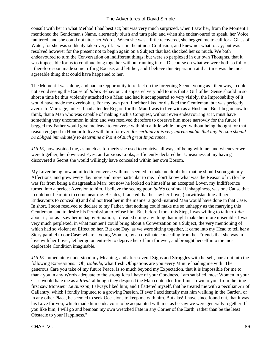consult with her in what Method I had best act; but was very much surprized, when I saw her, from the Moment I mentioned the Gentleman's Name, alternately blush and turn pale; and when she endeavoured to speak, her Voice faultered, and she could not utter her Words. When she was a little recovered, she begged me to call for a Glass of Water, for she was suddenly taken very ill. I was in the utmost Confusion, and knew not what to say; but was resolved however for the present not to begin again on a Subject that had shocked her so much. We both endeavoured to turn the Conversation on indifferent things; but were so perplexed in our own Thoughts, that it was impossible for us to continue long together without running into a Discourse on what we were both so full of. I therefore soon made some trifling Excuse, and left her; and I believe this Separation at that time was the most agreeable thing that could have happened to her.

The Moment I was alone, and had an Opportunity to reflect on the foregoing Scene; young as I then was, I could not avoid seeing the Cause of *Juliè's* Behaviour: it appeared very odd to me, that a Girl of her Sense should in so short a time be thus violently attached to a Man; and had it not appeared so very visibly, the Improbability of it would have made me overlook it. For my own part, I neither liked or disliked the Gentleman, but was perfectly averse to Marriage, unless I had a tender Regard for the Man I was to live with as a Husband. But I began now to think, that a Man who was capable of making such a Conquest, without even endeavouring at it, must have something very uncommon in him; and was resolved therefore to observe him more narrowly for the future. I begged my Father would give me leave to converse with him a little while longer, without being thought for that reason engaged in Honour to live with him for ever: *for certainly it is very unreasonable that any Person should be obliged immediately to determine a Point of such great Importance*.

*JULIE,* now avoided me, as much as formerly she used to contrive all ways of being with me; and whenever we were together, her downcast Eyes, and anxious Looks, sufficiently declared her Uneasiness at my having discovered a Secret she would willingly have concealed within her own Bosom.

My Lover being now admitted to converse with me, seemed to make no doubt but that he should soon gain my Affections, and grew every day more and more particular to me. I don't know what was the Reason of it, (for he was far from being a disagreeable Man) but now he looked on himself as an accepted Lover, my Indifference turned into a perfect Aversion to him. I believe the seeing poor *Juliè's* continual Unhappiness, was one Cause that I could not bear him to come near me. Besides, I fancied that he saw her Love, (notwithstanding all her Endeavours to conceal it) and did not treat her in the manner a good−natured Man would have done in that Case. In short, I soon resolved to declare to my Father, that nothing could make me so unhappy as the marrying this Gentleman, and to desire his Permission to refuse him. But before I took this Step, I was willing to talk to *Juliè* about it; for as I saw her unhappy Situation, I dreaded doing any thing that might make her more miserable. I was very much perplexed, in what manner I could bring about a Conversation on a Subject, the very mentioning of which had so violent an Effect on her. But one Day, as we were sitting together, it came into my Head to tell her a Story parallel to our Case; where a young Woman, by an obstinate concealing from her Friends that she was in love with her Lover, let her go on entirely to deprive her of him for ever, and brought herself into the most deplorable Condition imaginable.

*JULIE* immediately understood my Meaning, and after several Sighs and Struggles with herself, burst out into the following Expressions: "Oh, *Isabelle,* what fresh Obligations are you every Minute loading me with! The generous Care you take of my future Peace, is so much beyond my Expectation, that it is impossible for me to thank you in any Words adequate to the strong Idea I have of your Goodness. I am satisfied, most Women in your Case would hate me as a *Rival,* although they despised the Man contended for. I must own to you, from the time I first saw Monsieur *Le Buisson,* I always liked him; and I flattered myself, that he treated me with a peculiar Air of Gallantry, which I fondly imputed to a growing Passion. If ever I accidentally met him walking in the Garden, or in any other Place, he seemed to seek Occasions to keep me with him. But alas! I have since found out, that it was his Love for you, which made him endeavour to be acquainted with me, as he saw we were generally together: If you like him, I will go and bemoan my own wretched Fate in any Corner of the Earth, rather than be the least Obstacle to your Happiness."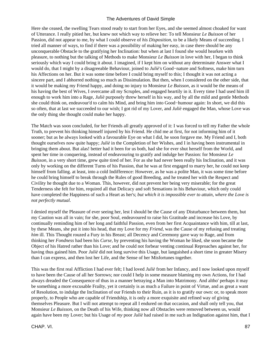Here she ceased, the swelling Tears stood ready to start from her Eyes, and she seemed almost choaked for want of Utterance. I really pitied her, but knew not which way to relieve her: To tell Monsieur *Le Buisson* of her Passion, did not appear to me, by what I could observe of *his Disposition,* to be a likely Means of succeeding. I tried all manner of ways, to find if there was a possibility of making her easy, in case there should be any unconquerable Obstacle to the gratifying her Inclination: but when at last I found she would hearken with pleasure, to nothing but the talking of Methods to make Monsieur *Le Buisson* in love with her, I began to think seriously which way I could bring it about. I imagined, if I kept him on without any determinate Answer what I would do, that I might by a disagreeable Behaviour, joined to *Juliè's* Good−nature and Softness, make him turn his Affections on her. But it was some time before I could bring myself to this; I thought it was not acting a sincere part, and I abhorred nothing so much as Dissimulation. But then, when I considered on the other side, that it would be making my Friend happy, and doing no injury to Monsieur *Le Buisson,* as it would be the means of his having the best of Wives, I overcame all my Scruples, and engaged heartily in it. Every time I had used him ill enough to work him into a Rage, *Juliè* purposely threw herself in his way, and by all the mild and gentle Methods she could think on, endeavour'd to calm his Mind, and bring him into Good−humour again: In short, we did this so often, that at last we succeeded to our wish; I got rid of my Lover, and *Juliè* engaged the Man, whose Love was the only thing she thought could make her happy.

The Match was soon concluded, for her Friends all greatly approved of it: I was forced to tell my Father the whole Truth, to prevent his thinking himself injured by his Friend. He chid me at first, for not informing him of it sooner; but as he always looked with a favourable Eye on what I did, he soon forgave me. My Friend and I, both thought ourselves now quite happy; *Juliè* in the Completion of her Wishes, and I in having been instrumental in bringing them about. But alas! better had it been for us both, had she for ever shut herself from the World, and spent her time in conquering, instead of endeavouring to gratify and indulge her Passion: for Monsieur *Le Buisson,* in a very short time, grew quite tired of her. For as she had never been really his Inclination, and it was only by working on the different Turns of his Passion, that he was at first engaged to marry her, he could not keep himself from falling. at least, into a cold Indifference: However, as he was a polite Man, it was some time before he could bring himself to break through the Rules of good Breeding, and he treated her with the Respect and Civility he thought due to a Woman. This, however, did not prevent her being very miserable; for the great Tenderness she felt for him, required all that Delicacy and soft Sensations in his Behaviour, which only could have completed the Happiness of such a Heart as her's; *but which it is impossible ever to attain, where the Love is not perfectly mutual*.

I denied myself the Pleasure of ever seeing her, lest I should be the Cause of any Disturbance between them, but my Caution was all in vain; for she, poor Soul, endeavoured to raise his Gratitude and increase his Love, by continually reminding him of her long and faithful Passion, even from her first Acquaintance with him, till at last, by these Means, she put it into his head, that my Love for my *Friend,* was the Cause of my refusing and treating *him* ill. This Thought rouzed a Fury in his Breast; all Decency and Ceremony gave way to Rage, and from thinking her *Fondness* had been his *Curse,* by preventing his having the Woman he liked, she soon became the Object of his Hatred rather than his Love; and he could not forbear venting continual Reproaches against her, for having thus gained him. Poor *Juliè* did not long survive this Usage, but languished a short time in greater Misery than I can express, and then lost her Life, and the Sense of her Misfortunes together.

This was the first real Affliction I had ever felt; I had loved *Juliè* from her Infancy, and I now looked upon myself to have been the Cause of all her Sorrows; nor could I help in some measure blaming my own Actions, for I had always dreaded the Consequence of thus in a manner betraying a Man into Matrimony. And altho' perhaps it may be something a more excusable Frailty, yet it certainly is as much a Failure in point of Virtue, and as great a want of Resolution, to indulge the Inclination of our Friends to their Ruin, as it is to gratify our own: or, to speak more properly, to People who are capable of Friendship, it is only a more exquisite and refined way of giving themselves Pleasure. But I will not attempt to repeat all I endured on that occasion, and shall only tell you, that Monsieur *Le Buisson,* on the Death of his Wife, thinking now all Obstacles were removed between us, would again have been my Lover; but his Usage of *my* poor *Juliè* had raised in me such an Indignation against him, that I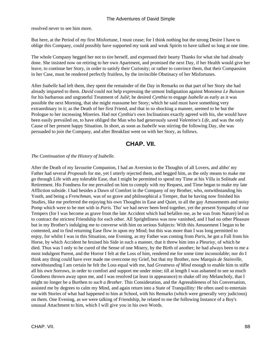resolved never to see him more.

But here, at the Period of *my* first Misfortune, I must cease; for I think nothing but the strong Desire I have to oblige this Company, could possibly have supported my sunk and weak Spirits to have talked so long at one time.

The whole Company begged her not to tire herself, and expressed their hearty Thanks for what she had already done. She insisted now on retiring to her own Apartment, and promised the next Day, if her Health would give her leave, to continue her Story, in order to satisfy their Curiosity; or rather to convince them, that their Compassion in her Case, must be rendered perfectly fruitless, by the invincible Obstinacy of her Misfortunes.

After *Isabelle* had left them, they spent the remainder of the Day in Remarks on that part of her Story she had already imparted to them. *David* could not help expressing the utmost Indignation against Monsieur *Le Buisson* for his barbarous and ungrateful Treatment of *Juliè*; he desired *Cynthia* to engage *Isabelle* as early as it was possible the next Morning, that she might reassume her Story; which he said must have something very extraordinary in it; as the Death of her first Friend, and that in so shocking a manner, seemed to be but the Prologue to her increasing Miseries. Had not *Cynthia's* own Inclinations exactly agreed with his, she would have been easily prevailed on, to have obliged the Man who had generously saved *Valentine's Life,* and was the only Cause of her present happy Situation. In short, as soon as *Isabelle* was stirring the following Day, she was persuaded to join the Company, and after Breakfast went on with her Story, as follows.

# **CHAP. VII.**

#### *The Continuation of the History of Isabelle.*

After the Death of my favourite Companion, I had an Aversion to the Thoughts of all Lovers, and altho' my Father had several *Proposals* for me, yet I utterly rejected them, and begged him, as the only means to make me go through Life with any tolerable Ease, that I might be permitted to spend my Time at his Villa in Solitude and Retirement. His Fondness for me prevailed on him to comply with my Request, and Time began to make my late Affliction subside. I had besides a Dawn of Comfort in the Company of my Brother, who, notwithstanding his Youth, and being a *Frenchman*, was of so grave and philosophical a Temper, that he having now finished his Studies, like me preferred the enjoying his own Thoughts in Ease and Quiet, to all the gay Amusements and noisy Pomp which were to be met with in *Paris*. Tho' we had never been bred together, yet the present Sympathy of our Tempers (for I was become as grave from the late Accident which had befallen me, as he was from Nature) led us to contract the strictest Friendship for each other. All Sprightliness was now vanished, and I had no other Pleasure but in my Brother's indulging me to converse with him on serious Subjects: With this Amusement I began to be contented, and to find returning Ease flow in upon my Mind; but this was more than I was long permitted to enjoy, for whilst I was in this Situation, one Evening, as my Father was coming from *Paris,* he got a Fall from his Horse, by which Accident he bruised his Side in such a manner, that it threw him into a Pleurisy, of which he died. Thus was I only to be cured of the Sense of one Misery, by the Birth of another; he had always been to me a most indulgent Parent, and the Horror I felt at the Loss of him, rendered me for some time inconsolable; nor do I think any thing could have ever made me overcome my Grief, but that my Brother, now Marquis *de Stainville,* notwithstanding I am certain he felt the Loss equal with me, had *Greatness of Mind* enough to enable him to stifle all his own Sorrows, in order to comfort and support me under mine; till at length I was ashamed to see so much Goodness thrown away upon me, and I was resolved (at least in appearance) to shake off my Melancholy, that I might no longer be a Burthen to *such a Brother*. This Consideration, and the Agreeableness of his Conversation, assisted me by degrees to calm my Mind, and again return into a State of Tranquillity: He often used to entertain me with Stories of what had happened to him at School, with his Remarks (which were generally very judicious) on them. One Evening, as we were talking of Friendship, he related to me the following Instance of a Boy's unusual Attachment to him, which I will give you in his own Words.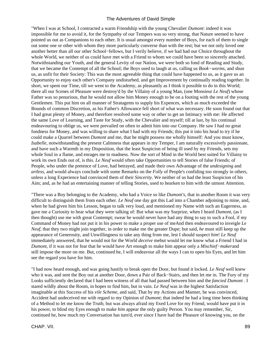"When I was at School, I contracted a warm Friendship with the young Chevalier *Dumont*: indeed it was impossible for me to avoid it, for the Sympathy of our Tempers was so very strong, that Nature seemed to have pointed us out as Companions to each other. It is usual amongst every number of Boys, for each of them to single out some one or other with whom they more particularly converse than with the rest; but we not only loved one another better than all our other School−fellows, but I verily believe, if we had had our Choice throughout the whole World, we neither of us could have met with a Friend to whom we could have been so sincerely attached. Notwithstanding our Youth, and the general Levity of our Nation, we were both so fond of Reading and Study, that we became the Contempt of all the School; the Boys used to laugh at us, calling us *Book−worms,* and shun us, as unfit for their Society: This was the most agreeable thing that could have happened to us, as it gave us an Opportunity to enjoy each other's Company undisturbed, and get Improvement by continually reading together. In short, we spent our Time, till we went to the Academy, as pleasantly as I think it possible to do in this World; there all our Scenes of Pleasure were destroy'd by the Villainy of a young Man, (one Monsieur *Le Neuf*) whose Father was so penurious, that he would not allow him Money enough to be on a footing with the rest of the young Gentlemen. This put him on all manner of Stratagems to supply his Expences, which as much exceeded the Bounds of common Discretion, as his Father's Allowance fell short of what was necessary. He soon found out that I had great plenty of Money, and therefore resolved some way or other to get an Intimacy with me: He affected the same Love of Learning, and Taste for Study, with the Chevalier and myself; till at last, by his continual endeavouring to oblige us, we were prevailed on often to admit him into our Company. He saw I had no great fondness for Money, and was willing to share what I had with my Friends; this put it into his head to try if he could make a Quarrel between *Dumont* and me, that he might possess me wholly himself: And you must know, *Isabelle,* notwithstanding the present Calmness that appears in my Temper, I am naturally excessively passionate, and have such a Warmth in my Disposition, that the least Suspicion of being ill used by my Friends, sets my whole Soul in a flame, and enrages me to madness. Now the sort of Mind in the World best suited for Villainy to work its own Ends out of, is this. *Le Neuf* would often take Opportunities to tell Stories of false Friends; of People, who under the pretence of Love, had betrayed, and made their own Advantage of the *undesigning* and *artless,* and would always conclude with some Remarks on the *Folly* of People's confiding too strongly in others, unless a long Experience had convinced them of their *Sincerity*. We neither of us had the least Suspicion of his Aim; and, as he had an entertaining manner of telling Stories, used to hearken to him with the utmost Attention.

"There was a Boy belonging to the Academy, who had a Voice so like *Dumont's,* that in another Room it was very difficult to distinguish them from each other. *Le Neuf* one day got this Lad into a Chamber adjoining to mine, and, when he had given him his Lesson, began to talk very loud, and mentioned my Name with such an Eagerness, as gave me a Curiosity to hear what they were talking of: But what was my Surprize, when I heard *Dumont,* (as I then thought) use me with great Contempt; swear he would never have had any thing to say to such a Fool, if my Command of Money had not put it in his power to make a proper use of meAnd then endeavoured to inveigle *Le Neuf,* that they two might join together, in order to make me the greater Dupe; but said, *he* must still keep up the appearance of Generosity, and Unwillingness to take any thing from me, lest I should suspect *him*! *Le Neuf* immediately answered, that he would not for the World *deceive* mebut would let me know what a Friend I had in *Dumont,* if it was not for fear that he would have Art enough to make him appear only a *Mischief−maker*and still impose the more on me. But, continued he, I will endeavour all the ways I can to open his Eyes, and let him see the regard you have for him.

"I had now heard enough, and was going hastily to break open the Door, but found it locked. *Le Neuf* well knew who it was, and sent the Boy out at another Door, down a Pair of Back−Stairs, and then let me in. The Fury of my Looks sufficiently declared that I had been witness of all that had passed between him and the *fancied Dumont* . I stared wildly about the Room, in hopes to find him, but in vain. *Le Neuf* was in the highest Satisfaction imaginable at this Success of his *vile Scheme,* and said, That by my Actions and Manner, he was convinced, Accident had undeceived me with regard to my Opinion of *Dumont*; that indeed he had a long time been thinking of a Method to let me know the Truth; but was always afraid my fixed Love for my Friend, would have put it in his power, to blind my Eyes enough to make *him* appear the only guilty Person. You may remember, Sir, continued he, how much my Conversation has turn'd, ever since I have had the Pleasure of knowing you, on the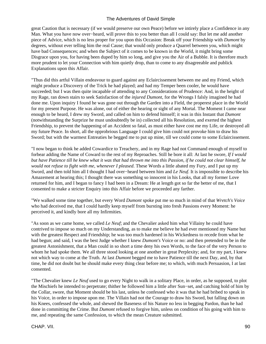great Caution that is necessary (if we would preserve our own Peace) before we intirely place a Confidence in any Man. What you have now over−heard, will prove this to you better than all I could say: But let me add another piece of Advice, which is no less proper for you upon this Occasion: Break off your Friendship with *Dumont* by degrees, without ever telling him the real Cause; that would only produce a Quarrel between you, which might have bad Consequences; and when the Subject of it comes to be known in the World, it might bring some Disgrace upon you, for having been duped by him so long, and give you the Air of a Bubble. It is therefore much more prudent to let your Connection with him quietly drop, than to come to any disagreeable and publick Explanations upon this Affair.

"Thus did this artful Villain endeavour to guard against any Eclaircissement between me and my Friend, which might produce a Discovery of the Trick he had played; and had my Temper been cooler, he would have succeeded; but I was then quite incapable of attending to any Considerations of Prudence: And, in the height of my Rage, ran down stairs to seek Satisfaction of the *injured Dumont,* for the Wrongs I falsly imagined he had done me. Upon inquiry I found he was gone out through the Garden into a Field, the properest place in the World for my present Purpose. He was alone, out of either the hearing or sight of any Mortal. The Moment I came near enough to be heard, I drew my Sword, and called on him to defend himself; it was in this Instant that *Dumont* (notwithstanding the Surprize he must undoubtedly be in) collected all his Resolution, and exerted the highest Friendship, to prevent the happening of an Accident so fatal, as must either have cost me my Life, or destroyed all my future Peace. In short, all the opprobrious Language I could give him could not provoke him to draw his Sword; but with the warmest Entreaties he begged me to put up mine, till we could come to some Eclaircissement.

"I now began to think he added Cowardice to Treachery, and in my Rage had not Command enough of myself to forbear adding the Name of Coward to the rest of my Reproaches. Still he bore it all: At last he swore, *If I would but have Patience till he knew what it was that had thrown me into this Passion, if he could not clear himself, he would not refuse to fight with me, whenever I pleased*. These Words a little abated my Fury, and I put up my Sword, and then told him all I thought I had over−heard between him and *Le Neuf*. It is impossible to describe his Amazement at hearing this; I thought there was something so innocent in his Looks, that all my former Love returned for him, and I began to fancy I had been in a Dream: He at length got so far the better of me, that I consented to make a stricter Enquiry into this Affair before we proceeded any farther.

"We walked some time together, but every Word *Dumont* spoke put me so much in mind of that *Wretch's Voice* who had deceived me, that I could hardly keep myself from bursting into fresh Passions every Moment: he perceived it, and kindly bore all my Infirmities.

"As soon as we came home, we called *Le Neuf*; and the Chevalier asked him what Villainy he could have contrived to impose so much on my Understanding, as to make me believe he had ever mentioned my Name but with the greatest Respect and Friendship; he was too much hardened in his Wickedness to recede from what he had begun; and said, I was the best Judge whether I knew *Dumont's* Voice or no: and then pretended to be in the greatest Astonishment, that a Man could in so short a time deny his own Words, to the face of the very Person to whom he had spoke them. We all three stood looking at one another in great Perplexity; and, for my part, I knew not which way to come at the Truth. At last *Dumont* begged me to have Patience till the next Day, and, by that time, he did not doubt but he should make every thing clear before me; to which, with much Persuasion, I at last consented.

"The Chevalier knew *Le Neuf* used to go every Night to walk in a solitary Place, in order, as he supposed, to plot the Mischiefs he intended to perpetrate; thither he followed him a little after Sun−set, and catching hold of him by the Collar, swore, that Moment should be his last, unless he confessed who it was that he had bribed to speak in his Voice, in order to impose upon me. The Villain had not the Courage to draw his Sword, but falling down on his Knees, confessed the whole, and shewed the Baseness of his Nature no less in begging Pardon, than he had done in committing the Crime. But *Dumont* refused to forgive him, unless on condition of his going with him to me, and repeating the same Confession, to which the mean Creature submitted.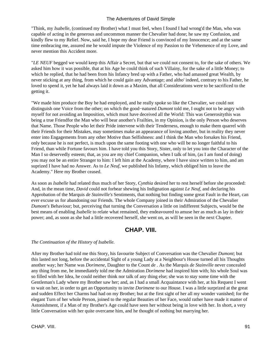"Think, my *Isabelle,* (continued my Brother) what I must feel, when I found I had wrong'd the Man, who was capable of acting in the generous and uncommon manner the Chevalier had done; he saw my Confusion, and kindly flew to my Relief. Now, said he, I hope my dear Friend is convinced of my Innocence; and at the same time embracing me, assured me he would impute the Violence of my Passion to the Vehemence of my Love, and never mention this Accident more.

"*LE NEUF* begged we would keep this Affair a Secret, but that we could not consent to, for the sake of others. We asked him how it was possible, that at his Age he could think of such Villainy, for the sake of a little Money; to which he replied, that he had been from his Infancy bred up with a Father, who had amassed great Wealth, by never sticking at any thing, from which he could gain any Advantage; and altho' indeed, contrary to his Father, he loved to spend it, yet he had always laid it down as a Maxim, that all Considerations were to be sacrificed to the getting it.

"We made him produce the Boy he had employed, and he really spoke so like the Chevalier, we could not distinguish one Voice from the other; on which the good−natured *Dumont* told me, I ought not to be angry with myself for not avoiding an Imposition, which must have deceived all the World: This was Generosity this was being a true Friend for the Man who will bear another's Frailties, in my Opinion, is the only Person who deserves that Name. Those People who let their Pride intervene with their Tenderness, enough to make them quarrel with their Friends for their Mistakes, may sometimes make an appearance of loving another, but in reality they never enter into Engagements from any other Motive than Selfishness: and I think the Man who forsakes his Friend, only because he is not perfect, is much upon the same footing with one who will be no longer faithful to his Friend, than while Fortune favours him. I have told you this Story, Sister, only to let you into the Character of the Man I so deservedly esteem; that, as you are my chief Companion, when I talk of him, (as I am fond of doing) you may not be an entire Stranger to him: I left him at the Academy, where I have since written to him, and am suprized I have had no Answer. As to *Le Neuf,* we published his Infamy, which obliged him to leave the Academy." Here my Brother ceased.

As soon as *Isabelle* had related thus much of her Story, *Cynthia* desired her to rest herself before she proceeded: And, in the mean time, *David* could not forbear shewing his Indignation against *Le Neuf,* and declaring his Approbation of the Marquis *de Stainville's* Sentiments, that nothing but finding some great Fault in the Heart, can ever excuse us for abandoning our Friends. The whole Company joined in their Admiration of the Chevalier *Dumont's* Behaviour; but, perceiving that turning the Conversation a little on indifferent Subjects, would be the best means of enabling *Isabelle* to relate what remained, they endeavoured to amuse her as much as lay in their power; and, as soon as she had a little recovered herself, she went on, as will be seen in the next Chapter.

# **CHAP. VIII.**

## *The Continuation of the History of Isabelle.*

After my Brother had told me this Story, his favourite Subject of Conversation was the Chevalier *Dumont*; but this lasted not long, before the accidental Sight of a young Lady at a Neighbour's House turned all his Thoughts another way; her Name was *Dorimene,* Daughter to the Count *de* . As the Marquis *de Stainville* never concealed any thing from me, he immediately told me the Admiration *Dorimene* had inspired him with; his whole Soul was so filled with her Idea, he could neither think nor talk of any thing else; she was to stay some time with the Gentleman's Lady where my Brother saw her; and, as I had a small Acquaintance with her, at his Request I went to wait on her, in order to get an Opportunity to invite *Dorimene* to our House. I was a little surprized at the great and sudden Effect her Charms had had on my Brother; but at the first sight of her all my wonder vanished; for the elegant Turn of her whole Person, joined to the regular Beauties of her Face, would rather have made it matter of Astonishment, if a Man of my Brother's Age could have seen her without being in love with her. In short, a very little Conversation with her quite overcame him, and he thought of nothing but marrying her.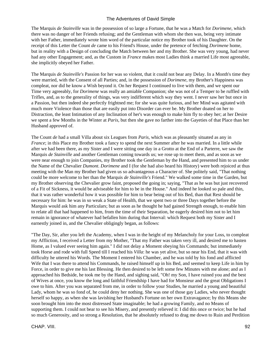The Marquis *de Stainville* was in the possession of so large a Fortune, that he was a Match for *Dorimene,* which there was no danger of her Friends refusing; and the Gentleman with whom she then was, being very intimate with her Father, immediately wrote him word of the particular notice my Brother took of his Daughter. On the receipt of this Letter the Count *de* came to his Friend's House, under the pretence of fetching *Dorimene* home, but in reality with a Design of concluding the Match between her and my Brother. She was very young, had never had any other Engagement; and, as the Custom in *France* makes most Ladies think a married Life most agreeable, she implicitly obeyed her Father.

The Marquis *de Stainville's* Passion for her was so violent, that it could not bear any Delay. In a Month's time they were married, with the Consent of all Parties; and, in the possession of *Dorimene,* my Brother's Happiness was compleat, nor did he know a Wish beyond it. On her Request I continued to live with them, and we spent our Time very agreeably, for *Dorimene* was really an amiable Companion; she was not of a Temper to be ruffled with Trifles, and, as to the generality of things, was very indifferent which way they went. I never saw her but once in a Passion, but then indeed she perfectly frightned me; for she was quite furious, and her Mind was agitated with much more Violence than those that are easily put into Disorder can ever be. My Brother doated on her to Distraction, the least Intimation of any Inclination of her's was enough to make him fly to obey her; at her Desire we spent a few Months in the Winter at *Paris,* but then she gave no farther into the Gayeties of that Place than her Husband approved of.

The Count *de* had a small Villa about six Leagues from *Paris,* which was as pleasantly situated as any in *France*; in this Place my Brother took a fancy to spend the next Summer after he was married. In a little while after we had been there, as my Sister and I were sitting one day in a Grotto at the End of a Parterre, we saw the Marquis *de Stainville* and another Gentleman coming towards us; we rose up to meet them, and as soon as we were near enough to join Companies, my Brother took the Gentleman by the Hand, and presented him to us under the Name of the Chevalier *Dumont*. *Dorimene* and I (for she had also heard his History) were both rejoiced at thus meeting with the Man my Brother had given us so advantageous a Character of. She politely said, "That nothing could be more welcome to her than the Marquis *de Stainville's* Friend." We walked some time in the Garden, but my Brother observing the Chevalier grow faint, proposed the going in; saying, "That as he was but just recovered of a Fit of Sickness, it would be adviseable for him to be in the House." And indeed he looked so pale and thin, that it was rather wonderful how it was possible for him to bear being out of his Bed, than that Rest should be necessary for him: he was in so weak a State of Health, that we spent two or three Days together before the Marquis would ask him any Particulars; but as soon as he thought he had gained Strength enough, to enable him to relate all that had happened to him, from the time of their Separation, he eagerly desired him not to let him remain in ignorance of whatever had befallen him during that Interval: which Request both my Sister and I earnestly joined in, and the Chevalier obligingly began, as follows:

"The Day, Sir, after you left the Academy, when I was in the height of my Melancholy for your Loss, to compleat my Affliction, I received a Letter from my Mother, "That my Father was taken very ill, and desired me to hasten Home, as I valued ever seeing him again." I did not delay a Moment obeying his Commands; but immediately took Horse and rode with full Speed till I reached his *Villa*: he was yet alive, but so near his End, that it was with difficulty he uttered his Words. The Moment I entered his Chamber, and he was told by his fond and afflicted Wife that I was there to attend his Commands, he raised himself up in his Bed, and seemed to keep Life in him by Force, in order to give me his last Blessing. He then desired to be left some few Minutes with me alone; and as I approached his Bedside, he took me by the Hand, and sighing said, "Oh! my Son, I have ruined you and the best of Wives at once, you know the long and faithful Friendship I have had for Monsieur and the great Obligations I owe to him. After you was separated from me, in order to follow your Studies, he married a young and beautiful Lady, whom he was so fond of, he could deny her nothing. She was one of those gay Ladies, who never thought herself so happy, as when she was lavishing her Husband's Fortune on her own Extravagance; by this Means she soon brought him into the most distressed State imaginable; he had a growing Family, and no Means of supporting them. I could not bear to see his Misery, and presently relieved it: I did this once or twice; but he had so much Generosity, and so strong a Resolution, that he absolutely refused to drag me down to Ruin and Perdition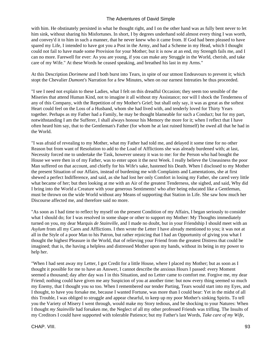with him. He obstinately persisted in what he thought right, and I on the other hand was as fully bent never to let him sink, without sharing his Misfortunes. In short, I by degrees underhand sold almost every thing I was worth, and convey'd it to him in such a manner, that he never knew who it came from. If God had been pleased to have spared my Life, I intended to have got you a Post in the Army, and had a Scheme in my Head, which I thought could not fail to have made some Provision for your Mother; but it is now at an end, my Strength fails me, and I can no more. Farewell for ever: As you are young, if you can make any Struggle in the World, cherish, and take care of my Wife." At these Words he ceased speaking, and breathed his last in my Arms."

At this Description *Dorimene* and I both burst into Tears, in spite of our utmost Endeavours to prevent it; which stopt the Chevalier *Dumont's* Narration for a few Minutes, when on our earnest Intreaties he thus proceeded.

"I see I need not explain to these Ladies, what I felt on this dreadful Occasion; they seem too sensible of the Miseries that attend Human Kind, not to imagine it all without my Assistance; nor will I shock the Tenderness of any of this Company, with the Repetition of my Mother's Grief; but shall only say, it was as great as the softest Heart could feel on the Loss of a Husband, whom she had lived with, and tenderly loved for Thirty Years together. Perhaps as my Father had a Family, he may be thought blameable for such a Conduct; but for my part, notwithstanding I am the Sufferer, I shall always honour his Memory the more for it; when I reflect that I have often heard him say, that to the Gentleman's Father (for whom he at last ruined himself) he owed all that he had in the World.

"I was afraid of revealing to my Mother, what my Father had told me, and delayed it some time for no other Reason but from want of Resolution to add to the Load of Afflictions she was already burdened with; at last, Necessity forced me to undertake the Task, however uneasy it was to me: for the Person who had bought the House we were then in of my Father, was to enter upon it the next Week. I really believe the Uneasiness the poor Man suffered on that account, and chiefly for his Wife's sake, hastened his Death. When I disclosed to my Mother the present Situation of our Affairs, instead of burdening me with Complaints and Lamentations, she at first shewed a perfect Indifference, and said, as she had lost her only Comfort in losing my Father, she cared very little what became of her; but then looking at me with an Air of the greatest Tenderness, she sighed, and said, Why did I bring into the World a Creature with your generous Sentiments! who after being educated like a Gentleman, must be thrown on the wide World without any Means of supporting that Station in Life. She saw how much her Discourse affected me, and therefore said no more.

"As soon as I had time to reflect by myself on the present Condition of my Affairs, I began seriously to consider what I should do; for I was resolved in some shape or other to support my Mother: My Thoughts immediately turned on you, my dear Marquis *de Stainville,* and I made no doubt, but in your Friendship I should meet with an *Asylum* from all my Cares and Afflictions. I then wrote the Letter I have already mentioned to you; it was not at all in the Style of a poor Man to his Patron, but rather rejoicing that I had an Opportunity of giving you what I thought the highest Pleasure in the World, that of relieving your Friend from the greatest Distress that could be imagined; that is, the having a helpless and distressed Mother upon my hands, without its being in my power to help her.

"When I had sent away my Letter, I got Credit for a little House, where I placed my Mother; but as soon as I thought it possible for me to have an Answer, I cannot describe the anxious Hours I passed: every Moment seemed a thousand; day after day was I in this Situation, and no Letter came to comfort me. Forgive me, my dear Friend; nothing could have given me any Suspicion of you at another time: but now every thing seemed so much my Enemy, that I thought you so too. When I remembered our tender Parting, Tears would start into my Eyes, and I thought, to have you forsake me, because I wanted Fortune, was more than I could bear: Yet in the midst of all this Trouble, I was obliged to struggle and appear chearful, to keep up my poor Mother's sinking Spirits. To tell you the Variety of Misery I went through, would make my Story tedious, and be shocking to your Natures: When I thought *my Stainville* had forsaken me, the Neglect of all my other professed Friends was trifling. The Insults of my Creditors I could have supported with tolerable Patience; but my Father's last Words, *Take care of my Wife,*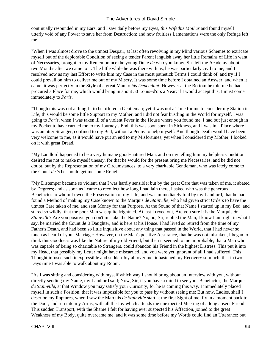continually resounded in my Ears; and I saw daily before my Eyes, *this Wifethis Mother* and found myself utterly void of any Power to save her from Destruction; and now fruitless Lamentations were the only Refuge left me.

"When I was almost drove to the utmost Despair, at last often revolving in my Mind various Schemes to extricate myself out of the deplorable Condition of seeing a tender Parent languish away her little Remains of Life in want of Necessaries, brought to my Remembrance the young Duke *de* who you know, Sir, left the Academy about two Months after we came to it. The little while he was there with us, he was particularly civil to me; and I resolved now as my last Effort to write him my Case in the most pathetick Terms I could think of, and try if I could prevail on him to deliver me out of my Misery. It was some time before I obtained an Answer, and when it came, it was perfectly in the Style of a great Man to *his Dependant*: However at the Bottom he told me he had procured a Place for me, which would bring in about 50 Louis−d'ors a Year; if I would accept this, I must come immediately to *Paris*.

"Though this was not a thing fit to be offered a Gentleman; yet it was not a Time for me to consider my Station in Life; this would be some little Support to my Mother, and I did not fear bustling in the World for myself. I was going to *Paris,* when I was taken ill of a violent Fever in the House where you found me. I had but just enough in my Pocket to have carried me to my Journey's End; this was soon spent in Sickness, and I was in a Place where I was an utter Stranger, confined to my Bed, without a Penny to help myself: And though Death would have been very welcome to me, as it would have put an end to my Misfortunes; yet when I considered my Mother, I looked on it with great Dread.

"My Landlord happened to be a very humane good−natured Man, and on my telling him my helpless Condition, desired me not to make myself uneasy, for that he would for the present bring me Necessaries, and he did not doubt, but by the Representation of my Circumstances, to a very charitable Gentleman, who was lately come to the Count *de 's* he should get me some Relief.

"My Distemper became so violent, that I was hardly sensible; but by the great Care that was taken of me, it abated by Degrees; and as soon as I came to recollect how long I had lain there, I asked who was the generous Benefactor to whom I owed the Preservation of my Life; and was immediately told by my Landlord, that he had found a Method of making my Case known to the Marquis *de Stainville,* who had given strict Orders to have the utmost Care taken of me, and sent Money for that Purpose. At the Sound of that Name I started up in my Bed, and stared so wildly, that the poor Man was quite frightned. At last I cryed out, Are you sure it is the Marquis *de Stainville*? Are you positive you don't mistake the Name? No, no, Sir, replied the Man, I know I am right in what I say, he married the Count *de 's* Daughter, and is here at his House. I had lived so retired from the time of my Father's Death, and had been so little inquisitive about any thing that passed in the World, that I had never so much as heard of your Marriage: However, on the Man's positive Assurance, that he was not mistaken, I began to think this Goodness was like the Nature of my old Friend; but then it seemed to me improbable, that a Man who was capable of being so charitable to Strangers, could abandon his Friend in the highest Distress. This put it into my Head, that possibly my Letter might have miscarried, and you were yet ignorant of all I had suffered. This Thought infused such inexpressible and sudden Joy all over me, it hastened my Recovery so much, that in two Days time I was able to walk about my Room.

"As I was sitting and considering with myself which way I should bring about an Interview with you, without directly sending my Name, my Landlord said; Now, Sir, if you have a mind to see your Benefactor, the Marquis *de Stainville,* at that Window you may satisfy your Curiosity, for he is coming this way. I immediately placed myself in such a Position, that it was impossible for you to pass by without seeing me: But how, Ladies, shall I describe my Raptures, when I saw the Marquis *de Stainville* start at the first Sight of me; fly in a moment back to the Door, and run into my Arms, with all the Joy which attends the unexpected Meeting of a long absent Friend! This sudden Transport, with the Shame I felt for having ever suspected his Affection, joined to the great Weakness of my Body, quite overcame me, and it was some time before my Words could find an Utterance: but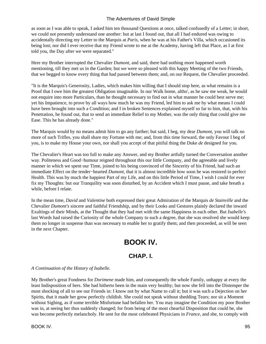as soon as I was able to speak, I asked him ten thousand Questions at once, talked confusedly of a Letter; in short, we could not presently understand one another: but at last I found out, that all I had endured was owing to accidentally directing my Letter to the Marquis at *Paris,* when he was at his Father's Villa, which occasioned its being lost; nor did I ever receive that my Friend wrote to me at the Academy, having left that Place, as I at first told you, the Day after we were separated."

Here my Brother interrupted the Chevalier *Dumont,* and said, there had nothing more happened worth mentioning, till they met us in the Garden; but we were so pleased with this happy Meeting of the two Friends, that we begged to know every thing that had passed between them; and, on our Request, the Chevalier proceeded.

"It is the Marquis's Generosity, Ladies, which makes him willing that I should stop here, as what remains is a Proof that I owe him the greatest Obligation imaginable. In our Walk home, altho', as he saw me weak, he would not enquire into more Particulars, than he thought necessary to find out in what manner he could best serve me; yet his Impatience, to prove by all ways how much he was my Friend, led him to ask me by what means I could have been brought into such a Condition; and I in broken Sentences explained myself so far to him, that, with his Penetration, he found out, that to send an immediate Relief to my Mother, was the only thing that could give me Ease. This he has already done."

The Marquis would by no means admit him to go any farther; but said, I beg, my dear *Dumont,* you will talk no more of such Trifles, you shall share my Fortune with me; and, from this time forward, the only Favour I beg of you, is to make my House your own, nor shall you accept of that pitiful thing the Duke *de* designed for you.

The Chevalier's Heart was too full to make any Answer, and my Brother artfully turned the Conversation another way. Politeness and Good−humour reigned throughout this our little Company, and the agreeable and lively manner in which we spent our Time, joined to his being convinced of the Sincerity of his Friend, had such an immediate Effect on the tender−hearted *Dumont,* that it is almost incredible how soon he was restored to perfect Health. This was by much the happiest Part of my Life, and on this little Period of Time, I wish I could for ever fix my Thoughts: but our Tranquility was soon disturbed, by an Accident which I must pause, and take breath a while, before I relate.

In the mean time, *David* and *Valentine* both expressed their great Admiration of the Marquis *de Stainville* and the Chevalier *Dumont's* sincere and faithful Friendship, and by their Looks and Gestures plainly declared the inward Exultings of their Minds, at the Thought that they had met with the same Happiness in each other. But *Isabelle's* last Words had raised the Curiosity of the whole Company to such a degree, that she was resolved she would keep them no longer in suspense than was necessary to enable her to gratify them; and then proceeded, as will be seen in the next Chapter.

# **BOOK IV.**

# **CHAP. I.**

#### *A Continuation of the History of Isabelle.*

My Brother's great Fondness for *Dorimene* made him, and consequently the whole Family, unhappy at every the least Indisposition of hers. She had hitherto been in the main very healthy; but now she fell into the Distemper the most shocking of all to see our Friends in: I know not by what Name to call it; but it was such a Dejection on her Spirits, that it made her grow perfectly childish. She could not speak without shedding Tears; nor sit a Moment without Sighing, as if some terrible Misfortune had befallen her. You may imagine the Condition my poor Brother was in, at seeing her thus suddenly changed; for from being of the most chearful Disposition that could be, she was become perfectly melancholy. He sent for the most celebrated Physicians in *France,* and she, to comply with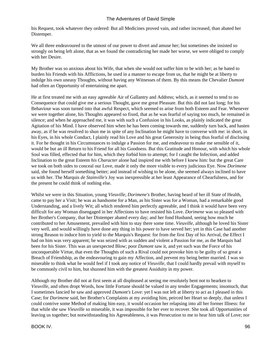his Request, took whatever they ordered: But all Medicines proved vain, and rather increased, than abated her Distemper.

We all three endeavoured to the utmost of our power to divert and amuse her; but sometimes she insisted so strongly on being left alone, that as we found the contradicting her made her worse, we were obliged to comply with her Desire.

My Brother was so anxious about his Wife, that when she would not suffer him to be with her; as he hated to burden his Friends with his Afflictions, he used in a manner to escape from us, that he might be at liberty to indulge his own uneasy Thoughts, without having any Witnesses of them. By this means the Chevalier *Dumont* had often an Opportunity of entertaining me apart.

He at first treated me with an easy agreeable Air of Gallantry and Address; which, as it seemed to tend to no Consequence that could give me a serious Thought, gave me great Pleasure. But this did not last long; for his Behaviour was soon turned into that awful Respect, which seemed to arise from both Esteem and Fear. Whenever we were together alone, his Thoughts appeared so fixed, that as he was fearful of saying too much, he remained in silence; and when he approached me, it was with such a Confusion in his Looks, as plainly indicated the great Agitation of his Mind. I have observed him when he has been coming towards me, suddenly turn back, and hasten away, as if he was resolved to shun me in spite of any Inclination he might have to converse with me: in short, in his Eyes, in his whole Conduct, I plainly read his Love and his great Generosity in being thus fearful of disclosing it. For he thought in his Circumstances to indulge a Passion for me, and endeavour to make me sensible of it, would be but an ill Return to his Friend for all his Goodness. But this Gratitude and Honour, with which his whole Soul was filled, effected that for him, which they forbid him to attempt; for I caught the Infection, and added Inclination to the great Esteem *his Character* alone had inspired me with before I knew him: but the great Care we took on both sides to conceal our Love, made it only the more visible to every judicious Eye. Now *Dorimene* said, she found herself something better; and instead of wishing to be alone, she seemed always inclined to have us with her. The Marquis *de Stainville's* Joy was inexpressible at her least Appearance of Chearfulness, and for the present he could think of nothing else.

Whilst we were in this Situation, young *Vieuville, Dorimene's* Brother, having heard of her ill State of Health, came to pay her a Visit; he was as handsome for a Man, as his Sister was for a Woman, had a remarkable good Understanding, and a lively Wit; all which rendered him perfectly agreeable, and I think it would have been very difficult for any Woman disengaged in her Affections to have resisted his Love. *Dorimene* was so pleased with her Brother's Company, that her Distemper abated every day; and her fond Husband, seeing how much he contributed to her Amusement, prevailed with him to stay there some time. *Vieuville,* although he loved his Sister very well, and would willingly have done any thing in his power to have served her; yet in this Case had another strong Reason to induce him to yield to the Marquis's Request: for from the first Day of his Arrival, the Effect I had on him was very apparent; he was seized with as sudden and violent a Passion for me, as the Marquis had been for his Sister. This was an unexpected Blow; poor *Dumont* saw it, and yet such was the Force of his unconquerable Virtue, that even the Thoughts of such a Rival could not provoke him to be guilty of so great a Breach of Friendship, as the endeavouring to gain my Affection, and prevent my being better married. I was so miserable to think what he would feel if I took any notice of *Vieuville,* that I could hardly prevail with myself to be commonly civil to him, but shunned him with the greatest Assiduity in my power.

Although my Brother did not at first seem at all displeased at seeing me resolutely bent not to hearken to *Vieuville,* and often dropt Words, how little Fortune should be valued in any tender Engagements; insomuch, that I sometimes fancied he saw and approved *Dumont's* Love: yet I was not left at liberty to act as I pleased in this Case; for *Dorimene* said, her Brother's Complaints at my avoiding him, peirced her Heart so deeply, that unless I could contrive some Method of making him easy, it would occasion her relapsing into all her former Illness: for that while she saw *Vieuville* so miserable, it was impossible for her ever to recover. She took all Opportunities of leaving us together; but notwithstanding his Agreeableness, it was Persecution to me to hear him talk of Love; nor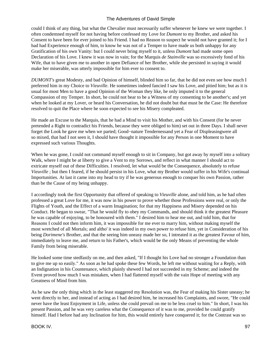could I think of any thing, but what the Chevalier must necessarily suffer whenever he knew we were together. I often condemned myself for not having before confessed my Love for *Dumont* to my Brother, and asked his Consent to have been for ever joined to his Friend. I had no Reason to suspect he would not have granted it; for I had had Experience enough of him, to know he was not of a Temper to have made us both unhappy for any Gratification of his own Vanity: but I could never bring myself to it, unless *Dumont* had made some open Declaration of his Love. I knew it was now in vain; for the Marquis *de Stainville* was so excessively fond of his Wife, that to have given me to another in open Defiance of her Brother, while she persisted in saying it would make her miserable, was utterly impossible for him ever to consent to.

*DUMONT's* great Modesty, and bad Opinion of himself, blinded him so far, that he did not even see how much I preferred him in my Choice to *Vieuville*. He sometimes indeed fancied I saw his Love, and pitied him; but as it is usual for most Men to have a good Opinion of the Woman they like, he only imputed it to the general Compassion of my Temper. In short, he could not bear to be a Witness of my consenting to be another's; and yet when he looked at my Lover, or heard his Conversation, he did not doubt but that must be the Case: He therefore resolved to quit the Place where he soon expected to see his Misery compleated.

He made an Excuse to the Marquis, that he had a Mind to visit his Mother, and with his Consent (for he never pretended a Right to contradict his Friends, because they were obliged to him) set out in three Days. I shall never forget the Look he gave me when we parted; Good−nature Tendernessand yet a Fear of Displeasingwere all so mixed, that had I not seen it, I should have thought it impossible for any Person in one Moment to have expressed such various Thoughts.

When he was gone, I could not command myself enough to sit in Company, but got away by myself into a solitary Walk, where I might be at liberty to give a Vent to my Sorrows, and reflect in what manner I should act to extricate myself out of these Difficulties. I resolved, let what would be the Consequence, absolutely to refuse *Vieuville* ; but then I feared, if he should persist in his Love, what my Brother would suffer in his Wife's continual Importunities. At last it came into my head to try if he was generous enough to conquer his own Passion, rather than be the Cause of my being unhappy.

I accordingly took the first Opportunity that offered of speaking to *Vieuville* alone, and told him, as he had often professed a great Love for me, it was now in his power to prove whether those Professions were real, or only the Flights of Youth, and the Effect of a warm Imagination; for that my Happiness and Misery depended on his Conduct. He began to swear, "That he would fly to obey my Commands, and should think it the greatest Pleasure he was capable of enjoying, to be honoured with them." I desired him to hear me out, and told him, that for Reasons I could not then inform him, it was impossible for me ever to marry him, without making myself the most wretched of all Mortals; and altho' it was indeed in my own power to refuse him, yet in Consideration of his being *Dorimene's* Brother, and that the seeing him uneasy made her so, I intreated it as the greatest Favour of him, immediately to leave me, and return to his Father's, which would be the only Means of preventing the whole Family from being miserable.

He looked some time stedfastly on me, and then asked, "If I thought his Love had no stronger a Foundation than to give me up so easily." As soon as he had spoke these few Words, he left me without waiting for a Reply, with an Indignation in his Countenance, which plainly shewed I had not succeeded in my Scheme; and indeed the Event proved how much I was mistaken, when I had flattered myself with the vain Hope of meeting with any Greatness of Mind from him.

As he saw the only thing which in the least staggered my Resolution was, the Fear of making his Sister uneasy; he went directly to her, and instead of acting as I had desired him, he increased his Complaints, and swore, "He could never have the least Enjoyment in Life, unless she could prevail on me to be less cruel to him." In short, I was his present Passion, and he was very careless what the Consequence of it was to me, provided he could gratify himself. Had I before had any Inclination for him, this would entirely have conquered it; for the Contrast was so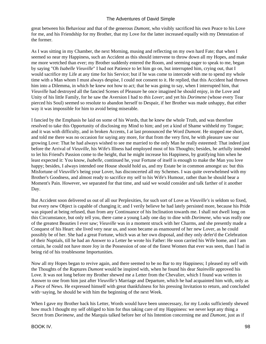great between his Behaviour and that of the generous *Dumont,* who visibly sacrificed his own Peace to his Love for me, and his Friendship for my Brother, that my Love for the latter increased equally with my Detestation of the former.

As I was sitting in my Chamber, the next Morning, musing and reflecting on my own hard Fate; that when I seemed so near my Happiness, such an Accident as this should intervene to throw down all my Hopes, and make me more wretched than ever; my Brother suddenly entered the Room, and seeming eager to speak to me, began by saying "Oh *Isabelle Vieuville*" I had not Patience to let him go on, but interrupted him, crying out, that I would sacrifice my Life at any time for his Service; but if he was come to intercede with me to spend my whole time with a Man whom I must always despise, I could not consent to it. He replied, that this Accident had thrown him into a Dilemma, in which he knew not how to act; that he was going to say, when I interrupted him, that *Vieuville* had destroyed all the fancied Scenes of Pleasure he once imagined he should enjoy, in the Love and Unity of his little Family, for he saw the Aversion I had to *this Lover*; and yet his *Dorimene* (whose every Tear pierced his Soul) seemed so resolute to abandon herself to Despair, if her Brother was made unhappy, that either way it was impossible for him to avoid being miserable.

I fancied by the Emphasis he laid on some of his Words, that he knew the whole Truth, and was therefore resolved to take this Opportunity of disclosing my Mind to him; and yet a kind of Shame withheld my Tongue; and it was with difficulty, and in broken Accents, I at last pronounced the Word *Dumont*. He stopped me short, and told me there was no occasion for saying any more, for that from the very first, he with pleasure saw our growing Love: That he had always wished to see me married to the only Man he really esteemed: That indeed just before the Arrival of *Vieuville,* his Wife's Illness had employed most of his Thoughts; besides, he artfully intended to let his Friend's Passion come to the height, that he might increase his Happiness, by gratifying him when he least expected it: You know, *Isabelle,* continued he, your Fortune of itself is enough to make the Man you love happy; besides, I always intended one House should hold us, and my Estate be in common amongst us: but this Misfortune of *Vieuville's* being your Lover, has disconcerted all my Schemes. I was quite overwhelmed with my Brother's Goodness, and almost ready to sacrifice my self to his Wife's Humour, rather than he should bear a Moment's Pain. However, we separated for that time, and said we would consider and talk farther of it another Day.

But Accident soon delivered us out of all our Perplexities, for such sort of Love as *Vieuville's* is seldom so fixed, but every new Object is capable of changing it; and I verily believe he had lately persisted more, because his Pride was piqued at being refused, than from any Continuance of his Inclination towards me. I shall not dwell long on this Circumstance, but only tell you, there came a young Lady one day to dine with *Dorimene,* who was really one of the greatest Beauties I ever saw; *Vieuville* was in a moment struck with her Charms, and she presently made a Conquest of his Heart: she lived very near us, and soon became as enamoured of her new Lover, as he could possibly be of her. She had a great Fortune, which was at her own disposal, and they only defer'd the Celebration of their Nuptials, till he had an Answer to a Letter he wrote his Father: He soon carried his Wife home, and I am certain, he could not have more Joy in the Possession of one of the finest Women that ever was seen, than I had in being rid of his troublesome Importunities.

Now all my Hopes began to revive again, and there seemed to be no Bar to my Happiness; I pleased my self with the Thoughts of the Raptures *Dumont* would be inspired with, when he found his dear *Stainville* approved his Love. It was not long before my Brother shewed me a Letter from the Chevalier, which I found was written in Answer to one from him just after *Vieuville's* Marriage and Departure, which he had acquainted him with, only as a Piece of News. He expressed himself with great thankfulness for his pressing Invitation to return, and concluded with−saying, he should be with him the beginning of the next Week.

When I gave my Brother back his Letter, Words would have been unnecessary, for my Looks sufficiently shewed how much I thought my self obliged to him for thus taking care of my Happiness: we never kept any thing a Secret from *Dorimene,* and the Marquis talked before her of his Intention concerning me and *Dumont,* just as if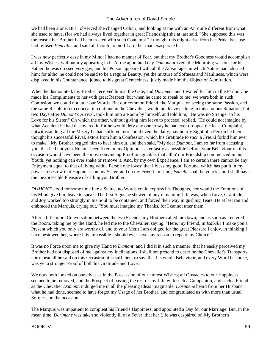we had been alone. But I observed she changed Colour, and looking at me with an Air quite different from what she used to have, (for we had always lived together in great Friendship) she at last said, "She supposed this was the reason her Brother had been treated with such Contempt." I thought this might arise from her Pride, because I had refused *Vieuville,* and said all I could to mollify, rather than exasperate her.

I was now perfectly easy in my Mind; I had no manner of Fear, but that my Brother's Goodness would accomplish all my Wishes, without my appearing in it. At the appointed day *Dumont* arrived; the Mourning was out for his Father, he was dressed very gay, and his Person appeared with all the Advantages in which Nature had adorned him; for altho' he could not be said to be a regular Beauty, yet the mixture of Softness and Manliness, which were displayed in his Countenance, joined to his great Genteelness, justly made him the Object of Admiration.

When he dismounted, my Brother received him at the Gate, and *Dorimene* and I waited for him in the Parlour: he made his Compliments to her with great Respect; but when he came to speak to me, we were both in such Confusion, we could not utter our Words. But our common Friend, the Marquis, on seeing the same Passion, and the same Resolution to conceal it, continue in the Chevalier, would not leave us long in this anxious Situation; but two Days after *Dumont's* Arrival, took him into a Room by himself, and told him, "He was no Stranger to his Love for his Sister." On which the other, without giving him leave to proceed, replied, "He could not imagine by what Accident he had discovered it, for he would defy any one to say he had ever dropped the least Complaint, notwithstanding all the Misery he had suffered; nor could even the daily, nay hourly Sight of a Person he then thought his successful Rival, extort from him a Confession, which his Gratitude to *such* a *Friend* forbid him ever to make." My Brother begged him to hear him out, and then said, "My dear *Dumont,* I am so far from accusing you, that had not your Honour been fixed in my Opinion as stedfastly as possible before, your Behaviour on this occasion would have been the most convincing Proof imaginable, that altho' our Friendship commenced in our Youth, yet nothing can ever shake or remove it. And, by my own Experience, I am so certain there cannot be any Enjoyment equal to that of living with a Person one loves; that I bless my good Fortune, which has put it in my power to bestow that Happiness on my Sister, and on my Friend. In short, *Isabelle* shall be your's, and I shall have the inexpressible Pleasure of calling you Brother."

*DUMONT* stood for some time like a Statue, no Words could express his Thoughts, nor would the Emotions of his Mind give him leave to speak. The first Signs he shewed of any remaining Life was, when Love, Gratitude, and Joy worked too strongly in his Soul to be contained, and forced their way in gushing Tears. He at last ran and embraced the Marquis, crying out, "You must imagine my Thanks, for I cannot utter them."

After a little more Conversation between the two Friends, my Brother called me down; and as soon as I entered the Room, taking me by the Hand, he led me to the Chevalier, saying, "Here, my Friend, in *Isabelle* I make you a Present which you only are worthy of, and to your Merit I am obliged for the great Pleasure I enjoy, in thinking I have bestowed her, where it is impossible I should ever have any reason to repent my Choice."

It was no Force upon me to give my Hand to *Dumont*; and I did it in such a manner, that he easily perceived my Brother had not disposed of me against my Inclinations. I shall not pretend to describe the Chevalier's Transports, nor repeat all he said on this Occasion; it is sufficient to say, that his whole Behaviour, and every Word he spoke, was yet a stronger Proof of both his Gratitude and Love.

We now both looked on ourselves as in the Possession of our utmost Wishes; all Obstacles to our Happiness seemed to be removed, and the Prospect of passing the rest of my Life with such a Companion, and such a Friend as the Chevalier *Dumont,* indulged me in all the pleasing Ideas imaginable. *Dorimene* heard from her Husband what he had done, seemed to have forgot my Usage of her Brother, and congratulated us with more than usual Softness on the occasion.

The Marquis was impatient to compleat his Friend's Happiness, and appointed a Day for our Marriage. But, in the mean time, *Dorimene* was taken so violently ill of a Fever, that her Life was despaired of. My Brother's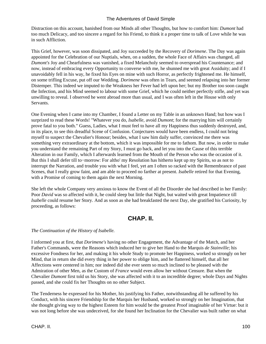Distraction on this account, banished from our Minds all other Thoughts, but how to comfort him: *Dumont* had too much Delicacy, and too sincere a regard for his Friend, to think it a proper time to talk of Love while he was in such Affliction.

This Grief, however, was soon dissipated, and Joy succeeded by the Recovery of *Dorimene*. The Day was again appointed for the Celebration of our Nuptials, when, on a sudden, the whole Face of Affairs was changed, all *Dumont's* Joy and Chearfulness was vanished, a fixed Melancholy seemed to overspread his Countenance; and now, instead of embracing every Opportunity to converse with me, he shunned me with great Assiduity; and if I unavoidably fell in his way, he fixed his Eyes on mine with such Horror, as perfectly frightened me. He himself, on some trifling Excuse, put off our Wedding. *Dorimene* was often in Tears, and seemed relapsing into her former Distemper. This indeed we imputed to the Weakness her Fever had left upon her; but my Brother too soon caught the Infection, and his Mind seemed to labour with some Grief, which he could neither perfectly stifle, and yet was unwilling to reveal. I observed he went abroad more than usual, and I was often left in the House with only Servants.

One Evening when I came into my Chamber, I found a Letter on my Table in an unknown Hand; but how was I surprized to read these Words! "Whatever you do, *Isabelle,* avoid *Dumont*; for the marrying him will certainly prove fatal to you both." Guess, Ladies, what I must feel to have all my Happiness thus suddenly destroyed, and, in its place, to see this dreadful Scene of Confusion. Conjectures would have been endless, I could not bring myself to suspect the Chevalier's Honour; besides, what I saw him daily suffer, convinced me there was something very extraordinary at the bottom, which it was impossible for me to fathom. But now, in order to make you understand the remaining Part of my Story, I must go back, and let you into the Cause of this terrible Alteration in our Family, which I afterwards learned from the Mouth of the Person who was the occasion of it. But this I shall defer till to−morrow: For altho' my Resolution has hitherto kept up my Spirits, so as not to interrupt the Narration, and trouble you with what I feel, yet am I often so racked with the Remembrance of past Scenes, that I really grow faint, and am able to proceed no farther at present. *Isabelle* retired for that Evening, with a Promise of coming to them again the next Morning.

She left the whole Company very anxious to know the Event of all the Disorder she had described in her Family: Poor *David* was so affected with it, he could sleep but little that Night, but waited with great Impatience till *Isabelle* could resume her Story. And as soon as she had breakfasted the next Day, she gratified his Curiosity, by proceeding, as follows:

# **CHAP. II.**

#### *The Continuation of the History of Isabelle.*

I informed you at first, that *Dorimene's* having no other Engagement, the Advantage of the Match, and her Father's Commands, were the Reasons which induced her to give her Hand to the Marquis *de Stainville*; his excessive Fondness for her, and making it his whole Study to promote her Happiness, worked so strongly on her Mind, that in return she did every thing in her power to oblige him, and he flattered himself, that all her Affections were centered in him; nor indeed did she ever seem so much inclined to be pleased with the Admiration of other Men, as the Custom of *France* would even allow her without Censure. But when the Chevalier *Dumont* first told us his Story, she was affected with it to an incredible degree; whole Days and Nights passed, and she could fix her Thoughts on no other Subject.

The Tenderness he expressed for his Mother, his justifying his Father, notwithstanding all he suffered by his Conduct, with his sincere Friendship for the Marquis her Husband, worked so strongly on her Imagination, that she thought giving way to the highest Esteem for him would be the greatest Proof imaginable of her Virtue: but it was not long before she was undeceived, for she found her Inclination for the Chevalier was built rather on what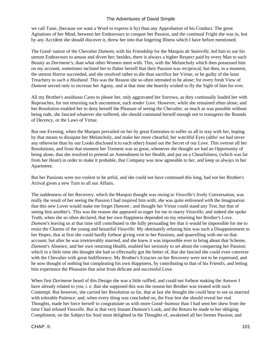we call Taste, (because we want a Word to express it by) than any Approbation of his Conduct. The great Agitations of her Mind, between her Endeavours to conquer her Passion, and the continual Fright she was in, lest by any Accident she should discover it, threw her into that lingering Illness which I have before mentioned.

The Good−nature of the Chevalier *Dumont,* with his Friendship for the Marquis *de Stainville,* led him to use his utmost Endeavours to amuse and divert her; besides, there is always a higher Respect paid by every Man to such Beauty as *Dorimene's,* than what other Women meet with. This, with the Melancholy which then possessed him on my account, sometimes inclined her to flatter herself that their Passion was reciprocal; but then, in a moment, the utmost Horror succeeded, and she resolved rather to die than sacrifice her Virtue, or be guilty of the least Treachery to *such a Husband*. This was the Reason she so often intreated to be alone; for every fresh View of *Dumont* served only to increase her Agony, and at that time she heartily wished to fly the Sight of him for ever.

All my Brother's assiduous Cares to please her, only aggravated her Sorrows, as they continually loaded her with Reproaches, for not returning such uncommon, such *tender Love*. However, while she remained often alone, and her Resolution enabled her to deny herself the Pleasure of seeing the Chevalier, as much as was possible without being rude, she fancied whatever she suffered, she should command herself enough not to transgress the Bounds of Decency, or the Laws of Virtue.

But one Evening, when the Marquis prevailed on her by great Entreaties to suffer us all to stay with her, hoping by that means to dissipate her Melancholy, and make her more chearful; her watchful Eyes (altho' we had never any otherwise than by our Looks disclosed it to each other) found out the Secret of our Love. This overset all her Resolutions, and from that moment her Torment was so great, whenever she thought we had an Opportunity of being alone, that she resolved to pretend an Amendment in her Health, and put on a Chearfulness, (which was far from her Heart) in order to make it probable, that Company was now agreeable to her, and keep us always in her Apartment.

But her Passions were too violent to be artful, and she could not have continued this long, had not her Brother's Arrival given a new Turn to all our Affairs.

The suddenness of her Recovery, which the Marquis thought was owing to *Vieuville's* lively Conversation, was really the result of her seeing the Passion I had inspired him with; she was quite enlivened with the Imagination that this new Lover would make me forget *Dumont* ; and thought her Virtue could stand any Test, but that of seeing him another's. This was the reason she appeared so eager for me to marry *Vieuville*; and indeed she spoke Truth, when she so often declared, that her own Happiness depended on my returning her Brother's Love. *Dumont's* leaving us at that time still contributed to the fully persuading her that it would be impossible for me to resist the Charms of the young and beautiful *Vieuville*: My obstinately refusing him was such a Disappointment to her Hopes, that at first she could hardly forbear giving vent to her Passions, and quarrelling with me on that account; but after he was irretrievably married, and she knew it was impossible ever to bring about that Scheme, *Dumont's* Absence, and her own returning Health, enabled her seriously to set about the conquering her Passion; which in a little time she thought she had so effectually got the better of, that she fancied she could even converse with the Chevalier with great Indifference. My Brother's Extacies on her Recovery were not to be expressed, and he now thought of nothing but compleating his own Happiness, by contributing to that of his Friend's, and letting him experience the Pleasures that arise from delicate and successful Love.

When first *Dorimene* heard of this Design she was a little ruffled, and could not forbear making the Answer I have already related to you; *i. e.* that she supposed this was the reason her Brother was treated with such Contempt. But however, she carried her Resolution so far, that at last she thought she could bear to see us married with tolerable Patience: and, when every thing was concluded on, the Fear lest she should reveal her real Thoughts, made her force herself to congratulate us with more Good−humour than I had seen her shew from the time I had refused *Vieuville*. But in that very Instant *Dumont's* Look, and the Return he made to her obliging Compliment, on the Subject his Soul most delighted in the Thoughts of, awakened all her former Passion; and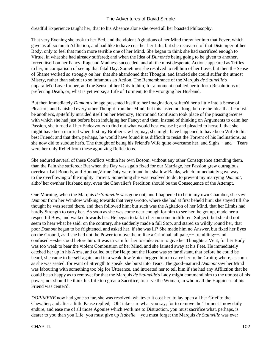dreadful Experience taught her, that to his Absence alone she owed all her boasted Philosophy.

That very Evening she took to her Bed, and the violent Agitations of her Mind threw her into that Fever, which gave us all so much Affliction, and had like to have cost her her Life; but she recovered of that Distemper of her Body, only to feel that much more terrible one of her Mind. She began to think she had sacrificed enough to Virtue, in what she had already suffered; and when the Idea of *Dumont's* being going to be given to another, forced itself on her Fancy, Rage and Madness succeeded, and all the most desperate Actions appeared as Trifles to her, in comparison of seeing that fatal Day. Sometimes she resolved to tell him of her Love; but then the Sense of Shame worked so strongly on her, that she abandoned that Thought, and fancied she could suffer the utmost Misery, rather than submit to so infamous an Action. The Remembrance of the Marquis *de Stainville's* unparallel'd Love for her, and the Sense of her Duty to him, for a moment enabled her to form Resolutions of preferring Death, or, what is yet worse, a Life of Torment, to the wronging her Husband.

But then immediately *Dumont's* Image presented itself to her Imagination, soften'd her a little into a Sense of Pleasure, and banished every other Thought from her Mind; but this lasted not long, before the Idea that he must be another's, spitefully intruded itself on her Memory, Horror and Confusion took place of the pleasing Scenes with which she had just before been indulging her Fancy: and then, instead of thinking on Arguments to calm her Passion, she turned all her Endeavours to find out what would best excuse it; and pleaded to herself, that she might have been married when first my Brother saw her; nay, she might have happened to have been Wife to his best Friend; and that then, perhaps, he would have found it as difficult to resist the Torrent of his Inclinations, as she now did to subdue her's. The thought of being his Friend's Wife quite overcame her, and Sighs−−and−−Tears were her only Relief from these agonizing Reflections.

She endured several of these Conflicts within her own Bosom, without any other Consequence attending them, than the Pain she suffered: But when the Day was again fixed for our Marriage, her Passion grew outragious, overleap'd all Bounds, and Honour, Virtue Duty were found but shallow Banks, which immediately gave way to the overflowing of the mighty Torrent. Something she was resolved to do, to prevent my marrying *Dumont,* altho' her ownher Husband nay, even the Chevalier's Perdition should be the Consequence of the Attempt.

One Morning, when the Marquis *de Stainville* was gone out, and I happened to be in my own Chamber, she saw *Dumont* from her Window walking towards that very Grotto, where she had at first beheld him: she stayed till she thought he was seated there, and then followed him; but such was the Agitation of her Mind, that her Limbs had hardly Strength to carry her. As soon as she was come near enough for him to see her, he got up, made her a respectful Bow, and walked towards her. He began to talk to her on some indifferent Subject; but she did not seem to hear what he said: on the contrary, she suddenly made a full Stop, and stared so wildly round her, that poor *Dumont* began to be frightened, and asked her, if she was ill? She made him no Answer, but fixed her Eyes on the Ground, as if she had not the Power to move them; like a Criminal, all pale,–– trembling––and confused,−−she stood before him. It was in vain for her to endeavour to give her Thoughts a Vent, for her Body was too weak to bear the violent Combustion of her Mind, and she fainted away at his Feet. He immediately catched her up in his Arms, and called out for Help; but the House was so far distant, that before he could be heard, she came to herself again, and in a weak, low Voice begged him to carry her to the Grotto; where, as soon as she was seated, for want of Strength to speak, she burst into Tears. The good−natured *Dumont* saw her Mind was labouring with something too big for Utterance, and intreated her to tell him if she had any Affliction that he could be so happy as to remove; for that the Marquis *de Stainville's* Lady might command him to the utmost of his power; nor should he think his Life too great a Sacrifice, to serve the Woman, in whom all the Happiness of his Friend was center'd.

*DORIMENE* now had gone so far, she was resolved, whatever it cost her, to lay open all her Grief to the Chevalier; and after a little Pause replied, "Oh! take care what you say; for to remove the Torment I now daily endure, and ease me of all those Agonies which work me to Distraction, you must sacrifice what, perhaps, is dearer to you than you Life; you must give up *Isabelle*−−you must forget the Marquis *de Stainville* was ever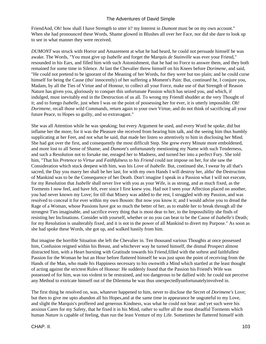Friend And, Oh! how shall I have Strength to utter it? my Interest in *Dumont* must be on my own account." When she had pronounced these Words, Shame glowed in Blushes all over her Face, nor did she dare to look up to see in what manner they were received.

*DUMONT* was struck with Horror and Amazement at what he had heard, he could not persuade himself he was awake. The Words, "You must give up *Isabelle* and forget the Marquis *de Stainville* was ever your Friend," resounded in his Ears, and filled him with such Astonishment, that he had no Force to answer them, and they both remained for some time in Silence. At last the Chevalier threw himself on his Knees before *Dorimene,* and said, "He could not pretend to be ignorant of the Meaning of her Words, for they were but too plain; and he could curse himself for being the Cause (tho' innocently) of her suffering a Moment's Pain: But, continued he, I conjure you, Madam, by all the Ties of Virtue and of Honour, to collect all your Force, make use of that Strength of Reason Nature has given you, gloriously to conquer this unfortunate Passion which has seized you, and which, if indulged, must inevitably end in the Destruction of us all. To wrong my Friend I shudder at the very Thought of it; and to forego *Isabelle,* just when I was on the point of possessing her for ever, it is utterly impossible. Oh! *Dorimene,* recall those wild Commands, return again to your own Virtue, and do not think of sacrificing all your future Peace, to Hopes so guilty, and so extravagant."

She was all Attention while he was speaking; but every Argument he used, and every Word he spoke, did but inflame her the more, for it was the Pleasure she received from hearing him talk, and the seeing him thus humbly supplicating at her Feet, and not what he said, that made her listen so attentively to him in disclosing her Mind. She had got over the first, and consequently the most difficult Step. She grew every Minute more emboldened, and more lost to all Sense of Shame; and *Dumont's* unfortunately mentioning my Name with such Tenderness, and such a Resolution not to forsake me, enraged her to Madness, and turned her into a perfect Fury. She told him, "That his *Pretence* to *Virtue* and *Faithfulness* to *his Friend* could not impose on her, for she saw the Consideration which stuck deepest with him, was his Love of *Isabelle*. But, continued she, I swear by all that's sacred, the Day you marry her shall be her last; for with my own Hands I will destroy her, altho' the Destruction of Mankind was to be the Consequence of her Death. Don't imagine I speak in a Passion what I will not execute, for my Resolution that *Isabelle* shall never live with you as your Wife, is as strong, and as much fixed, as the Torments I now feel, and have felt, ever since I first knew you. Had not I seen your Affection placed on another, you had never known my Love; for till that Misery was added to the rest, I struggled with my Passion, and was resolved to conceal it for ever within my own Bosom: But now you know it; and I would advise you to dread the Rage of a Woman, whose Passions have got so much the better of her, as to enable her to break through all the strongest Ties imaginable, and sacrifice every thing that is most dear to her, to the Impossibility she finds of resisting her Inclinations. Consider with yourself, whether or no you can bear to be the Cause of *Isabelle's* Death; for my Resolution is unalterably fixed, and it is not in the power of all Mankind to divert my Purpose." As soon as she had spoke these Words, she got up, and walked hastily from him.

But imagine the horrible Situation she left the Chevalier in. Ten thousand various Thoughts at once possessed him, Confusion reigned within his Breast, and whichever way he turned himself, the dismal Prospect almost distracted him, with a Heart bursting with Gratitude towards his Friend, filled with the softest and faithfullest Passion for the Woman he but an Hour before flattered himself he was just upon the point of receiving from the Hands of the Man, who made *his* Happiness necessary to his ownwith a Mind which startled at the least thought of acting against the strictest Rules of Honour: He suddenly found that the Passion his Friend's Wife was possessed of for him, was too violent to be restrained, and too dangerous to be dallied with: he could not perceive any Method to extricate himself out of the Dilemma he was thus unexpectedlyunfortunatelyinvolved in.

The first thing he resolved on, was, whatever happened to him, never to disclose the Secret of *Dorimene's* Love; but then to give me up to abandon all his Hopes, and at the same time in appearance be ungrateful to my Love, and slight the Marquis's proffered and generous Kindness, was what he could not bear: and yet such were his anxious Cares for my Safety, that he fixed it in his Mind, rather to suffer all the most dreadful Torments which human Nature is capable of feeling, than run the least Venture of my Life. Sometimes he flattered himself with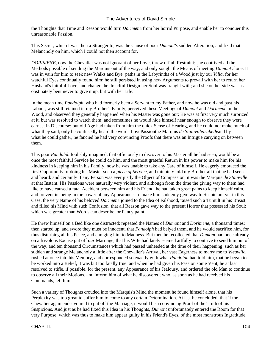the Thoughts that Time and Reason would turn *Dorimene* from her horrid Purpose, and enable her to conquer this unreasonable Passion.

This Secret, which I was then a Stranger to, was the Cause of poor *Dumont's* sudden Alteration, and fix'd that Melancholy on him, which I could not then account for.

*DORIMENE,* now the Chevalier was not ignorant of her Love, threw off all Restraint; she contrived all the Methods possible of sending the Marquis out of the way, and only sought the Means of meeting *Dumont* alone. It was in vain for him to seek new Walks and Bye−paths in the Labyrinths of a Wood just by our *Villa,* for her watchful Eyes continually found him; he still persisted in using new Arguments to prevail with her to return her Husband's faithful Love, and change the dreadful Design her Soul was fraught with; and she on her side was as obstinately bent never to give it up, but with her Life.

In the mean time *Pandolph,* who had formerly been a Servant to my Father, and now he was old and past his Labour, was still retained in my Brother's Family, perceived these Meetings of *Dumont* and *Dorimene* in the Wood, and observed they generally happened when his Master was gone out: He was at first very much surprized at it, but was resolved to watch them; and sometimes he would hide himself near enough to observe they were earnest in Discourse; but old Age had taken from him the quick Sense of Hearing, and he could not make much of what they said; only he confusedly heard the words Love Passion the Marquis *de Stainville Isabelle* and by what he could gather, he fancied he had very convincing Proofs that there was an Intrigue carrying on between them.

This poor *Pandolph* foolishly imagined, that officiously to discover to his Master all he had seen, would be at once the most faithful Service he could do him, and the most grateful Return in his power to make him for his kindness in keeping him in his Family, now he was unable to take any Care of himself. He eagerly embraced the first Opportunity of doing his Master such a *piece of Service,* and minutely told my Brother all that he had seen and heard: and certainly if any Person was ever justly the Object of Compassion, it was the Marquis *de Stainville* at that Instant. His Passions were naturally very violent, and although from the time the giving way to them had like to have caused a fatal Accident between him and his Friend, he had taken great pains to keep himself calm, and prevent its being in the power of any Appearances to make him suddenly give way to Suspicion: yet in this Case, the very Name of his beloved *Dorimene* joined to the Idea of Falshood, raised such a Tumult in his Breast, and filled his Mind with such Confusion, that all Reason gave way to the present Horror that possessed his Soul; which was greater than Words can describe, or Fancy paint.

He threw himself on a Bed like one distracted; repeated the Names of *Dumont* and *Dorimene,* a thousand times; then started up, and swore they must be innocent, that *Pandolph* had belyed them, and he would sacrifice him, for thus disturbing all his Peace, and enraging him to Madness. But then he recollected that *Dumont* had once already on a frivolous Excuse put off *our* Marriage, that his Wife had lately seemed artfully to contrive to send him out of the way, and ten thousand Circumstances which had passed unheeded at the time of their happening; such as her sudden and strange Melancholy a little after the Chevalier's Arrival, her vast Eagerness to marry me to *Vieuville,* rushed at once into his Memory, and corresponded so exactly with what *Pandolph* had told him, that he began to be worked into a Belief, it was but too fatally true: and when he had given his Passion some Vent, he at last resolved to stifle, if possible, for the present, any Appearance of his Jealousy, and ordered the old Man to continue to observe all their Motions, and inform him of what he discovered; who, as soon as he had received his Commands, left him.

Such a variety of Thoughts crouded into the Marquis's Mind the moment he found himself alone, that his Perplexity was too great to suffer him to come to any certain Determination. At last he concluded, that if the Chevalier again endeavoured to put off the Marriage, it would be a convincing Proof of the Truth of his Suspicions. And just as he had fixed this Idea in his Thoughts, *Dumont* unfortunately entered the Room for that very Purpose; which was thus to make him appear guilty in his Friend's Eyes, of the most monstrous Ingratitude,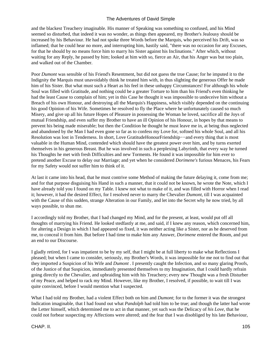and the blackest Treachery imaginable. His manner of Speaking was something so confused, and his Mind seemed so disturbed, that indeed it was no wonder, as things then appeared, my Brother's Jealousy should be increased by his Behaviour. He had not spoke three Words before the Marquis, who perceived his Drift, was so inflamed; that he could hear no more, and interrupting him, hastily said, "there was no occasion for any Excuses, for that he should by no means force him to marry his Sister against his Inclinations." After which, without waiting for any Reply, he passed by him; looked at him with so, fierce an Air, that his Anger was but too plain, and walked out of the Chamber.

Poor *Dumont* was sensible of his Friend's Resentment, but did not guess the true Cause; for he imputed it to the Indignity the Marquis must unavoidably think he treated him with, in thus slighting the generous Offer he made him of his Sister. But what must such a Heart as his feel in these unhappy Circumstances! For although his whole Soul was filled with Gratitude, and nothing could be a greater Torture to him than his Friend's even thinking he had the least Cause to complain of him; yet in this Case he thought it was impossible to undeceive him without a Breach of his own Honour, and destroying all the Marquis's Happiness, which visibly depended on the continuing his good Opinion of his Wife. Sometimes he resolved to fly the Place where he unfortunately caused so much Misery, and give up all his future Hopes of Pleasure in possessing the Woman he loved, sacrifice all the Joys of mutual Friendship, and even suffer my Brother to have an ill Opinion of his Honour, in hopes by that means to prevent his being made miserable; but then the Condition he thought he must leave me in, at being thus neglected and abandoned by the Man I had even gone so far as to confess my Love for, softned his whole Soul, and all his Resolution was lost in Tenderness. In short, Love Gratitude Honour Friendship−−and every thing that is most valuable in the Human Mind, contended which should have the greatest power over him, and by turns exerted themselves in his generous Breast. But he was involved in such a perplexing Labyrinth, that every way he turned his Thoughts he met with fresh Difficulties and new Torments. He found it was impossible for him ever to pretend another Excuse to delay our Marriage; and yet when he considered *Dorimene's* furious Menaces, his Fears for my Safety would not suffer him to think of it.

At last it came into his head, that he must contrive some Method of making the future delaying it, come from me; and for that purpose disguising his Hand in such a manner, that it could not be known, he wrote the Note, which I have already told you I found on my Table. I knew not what to make of it, and was filled with Horror when I read it; however, it had the desired Effect, for I resolved never to marry the Chevalier *Dumont,* till I was acquainted with the Cause of this sudden, strange Alteration in our Family, and let into the Secret why he now tried, by all ways possible, to shun me.

I accordingly told my Brother, that I had changed my Mind, and for the present, at least, would put off all thoughts of marrying his Friend. He looked stedfastly at me, and said, if I knew any reason, which concerned him, for altering a Design in which I had appeared so fixed, it was neither acting like a Sister, nor as he deserved from me, to conceal it from him. But before I had time to make him any Answer, *Dorimene* entered the Room, and put an end to our Discourse.

I gladly retired, for I was impatient to be by my self, that I might be at full liberty to make what Reflections I pleased; but when I came to consider, seriously, my Brother's Words, it was impossible for me not to find out that they imported a Suspicion of his Wife and *Dumont* . I presently caught the Infection, and so many glaring Proofs, of the Justice of that Suspicion, immediately presented themselves to my Imagination, that I could hardly refrain going directly to the Chevalier, and upbraiding him with his Treachery; every new Thought was a fresh Disturber of my Peace, and helped to rack my Mind. However, like my Brother, I resolved, if possible, to wait till I was quite convinced, before I would mention what I suspected.

What I had told my Brother, had a violent Effect both on him and *Dumont*; for to the former it was the strongest Indication imaginable, that I had found out what *Pandolph* had told him to be true; and though the latter had wrote the Letter himself, which determined me to act in that manner, yet such was the Delicacy of *his Love,* that he could not forbear suspecting my Affections were altered; and the fear that I was disobliged by his late Behaviour,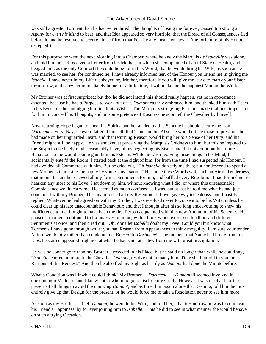was still a greater Torment than he had yet endured: The thoughts of losing me for ever, caused too strong an Agony for *even his Mind* to bear, and that Idea appeared so very horrible, that the Dread of all Consequences fled before it, and he resolved to secure himself from that Fear by any means whatever, (the forfeiture of his Honour excepted.)

For this purpose he went the next Morning into a Chamber, where he knew the Marquis *de Stainville* was alone, and told him he had received a Letter from his Mother, in which she complained of an ill State of Health, and begged him, as the only Comfort she could hope for in this World, that he would bring his Wife, as soon as he was married, to see her; for continued he, I have already informed her, of the Honour you intend me in giving me *Isabelle*. I have never in my Life disobeyed my Mother, therefore if you will give me leave to marry your Sister to−morrow, and carry her immediately home for a little time, it will make me the happiest Man in the World.

My Brother was at first surprized; but tho' he did not intend this should really happen, yet he in appearance assented, because he had a Purpose to work out of it. *Dumont* eagerly embraced him, and thanked him with Tears in his Eyes, for thus indulging him in all his Wishes. The Marquis's struggling Passions made it almost impossible for him to conceal his Thoughts, and on some pretence of Business he soon left the Chevalier by himself.

Now returning Hope began to cheer his Spirits, and he fancied by this Scheme he should secure me from *Dorimene's* Fury. Nay, he even flattered himself, that Time and his Absence would efface those Impressions he had made on her unguarded Heart, and that returning Reason would bring her to a Sense of her Duty, and his Friend might still be happy. He was shocked at perceiving the Marquis's Coldness to him; but this he imputed to the Suspicion he lately might reasonably have, of his neglecting his Sister; and did not doubt but his future Behaviour to me would soon regain him his Esteem. While he was revolving these things in his Mind, I accidentally enter'd the Room. I started back at the sight of him; for from the time I had suspected his Honour, I had avoided all Commerce with him. But he cried out, "Oh *Isabelle* don't fly me thus; but condescend to spend a few Moments in making me happy by your Conversation." He spoke these Words with such an Air of Tenderness, that in one Instant he renewed all my former Sentiments for him, and baffled every Resolution I had formed not to hearken any more to his Love. I sat down by him, without knowing what I did, or where this unseasonable Complaisance would carry me. He seemed as much confused as I was, but at last he told me what he had just concluded with my Brother. This again roused all my Resentment; Love gave way to Jealousy, and I hastily replied, Whatever he had agreed on with my Brother, I was resolved never to consent to be his Wife, unless he could clear up his late unaccountable Behaviour; and that I thought after his so long endeavouring to shew his Indifference to me, I ought to have been the first Person acquainted with this new Alteration of his Schemes. He paused a moment, continued to fix his Eyes on mine, with a Look which expressed ten thousand different Sentiments at once; and then cried out, "Oh! don't let *Isabelle* doubt my Love: Could you but know what Torments I have gone through whilst you had Reason from Appearances to think me guilty. I am sure your tender Nature would pity rather than condemn me. But−−Oh! *Dorimene*!" The moment that Name had broke from his Lips, he started appeared frightned at what he had said, and flew from me with great precipitation.

He was no sooner gone than my Brother succeeded in his Place; but he staid no longer than while he could say, "*Isabelle*hearken no more to the Chevalier *Dumont,* resolve not to marry him; Time shall unfold to you the Reasons of this Request." And then he also fled my Sight as hastily as *Dumont* had done the Minute before.

What a Condition was I inwhat could I think! My Brother−− *Dorimene−− Dumont*all seemed involved in one common Madness; and I knew not to whom to go to disclose my Griefs: However I was resolved for the present of all things to avoid the marrying *Dumont*; and as I met him again alone that Evening, told him he must entirely give up that Design for the present, or he would force me to take a Resolution never to see him more.

As soon as my Brother had left *Dumont,* he went to his Wife, and told her, "that to−morrow he was to compleat his Friend's Happiness, by for ever joining him to *Isabelle*." This he did to see in what manner she would behave on such a trying Occasion.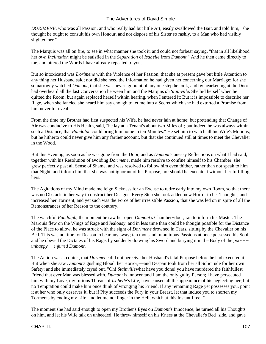*DORIMENE,* who was all Passion, and who really had but little Art, easily swallowed the Bait, and told him, "she thought he ought to consult his own Honour, and not dispose of his Sister so rashly, to a Man who had visibly slighted her."

The Marquis was all on fire, to see in what manner she took it, and could not forbear saying, "that in all likelihood her *own Inclination* might be satisfied in the *Separation* of *Isabelle* from *Dumont*." And he then came directly to me, and uttered the Words I have already repeated to you.

But so intoxicated was *Dorimene* with the Violence of her Passion, that she at present gave but little Attention to any thing her Husband said; nor did she need the Information he had given her concerning our Marriage: for she so narrowly watched *Dumont,* that she was never ignorant of any one step he took, and by hearkening at the Door had overheard all the last Conversation between him and the Marquis *de Stainville*. She hid herself when he quitted the Room; but again replaced herself within hearing, when I entered it: But it is impossible to describe her Rage, when she fancied she heard him say enough to let me into a Secret which she had extorted a Promise from him never to reveal.

From the time my Brother had first suspected his Wife, he had never lain at home; but pretending that Change of Air was conducive to His Health, said, "he lay at a Tenant's about two Miles off; but indeed he was always within such a Distance, that *Pandolph* could bring him home in ten Minutes." He set him to watch all his Wife's Motions; but he hitherto could never give him any farther account, but that she continued still at times to meet the Chevalier in the Wood.

But this Evening, as soon as he was gone from the Door, and as *Dumont's* uneasy Reflections on what I had said, together with his Resolution of avoiding *Dorimene,* made him resolve to confine himself to his Chamber: she grew perfectly past all Sense of Shame, and was resolved to follow him even thither, rather than not speak to him that Night, and inform him that she was not ignorant of his Purpose, nor should he execute it without her fulfilling hers.

The Agitations of my Mind made me feign Sickness for an Excuse to retire early into my own Room, so that there was no Obstacle in her way to obstruct her Designs. Every Step she took added new Horror to her Thoughts, and increased her Torment; and yet such was the Force of her irresistible Passion, that she was led on in spite of all the Remonstrances of her Reason to the contrary.

The watchful *Pandolph,* the moment he saw her open *Dumont's* Chamber−door, ran to inform his Master. The Marquis flew on the Wings of Rage and Jealousy, and in less time than could be thought possible for the Distance of the Place to allow, he was struck with the sight of *Dorimene* drowned in Tears, sitting by the Chevalier on his Bed. This was no time for Reason to bear any sway; ten thousand tumultuous Passions at once possessed his Soul, and he obeyed the Dictates of his Rage, by suddenly drawing his Sword and burying it in the Body of the *poor−− unhappy−−injured Dumont*.

The Action was so quick, that *Dorimene* did not perceive her Husband's fatal Purpose before he had executed it: But when she saw *Dumont's* gushing Blood, her Horror,–−and Despair took from her all Solicitude for her own Safety; and she immediately cryed out, "Oh! *Stainville*what have you done! you have murdered the faithfullest Friend that ever Man was blessed with. *Dumont* is innocent and I am the only guilty Person; I have persecuted him with my Love, my furious Threats of *Isabelle's* Life, have caused all the appearance of his neglecting her; but no Temptation could make him once think of wronging his Friend. If any remaining Rage yet possesses you, point it at her who only deserves it; but if Pity succeeds the Fury in your Breast, let that induce you to shorten my Torments by ending my Life, and let me not linger in the Hell, which at this Instant I feel."

The moment she had said enough to open my Brother's Eyes on *Dumont's* Innocence, he turned all his Thoughts on him, and let his Wife talk on unheeded. He threw himself on his Knees at the Chevalier's Bed−side, and gave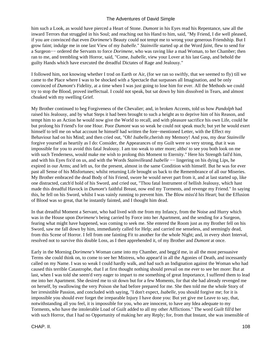him such a Look, as would have pierced a Heart of Stone. *Dumont* in his Eyes read his Repentance, saw all the inward Terrors that struggled in his Soul; and reaching out his Hand to him, said, "My Friend, I die well pleased, if you are convinced that even *Dorimene's* Beauty could not tempt me to wrong your generous Friendship. But I grow faint; indulge me in one last View of my *Isabelle*." *Stainville* started up at the Word *faint,* flew to send for a Surgeon−− ordered the Servants to force *Dorimene,* who was raving like a mad Woman, to her Chamber; then ran to me, and trembling with Horror, said, "Come, *Isabelle,* view your Lover at his last Gasp, and behold the guilty Hands which have executed the dreadful Dictates of Rage and Jealousy."

I followed him, not knowing whether I trod on Earth or Air, (for we ran so swiftly, that we seemed to fly) till we came to the Place where I was to be shocked with a Spectacle that surpasses all Imagination, and be only convinced of *Dumont's* Fidelity, at a time when I was just going to lose him for ever. All the Methods we could try to stop the Blood, proved ineffectual. I could not speak, but sat down by him dissolved in Tears, and almost choaked with my swelling Grief.

My Brother continued to beg Forgiveness of the Chevalier; and, in broken Accents, told us how *Pandolph* had raised his Jealousy, and by what Steps it had been brought to such a height as to deprive him of his Reason, and tempt him to an Action he would now give the World to recall, and with pleasure sacrifice his own Life, could he but prolong his Friend's for one Hour. Poor *Dumont* was so weak he could not speak much; but yet he would exert himself to tell me on what account he himself had written the fore−mentioned Letter, with the Effect my Behaviour had on his Mind; and then cried out, "Oh! *Isabelle*, cherish my Memory! And you, my dear *Stainville* forgive yourself as heartily as I do: Consider, the Appearances of my Guilt were so very strong, that it was impossible for you to avoid this fatal Jealousy. I am too weak to utter more; altho' to see you both look on me with such Tenderness, would make me wish to prolong this Moment to Eternity." Here his Strength fail'd him, and with his Eyes fix'd on us, and with the Words *Stainville*and *Isabelle* −− lingering on his dying Lips, he expired in our Arms; and left us, for the present, almost in the same Condition with himself. But he was for ever past all Sense of his Misfortunes; whilst returning Life brought us back to the Remembrance of all our Miseries. My Brother embraced the dead Body of his Friend, swore he would never part from it, and at last started up, like one distracted, catch'd hold of his Sword, and cried out, "Thou fatal Instrument of hellish Jealousy, which hast made this dreadful Havock in *Dumont's* faithful Breast, now end my Torments, and revenge my Friend." In saying this, he fell on his Sword, whilst I was vainly running to prevent him. The Blow miss'd his Heart; but the Effusion of Blood was so great, that he instantly fainted, and I thought him dead.

In that dreadful Moment a Servant, who had lived with me from my Infancy, from the Noise and Hurry which was in the House upon *Dorimene's* being carried by Force into her Apartment, and the sending for a Surgeon, fearing what might have happened, was coming to seek me. She entered the Room just as my Brother fell on his Sword, saw me fall down by him, immediately called for Help; and carried me senseless, and seemingly dead, from this Scene of Horror. I fell from one fainting Fit to another for the whole Night; and, in every short Interval, resolved not to survive this double Loss, as I then apprehended it, of my Brother and *Dumont* at once.

Early in the Morning *Dorimene's* Woman came into my Chamber, and begg'd me, in all the most persuasive Terms she could think on, to come to see her Mistress, who appear'd in all the Agonies of Death, and incessantly called on my Name. I was so weak I could hardly walk, and had such an Indignation against the Woman who had caused this terrible Catastrophe, that I at first thought nothing should prevail on me ever to see her more: But at last, when I was told she seem'd very eager to impart to me something of great Importance, I suffered them to lead me into her Apartment. She desired me to sit down but for a few Moments, for that she had already revenged me on herself, by swallowing the very Poison she had before prepared for me. She then told me the whole Story of her irresistible Passion, and concluded with saying, "I don't expect, *Isabelle,* you should forgive me; for it is impossible you should ever forget the irreparable Injury I have done you: But yet give me Leave to say, that, notwithstanding all you feel, it is impossible for you, who are innocent, to have any Idea adequate to my Torments, who have the intolerable Load of Guilt added to all my other Afflictions." The word *Guilt* fill'd her with such Horror, that I had no Opportunity of making her any Reply; for, from that Instant, she was insensible of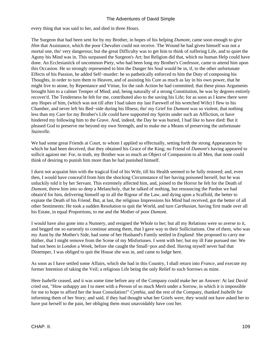every thing that was said to her, and died in three Hours.

The Surgeon that had been sent for by my Brother, in hopes of his helping *Dumont,* came soon enough to give *Him* that Assistance, which the poor Chevalier could not receive. The Wound he had given himself was not a mortal one, tho' very dangerous; but the great Difficulty was to get him to think of suffering Life, and to quiet the Agony his Mind was in. This surpassed the Surgeon's Art; but Religion did that, which no human Help could have done. An Ecclesiastick of uncommon Piety, who had been long my Brother's Confessor, came to attend him upon this Occasion. He so strongly represented to him the Danger his Soul would be in, if, to the other unfortunate Effects of his Passion, he added Self−murder: he so pathetically enforced to him the Duty of composing his Thoughts, in order to turn them to Heaven, and of assisting his Cure as much as lay in his own power, that he might live to atone, by Repentance and Virtue, for the rash Action he had committed; that these pious Arguments brought him to a calmer Temper of Mind; and, being naturally of a strong Constitution, he was by degrees entirely recover'd. The Tenderness he felt for me, contributed also to the saving his Life; for as soon as I knew there were any Hopes of him, (which was not till after I had taken my last Farewell of his wretched Wife) I flew to his Chamber, and never left his Bed−side during his Illness; tho' my Grief for *Dumont* was so violent, that nothing less than my Care for my Brother's Life could have supported my Spirits under such an Affliction, or have hindered my following him to the Grave. And, indeed, the Day he was buried, I had like to have died: But it pleased God to preserve me beyond my own Strength, and to make me a Means of preserving the unfortunate *Stainville*.

We had some great Friends at Court, to whom I applied so effectually, setting forth the strong Appearances by which he had been deceived, that they obtained his Grace of the King; no Friend of *Dumont's* having appeared to sollicit against me: For, in truth, my Brother was so much an Object of Compassion to all Men, that none could think of desiring to punish him more than he had punished himself.

I durst not acquaint him with the tragical End of his Wife, till his Health seemed to be fully restored; and, even then, I would have conceal'd from him the shocking Circumstance of her having poisoned herself, but he was unluckily told it by her Servant. This extremely affected him, and, joined to the Horror he felt for the Death of *Dumont,* threw him into so deep a Melancholy, that he talked of nothing, but renouncing the Pardon we had obtain'd for him, delivering himself up to all the Rigour of the Law, and dying upon a Scaffold, the better to expiate the Death of his Friend. But, at last, the religious Impressions his Mind had received, got the better of all other Sentiments: He took a sudden Resolution to quit the World, and turn *Carthusian,* having first made over all his Estate, in equal Proportions, to me and the Mother of poor *Dumont*.

I would have also gone into a Nunnery, and resigned the Whole to her; but all my Relations were so averse to it, and begged me so earnestly to continue among them, that I gave way to their Sollicitations. One of them, who was my Aunt by the Mother's Side, had some of her Husband's Family settled in *England*: She proposed to carry me thither, that I might remove from the Scene of my Misfortunes. I went with her; but my ill Fate pursued me: We had not been in *London* a Week, before she caught the Small−pox and died. Having myself never had that Distemper, I was obliged to quit the House she was in, and came to lodge here.

As soon as I have settled some Affairs, which she had in this Country, I shall return into *France,* and execute my former Intention of taking the Veil; a religious Life being the only Relief to such Sorrows as mine.

Here *Isabelle* ceased, and it was some time before any of the Company could make her an Answer: At last *David* cried out, "How unhappy am I to meet with a Person of so much Merit under a Sorrow, in which it is impossible for me to hope to afford her the least Consolation!" *Cynthia,* and the rest of the Company, thanked *Isabelle* for informing them of her Story; and said, if they had thought what her Griefs were, they would not have asked her to have put herself to the pain, her obliging them must unavoidably have cost her.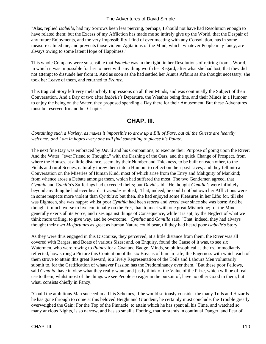"Alas, replied *Isabelle,* had my Sorrows been less piercing, perhaps, I should not have had Resolution enough to have related them; but the Excess of my Affliction has made me so intirely give up the World, that the Despair of any future Enjoyments, and the very Impossibility I find of ever meeting with any Consolation, has in some measure calmed me, and prevents those violent Agitations of the Mind, which, whatever People may fancy, are always owing to some latent Hope of Happiness."

This whole Company were so sensible that *Isabelle* was in the right, in her Resolutions of retiring from a World, in which it was impossible for her to meet with any thing worth her Regard, after what she had lost, that they did not attempt to dissuade her from it. And as soon as she had settled her Aunt's Affairs as she thought necessary, she took her Leave of them, and returned to *France*.

This tragical Story left very melancholy Impressions on all their Minds, and was continually the Subject of their Conversation. And a Day or two after *Isabelle's* Departure, the Weather being fine, and their Minds in a Humour to enjoy the being on the Water, they proposed spending a Day there for their Amusement. But these Adventures must be reserved for another Chapter.

## **CHAP. III.**

#### *Containing such a Variety, as makes it impossible to draw up a Bill of Fare, but all the Guests are heartily welcome; and I am in hopes every one will find something to please his Palate.*

The next fine Day was embraced by *David* and his Companions, to execute their Purpose of going upon the River: And the Water, "ever Friend to Thought," with the Dashing of the Oars, and the quick Change of Prospect, from where the Houses, at a little distance, seem, by their Number and Thickness, to be built on each other, to the Fields and rural Scenes, naturally threw them into a Humour to reflect on their past Lives; and they fell into a Conversation on the Miseries of Human Kind, most of which arise from the Envy and Malignity of Mankind; from whence arose a Debate amongst them, which had suffered the most. The two Gentlemen agreed, that *Cynthia* and *Camilla's* Sufferings had exceeded theirs; but *David* said, "He thought *Camilla's* were infinitely beyond any thing he had ever heard." *Lysander* replied, "That, indeed, he could not but own her Afflictions were in some respects more violent than *Cynthia's*; but then, she had enjoyed some Pleasures in her Life: for, till she was Eighteen, she was happy; whilst poor *Cynthia* had been *teazed* and *vexed* ever since she was born: And he thought it much worse to live continually on the Fret, than to meet with one great Misfortune; for the Mind generally exerts all its Force, and rises against things of Consequence, while it is apt, by the Neglect of what we think more trifling, to give way, and be overcome." *Cynthia* and *Camilla* said, "That, indeed, they had always thought their *own Misfortunes* as great as human Nature could bear, till they had heard poor *Isabelle's* Story."

As they were thus engaged in this Discourse, they perceived, at a little distance from them, the River was all covered with Barges, and Boats of various Sizes; and, on Enquiry, found the Cause of it was, to see six Watermen, who were rowing to *Putney* for a Coat and Badge. Minds, so philosophical as their's, immediately reflected, how strong a Picture this Contention of the six Boys is of human Life; the Eagerness with which each of them strove to attain this great Reward, is a lively Representation of the Toils and Labours Men voluntarily submit to, for the Gratification of whatever Passion has the Predominancy over them. "But these poor Fellows, said *Cynthia,* have in view what they really want, and justly think of the Value of the Prize, which will be of real use to them; whilst most of the things we see People so eager in the pursuit of, have no other Good in them, but what, consists chiefly in Fancy."

"Could the ambitious Man succeed in all his Schemes, if he would seriously consider the many Toils and Hazards he has gone through to come at this beloved Height and Grandeur, he certainly must conclude, the Trouble greatly overweighed the Gain: For the Top of the Pinnacle, to attain which he has spent all his Time, and watched so many anxious Nights, is so narrow, and has so small a Footing, that he stands in continual Danger, and Fear of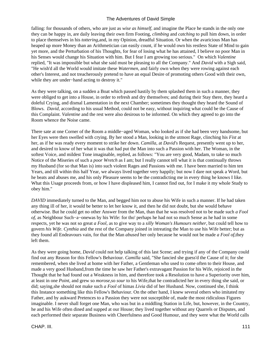falling: for thousands of others, who are just as *wise as himself*, and imagine the Place he stands in the only one they can be happy in, are daily leaving their own firm Footing, *climbing* and *catching* to pull him down, in order to place themselves in his *tottering,*and, in my Opinion, dreadful Situation. Or when the avaricious Man has heaped up more Money than an Arithmetician can easily count, if he would own his restless State of Mind to gain yet more, and the Perturbation of his Thoughts, for fear of losing what he has attained, I believe no poor Man in his Senses would change his Situation with him. But I fear I am growing too serious." On which *Valentine* replied, "It was impossible but what she said must be pleasing to all the Company." And *David* with a Sigh said, "He wish'd all the World would imitate these *Watermen,* and fairly own when they were rowing against each other's Interest, and not treacherously pretend to have an equal Desire of promoting others Good with their own, while they are under−hand acting to destroy it."

As they were talking, on a sudden a Boat which passed hastily by them splashed them in such a manner, they were obliged to get into a House, in order to refresh and dry themselves; and during their Stay there, they heard a doleful Crying, and dismal Lamentation in the next Chamber; sometimes they thought they heard the Sound of Blows.  *David,* according to his usual Method, could not be easy, without inquiring what could be the Cause of this Complaint. *Valentine* and the rest were also desirous to be informed. On which they agreed to go into the Room whence the Noise came.

There sate at one Corner of the Room a middle−aged Woman, who looked as if she had been very handsome, but her Eyes were then swelled with crying. By her stood a Man, looking in the utmost Rage, clinching his *Fist* at her, as if he was ready every moment to strike her down. *Camilla,* at *David's* Request, presently went up to her, and desired to know of her what it was that had put the Man into such a Passion with her. The Woman, in the softest Voice, and mildest Tone imaginable, replied, as follows: "You are very good, Madam, to take so much Notice of the Miseries of such a *poor Wretch* as I am; but I really cannot tell what it is that continually throws my Husband (for so that Man is) into such violent Rages and Passions with me. I have been married to him ten Years, and till within this half Year, we always lived together very happily; but now I dare not speak a Word, but he beats and abuses me, and his only Pleasure seems to be the contradicting me in every thing he knows I like. What this Usage proceeds from, or how I have displeased him, I cannot find out, for I make it my whole Study to obey him."

*DAVID* immediately turned to the Man, and begged him not to abuse his Wife in such a manner. If he had taken any thing ill of her, it would be better to let her know it, and then he did not doubt, but she would behave otherwise. But he could get no other Answer from the Man, than that he was resolved not to be made such *a Fool of,* as Neighbour Such–a–one was by his Wife: for tho' perhaps he had not so much Sense as he had in some respects, yet he was not so great *a Fool,* as to give way to a *silly Woman's Humours neither,* but could tell how to govern *his Wife*. *Cynthia* and the rest of the Company joined in intreating the Man to use his Wife better; but as they found all Endeavours vain, for that the Man *abused* her only because he would not be made *a Fool of,*they left them.

As they were going home, *David* could not help talking of this last Scene; and trying if any of the Company could find out any Reason for this Fellow's Behaviour. *Camilla* said, "She fancied she guess'd the Cause of it; for she remembered, when she lived at home with her Father, a Gentleman who used to come often to their House, and made a very good Husband, from the time he saw her Father's extravagant Passion for his Wife, rejoiced in the Thought that he had found out a Weakness in him, and therefore took a Resolution to have a Superiority over him, at least in one *Point,* and grew so *morose,*so *sour* to his Wife,that he contradicted her in every thing she said, or did; saying, she should not make such *a Fool* of him as *Livia* did of her Husband. Now, continued she, I think this Instance something like this Fellow's Behaviour. On the other hand, I knew several others who imitated my Father, and by aukward Pretences to a Passion they were not susceptible of, made the most ridiculous Figures imaginable. I never shall forget one Man, who was but in a middling Station in Life, but, however, in the Country, he and his Wife often dined and supped at our House; they lived together without any Quarrels or Disputes, and each performed their separate Business with Cheerfulness and Good Humour, and they were what the World calls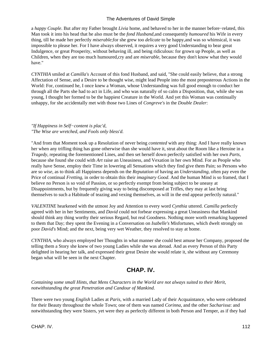a *happy Couple*. But after my Father brought *Livia* home, and behaved to her in the manner before−related, this Man took it into his head that he also must be the *fond Husband,*and consequently *humoured* his Wife in every thing, till he made her perfectly *miserable*; for she grew too *delicate* to be happy, and was so whimsical, it was impossible to please her. For I have always observed, it requires a very good Understanding to bear great Indulgence, or great Prosperity, without behaving ill, and being ridiculous: for grown up People, as well as Children, when they are too much humoured, cry and are *miserable*, because they don't know what they would have."

*CYNTHIA* smiled at *Camilla's* Account of this fond Husband, and said, "She could easily believe, that a strong Affectation of Sense, and a Desire to be thought wise, might lead People into the most preposterous Actions in the World: For, continued he, I once knew a Woman, whose Understanding was full good enough to conduct her through all the Parts she had to act in Life, and who was naturally of so calm a Disposition, that, while she was young, I thought her formed to be the happiest Creature in the World. And yet this Woman was continually unhappy, for she accidentally met with those two Lines of *Congreve's* in the *Double Dealer*:

#### *"If Happiness in Self−content is plac'd, "The Wise are wretched, and Fools only bless'd.*

"And from that Moment took up a Resolution of never being *contented* with any thing: And I have really known her when any trifling thing has gone otherwise than she would have it, strut about the Room like a Heroine in a *Tragedy,* repeating the forementioned Lines, and then set herself down perfectly satisfied with her own *Parts,* because she found she could with *Art* raise an Uneasiness, and Vexation in her own Mind. For as People who really have Sense, employ their Time in lowering all Sensations which they find give them Pain; so Persons who are so *wise,* as to think all Happiness depends on the *Reputation* of having an *Understanding,* often pay even the Price of continual *Fretting,* in order to obtain this their *imaginary Good*. And the human Mind is so framed, that I believe no Person is so void of Passion, or so perfectly exempt from being subject to be uneasy at Disappointments, but by frequently giving way to being discomposed at Trifles, they may at last bring themselves to such a Habitude of teazing and vexing themselves, as will in the end appear perfectly natural."

*VALENTINE* hearkened with the utmost Joy and Attention to every word *Cynthia* uttered. *Camilla* perfectly agreed with her in her Sentiments, and *David* could not forbear expressing a great Uneasiness that Mankind should think any thing worthy their serious Regard, but real Goodness. Nothing more worth remarking happened to them that Day; they spent the Evening in a Conversation on *Isabelle's* Misfortunes, which dwelt strongly on poor *David's* Mind; and the next, being very wet Weather, they resolved to stay at home.

*CYNTHIA,* who always employed her Thoughts in what manner she could best amuse her Company, proposed the telling them a Story she knew of two young Ladies while she was abroad. And as every Person of this Party delighted in hearing her talk, and expressed their great Desire she would relate it, she without any Ceremony began what will be seen in the next Chapter.

## **CHAP. IV.**

*Containing some small Hints, that Mens Characters in the World are not always suited to their Merit, notwithstanding the great Penetration and Candour of Mankind.*

There were two young *English* Ladies at *Paris,* with a married Lady of their Acquaintance, who were celebrated for their Beauty throughout the whole Town; one of them was named *Corinna,* and the other *Sacharissa*: and notwithstanding they were Sisters, yet were they as perfectly different in both Person and Temper, as if they had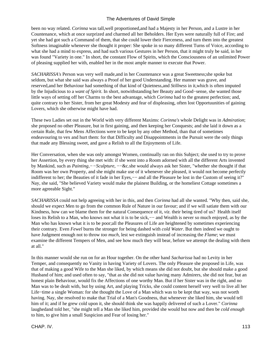been no way related. *Corinna* was tall,well proportioned,and had a Majesty in her Person, and a Lustre in her Countenance, which at once surprized and charmed all her Beholders. Her Eyes were naturally full of Fire; and yet she had got such a Command of them, that she could lower their Fierceness, and turn them into the greatest Softness imaginable whenever she thought it proper: She spoke in so many different Turns of Voice, according to what she had a mind to express, and had such various Gestures in her Person, that it might truly be said, in her was found "Variety in one." In short, the constant Flow of Spirits, which the Consciousness of an unlimited Power of pleasing supplied her with, enabled her in the most ample manner to execute that Power.

*SACHARISSA's* Person was very well made, and in her Countenance was a great Sweetness; she spoke but seldom, but what she said was always a Proof of her good Understanding. Her manner was grave, and reserved, and her Behaviour had something of that kind of Quietness, and *Stillness* in it, which is often imputed by the Injudicious to a *want of Spirit*. In short, notwithstanding her Beauty and Good−sense, she wanted those little ways of setting off her Charms to the best advantage, which *Corinna* had to the greatest perfection; and, quite contrary to her Sister, from her great Modesty and fear of displeasing, often lost Opportuunities of gaining Lovers, which she otherwise might have had.

These two Ladies set out in the World with very different Maxims: *Corinna's* whole Delight was in *Admiration*; she proposed no other Pleasure, but in first gaining, and then keeping her Conquests; and she laid it down as a certain Rule, that few Mens Affections were to be kept by any other Method, than that of sometimes endeavouring to vex and hurt them: for that Difficulty and Disappointments in the Pursuit were the only things that made any Blessing sweet, and gave a Relish to all the Enjoyments of Life.

Her Conversation, when she was only amongst Women, continually ran on this Subject; she used to try to prove her Assertion, by every thing she met with: if she went into a Room adorned with all the different Arts invented by Mankind, such as *Painting,−−Sculpture,* −−&c.she would always ask her Sister, "whether she thought if that Room was her own Property, and she might make use of it whenever she pleased, it would not become perfectly indifferent to her; the Beauties of it fade in her Eyes,—– and all the Pleasure be lost in the Custom of seeing it?" Nay, she said, "She believed Variety would make the plainest Building, or the homeliest Cottage sometimes a more agreeable Sight."

*SACHARISSA* could not help agreeing with her in this, and then *Corinna* had all she wanted. "Why then, said she, should we expect Men to go from the common Rule of Nature in our favour; and if we will satiate them with our Kindness, how can we blame them for the natural Consequence of it, *viz.* their being tired of us? Health itself loses its Relish to a Man, who knows not what it is to be sick,— and Wealth is never so much enjoyed, as by the Man who has known what it is to be poor; all the Pleasures of Life are heightened by sometimes experiencing their contrary. Even *Fewel* burns the stronger for being dashed with *cold Water*. But then indeed we ought to have Judgment enough not to throw *too much,* lest we extinguish instead of increasing the *Flame*; we must examine the different Tempers of Men, and see how much they will bear, before we attempt the dealing with them at all."

In this manner would she run on for an Hour together. On the other hand *Sacharissa* had no Levity in her Temper, and consequently no Vanity in having Variety of Lovers. The only Pleasure she proposed in Life, was that of making a good Wife to the Man she liked, by which means she did not doubt, but she should make a good Husband of him; and used often to say, "that as she did not value having many Admirers, she did not fear, but an honest plain Behaviour, would fix the Affections of one worthy Man. But if her Sister was in the right, and no Man was to be dealt with, but by using Art, and playing Tricks, she could content herself very well to live all her Life−time a single Woman: for she thought the Love of a Man which was to be kept that way, was not worth having. Nay, she resolved to make that Trial of a Man's Goodness, that whenever she liked him, she would tell him of it; and if he grew cold upon it, she should think she was happily delivered of such a Lover." *Corinna* laughedand told her, "she might tell a Man she liked him, provided she would but now and then be *cold enough* to him, to give him a small Suspicion and Fear of losing her."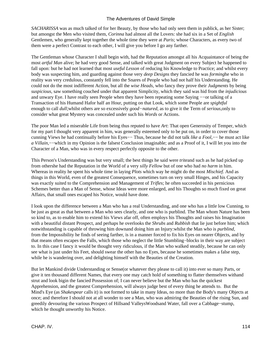*SACHARISSA* was as much talked of for her Beauty, by those who had only seen them in publick, as her Sister; but amongst the Men who visited them, *Corinna* had almost all the Lovers: she had six in a Set of *English* Gentlemen, who generally kept together the whole time they were at *Paris*; whose Characters, as every two of them were a perfect Contrast to each other, I will give you before I go any farther.

The Gentleman whose Character I shall begin with, had the Reputation amongst all his Acquaintance of being the most *artful Man* alive; he had very good Sense, and talked with great Judgment on every Subject he happened to fall upon: but he had not learned that most *useful Lesson* of reducing his Knowledge to Practice; and whilst every body was suspecting him, and guarding against those very *deep Designs* they fancied he was *forming*he who in reality was very credulous, constantly fell into the Snares of People who had not half his Understanding. He could not do the most indifferent Action, but all the *wise Heads,* who fancy they prove their *Judgments* by being *suspicious,* saw something couched under that apparent Simplicity, which they said was hid from the *injudicious* and unwary Eye. I have really seen People when they have been repeating some Saying −−or talking of a Transaction of his Humand Hafor half an Hour, putting on that Look, which some People are *spightful* enough to call *dull*;whilst others are so excessively *good−natured,* as to give it the Term of *serious,*only to consider what great Mystery was concealed under such his *Words* or Actions.

The poor Man led a miserable Life from being thus reputed to have *Art*: That open Generosity of Temper, which for my part I thought very apparent in him, was generally esteemed only to be put on, in order to cover those cunning Views he had continually before his Eyes−− Thus, because he did not talk *like a Fool,*−− he must act like *a Villain,*−−which in my Opinion is the falsest Conclusion imaginable; and as a Proof of it, I will let you into the Character of a Man, who was in every respect perfectly opposite to the other.

This Person's Understanding was but very small; the best things he said were *trite*and such as he had picked up from othershe had the Reputation in the World of a very *silly Fellow* but of one who had *no harm* in him. Whereas in reality he spent his whole time in laying *Plots* which way he might do the most *Mischief*. And as things in this World, even of the greatest Consequence, sometimes turn on very small Hinges, and his Capacity was exactly suited to the Comprehension and Management of *Trifles*; he often succeeded in his pernicious Schemes better than a Man of Sense, whose Ideas were more enlarged, and his Thoughts so much fixed on great Affairs, that small ones escaped his Notice, would have done.

I look upon the difference between a Man who has a real Understanding, and one who has a little low Cunning, to be just as great as that between a Man who sees clearly, and one who is purblind. The Man whom Nature has been so kind to, as to enable him to extend his Views afar off, often employs his Thoughts and raises his Imagination with a beautiful distant Prospect, and perhaps he overlooks the *Shrubs* and *Rubbish* that lie just before him; which notwithstanding is capable of throwing him down and doing him an Injury: whilst the Man who is *purblind*, from the Impossibility he finds of seeing farther, is in a manner forced to fix his Eyes on nearer Objects, and by that means often escapes the Falls, which those who neglect the little Stumbling−blocks in their way are subject to. In this case I fancy it would be thought very ridiculous, if the Man who walked steadily, because he can only see what is just under his Feet, should swear the other has no Eyes, because he sometimes makes a false step, while he is wandering over, and delighting himself with the Beauties of the Creation.

But let Mankind divide Understanding or Sense(or whatever they please to call it) into ever so many Parts, or give it ten thousand different Names, that every one may catch hold of something to flatter themselves with and strut and look big in the fancied Possession of; I can never believe but the Man who has the quickest Apprehension, and the greatest Comprehension, will always judge best of every thing he attends to. But the Mind's Eye (as *Shakespear* calls it) is not formed to take in many Ideas, no more than the Body's many Objects at once; and therefore I should not at all wonder to see a Man, who was admiring the Beauties of the rising Sun, and greedily devouring the various Prospect of Hills and Valleys Woods and Water, fall over a Cabbage–stump, which he thought unworthy his Notice.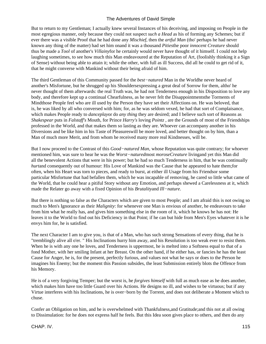But to return to my Gentleman; I actually knew several Instances of his deceiving, and imposing on People in the most egregious manner, only because they could not suspect *such a Head* as his of forming any Schemes; but if ever there was a visible Proof that he had done any *Mischief,* then the *artful Man* (tho' perhaps he had never known any thing of the matter) had set him on and it was a thousand *Pities* the poor *innocent Creature* should thus be made a *Tool* of another's *Villainy*for he certainly would never have thought of it himself. I could not help laughing sometimes, to see how much this Man endeavoured at the Reputation of Art, (foolishly thinking it a Sign of Sense) without being able to attain it; while the other, with full as ill Success, did all he could to get rid of it, that he might converse with Mankind without their being afraid of him.

The third Gentleman of this Community passed for the *best−natured* Man in the Worldhe never heard of another's Misfortune, but he shrugged up his Shouldersexpressing a great deal of Sorrow for them, altho' he never thought of them afterwards: the real Truth was, he had not Tenderness enough in his Disposition to love any body, and therefore kept up a continual Chearfulness, as he never felt the Disappointments the Torments of Mind those People feel who are ill used by the Person they have set their Affections on. He was beloved, that is, he was liked by all who conversed with him; for, as he was seldom vexed, he had that sort of Complaisance, which makes People ready to *dance play* or do *any thing* they are desired; and I believe such sort of Reasons as *Shakespear* puts in *Falstaff's* Mouth, for Prince *Harry's* loving *Pointz* , are the Grounds of most of the Friendships professed in the World, and that makes them so lasting as they are. Whoever can accompany another in his Diversions and be like him in his Taste of Pleasures will be more loved, and better thought on by him, than a Man of much more Merit, and from whom he received many more real Kindnesses, will be.

But I now proceed to the Contrast of this *Good−natured Man,* whose Reputation was quite contrary; for whoever mentioned him, was sure to hear he was the *Worst−natured*most *moroseCreature* livingand yet this Man did all the benevolent Actions that were in his power; but he had so much Tenderness in him, that he was continually *hurt* and consequently out of humour: His Love of Mankind was the Cause that he appeared to hate them; for often, when his Heart was torn to pieces, and ready to burst, at either ill Usage from his Friendsor some particular Misfortune that had befallen them, which he was incapable of removing, he cared so little what came of the World, that he could hear a pitiful Story without any Emotion, and perhaps shewed a Carelessness at it, which made the Relater go away with a fixed Opinion of his *Brutality*and *Ill−nature*.

But there is nothing so false as the Characters which are given to most People; and I am afraid this is not owing so much to Men's Ignorance as their *Malignity*: for whenever one Man is envious of another, he endeavours to take from him what he really has, and gives him something else in the room of it, which he knows he has not: He leaves it to the World to find out his Deficiency in that Point; if he can but hide from Men's Eyes whatever it is he envys him for, he is satisfied.

The next Character I am to give you, is that of a Man, who has such strong Sensations of every thing, that he is "tremblingly alive all o'er. " His Inclinations hurry him away, and his Resolution is too weak ever to resist them. When he is with any one he loves, and Tenderness is uppermost, he is melted into a Softness equal to that of a fond Mother, with her smiling Infant at her Breast. On the other hand, if he either has, or fancies he has the least Cause for Anger, he is, for the present, perfectly furious, and values not what he says or does to the Person he imagines his Enemy; but the moment this Passion subsides, the least Submission entirely blots the Offence from his Memory.

He is of a very forgiving Temper; but the worst is, he *forgives himself* with full as much ease as he does another, which makes him have too little Guard over his Actions. He designs no ill, and wishes to be virtuous; but if any Virtue interferes with his Inclinations, he is over−born by the Torrent, and does not deliberate a Moment which to chuse.

Confer an Obligation on him, and he is overwhelmed with Thankfulness, and Gratitude; and this not at all owing to Dissimulation: for he does not express half he feels. But this Idea soon gives place to others, and then do any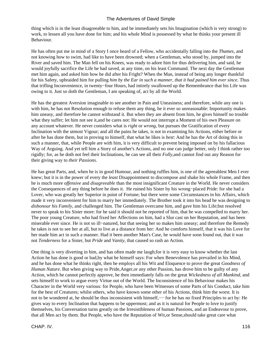thing which is in the least disagreeable to him, and he immediately sets his Imagination (which is very strong) to work, to lessen all you have done for him; and his whole Mind is possessed by what he thinks your present ill Behaviour.

He has often put me in mind of a Story I once heard of a Fellow, who accidentally falling into the *Thames,* and not knowing how to swim, had like to have been drowned; when a Gentleman, who stood by, jumped into the River and saved him. The Man fell on his Knees, was ready to adore him for thus delivering him, and said, he would joyfully sacrifice the Life he had saved, at any time, on his least Command. The next day the Gentleman met him again, and asked him how he did after his Fright? When the Man, instead of being any longer thankful for his Safety, upbraided him for pulling *him by the Ear in such a manner, that it had pained him ever since*. Thus that trifling Inconvenience, in twenty−four Hours, had intirely swallowed up the Remembrance that his Life was owing to it. Just so doth the Gentleman, I am speaking of, act by all the World.

He has the greatest Aversion imaginable to see another in Pain and Uneasiness; and therefore, while any one is with him, he has not Resolution enough to refuse them any thing, be it ever so unreasonable: Importunity makes him uneasy, and therefore he cannot withstand it. But when they are absent from him, he gives himself no trouble what they suffer; let him not see it, and he cares not: He would not interrupt a Moment of his own Pleasure on any account whatever. He never considers what is *right* or *wrong,* but pursues the Gratification of every Inclination with the utmost Vigour; and all the pains he takes, is not in examining his Actions, either before or after he has done them, but in proving to himself, that what he likes is *best*: And he has the Art of doing this in such a manner, that, while People are with him, it is very difficult to prevent being imposed on by his fallacious Way of Arguing. And yet tell him a Story of another's Actions, and no one can judge better, only I think rather too rigidly; for, as he doth not feel their Inclinations, he can see all their *Folly,*and cannot find out any Reason for their giving way to *their Passions*.

He has great Parts, and, when he is in good Humour, and nothing ruffles him, is one of the agreeablest Men I ever knew; but it is in the power of every the *least* Disappointment to discompose and shake his whole Frame, and then he is much more *offensive* and *disagreeable* than the most insignificant Creature in the World. He never considers the Consequences of any thing before he does it. He ruined his Sister by his wrong−placed Pride: for she had a Lover, who was greatly her Superior in point of Fortune; but there were some Circumstances in his Affairs, which made it very inconvenient for him to marry her immediately. The Brother took it into his head he was designing to *dishonour his Family,* and challenged him. The Gentleman overcame him, and gave him his Life; but resolved never to speak to his Sister more: for he said it should not be reported of him, that he was compelled to marry her. The poor young Creature, who had fixed her Affections on him, had a Slur cast on her Reputation, and has been miserable ever since. He is not so ill−natured, but that seeing her so makes him uneasy; and therefore the Remedy he takes is not to see her at all, but to live at a distance from her: And he comforts himself, that it was his Love for her made him act in such a manner. Had it been another Man's Case, he would have soon found out, that it was not *Tenderness* for a Sister, but *Pride* and *Vanity,* that caused so rash an Action.

One thing is very diverting in him, and has often made me laugh; for it is very easy to know whether the last Action he has done is good or bad, by what he himself says: For when Benevolence has prevailed in his Mind, and he has done what he thinks right, then he employs all his Wit and Eloquence to prove the great *Goodness of Human Nature*. But when giving way to Pride, Anger, or any other Passion, has drove him to be guilty of any Action, which he cannot perfectly approve, he then immediately falls on the great *Wickedness of all Mankind,* and sets himself to work to argue every Virtue out of the World. The Inconsistence of his Behaviour makes his Character in the World very various: for People, who have been Witnesses of some Parts of his Conduct, take him for the best of Creatures; whilst others, who have known some other of his Actions, think him the worst. It is not to be wondered at, he should be thus inconsistent with himself,—− for he has no fixed Principles to act by: He gives way to every Inclination that happens to be uppermost; and as it is natural for People to love to justify themselves, his Conversation turns greatly on the Irresistibleness of human Passions, and an Endeavour to prove, that all Men act by them. But People, who have the Reputation of Wit, or Sense, should take great care what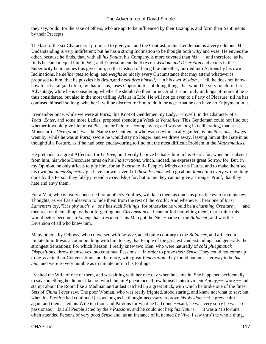they say, or do, for the sake of others, who are apt to be influenced by their Example, and form their Sentiments by their Precepts.

The last of the six Characters I promised to give you, and the Contrast to this Gentleman, is a very odd one. His Understanding is very indifferent; but he has a strong Inclination to be thought both *witty* and *wise*: He envies the other, because he finds, that, with all *his Faults,* his Company is more coveted than *his* ;−− and therefore, as he finds he cannot equal him in Wit, and Entertainment, he fixes on *Wisdom and Discretion,*and exults in the Superiority he imagines this gives him; so that instead of being like the other, hurried into Actions by his own Inclinations, he *deliberates* so long, and *weighs* so nicely every Circumstance that may attend whatever is proposed to him, that he puzzles his *Brain,*and *bewilders himself,*−−in his *own Wisdom,* −−till he does not know how to act at all; and often, by that means, loses Opportunities of doing things that would be very much for his Advantage, while he is considering whether he should do them or no. And it is not only in things of moment he is thus considerate, but also in the most trifling Affairs in Life: He will not go even to a Party of Pleasure, till he has confused himself so long, whether it will be discreet for him to do it, or no,−−that he can have no Enjoyment in it.

I remember once, while we were at *Paris,* this Knot of Gentlemen,my Lady,−−myself, in the Character of a *Toad−Eater,* and some more Ladies, proposed spending a Week at *Versailles*: This Gentleman could not find out whether it would give him most Pleasure or Pain to accompany us; and was so long in deliberating, that at last Monsieur *Le Vive* (which was the Name the Gentleman who was so whimsically guided by his *Passions,* always went by, while he was at *Paris*) swore he would stay no longer, and we drove away, leaving him at the Gate in as thoughtful a Posture, as if he had been endeavouring to find out the most difficult Problem in the *Mathematicks*.

He pretends to a great Affection for *Le Vive*; but I verily believe he hates him in his Heart: for, when he is absent from him, his whole Discourse turns on his *Indiscretions,* which, indeed, he expresses great Sorrow for: But, in my Opinion, he only affects to *pity* him, for an Excuse to fix People's Minds on his Faults, and to make them see his own *imagined Superiority*. I have known several of *these Friends,* who go about *lamenting* every wrong thing done by the Person they falsly pretend a *Friendship* for; but to me they cannot give a stronger Proof, that they hate and envy them.

For a Man, who is really concerned for another's Frailties, will keep them as much as possible even from his own Thoughts, as well as endeavour to hide them from the rest of the World: And whenever I hear one of *these Lamenters* cry, "It is pity *such−a−one* has such *Failings*; for otherwise he would be a *charming Creature* ;"−−and then reckon them all up, without forgetting one *Circumstance* : I cannot forbear telling them, that I think this would better become an *Enemy* than a *Friend*. This Man got the Nick−name of the *Balancer,* and was the Diversion of all who knew him.

Many other silly Fellows, who conversed with *Le Vive,* acted quite contrary to the *Balancer,* and affected to imitate him. It was a common thing with him to say, that People of the greatest Understandings had generally the strongest Sensations: For which Reason, I really knew two Men, who were naturally of *cold phlegmatick Dispositions,* throw themselves into continual Passions,—–in order to prove *their Sense*. They could not come up to *Le Vive* in their Conversation, and therefore, with great *Penetration,* they found out an easier way to be *like him,* and were so very humble as to imitate him in his Failings.

I visited the Wife of one of them, and was sitting with her one day when he came in. She happened accidentally to say something he did not like; on which he, in Appearance, threw himself into a violent *Agony,*−−swore,−−and stampt about the Room like a Madman; and at last catched up a great Stick, with which he broke one of the finest Sets of *China* I ever saw. The poor Woman, who was really frighted, stood staring, and knew not what to say; but when his *Passion* had continued just as long as he thought necessary to prove *his Wisdom,*−−he grew calm again; and then asked his Wife ten thousand Pardons for what he had done;—−said, he was very sorry he was so passionate;−−but all People acted by *their Passions,* and he could not help *his Nature*; −−it was a Misfortune often attended Persons of very *good Sense*;and, as an Instance of it, named *Le Vive*. I saw thro' the whole thing,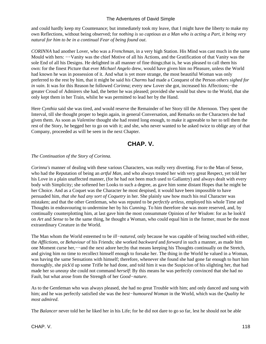and could hardly keep my Countenance; but immediately took my leave, that I might have the liberty to make my own Reflections, without being observed; for *nothing is so captious as a Man who is acting a Part, it being very natural for him to be in a continual Fear of being found out*.

*CORINNA* had another Lover, who was a *Frenchman,* in a very high Station. His Mind was cast much in the same Mould with hers:  $-−$ Vanity was the chief Motive of all his Actions, and the Gratification of that Vanity was the sole End of all his Designs. He delighted in all manner of fine things; that is, he was pleased to call them his own: for the finest Picture that ever *Michael Angelo* drew, would have given him no Pleasure, unless the World had known he was in possession of it. And what is yet more strange, the most beautiful Woman was only preferred to the rest by him, that it might be said *his Charms* had made a Conquest of the Person *others sighed for in vain*. It was for this Reason he followed *Corinna*; every new Lover she got, increased his Affections;−the greater Croud of Admirers she had, the better he was pleased; provided she would but shew to the World, that she only kept them in her Train, whilst he was permitted to lead her by the Hand.

Here *Cynthia* said she was tired, and would reserve the Remainder of her Story till the Afternoon. They spent the Interval, till she thought proper to begin again, in general Conversation, and Remarks on the Characters she had given them. As soon as *Valentine* thought she had rested long enough, to make it agreeable to her to tell them the rest of the Story, he begged her to go on with it; and she, who never wanted to be asked twice to oblige any of that Company, proceeded as will be seen in the next Chapter.

## **CHAP. V.**

#### *The Continuation of the Story of Corinna.*

*Corinna's* manner of dealing with these various Characters, was really very diverting. For to the Man of Sense, who had the Reputation of being an *artful Man,* and who always treated her with very great Respect, yet told her his Love in a plain unaffected manner, (for he had not been much used to Gallantry) and always dealt with every body with Simplicity; she softened her Looks to such a degree, as gave him some distant Hopes that he might be her Choice. And as a Coquet was the Character he most despised, it would have been impossible to have persuaded him, *that she had any sort of Coquetry* in her. She plainly saw how much his real Character was mistaken; and that the other Gentleman, who was reputed to be *perfectly artless,* employed his whole Time and Thoughts in endeavouring to undermine her by his *Cunning*. To him therefore she was more reserved, and, by continually counterplotting him, at last gave him the most consummate Opinion of *her Wisdom*: for as he look'd on *Art* and *Sense* to be the same thing, he thought a Woman, who could equal him in the former, must be the most extraordinary Creature in the World.

The Man whom the World esteemed to be *ill−natured,* only because he was capable of being touched with either, the *Afflictions,* or *Behaviour* of his Friends; she worked *backward* and *forward* in such a manner, as made him one Moment curse her,−−and the next adore her;by that means keeping his Thoughts continually on the Stretch, and giving him no time to recollect himself enough to forsake her. The thing in the World he valued in a Woman, was having the same Sensations with himself; therefore, whenever she found she had gone far enough to hurt him thoroughly, she pick'd up some Trifle he had done, and told him it was the Suspicion of his slighting her, that had made her so *uneasy* she could not command *herself*: By this means he was perfectly convinced that she had no Fault, but what arose from the Strength of her *Good−nature*.

As to the Gentleman who was always pleased, she had no great Trouble with him; and only danced and sung with him; and he was perfectly satisfied she was the *best−humoured Woman* in the World, which was the *Quality he most admired*.

The *Balancer* never told her he liked her in his Life; for he did not dare to go so far, lest he should not be able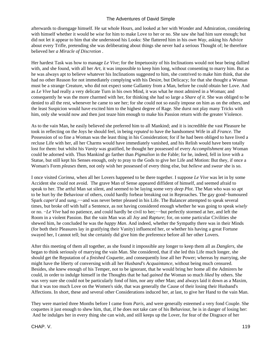afterwards to disengage himself. He sat whole Hours, and looked at her with Wonder and Admiration, considering with himself whether it would be *wise* for him to make Love to her or no. She saw she had him sure enough; but did not let it appear to him that she understood his Looks: She flattered him in his *own Way,* asking his Advice about every Trifle, pretending she was deliberating about things she never had a serious Thought of; he therefore believed her *a Miracle of Discretion* .

Her hardest Task was how to manage *Le Vive*; for the Impetuosity of his Inclinations would not bear being dallied with, and she found, with all her *Art*, it was impossible to keep him long, without consenting to marry him. But as he was always apt to believe whatever his Inclinations suggested to him, she contrived to make him think, that she had no other Reason for not immediately complying with his Desire, but Delicacy; for that she thought a Woman must be a strange Creature, who did not expect some Gallantry from a Man, before he could obtain her Love. And as *Le Vive* had really a very delicate Turn in his own Mind, it was what he most admired in a Woman; and consequently he was the more charmed with her, for thinking she had so large a *Share of it*. She was obliged to be denied to all the rest, whenever he came to see her; for she could not so easily impose on him as on the others, and the least Suspicion would have excited him to the highest degree of Rage. She durst not play many Tricks with him, only she would now and then just teaze him enough to make his Passion return with the greater Violence.

As to the vain Man, he easily believed she preferred him to all Mankind; and it is incredible the vast Pleasure he took in reflecting on the Joys he should feel, in being *reputed* to have the handsomest Wife in all *France*. The Possession of so fine a Woman was the least thing in his Consideration; for if he had been obliged to have lived a recluse Life with her, all her Charms would have immediately vanished, and his Relish would have been totally lost for them: but whilst his *Vanity* was gratified, he thought her possessed of every *Accomplishment* any Woman could be adorned with. Thus Mankind go farther than *Pigmalion* in the Fable; for he, indeed, fell in love with a Statue, but still kept his Senses enough, only to pray to the Gods to give her Life and Motion: But they, if once a Woman's Form *pleases* them, not only wish her possessed of every thing else, but *believe* and *swear* she is so.

I once visited *Corinna,* when all her Lovers happened to be there together. I suppose *Le Vive* was let in by some Accident she could not avoid. The grave Man of Sense appeared diffident of himself, and seemed afraid to speak to her. The artful Man sat silent, and seemed to be laying some very *deep Plot*. The Man who was so apt to be hurt by the Behaviour of others, could hardly forbear breaking out in Reproaches. The gay good−humoured Spark *caper'd* and *sung,*−−and was never better pleased in his Life. The Balancer attempted to speak several times, but broke off with half a Sentence, as not having considered enough whether he was going to speak *wisely* or no. −*Le Vive* had no patience, and could hardly be civil to her;−−but perfectly stormed at her, and left the Room in a violent Passion. But the vain Man was all *Joy* and *Rapture*; for, on some particular Civilities she shewed him, he concluded he was the *happy Man*. And indeed, whether the Sympathy there was in their Minds (for both their Pleasures lay in gratifying their Vanity) influenced her, or whether his having a great Fortune swayed her, I cannot tell; but she certainly did give him the preference before all her other Lovers.

After this meeting of them all together, as she found it impossible any longer to keep them all as *Danglers,* she began to think seriously of marrying the vain Man. She considered, that if she led this Life much longer, she should get the Reputation of a *finished Coquette,* and consequently lose all her Power; whereas by marrying, she might have the liberty of conversing with all her *Husband's Acquaintance,* without being much censured. Besides, she knew enough of his Temper, not to be ignorant, that he would bring her home all the Admirers he could, in order to indulge himself in the Thoughts that he had *gained* the Woman so much *liked* by others. She was very sure she could not be particularly fond of him, nor any other Man; and always laid it down as a Maxim, that it was too much Love on the Women's side, that was generally the Cause of their losing their Husband's Affections. In short, these and several other Considerations induced her, at last, to give her Hand to the vain Man.

They were married three Months before I came from *Paris,* and were generally esteemed a very fond Couple. She coquettes it just enough to shew him, that, if he does not take care of his Behaviour, he is in danger of losing her: And he indulges her in every thing she can wish, and still keeps up the Lover, for fear of the Disgrace of her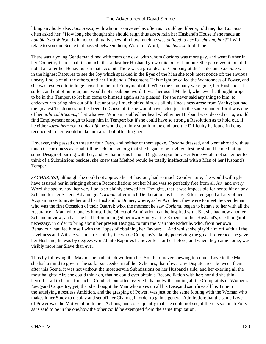liking any body else. *Sacharissa,* with whom I conversed as often as I could get liberty, told me, that *Corinna* often asked her, "How long she thought she should reign thus *absolute*in her Husband's House,if she made an *humble fond Wife,*and did not continually shew him how much he was *obliged to her* for *chusing him*?" I will relate to you one Scene that passed between them, Word for Word, as *Sacharissa* told it me.

There was a young Gentleman dined with them one day, with whom *Corinna* was more gay, and went farther in her Coquettry than usual; insomuch, that at last her Husband grew quite out of humour: She perceived it, but did not at all alter her Behaviour on that account. There was a great deal of Company at the Table, and *Corinna* was in the highest Raptures to see the Joy which sparkled in the Eyes of the Man she took most notice of; the envious uneasy Looks of all the others, and her Husband's Discontent. This might be called the Wantonness of Power, and she was resolved to indulge herself in the full Enjoyment of it. When the Company were gone, her Husband sat sullen, and out of humour, and would not speak one word. It was her usual Method, whenever he thought proper to be in this Temper, to let him come to himself again as he pleased; for she never said any thing to him, to endeavour to bring him out of it. I cannot say I much pitied him, as all his Uneasiness arose from Vanity; but had the greatest Tenderness for her been the Cause of it, she would have acted just in the same manner: for it was one of her *political Maxims,* That whatever Woman troubled her head whether her Husband was pleased or no, would find Employment enough to keep him in Temper; but if she could have so strong a Resolution as to hold out, if he either *loved her*−−or *a quiet Life,*he would certainly submit in the end; and the Difficulty he found in being reconciled to her, would make him afraid of offending her.

However, this passed on three or four Days, and neither of them spoke. *Corinna* dressed, and went abroad with as much Chearfulness as usual; till he held out so long that she began to be frighted, lest he should be meditating some Design of parting with her, and by that means bring a Disgrace upon her. Her Pride would not suffer her to think of a Submission; besides, she knew that Method would be totally ineffectual with a Man of her Husband's Temper.

*SACHARISSA,* although she could not approve her Behaviour, had so much Good−nature, she would willingly have assisted her in bringing about a Reconciliation; but her Mind was so perfectly free from all Art, and every Word she spoke, nay, her very Looks so plainly shewed her Thoughts, that it was impossible for her to hit on any Scheme for her Sister's Advantage. *Corinna,* after much Deliberation, as her last Effort, engaged a Lady of her Acquaintance to invite her and her Husband to Dinner; where, as by Accident, they were to meet the Gentleman who was the first Occasion of their Quarrel; who, the moment he saw *Corinna,* began to behave to her with all the Assurance a Man, who fancies himself the Object of Admiration, can be inspired with. But she had now another Scheme in view; and as she had before indulged her own Vanity at the Expence of her Husband's, she thought it necessary, in order to bring about her present Designs, to turn the Man into Ridicule, who, from her own Behaviour, had fed himself with the Hopes of obtaining her Favour: --And whilst she play'd him off with all the Liveliness and Wit she was mistress of, by the whole Company's plainly perceiving the great Preference she gave her Husband, he was by degrees work'd into Raptures he never felt for her before; and when they came home, was visibly more her Slave than ever.

Thus by following the Maxim she had lain down from her Youth, of never shewing too much Love to the Man she had a mind to govern, she so far succeeded in all her Schemes, that if ever any Dispute arose between them after this Scene, it was not without the most servile Submissions on her Husband's side, and her exerting all the most haughty Airs she could think on, that he could ever obtain a Reconciliation with her: nor did she think herself at all to blame for such a Conduct, but often asserted, that notwithstanding all the Complaints of Women's *Levity* and Coquettry, yet, that she thought the Man who gives up all his Ease, and sacrifices all his Time to the satisfying a restless Ambition, and the grasping of Power, was just on the same footing with the Woman who makes it her Study to display and set off her Charms, in order to gain a general Admiration; that the same Love of Power was the Motive of both their Actions; and consequently that she could not see, if there is so much Folly as is said to be in the one,how the other could be exempted from the same Imputation.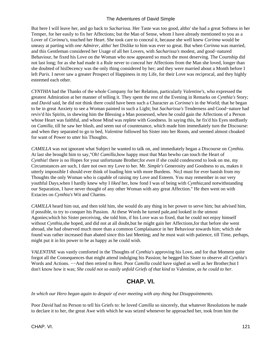But here I will leave her, and go back to *Sacharissa*. Her Taste was too good, altho' she had a great Softness in her Temper, for her easily to fix her Affections; but the Man of Sense, whom I have already mentioned to you as a Lover of *Corinna's,* touched her Heart. She took care to conceal it, because she well knew *Corinna* would be uneasy at parting with *one Admirer,* altho' her Dislike to him was ever so great. But when *Corinna* was married, and this Gentleman considered her Usage of all her Lovers, with *Sacharissa's* modest, and good−natured Behaviour, he fixed his Love on the Woman who now appeared so much the most deserving. The Courtship did not last long; for as she had made it a Rule never to conceal her Affections from the Man she loved, longer than she doubted of his Decency was the only thing considered by her; and they were married about a Month before I left *Paris*. I never saw a greater Prospect of Happiness in my Life, for their Love was reciprocal, and they highly esteemed each other.

*CYNTHIA* had the Thanks of the whole Company for her Relation, particularly *Valentine's,* who expressed the greatest Admiration at her manner of telling it. They spent the rest of the Evening in Remarks on *Cynthia's* Story; and *David* said, he did not think there could have been such a Character as *Corinna's* in the World; that he began to be in great Anxiety to see a Woman painted in such a Light; but *Sacharissa's* Tenderness and Good−nature had reviv'd his Spirits, in shewing him the Blessing a Man possessed, when he could gain the Affections of a Person whose Heart was faithful, and whose Mind was replete with Goodness. In saying this, he fix'd his Eyes stedfastly on *Camilla,* till he saw her blush, and seem out of countenance, which made him immediately turn the Discourse: and when they separated to go to bed, *Valentine* followed his Sister into her Room, and seemed almost choaked for want of Power to utter his Thoughts.

*CAMILLA* was not ignorant what Subject he wanted to talk on, and immediately began a Discourse on *Cynthia*. At last she brought him to say,"Oh! *Camilla,*how happy must that Man bewho can touch the Heart of *Cynthia*! there is no Hopes for your unfortunate Brother; for *even* if she could condescend to look on me, my Circumstances are such, I dare not own my Love to her. Mr. *Simple's* Generosity and Goodness to us, makes it utterly impossible I should ever think of loading him with more Burdens. No;I must for ever banish from my Thoughts the only Woman who is capable of raising my Love and Esteem. You may remember in our very youthful Days, when I hardly knew why I *liked* her, how fond I was of being with *Cynthia*; and notwithstanding our Separation, I have never thought of any other Woman with any great Affection." He then went on with Extacies on *Cynthia's* Wit and Charms.

*CAMILLA* heard him out, and then told him, she would do any thing in her power to serve him; but advised him, if possible, to try to conquer his Passion. At these Words he turned pale, and looked in the utmost Agonies;which his Sister perceiving, she told him, if his Love was so fixed, that he could not enjoy himself without *Cynthia*, she hoped, and did not at all doubt, but he might gain her Affections, for that before she went abroad, she had observed much more than a common Complaisance in her Behaviour towards him; which she found was rather increased than abated since this last Meeting; and he must wait with patience, till Time, perhaps, might put it in his power to be as happy as he could wish.

*VALENTINE* was vastly comforted in the Thoughts of *Cynthia's* approving his Love, and for that Moment quite forgot all the Consequences that might attend indulging his Passion; he begged his Sister to observe all *Cynthia's* Words and Actions.  $-$ -And then retired to Rest. Poor *Camilla* could have sighed as well as her Brother; but I don't know how it was; *She could not so easily unfold Griefs of that kind to* Valentine, *as he could to her*.

# **CHAP. VI.**

*In which our Hero began again to despair of ever meeting with any thing but Disappointments.*

Poor *David* had no Person to tell his Griefs to: he loved *Camilla* so sincerely, that whatever Resolutions he made to declare it to her, the great Awe with which he was seized whenever he approached her, took from him the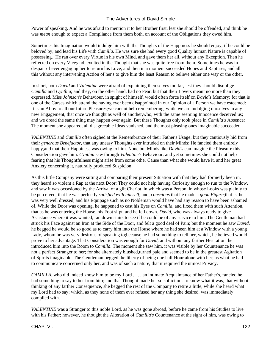Power of speaking. And he was afraid to mention it to her Brother first, lest she should be offended, and think he was *mean* enough to expect a Compliance from them both, on account of the Obligations they owed him.

Sometimes his Imagination would indulge him with the Thoughts of the Happiness he should enjoy, if he could be beloved by, and lead his Life with *Camilla*. He was sure she had every good Quality human Nature is capable of possessing. He ran over every Virtue in his own Mind, and gave them her all, without any Exception. Then he reflected on every Vice; and, exulted in the Thought that she was quite free from them. Sometimes he was in despair of ever engaging her to return his Love, and then in a moment succeeded Hopes and Raptures, and all this without any intervening Action of her's to give him the least Reason to believe either one way or the other.

In short, both *David* and *Valentine* were afraid of explaining themselves too far, lest they should disoblige *Camilla* and *Cynthia*; and they, on the other hand, had no Fear, but that their Lovers meant no more than they expressed. Miss *Johnson's* Behaviour, in spight of himself, would often force itself on *David's* Memory; for that is one of the Curses which attend the having ever been disappointed in our Opinion of a Person we have esteemed: It is an Alloy to all our future Pleasures; we cannot help remembering, while we are indulging ourselves in any new Engagement, that once we thought as well of another, who, with the same seeming Innocence deceived us; and we dread the same thing may happen over again. But these Thoughts only took place in *Camilla's* Absence: The moment she appeared, all disagreeable Ideas vanished, and the most pleasing ones imaginable succeeded.

*VALENTINE* and *Camilla* often sighed at the Remembrance of their Father's Usage; but they cautiously hid from their *generous Benefactor,* that any uneasy Thoughts ever intruded on their Minds: He fancied them entirely happy, and that their Happiness was owing to him. None but Minds like *David's* can imagine the Pleasure this Consideration gave him. *Cynthia* saw through *Valentine's* Behaviour; and yet sometimes she could not help fearing that his Thoughtfulness might arise from some other Cause than what she would have it, and her great Anxiety concerning it, naturally produced Suspicion.

As this little Company were sitting and comparing their present Situation with that they had formerly been in, they heard so violent a Rap at the next Door: They could not help having Curiosity enough to run to the Window, and saw it was occasioned by the Arrival of a gilt Chariot, in which was a Person, in whose Looks was plainly to be perceived, that he was perfectly *satisfied with himself*; and, *conscious* that he made a *good Figure*;that is, he was very well dressed, and his Equipage such as no Nobleman would have had any reason to have been ashamed of. While the Door was opening, he happened to cast his Eyes on *Camilla,* and fixed them with such Attention, that as he was entering the House, his Foot slipt, and he fell down. *David,* who was always ready to give Assistance where it was wanted, ran down stairs to see if he could be of any service to him. The Gentleman had struck his Face against an Iron at the Side of the Door, and felt a good deal of Pain; but the moment he saw *David,* he begged he would be so good as to carry him into the House where he had seen him at a Window with a young Lady, whom he was very desirous of speaking to; because he had something to tell her, which, he believed would prove to her advantage. That Consideration was enough for *David,* and without any farther Hesitation, he introduced him into the Room to *Camilla*. The moment she saw him, it was visible by her Countenance he was not a perfect Stranger to her; for she alternately blushed, turned pale, and seemed to be in the greatest Agitation of Spirits imaginable. The Gentleman begged the liberty of being one half Hour alone with her; as what he had to communicate concerned only her, and was of such a nature, that it required the utmost Privacy.

*CAMILLA,* who did indeed know him to be my Lord . . . . an intimate Acquaintance of her Father's, fancied he had something to say to her from him; and that Thought made her so sollicitous to know what it was, that without thinking of any farther Consequence, she begged the rest of the Company to retire a little, while she heard what my Lord had to say; which, as they none of them ever refused her any thing she desired, was immediately complied with.

*VALENTINE* was a Stranger to this noble Lord, as he was gone abroad, before he came from his Studies to live with his Father; however, he thought the Alteration of *Camilla's* Countenance at the sight of him, was owing to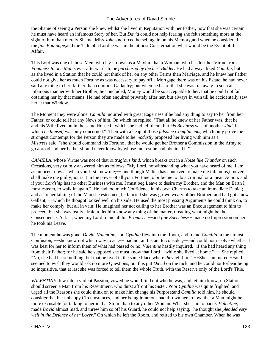the Shame of seeing a Person she knew whilst she lived in Reputation with her Father, now that she was certain he must have heard an infamous Story of her. But *David* could not help fearing she felt something more at the sight of him than merely Shame. Miss *Johnson* forced herself again on his Memory,and when he considered the *fine Equipage*, and the Title of a Lord he was in the utmost Consternation what would be the Event of this Affair.

This Lord was one of those Men, who lay it down as a Maxim, that a Woman, who has lost her Virtue from *Fondness to one Man*is ever afterwards to be *purchased by the best Bidder*. He had always liked *Camilla,* but as she lived in a Station that he could not think of her on any other Terms than Marriage, and he knew her Father could not give her as much Fortune as was necessary to pay off a Mortgage there was on his Estate, he had never said any thing to her, farther than common Gallantry; but when he heard that she was run away in such an infamous manner with her Brother, he concluded, Money would be so acceptable to her, that he could not fail obtaining her by that means. He had often enquired privately after her, but always in vain till he accidentally saw her at that Window.

The Moment they were alone, *Camilla* inquired with great Eagerness if he had any thing to say to her from her Father, or could tell her any News of him. On which he replied, "That all he knew of her Father was, that he and his Wife lived on in the same House in which she had left them; but *his Business* was of another *kind,* in which *he himself* was only concerned." Then with a heap of those *fulsome Compliments,* which only prove the strongest Contempt for the Person they are made to;he *modestly* proposed her living with him as a *Mistress*; said, "she should command his Fortune, that he would get her Brother a Commission in the Army to go abroad,and her Father should never know by whose Interest he had obtained it."

*CAMILLA,* whose Virtue was not of that *outragious kind,* which breaks out in a *Noise like Thunder* on such Occasions, very calmly answered him as follows: "My Lord, notwithstanding what you have heard of me, I am as innocent now as when you first knew me;—− and though Malice has contrived to make me infamous, it never shall make me guilty; nor is it in the power of all your Fortune to bribe me to do a criminal or a mean Action: and if your *Lordship* has no other Business with me, I must beg Leave to desire my Brother, and the Man on Earth I most esteem, to walk in again." He had too much Confidence in his own Charms to take an immediate Denial; and as to her talking of the Man she esteemed, he fancied she was grown weary of her Brother, and had got a new Gallant, −−which he thought looked well on his side. He used the most pressing Arguments he could think on, to make her comply, but all in vain: He imagined her not calling to her Brother was an Encouragement to him to proceed; but she was really afraid to let him know any thing of the matter, dreading what might be the Consequence. At last, when my Lord found all his *Promises* −−and *fine Speeches*−− made no Impression on her, he took his Leave.

The moment he was gone, *David, Valentine,* and *Cynthia* flew into the Room, and found *Camilla* in the utmost Confusion, −−she knew not which way to act,−− had not an Instant to consider,−−and could not resolve whether it was best for her to inform them of what had passed or no. *Valentine* hastily inquired, "if she had heard any thing from their Father; for he said he supposed she must know that Lord--while she lived at home." -− She replied, "No, she had heard nothing, but that he lived in the same Place where *they* left him." −−She stammered −−and seemed to wish they would ask no more Questions; but this put *David* on the rack, and he could not forbear being so inquisitive, that at last she was forced to tell them the whole Truth, with the Reserve only of the Lord's Title.

*VALENTINE* flew into a violent Passion, vowed he would find out who he was, and let him know, no Station should screen a Man from his Resentment, who durst affront his Sister. Poor *Cynthia* was quite frighted, and urged all the Reasons she could think on to make him change his Purpose;and *Camilla* told him, he should consider that her unhappy Circumstances, and her being infamous had thrown her so low, that a Man might be more excusable for talking to her in that Strain than to any other Woman. What she said to pacify *Valentine,* made *David* almost mad, and threw him so off his Guard, he could not help saying, "he thought she *pleaded very well in the Defence of her Lover*." On which he left the Room, and retired to his own Chamber. When he was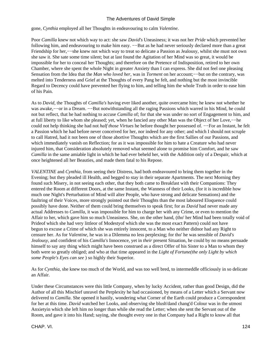gone, *Cynthia* employed all her Thoughts in endeavouring to calm *Valentine*.

Poor *Camilla* knew not which way to act: she saw *David's* Uneasiness; it was not her *Pride* which prevented her following him, and endeavouring to make him easy.  $-$ But as he had never seriously declared more than a great Friendship for her,−−she knew not which way to treat so delicate a Passion as Jealousy, whilst she must not own she saw it. She sate some time silent; but at last found the Agitation of her Mind was so great, it would be impossible for her to conceal her Thoughts; and therefore on the Pretence of Indisposition, retired to her own Chamber, where she spent the whole Night in greater Anxiety than I can express. She did not feel one pleasing Sensation from the Idea that the *Man who loved her,* was in *Torment* on her account;−−but on the contrary, was melted into Tenderness and Grief at the Thoughts of every Pang he felt, and nothing but the most invincible Regard to Decency could have prevented her flying to him, and telling him the whole Truth in order to ease him of his Pain.

As to *David,* the Thoughts of *Camilla's* having ever liked another, quite overcame him; he knew not whether he was awake,−−or in a Dream. −−But notwithstanding all the raging Passions which warred in his Mind, he could not but reflect, that he had nothing to accuse *Camilla* of; for that she was under no sort of Engagement to him, and at full liberty to like whom she pleased; yet, when he fancied any other Man was the Object of her Love,−−he could not help thinking she had not *half those Virtues* he before thought her possessed of. −−For an Instant, he felt a Passion which he had before never conceived for her, nor indeed for any other; and which I should not scruple to call Hatred, had it not been one of those abortive Thoughts which are the first Sallies of our Passions, and which immediately vanish on Reflection; for as it was impossible for him to hate a Creature who had never injured him, that Consideration absolutely removed what seemed alone to promise him Comfort, and he saw *Camilla* in the same amiable light in which he had ever beheld her, with the Addition only of a Despair, which at once heightened all her Beauties, and made them fatal to his Repose.

*VALENTINE* and *Cynthia,* from seeing their Distress, had both endeavoured to bring them together in the Evening; but they pleaded ill Health, and begged to stay in their separate Apartments. The next Morning they found such Misery, in not seeing each other, that they both came to Breakfast with their Companions: They entered the Room at different Doors, at the same Instant, the Wanness of their Looks, (for it is incredible how much one Night's Perturbation of Mind will alter People, who have strong and delicate Sensations) and the faultring of their Voices, more strongly pointed out their Thoughts than the most laboured Eloquence could possibly have done. Neither of them could bring themselves to speak first; for as *David* had never made any actual Addresses to *Camilla,* it was impossible for him to charge her with any Crime, or even to mention the Affair to her, which gave him so much Uneasiness. She, on the other hand, (tho' her Mind had been totally void of Pride of which she had very little or of Modesty of which she was the most exact Pattern) could not have begun to excuse a Crime of which she was entirely innocent, to a Man who neither didnor had any Right to censure her. As for *Valentine,* he was in a Dilemma no less perplexing; for tho' he was sensible of *David's Jealousy,* and confident of his *Camilla's* Innocence, yet in *their* present Situation, he could by no means persuade himself to say any thing which might have been construed as a direct Offer of his Sister to a Man to whom they both were so greatly obliged; and who at that time appeared in the *Light of Fortune(the only Light by which some People's Eyes can see* ) so highly their Superior.

As for *Cynthia,* she knew too much of the World, and was too well bred, to intermeddle officiously in so delicate an Affair.

Under these Circumstances were this little Company, when by lucky Accident, rather than good Design, did the Author of all this Mischief unravel the Perplexity he had occasioned, by means of a Letter which a Servant now delivered to *Camilla*. She opened it hastily, wondering what Corner of the Earth could produce a Correspondent for her at this time. *David* watched her Looks, and observing she blush'dand chang'd Colour was in the utmost Anxiety in which she left him no longer than while she read the Letter; when she sent the Servant out of the Room, and gave it into his Hand; saying, she thought every one in that Company had a Right to know all that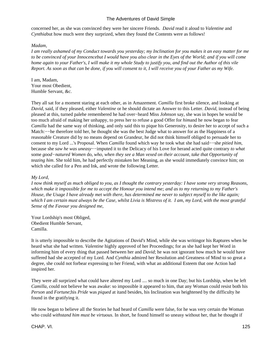concerned her, as she was convinced they were her sincere Friends.  *David* read it aloud to *Valentine* and *Cynthia* but how much were they surprized, when they found the Contents were as follows!

#### *Madam,*

*I am really ashamed of my Conduct towards you yesterday; my Inclination for you makes it an easy matter for me to be convinced of your Innocencebut I would have you also clear in the Eyes of the World; and if you will come home again to your Father's, I will make it my whole Study to justify you, and find out the Author of this vile Report. As soon as that can be done, if you will consent to it, I will receive you of your Father as my Wife.*

I am, Madam, Your most Obedient, Humble Servant, *&c.*

They all sat for a moment staring at each other, as in Amazement. *Camilla* first broke silence, and looking at *David,* said, if they pleased, either *Valentine* or he should dictate an Answer to this Letter. *David,* instead of being pleased at this, turned palehe remembered he had over−heard Miss *Johnson* say, she was in hopes he would be too much afraid of making her unhappy, to press her to refuse a good Offer for *him*and he now began to fear *Camilla* had the same way of thinking, and only said this to pique his Generosity, to desire her to accept of such a Match:−−he therefore told her, he thought she was the best Judge what to answer for as the Happiness of a reasonable Creature did by no means depend on Grandeur, he did not think himself obliged to persuade her to consent to my Lord ...'s Proposal. When *Camilla* found which way he took what she had said−−she *pitied him,* because she *saw he was uneasy*−−imputed it to the Delicacy of his Love for herand acted quite contrary *to what* some *good−natured Women* do, *who, when they see a Man vexed on their account, take that Opportunity of teazing him*. She told him, he had perfectly mistaken her Meaning, as she would immediately convince him; on which she called for a Pen and Ink, and wrote the following Letter.

#### *My Lord,*

*I now think myself as much obliged to you, as I thought the contrary yesterday: I have some very strong Reasons, which make it impossible for me to accept the Honour you intend me; and as to my returning to my Father's House, the Usage I have already met with there, has determined me never to subject myself to the like again; which I am certain must always be the Case, whilst Livia is Mistress of it. I am, my Lord, with the most grateful Sense of the Favour you designed me,*

Your Lordship's most Obliged, Obedient Humble Servant, Camilla.

It is utterly impossible to describe the Agitations of *David's* Mind, while she was writingor his Raptures when he heard what she had written. *Valentine* highly approved of her Proceedings; for as she had kept her Word in informing him of every thing that passed between her and *David*; he was not ignorant how much he would have suffered had she accepted of my Lord. And *Cynthia* admired her Resolution and Greatness of Mind to so great a degree, she could not forbear expressing to her Friend, with what an additional Esteem that one Action had inspired her.

They were all surprized what could have altered my Lord .... so much in one Day; but his Lordship, when he left *Camilla,* could not believe he was awake: so impossible it appeared to him, that any Woman could resist both his *Person* and *Fortune*; his *Pride* was *piqued* at it and besides, his Inclination was heightened by the difficulty he found in the gratifying it.

He now began to believe all the Stories he had heard of *Camilla* were false, for he was very certain the Woman who could *withstand him must be virtuous*. In short, he found himself so uneasy without her, that he thought if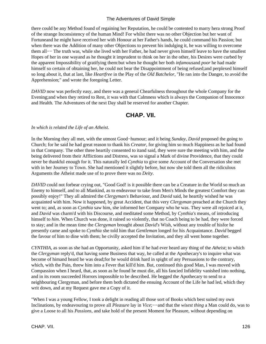there could be any Method found of regaining her Reputation, he could be contented to marry her a strong Proof of the strange Inconsistency of the human Mind! For whilst there was no other Objection but her want of Fortune and he might have received her with Honour at her Father's hands, he could command his Passion; but when there was the Addition of many other Objections to prevent his indulging it, he was willing to overcome them all−− The truth was, while she lived with her Father, he had never given himself leave to have the smallest Hopes of her in one wayand as he thought it imprudent to think on her in the other, his Desires were curbed by the apparent Impossibility of gratifying them: but when he thought her both *infamous* and *poor* he had made himself so certain of obtaining her, he could not bear the Disappointment of being refused; and perplexed himself so long about it, that at last, like *Heartfree* in the Play of the *Old Batchelor,* "He ran into the Danger, to avoid the Apprehension;" and wrote the foregoing Letter.

*DAVID* now was perfectly easy, and there was a general Chearfulness throughout the whole Company for the Evening; and when they retired to Rest, it was with that Calmness which is always the Companion of Innocence and Health. The Adventures of the next Day shall be reserved for another Chapter.

## **CHAP. VII.**

#### *In which is related the Life of an Atheist.*

In the Morning they all met, with the utmost Good−humour; and it being *Sunday, David* proposed the going to Church; for he said he had great reason to thank his *Creator,* for giving him so much Happiness as he had found in that Company. The other three heartily consented to it and said, they were sure the meeting with him, and the being delivered from their Afflictions and Distress, was so signal a Mark of divine Providence, that they could never be thankful enough for it. This naturally led *Cynthia* to give some Account of the Conversation she met with in her Journey to Town. She had mentioned it slightly before, but now she told them all the ridiculous Arguments the Atheist made use of to prove there was no *Deity*.

*DAVID* could not forbear crying out, "Good God! is it possible there can be a Creature in the World so much an Enemy to himself, and to all Mankind, as to endeavour to take from Men's Minds the greatest Comfort they can possibly enjoy!" They all admired the *Clergyman's* Behaviour, and *David* said, he heartily wished he was acquainted with him. Now it happened, by great Accident, that this very *Clergyman* preached at the Church they went to; and, as soon as *Cynthia* saw him, she informed her Company who he was. They were all rejoiced at it, and *David* was charm'd with his Discourse, and meditated some Method, by *Cynthia's* means, of introducing himself to *him*. When Church was done, it rained so violently, that no Coach being to be had, they were forced to stay; and in the mean time the *Clergyman* brought about *David's* Wish, without any trouble of hisfor he presently came and spoke to *Cynthia* she told him that *Gentleman* longed for his Acquaintance. *David* begged the favour of him to dine with them; he civilly accepted the Invitation, and they all went home together.

*CYNTHIA,* as soon as she had an Opportunity, asked him if he had ever heard any thing of the *Atheist*; to which the *Clergyman* reply'd, that having some Business that way, he called at the Apothecary's to inquire what was become of him and heard he was dead; for he would drink hard in spight of any Persuasions to the contrary, which, with the Pain, threw him into a Fever that kill'd him. But, continued this good Man, I was moved with Compassion when I heard, that, as soon as he found he must die, all his fancied Infidelity vanished into nothing, and in its room succeeded Horrors impossible to be described. He begged the Apothecary to send to a neighbouring Clergyman, and before them both dictated the ensuing Account of the Life he had led, which they writ down, and at my Request gave me a Copy of it.

"When I was a young Fellow, I took a delight in reading all those sort of Books which best suited my own Inclinations, by endeavouring to prove all *Pleasure* lay in *Vice*;−−and that the *wisest thing* a Man could do, was to give a Loose to all his *Passions,* and take hold of the present Moment for Pleasure, without depending on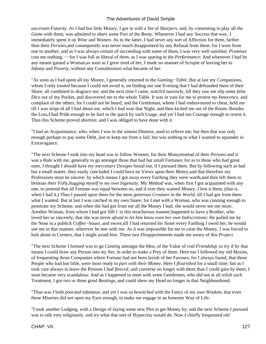*uncertain Futurity*. As I had but little Money, I got in with a Set of *Sharpers,* and, by consenting to play all *the Game* with them, was admitted to *share* some Part of the *Booty*. Whenever I had any Success that way, I immediately spent it on *Wine* and *Women*. As to the latter, I had never any sort of Affection for them, farther than their *Persons,*and consequently was never much disappointed by any Refusal from them: for I went from one to another; and as I was always certain of succeeding with some of them, I was very well satisfied. *Promises* cost me nothing; −−for I was full as liberal of *them,* as I was sparing in the *Performance*: And whenever I had by any means gained a Woman, as soon as I grew tired of her, I made no manner of Scruple of leaving her to *Infamy* and *Poverty,* without any Consideration what became of her.

"As soon as I had spent all my Money, I generally returned to the *Gaming−Table*. But at last my Companions, whom I only trusted because I could not avoid it, on finding out one Evening that I had defrauded them of their Share, all combined to disgrace me; and the next time I came, watch'd narrowly, till they saw me slip some *false Dice* out of my Pocket, and discovered me to the whole Table. It was in vain for me to protest *my Innocence,* and complain of the others, for I could not be heard; and the Gentleman, whom I had endeavoured to cheat, held me till I was stript of all I had about me, which I had won that Night, and then kicked me out of the Room. Besides the Loss,I had Pride enough to be hurt to the quick by such Usage, and yet I had not Courage enough to resent it. Thus this Scheme proved abortive, and I was obliged to have done with it.

"I had an Acquaintance, who, when I was in the utmost Distress, used to relieve me; but then that was only enough perhaps to pay some Debt, just to keep me from a Jail; but was nothing to what I wanted to squander in Extravagance.

"The next Scheme I took into my head was to follow Women, for their *Money*instead of their *Persons*:and it was a Rule with me, generally to go amongst those that had but small Fortunes; for as to those who had great ones, I thought I should have my *mercenary Designs* found out, if I pursued them. But by following such as had but a small matter, they easily concluded I could have no Views upon their *Money,*and that therefore my Professions must be sincere: by which means I got away every Farthing they were worth, and then left them to bemoan *their Folly, hugging myself in my own Ingenuity*. My Method was, when first I got acquainted with any one, to pretend that all Fortune was equal between us; and if ever they wanted Money, I lent it them, (that is, when I had it.) Thus I passed upon them for the most *generous Creature in the World,* till I had got from them what I wanted. But at last I was catched in my own Snare; for I met with a Woman, who was cunning enough to penetrate my Scheme; and when she had got from me all the Money I had, she would never see me more. Another Woman, from whom I had got 500 *l*. in this treacherous manner, happened to have a Brother, who loved her so sincerely, that she was never *afraid to let him know even her own Indiscretions*: He pulled me by the Nose in a publick *Coffee−house,* and swore,till I had returned his Sister every Farthing I owed her, he would use me in that manner, wherever he met with me. As it was impossible for me to raise the Money, I was forced to lurk about in Corners, that I might avoid him. These two *Disappointments* made me weary of this *Project*.

"The next Scheme I formed was to go *Canting* amongst the Men, of the Value of *real Friendship,* to try if by that means I could draw any Person into *my Net,* in order to make a Prey of them. Here too I followed my old Maxim, of frequenting those Companies where Fortune had not been lavish of her Favours; for I always found, that those People who had but little, were most ready to *part with their Money*. Here I *flourished* for a small time; but as I took care always to leave the Persons I had *fleeced,* and converse no longer with them than I could gain by them, I soon became very scandalous: And as I happened to meet with some Gentlemen, who did not at all relish such Treatment, I got two or three good *Beatings,* and could shew my Head no longer in that Neighbourhood.

"Thus was I both *poor*and *infamous*; and yet I was so *bewitched* with the Fancy of my *own Wisdom,* that even these Miseries did not open my Eyes enough, to make me engage in an honester Way of Life.

"I took another Lodging, with a Design of laying some new Plot to get Money by; and the next Scheme I pursued was to talk very religiously, and try what that sort of Hypocrisy would do. Now I chiefly frequented *old*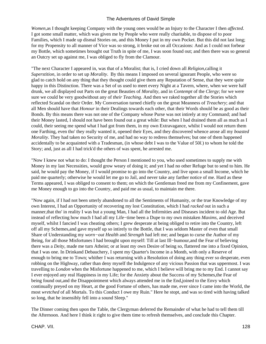*Women,*as I thought keeping Company with the young ones would be an Injury to the Character I then *affected*. I got some small matter, which was given me by People who were really charitable, to dispose of to poor Families, which I made up dismal Stories on, and this Money I put in my own Pocket. But this did not last long; for my Propensity to all manner of Vice was so strong, it broke out on all Occasions: And as I could not forbear my Bottle, which sometimes brought out Truth in spite of me, I was soon found out; and then there was so general an Outcry set up against me, I was obliged to fly from the Clamour.

"The next Character I appeared in, was that of a Moralist; that is, I cried down all *Religion,*calling it *Superstition,* in order to set up *Morality*. By this means I imposed on several ignorant People, who were so glad to catch hold on any thing that they thought could give them any Reputation of Sense, that they were quite happy in this Distinction. There was a Set of us used to meet every Night at a Tavern, where, when we were half drunk, we all displayed out Parts on the great Beauties of *Morality,* and in *Contempt* of the *Clergy*; for we were sure we could be very good without any of *their Teaching*. And then we raked together all the Stories which reflected Scandal on their Order. My Conversation turned chiefly on the great Meanness of *Treachery*; and that all Men should have that *Honour* in their Dealings towards each other, that their Words should be as good as their Bonds. By this means there was not one of the Company whose Purse was not intirely at my Command; and had their Money lasted, I should not have been found out a great while: But when I had drained them all as much as I could, their seeing me spend what I had got from them, in my own Extravagance, whilst I would not return them one Farthing, even tho' they really wanted it, opened their Eyes, and they discovered whence arose all my *boasted Morality*. They had taken no Security of me, and had no way to redress themselves; but one of them happened accidentally to be acquainted with a Tradesman, (in whose debt I was to the Value of 50*l.*) to whom he told the Story; and, just as all I had trick'd the others of was spent, he arrested me.

"Now I knew not what to do: I thought the Person I mentioned to you, who used sometimes to supply me with Money in my last Necessities, would grow weary of doing it; and yet I had no other Refuge but to send to him. He said, he would pay the Money, if I would promise to go into the Country, and live upon a small Income, which he paid me quarterly; otherwise he would let me go to Jail, and never take any farther notice of me. Hard as these Terms appeared, I was obliged to consent to them; on which the Gentleman freed me from my Confinement, gave me Money enough to go into the Country, and paid me as usual, to maintain me there.

"Now again, if I had not been utterly abandoned to all the Sentiments of Humanity, or the true Knowledge of my own Interest, I had an Opportunity of recovering my lost Constitution, which I had *racked* out in such a manner, that tho' in reality I was but a young Man, I had all the Infirmities and Diseases incident to old Age. But instead of reflecting how much I had all my Life−time been a Dupe to my own mistaken *Maxims,* and deceived myself, whilst I fancied I was cheating others; I grew desperate at being obliged to retire into the Country, left off all my Schemes,and gave myself up so intirely to the Bottle, that I was seldom Master of even that small Share of Understanding my *worn−out Health* and *Strength* had left me; and began to curse the Author of my Being, for all those Misfortunes I had brought upon myself: Till at last Ill−humour,and the Fear of believing there was a *Deity,* made me turn Atheist; or at least my own Desire of being so, flattered me into a fixed Opinion, that I was one. In Drinkand Debauchery, I spent my Quarter's Income in a Month, with only a Reserve of enough to bring me to Town; whither I was returning with a Resolution of doing any thing ever so desperate, even robbing on the Highway, rather than deny myself the Indulgence of any vicious Passion that was uppermost. I was travelling to *London* when the Misfortune happened to me, which I believe will bring me to my End. I cannot say I ever enjoyed any real Happiness in my Life; for the Anxiety about the Success of my Schemes, the Fear of being found out, and the Disappointment which always attended me in the End, joined to the Envy which continually preyed on my Heart, at the good Fortune of others, has made me, ever since I came into the World, the most *wretched* of all Mortals. To this Conduct I owe my Ruin." Here he stopt, and was so tired with having talked so long, that he insensibly fell into a sound Sleep."

The Dinner coming then upon the Table, the Clergyman deferred the Remainder of what he had to tell them till the Afternoon. And here I think it right to give them time to refresh themselves, and conclude this Chapter.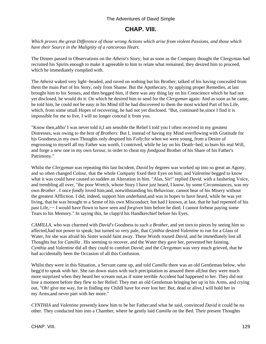# **CHAP. VIII.**

*Which proves the great Difference of those wrong Actions which arise from violent Passions, and those which have their Source in the Malignity of a rancorous Heart.*

The Dinner passed in Observations on the *Atheist's* Story; but as soon as the Company thought the Clergyman had recruited his Spirits enough to make it agreeable to him to relate what remained, they desired him to proceed, which he immediately complied with.

The *Atheist* waked very light−headed, and raved on nothing but his Brother; talked of his having concealed from them the main Part of his Story, only from Shame. But the Apothecary, by applying proper Remedies, at last brought him to his Senses, and then begged him, if there was any thing lay on his Conscience which he had not yet disclosed, he would do it: On which he desired him to send for the *Clergyman* again: And as soon as he came, he told him, he could not be easy in his Mind till he had discovered to them the most wicked Part of his Life, which, from some small Hopes of recovering, he had not yet disclosed. "But, continued he, since I find it is impossible for me to live, I will no longer conceal it from you.

"Know then, altho' I was never told it, I am sensible the Relief I told you I often received in my greatest Distresses, was owing to the *best of Brothers*: But I, instead of having my Mind overflowing with Gratitude for his Goodness, in my own Thoughts only despised his *Folly*; for when we were young, from a Desire of engrossing to myself all my Father was worth, I contrived, while he lay on his Death−bed, to burn his real Will, and forge a new one in my own favour, in order to cheat my *fond good* Brother of his Share of his Father's Patrimony."

Whilst the *Clergyman* was repeating this last Incident, *David* by degrees was worked up into so great an Agony, and so often changed Colour, that the whole Company fixed their Eyes on him; and *Valentine* begged to know what it was could have caused so sudden an Alteration in him. "Alas, Sir!" replied *David,* with a faultering Voice, and trembling all over, "the poor Wretch, whose Story I have just heard, I know, by some Circumstances, was my own *Brother* . I once fondly loved him; and, notwithstanding his Behaviour, cannot hear of his Misery without the greatest Affliction. I did, indeed, support him underhand,and was in hopes to have heard, while he was yet living, that he was brought to a Sense of his own Misconduct; but had I known, at last, that he had repented of his past Life,−− I would have flown to have seen and *forgiven* him before he died. I cannot forbear paying some Tears to his Memory." In saying this, he clapp'd his Handkerchief before his Eyes.

*CAMILLA,* who was charmed with *David's* Goodness to *such* a *Brother,* and yet torn to pieces by seeing him so affected,had not power to speak; but turned so very pale, that *Cynthia* desired *Valentine* to run for a Glass of Water, for she was afraid his Sister would faint away. These Words roused *David,* and he immediately lost all Thoughts but for *Camilla* . His seeming to recover, and the Water they gave her, prevented her fainting. *Cynthia* and *Valentine* did all they could to comfort *David*; and the *Clergyman* was very much grieved, that he had accidentally been the Occasion of all this Confusion.

Whilst they were in this Situation, a Servant came up, and told *Camilla* there was an old Gentleman below, who begg'd to speak with her. She ran down stairs with such precipitation as amazed them all; but they were much more surprized when they heard her scream out, as if some terrible Accident had happened to her. They did not lose a moment before they flew to her Relief: They met an old Gentleman bringing her up in his Arms, and crying out, "Oh! give me way, for in finding my ChildI have for ever lost her: But, dead or alive,I will hold her in my Arms, and never part with her more."

*CYNTHIA* and *Valentine* presently knew him to be her Father;and what he said, convinced *David* it could be no other. They conducted him into a Chamber, where he gently laid *Camilla* on the Bed. Their present Thoughts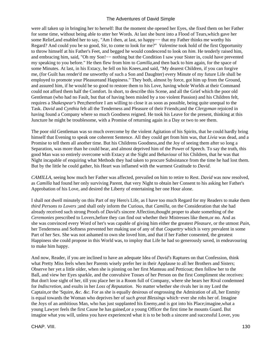were all taken up in bringing her to herself: But the moment she opened her Eyes, she fixed them on her Father for some time, without being able to utter her Words. At last she burst into a Flood of Tears, which gave her some Relief, and enabled her to say, "Am I then, at last, so happy-− that my Father thinks me worthy his Regard? And could you be so good, Sir, to come to look for me?"  *Valentine* took hold of the first Opportunity to throw himself at his Father's Feet, and begged he would condescend to look on *him*. He tenderly raised him, and embracing him, said, "Oh my Son!—– nothing but the Condition I saw your Sister in, could have prevented my speaking to you before." He then flew from him to *Camilla,*and then back to him again, for the space of some Minutes. At last, in his Extacy, he fell on his Knees, and said, "My dearest Children, if you can forgive me, (for Guilt has render'd me unworthy of such a Son and Daughter) every Minute of my future Life shall be employed to promote your Pleasure and Happiness." They both, almost by force, got him up from the Ground, and assured him, if he would be so good to restore them to his Love, having whole Worlds at their Command could not afford them half the Comfort. In short, to describe this Scene, and all the Grief which the poor old Gentleman (who had no Fault, but that of having been misled by a too violent Passion) and his Children felt, requires a *Shakespear's* Pen; therefore I am willing to close it as soon as possible, being quite unequal to the Task. *David* and *Cynthia* felt all the Tenderness and Pleasure of their Friends;and the *Clergyman* rejoiced in having found a Company where so much Goodness reigned. He took his Leave for the present, thinking at this Juncture he might be troublesome, with a Promise of returning again in a Day or two to see them.

The poor old Gentleman was so much overcome by the violent Agitation of his Spirits, that he could hardly bring himself that Evening to speak one coherent Sentence. All they could get from him was, that *Livia* was dead, and a Promise to tell them all another time. But his Childrens Goodness, and the Joy of seeing them after so long a Separation, was more than he could bear, and almost deprived him of the Power of Speech. To say the truth, this good Man was so entirely overcome with Extacy at the Sight and Behaviour of his Children, that he was that Night incapable of enquiring what Methods they had taken to procure Subsistance from the time he had lost them. But by the little he could gather, his Heart was inflamed with the warmest Gratitude to *David*.

*CAMILLA,* seeing how much her Father was affected, prevailed on him to retire to Rest. *David* was now resolved, as *Camilla* had found her only surviving Parent, that very Night to obtain her Consent to his asking her Father's Approbation of his Love, and desired the Liberty of entertaining her one Hour alone.

I shall not dwell minutely on this Part of my Hero's Life, as I have too much Regard for my Readers to make them *third Persons to Lovers*; and shall only inform the Curious, that *Camilla*, on the Consideration that she had already received such strong Proofs of *David's* sincere Affection, thought proper to abate something of the *Ceremonies* prescribed to Lovers, before they can find out whether their Mistresses like them, or no. And as she was convinced every Word of her's was capable of giving him either the greatest *Pleasure,* or the utmost *Pain,* her Tenderness and Softness prevented her making use of any of that *Coquettry* which is very prevalent in some Part of her Sex. She was not ashamed to own she loved him, and that if her Father consented, the greatest Happiness she could propose in this World was, to imploy that Life he had so generously saved, in endeavouring to make him happy.

And now, Reader, if you are inclined to have an adequate Idea of *David's* Raptures on that Confession, think what Pretty Miss feels when her Parents wisely prefer her in their Applause to all her Brothers and Sisters; Observe her yet a little older, when she is pinning on her first Manteau and Petticoat; then follow her to the Ball, and view her Eyes sparkle, and the convulsive Tosses of her Person on the first Compliment she receives: But don't lose sight of her, till you place her in a Room full of Company, where she hears her Rival condemned for *Indiscretion,* and exults in her *Loss of Reputation*. No matter whether she rivals her in my Lord the Captain, or the 'Squire, &c. &c. For as she is equally desirous of engrossing the Admiration of all, her Enmity is equal towards the Woman who deprives her of *such great Blessings* which−ever she robs her of. Imagine the Joys of an ambitious Man, who has just supplanted his Enemy, and is got into his Place; imagine, what a young Lawyer feels the first Cause he has gained, or a young Officer the first time he mounts Guard. But imagine what you will, unless you have experienced what it is to be both a sincere and successful Lover, you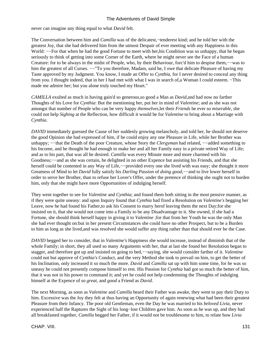never can imagine any thing equal to what *David* felt.

The Conversation between him and *Camilla* was of the delicatest, –tenderest kind; and he told her with the greatest Joy, that she had delivered him from the utmost Despair of ever meeting with any Happiness in this World: −−For that when he had the good Fortune to meet with her, his Condition was so unhappy, that he began seriously to think of getting into some Corner of the Earth, where he might never see the Face of a human Creature: for to be always in the midst of People, who, by their Behaviour, forc'd him to despise them,−−was to him the greatest of all Curses. --"To you therefore, Madam, said he, I owe that delicate Pleasure of having my Taste approved by my Judgment. You know, I made an Offer to *Cynthia,* for I never desired to conceal any thing from you. I thought indeed, that in her I had met with what I was in search of, a Woman I could esteem. −This made me admire her; but you alone truly touched my Heart."

*CAMILLA* exulted as much in having gain'd so generous, so good a Man as *David*, and had now no farther Thoughts of his Love for *Cynthia*: But the mentioning her, put her in mind of *Valentine*; and as she was not amongst that number of People who can be very happy *themselves,*let their *Friends* be ever so *miserable,* she could not help *Sighing* at the Reflection, how difficult it would be for *Valentine* to bring about a Marriage with *Cynthia*.

*DAVID* immediately guessed the Cause of her suddenly growing melancholy, and told her, he should not deserve the good Opinion she had expressed of him, if he could enjoy any one Pleasure in Life, while her Brother was unhappy; −−that the Death of the poor Creature, whose Story the *Clergyman* had related, −−added something to his Income, and he thought he had enough to make her and all her Family easy in a private retired Way of Life; and as to his part, that was all he desired. *Camilla* was every Minute more and more charmed with his Goodness;−−and as she was certain, he delighted in no other Expence but assisting his Friends, and that she herself could be contented in any Way of Life,—–provided every one she lived with was easy; she thought it more Greatness of Mind to let *David* fully satisfy his *Darling Passion* of *doing good,*−−and to live lower herself in order to serve her Brother, than to refuse her Lover's Offer, under the pretence of thinking she ought not to burden him, only that she might have more Opportunities of indulging herself.

They went together to see for *Valentine* and *Cynthia*; and found them both sitting in the most pensive manner, as if they were quite uneasy: and upon Inquiry found that *Cynthia* had fixed a Resolution on *Valentine's* begging her Leave, now he had found his Father, to ask his Consent to marry her of leaving them the next Day; for she insisted on it, that she would not come into a Family to be any Disadvantage to it. She owned, if she had a Fortune, she should think herself happy in giving it to *Valentine*; for that from her Youth he was the only Man she had ever thought on: but in her present Circumstances she could have no other Prospect, but to be a Burden to him as long as she lived, and was resolved she would suffer any thing rather than that should ever be the Case.

*DAVID* begged her to consider, that in *Valentine's* Happiness she would increase, instead of diminish that of the whole Family; in short, they all used so many Arguments with her, that at last she found her Resolution began to stagger, and therefore got up and insisted on going to bed,−−saying, she would consider farther of it. *Valentine* could not but approve of *Cynthia's* Conduct, and the very Method she took to prevail on him, to get the better of his Inclination, only increased it so much the more. *David* and *Camilla* sat up with him some time, for he was so uneasy he could not presently compose himself to rest. His Passion for *Cynthia* had got so much the better of him, that it was not in his power to command it; and yet he could not help condemning the Thoughts of indulging himself at the Expence of so *great,* and *good* a Friend as *David*.

The next Morning, as soon as *Valentine* and *Camilla* heard their Father was awake, they went to pay their Duty to him. Excessive was the Joy they felt at thus having an Opportunity of again renewing what had been their greatest Pleasure from their Infancy. The poor old Gentleman, even the Day he was married to his *beloved Livia,* never experienced half the Raptures the Sight of his long−lost Children gave him. As soon as he was up, and they had all breakfasted together, *Camilla* begged her Father, if it would not be troublesome to him, to relate how *Livia*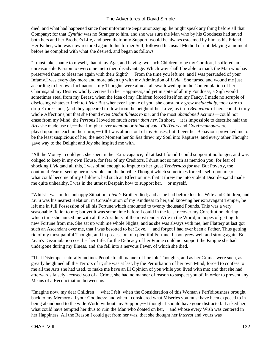died, and what had happened since their unfortunate Separation; saying, he might speak any thing before all that Company; for that *Cynthia* was no Stranger to him, and she was sure the Man who by his Goodness had saved both hers and her Brother's Life, and been their only Support, would be always esteemed by him as his Friend. Her Father, who was now restored again to his former Self, followed his usual Method of not delaying a moment before he complied with what she desired, and began as follows:

"I must take shame to myself, that at my Age, and having two such Children to be my Comfort, I suffered an unreasonable Passion to overcome meto their disadvantage. Which way shall I be able to thank the Man who has preserved them to bless me again with their Sight? ––From the time you left me, and I was persuaded of your Infamy,I was every day more and more taken up with my Admiration of *Livia* . She turned and wound me just according to her own Inclinations; my Thoughts were almost all swallowed up in the Contemplation of her Charms, and my Desires wholly centered in her Happiness; and yet in spite of all my Fondness, a Sigh would sometimes steal from my Breast, when the Idea of my Children forced itself on my Fancy. I made no scruple of disclosing whatever I felt to *Livia*: But whenever I spoke of you, she constantly grew *melancholy,* took care to drop Expressions, (and they appeared to flow from the height of her Love) as if no *Behaviour* of hers could fix my whole Affections;but that she found even *Undutifulness to me,* and the most *abandoned Actions*−−could not erase from my Mind, the *Persons* I loved so much *better than her*. In short,−−it is impossible to describe half the *Arts* she made use of,−−that I might never *mention* or *think of you*.  *FitsTears* and *Good−humour*were play'd upon me each in their turn,−− till I was almost out of my Senses; but if ever her Behaviour provoked me to be the least suspicious of her, the next Moment her *Smiles* threw my Soul into Raptures, and every other Thought gave way to the Delight and Joy she inspired me with.

"All the Money I could get, she spent in her Extravagance, till at last I found I could support it no longer, and was obliged to keep in my own House, for fear of my Creditors. I durst not so much as mention you, for fear of shocking *Livia*;and all this, I was blind enough to impute to her great *Tenderness for me*. But Poverty, the continual Fear of seeing her miserable, and the horrible Thought which sometimes forced itself upon me, of what could become of my Children, had such an Effect on me, that it threw me into violent Disorders, and made me quite unhealthy. I was in the utmost Despair, how to support her,−−or myself.

"Whilst I was in this unhappy Situation, *Livia's* Brother died; and as he had before lost his Wife and Children, and *Livia* was his nearest Relation, in Consideration of my Kindness to her, and knowing her extravagant Temper, he left me in full Possession of all his Fortune, which amounted to twenty thousand Pounds. This was a very seasonable Relief to me; but yet it was some time before I could in the least recover my Constitution, during which time she nursed me with all the Assiduity of the most tender Wife in the World, in hopes of getting this new Fortune from me. She sat up with me whole Nights; and as she was always with me, her Flattery at last got such an Ascendant over me, that I was besotted to her Love,—– and forgot I had ever been a Father. Thus getting rid of my most painful Thought, and in possession of a plentiful Fortune, I soon grew well and strong again. But *Livia's* Dissimulation cost her her Life; for the Delicacy of her Frame could not support the Fatigue she had undergone during my Illness, and she fell into a nervous Fever, of which she died.

"That Distemper naturally inclines People to all manner of horrible Thoughts, and as her Crimes were such, as greatly heightned all the Terrors of it; she was at last, by the Perturbation of her own Mind, forced to confess to me all the Arts she had used, to make me have an ill Opinion of you while you lived with me; and that she had afterwards falsely accused you of a Crime, she had no manner of reason to suspect you of, in order to prevent any Means of a Reconciliation between us.

"Imagine now, my dear Children−− what I felt, when the Consideration of this Woman's Perfidiousness brought back to my Memory all your Goodness; and when I considered what Miseries you must have been exposed to in being abandoned to the wide World without any Support,—–I thought I should have gone distracted. I asked her, what could have tempted her thus to ruin the Man who doated on her,−−and whose every Wish was centered in her Happiness. All the Reason I could get from her was, that she thought her *Interest* and yours was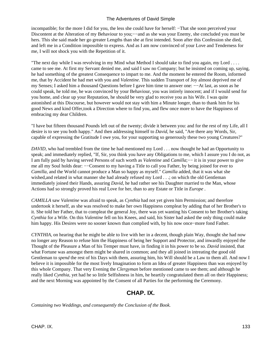incompatible; for the more I did for you, the less she could have for herself: −That she soon perceived your Discontent at the Alteration of my Behaviour to you;—−and as she was your Enemy, she concluded you must be hers. This she said made her go greater Lengths than she at first intended. Soon after this Confession she died, and left me in a Condition impossible to express. And as I am now convinced of your Love and Tenderness for me, I will not shock you with the Repetition of it.

"The next day while I was revolving in my Mind what Method I should take to find you again, my Lord . . . . came to see me. At first my Servant denied me, and said I saw no Company; but he insisted on coming up, saying, he had something of the greatest Consequence to impart to me. And the moment he entered the Room, informed me, that by Accident he had met with you and *Valentine*. This sudden Transport of Joy almost deprived me of my Senses; I asked him a thousand Questions before I gave him time to answer one: −−At last, as soon as he could speak, he told me, he was convinced by your Behaviour, you was intirely innocent; and if I would send for you home, and clear up your Reputation, he should be very glad to receive you as his Wife. I was quite astonished at this Discourse, but however would not stay with him a Minute longer, than to thank him for his good News and kind Offer, took a Direction where to find you, and flew once more to have the Happiness of embracing my dear Children.

"I have but fifteen thousand Pounds left out of the twenty; divide it between you: and for the rest of my Life, all I desire is to see you both happy." And then addressing himself to *David,* he said, "Are there any Words, Sir, capable of expressing the Gratitude I owe you, for your supporting so generously these two young Creatures?"

*DAVID,* who had trembled from the time he had mentioned my Lord . . . now thought he had an Opportunity to speak; and immediately replied, "If, Sir, you think you have any Obligations to me, which I assure you I do not, as I am fully paid by having served Persons of such worth as *Valentine* and *Camilla*;−− it is in your power to give me all my Soul holds dear:  $-$ Consent to my having a Title to call you Father, by being joined for ever to *Camilla,* and the World cannot produce a Man so happy as myself." *Camilla* added, that it was what she wished, and related in what manner she had already refused my Lord . . .; on which the old Gentleman immediately joined their Hands, assuring *David,* he had rather see his Daughter married to the Man, whose Actions had so strongly proved his real Love for her, than to any Estate or Title in *Europe* .

*CAMILLA* saw *Valentine* was afraid to speak, as *Cynthia* had not yet given him Permission; and therefore undertook it herself, as she was resolved to make her own Happiness compleat by adding that of her Brother's to it. She told her Father, that to compleat the general Joy, there was yet wanting his Consent to her Brother's taking *Cynthia* for a Wife. On this *Valentine* fell on his Knees, and said, his Sister had asked the only thing could make him happy. His Desires were no sooner known than complied with, by his now once−more fond Father.

*CYNTHIA,* on hearing that he might be able to live with her in a decent, though plain Way, thought she had now no longer any Reason to refuse him the Happiness of being her Support and Protector, and inwardly enjoyed the Thought of the Pleasure a Man of his Temper must have, in finding it in his power to be so. *David* insisted, that what Fortune was amongst them might be shared in common; and they all joined in intreating the good old Gentleman to *spend* the rest of his Days with them, assuring him, his Will should be a Law to them all. And now I believe it is impossible for the most lively Imagination to form an Idea of greater Happiness than was enjoyed by this whole Company. That very Evening the *Clergyman* before mentioned came to see them; and although he really liked *Cynthia,* yet had he so little Selfishness in him, he heartily congratulated them all on their Happiness; and the next Morning was appointed by the Consent of all Parties for the performing the Ceremony.

# **CHAP. IX.**

*Containing two Weddings, and consequently the Conclusion of the Book.*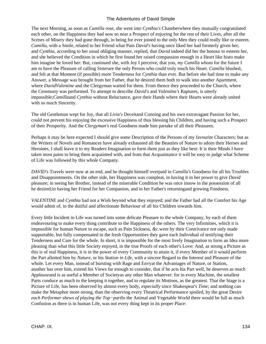The next Morning, as soon as *Camilla* rose, she went into *Cynthia's* Chamberwhere they mutually congratulated each other, on the Happiness they had now so near a Prospect of enjoying for the rest of their Lives, after all the Scenes of Misery they had gone through, in being for ever joined to the only Men they could really like or esteem. *Camilla,* with a Smile, related to her Friend what Pain *David's* having once liked her had formerly given her; and *Cynthia,* according to her usual obliging manner, replied, that *David* indeed did her the honour to esteem her, and she believed the Condition in which he first found her raised compassion enough in a Heart like histo make him imagine he loved her: But, continued she, with Joy I perceive, that you, *my Camilla* whom for the future I am to have the Pleasure of calling Sisterare the only Person who could truly touch his Heart. *Camilla* blushed, and felt at that Moment (if possible) more Tenderness for *Cynthia* than ever. But before she had time to make any Answer, a Message was brought from her Father, that he desired them both to walk into another Apartment, where *David Valentine* and the Clergyman waited for them. From thence they proceeded to the Church, where the Ceremony was performed. To attempt to describe *David's* and *Valentine's* Raptures, is utterly impossible;*Camilla*and *Cynthia* without Reluctance, gave their Hands where their Hearts were already united with so much Sincerity.

The old Gentleman wept for Joy, that all *Livia's* Deceitand Cunning and his own extravagant Passion for her, could not prevent his enjoying the excessive Happiness of thus blessing his Children, and having such a Prospect of their Prosperity. And the *Clergyman's* real Goodness made him partake of all their Pleasures.

Perhaps it may be here expected I should give some Description of the Persons of my favourite Characters; but as the Writers of Novels and Romances have already exhausted all the Beauties of Nature to adorn their Heroes and Heroines, I shall leave it to my Readers Imagination to form them just as they like best: It is their Minds I have taken most pains to bring them acquainted with, and from that Acquaintance it will be easy to judge what Scheme of Life was followed by this whole Company.

*DAVID's* Travels were now at an end, and he thought himself overpaid in *Camilla's* Goodness for all his Troubles and Disappointments. On the other side, her Happiness was compleat, in having it in her power to give *David* pleasure; in seeing her Brother, instead of the miserable Condition he was once innow in the possession of all he desired; in having her Friend for her Companion, and in her Father's returning and growing Fondness.

*VALENTINE* and *Cynthia* had not a Wish beyond what they enjoyed; and the Father had all the Comfort his Age would admit of, in the dutiful and affectionate Behaviour of all his Children towards him.

Every little Incident in Life was turned into some delicate Pleasure to the whole Company, by each of them endeavouring to make every thing contribute to the Happiness of the others. The very Infirmities, which it is impossible for human Nature to escape, such as Pain Sickness, *&c.*were by their Contrivance not only made supportable, but fully compensated in the fresh Opportunities they gave each Individual of testifying their Tenderness and Care for the whole. In short, it is impossible for the most lively Imagination to form an Idea more pleasing than what this little Society enjoyed, in the true Proofs of each other's Love: And, as strong a Picture as this is of real Happiness, it is in the power of every Community to attain it, if every Member of it would perform the Part allotted him by *Nature,* or his *Station in Life,* with a sincere Regard to the Interest and Pleasure of the whole. Let every Man, instead of bursting with Rage and Envyat the Advantages of Nature, or Station, another has over him, extend his Views far enough to consider, that if he acts his Part well, he deserves as much *Applause* and is as useful a Member of Society as any other Man whatever: for in every Machine, the smallest Parts conduce as much to the keeping it together, and to regulate its Motions, as the greatest. That the Stage is a Picture of Life, has been observed by almost every body, *especially since* Shakespear's *Time*; and nothing can make the Metaphor more strong, than the observing every Theatrical Performance spoiled, by the great Desire *each Performer shews of playing the Top−part* In the Animal and Vegetable World there would be full as much Confusion as there is in human Life, was not every thing kept in its proper Place: